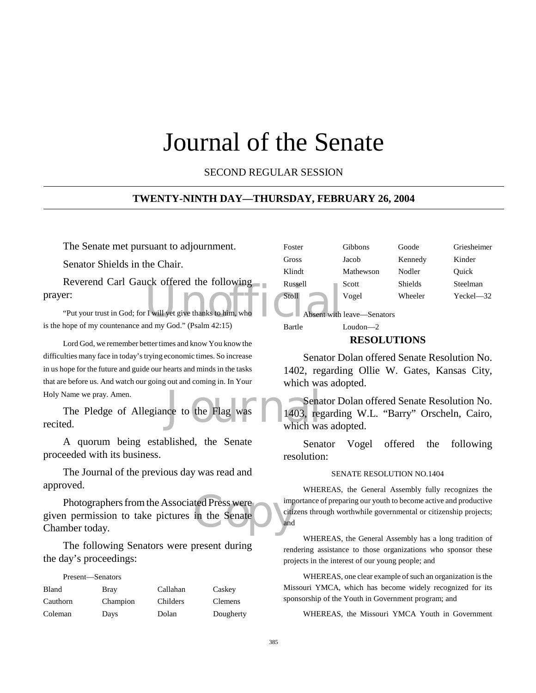# Journal of the Senate

SECOND REGULAR SESSION

#### **TWENTY-NINTH DAY—THURSDAY, FEBRUARY 26, 2004**

The Senate met pursuant to adjournment.

Senator Shields in the Chair.

Executive Contract of the Twill yet give thanks to him, who Reverend Carl Gauck offered the following prayer:

"Put your trust in God; for I will yet give thanks to him, who is the hope of my countenance and my God." (Psalm 42:15)

Lord God, we remember better times and know You know the difficulties many face in today's trying economic times. So increase in us hope for the future and guide our hearts and minds in the tasks that are before us. And watch our going out and coming in. In Your Holy Name we pray. Amen.

Sena<br>
Internal Control of the Flag was<br>
Unich was<br>
Unich was<br>
Unich was<br>
Unich was<br>
Unich was<br>
Unich was<br>
Unich was<br>
Unich was<br>
Unich was<br>
Unich was<br>
Unich was<br>
Unich was<br>
Unich was<br>
Unich was<br>
Unich was<br>
Unich was<br>
Unich The Pledge of Allegiance to the Flag was recited.

A quorum being established, the Senate proceeded with its business.

The Journal of the previous day was read and approved.

ted Press were imported the Senate Photographers from the Associated Press were given permission to take pictures in the Senate Chamber today.

The following Senators were present during the day's proceedings:

#### Present—Senators

| Bland    | Bray     | Callahan | Caskey         |
|----------|----------|----------|----------------|
| Cauthorn | Champion | Childers | <b>Clemens</b> |
| Coleman  | Days     | Dolan    | Dougherty      |

| Foster  | Gibbons   | Goode   | Griesheimer |
|---------|-----------|---------|-------------|
| Gross   | Jacob     | Kennedy | Kinder      |
| Klindt  | Mathewson | Nodler  | Ouick       |
| Russell | Scott     | Shields | Steelman    |
| Stoll   | Vogel     | Wheeler | Yeckel—32   |

Absent with leave—Senators

## Bartle Loudon—2

#### **RESOLUTIONS**

Senator Dolan offered Senate Resolution No. 1402, regarding Ollie W. Gates, Kansas City, which was adopted.

Senator Dolan offered Senate Resolution No. 1403, regarding W.L. "Barry" Orscheln, Cairo, which was adopted.

Senator Vogel offered the following resolution:

#### SENATE RESOLUTION NO.1404

WHEREAS, the General Assembly fully recognizes the importance of preparing our youth to become active and productive citizens through worthwhile governmental or citizenship projects; and

WHEREAS, the General Assembly has a long tradition of rendering assistance to those organizations who sponsor these projects in the interest of our young people; and

WHEREAS, one clear example of such an organization is the Missouri YMCA, which has become widely recognized for its sponsorship of the Youth in Government program; and

WHEREAS, the Missouri YMCA Youth in Government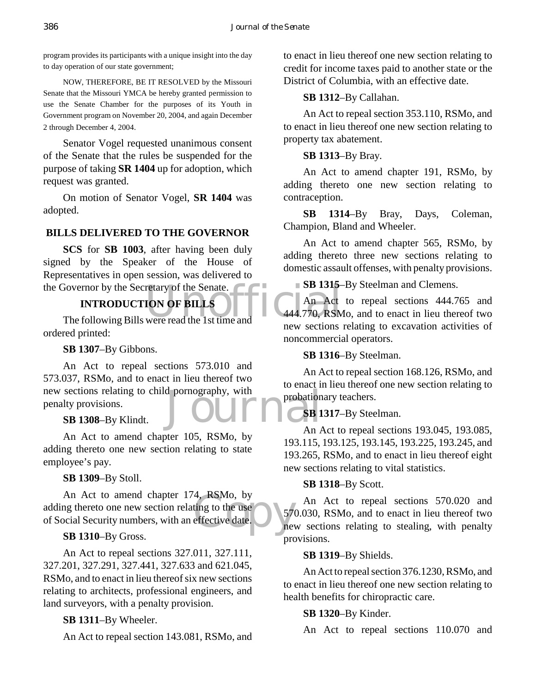program provides its participants with a unique insight into the day to day operation of our state government;

NOW, THEREFORE, BE IT RESOLVED by the Missouri Senate that the Missouri YMCA be hereby granted permission to use the Senate Chamber for the purposes of its Youth in Government program on November 20, 2004, and again December 2 through December 4, 2004.

Senator Vogel requested unanimous consent of the Senate that the rules be suspended for the purpose of taking **SR 1404** up for adoption, which request was granted.

On motion of Senator Vogel, **SR 1404** was adopted.

## **BILLS DELIVERED TO THE GOVERNOR**

**SCS** for **SB 1003**, after having been duly signed by the Speaker of the House of Representatives in open session, was delivered to the Governor by the Secretary of the Senate.

# **INTRODUCTION OF BILLS**

BOVET SOVER TO SUPPOSE THE SUPPORT OF SUPPORT OF BILLS<br>The following Bills were read the 1st time and<br>The following Bills were read the 1st time and ordered printed:

### **SB 1307**–By Gibbons.

new sections relating to child pornography, with<br>
penalty provisions.<br>
SB 1308–By Klindt.<br>
An A An Act to repeal sections 573.010 and 573.037, RSMo, and to enact in lieu thereof two penalty provisions.

## **SB 1308**–By Klindt.

An Act to amend chapter 105, RSMo, by adding thereto one new section relating to state employee's pay.

#### **SB 1309**–By Stoll.

4, RSMo, by<br>ting to the use<br>effective date. An Act to amend chapter 174, RSMo, by adding thereto one new section relating to the use of Social Security numbers, with an effective date.

**SB 1310**–By Gross.

An Act to repeal sections 327.011, 327.111, 327.201, 327.291, 327.441, 327.633 and 621.045, RSMo, and to enact in lieu thereof six new sections relating to architects, professional engineers, and land surveyors, with a penalty provision.

## **SB 1311**–By Wheeler.

An Act to repeal section 143.081, RSMo, and

to enact in lieu thereof one new section relating to credit for income taxes paid to another state or the District of Columbia, with an effective date.

## **SB 1312**–By Callahan.

An Act to repeal section 353.110, RSMo, and to enact in lieu thereof one new section relating to property tax abatement.

### **SB 1313**–By Bray.

An Act to amend chapter 191, RSMo, by adding thereto one new section relating to contraception.

**SB 1314**–By Bray, Days, Coleman, Champion, Bland and Wheeler.

An Act to amend chapter 565, RSMo, by adding thereto three new sections relating to domestic assault offenses, with penalty provisions.

#### **SB 1315**–By Steelman and Clemens.

An Act to repeal sections 444.765 and 444.770, RSMo, and to enact in lieu thereof two new sections relating to excavation activities of noncommercial operators.

**SB 1316**–By Steelman.

An Act to repeal section 168.126, RSMo, and to enact in lieu thereof one new section relating to probationary teachers.

## **SB 1317**–By Steelman.

An Act to repeal sections 193.045, 193.085, 193.115, 193.125, 193.145, 193.225, 193.245, and 193.265, RSMo, and to enact in lieu thereof eight new sections relating to vital statistics.

#### **SB 1318**–By Scott.

An Act to repeal sections 570.020 and 570.030, RSMo, and to enact in lieu thereof two new sections relating to stealing, with penalty provisions.

#### **SB 1319**–By Shields.

An Act to repeal section 376.1230, RSMo, and to enact in lieu thereof one new section relating to health benefits for chiropractic care.

## **SB 1320**–By Kinder.

An Act to repeal sections 110.070 and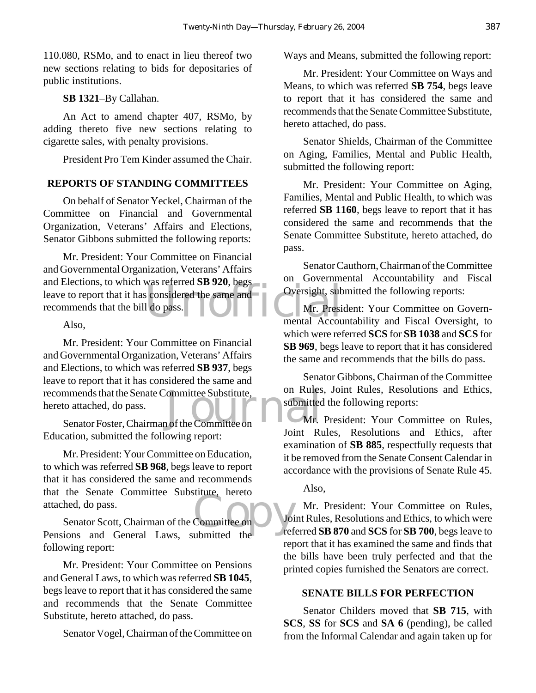110.080, RSMo, and to enact in lieu thereof two new sections relating to bids for depositaries of public institutions.

**SB 1321**–By Callahan.

An Act to amend chapter 407, RSMo, by adding thereto five new sections relating to cigarette sales, with penalty provisions.

President Pro Tem Kinder assumed the Chair.

# **REPORTS OF STANDING COMMITTEES**

On behalf of Senator Yeckel, Chairman of the Committee on Financial and Governmental Organization, Veterans' Affairs and Elections, Senator Gibbons submitted the following reports:

was referred **SB 920**, begs<br>considered the same and<br>l do pass.<br>mental Accou Mr. President: Your Committee on Financial and Governmental Organization, Veterans' Affairs and Elections, to which was referred **SB 920**, begs leave to report that it has considered the same and recommends that the bill do pass.

Also,

recommends that the Senate Committee Substitute, on Rules<br>hereto attached, do pass.<br>Senator Foster, Chairman of the Committee on Mr. President: Your Committee on Financial and Governmental Organization, Veterans' Affairs and Elections, to which was referred **SB 937**, begs leave to report that it has considered the same and hereto attached, do pass.

Senator Foster, Chairman of the Committee on Education, submitted the following report:

Mr. President: Your Committee on Education, to which was referred **SB 968**, begs leave to report that it has considered the same and recommends that the Senate Committee Substitute, hereto attached, do pass.

Committee on a voir view Senator Scott, Chairman of the Committee on Pensions and General Laws, submitted the following report:

Mr. President: Your Committee on Pensions and General Laws, to which was referred **SB 1045**, begs leave to report that it has considered the same and recommends that the Senate Committee Substitute, hereto attached, do pass.

Senator Vogel, Chairman of the Committee on

Ways and Means, submitted the following report:

Mr. President: Your Committee on Ways and Means, to which was referred **SB 754**, begs leave to report that it has considered the same and recommends that the Senate Committee Substitute, hereto attached, do pass.

Senator Shields, Chairman of the Committee on Aging, Families, Mental and Public Health, submitted the following report:

Mr. President: Your Committee on Aging, Families, Mental and Public Health, to which was referred **SB 1160**, begs leave to report that it has considered the same and recommends that the Senate Committee Substitute, hereto attached, do pass.

Senator Cauthorn, Chairman of the Committee on Governmental Accountability and Fiscal Oversight, submitted the following reports:

Mr. President: Your Committee on Governmental Accountability and Fiscal Oversight, to which were referred **SCS** for **SB 1038** and **SCS** for **SB 969**, begs leave to report that it has considered the same and recommends that the bills do pass.

Senator Gibbons, Chairman of the Committee on Rules, Joint Rules, Resolutions and Ethics, submitted the following reports:

Mr. President: Your Committee on Rules, Joint Rules, Resolutions and Ethics, after examination of **SB 885**, respectfully requests that it be removed from the Senate Consent Calendar in accordance with the provisions of Senate Rule 45.

Also,

Mr. President: Your Committee on Rules, Joint Rules, Resolutions and Ethics, to which were referred **SB 870** and **SCS** for **SB 700**, begs leave to report that it has examined the same and finds that the bills have been truly perfected and that the printed copies furnished the Senators are correct.

## **SENATE BILLS FOR PERFECTION**

Senator Childers moved that **SB 715**, with **SCS**, **SS** for **SCS** and **SA 6** (pending), be called from the Informal Calendar and again taken up for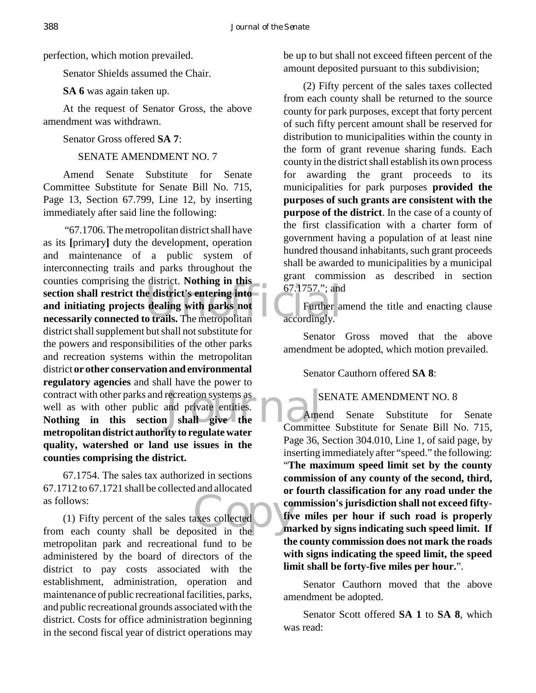perfection, which motion prevailed.

Senator Shields assumed the Chair.

**SA 6** was again taken up.

At the request of Senator Gross, the above amendment was withdrawn.

Senator Gross offered **SA 7**:

SENATE AMENDMENT NO. 7

Amend Senate Substitute for Senate Committee Substitute for Senate Bill No. 715, Page 13, Section 67.799, Line 12, by inserting immediately after said line the following:

section shall restrict the district's entering into<br>
and initiating projects dealing with parks not<br>
necessarily connected to trails. The metropolitan accordingly. Frecreation systems as<br>
and private entities.<br> **Sand private the Committer**  "67.1706. The metropolitan district shall have as its **[**primary**]** duty the development, operation and maintenance of a public system of interconnecting trails and parks throughout the counties comprising the district. **Nothing in this section shall restrict the district's entering into and initiating projects dealing with parks not** district shall supplement but shall not substitute for the powers and responsibilities of the other parks and recreation systems within the metropolitan district **or other conservation and environmental regulatory agencies** and shall have the power to contract with other parks and recreation systems as well as with other public and private entities. **Nothing in this section shall give the metropolitan district authority to regulate water quality, watershed or land use issues in the counties comprising the district.**

67.1754. The sales tax authorized in sections 67.1712 to 67.1721 shall be collected and allocated as follows:

as follows:<br>
(1) Fifty percent of the sales taxes collected<br>
from each county shall be deposited in the (1) Fifty percent of the sales taxes collected metropolitan park and recreational fund to be administered by the board of directors of the district to pay costs associated with the establishment, administration, operation and maintenance of public recreational facilities, parks, and public recreational grounds associated with the district. Costs for office administration beginning in the second fiscal year of district operations may

be up to but shall not exceed fifteen percent of the amount deposited pursuant to this subdivision;

(2) Fifty percent of the sales taxes collected from each county shall be returned to the source county for park purposes, except that forty percent of such fifty percent amount shall be reserved for distribution to municipalities within the county in the form of grant revenue sharing funds. Each county in the district shall establish its own process for awarding the grant proceeds to its municipalities for park purposes **provided the purposes of such grants are consistent with the purpose of the district**. In the case of a county of the first classification with a charter form of government having a population of at least nine hundred thousand inhabitants, such grant proceeds shall be awarded to municipalities by a municipal grant commission as described in section 67.1757."; and

Further amend the title and enacting clause accordingly.

Senator Gross moved that the above amendment be adopted, which motion prevailed.

Senator Cauthorn offered **SA 8**:

## SENATE AMENDMENT NO. 8

Amend Senate Substitute for Senate Committee Substitute for Senate Bill No. 715, Page 36, Section 304.010, Line 1, of said page, by inserting immediately after "speed." the following: "**The maximum speed limit set by the county commission of any county of the second, third, or fourth classification for any road under the commission's jurisdiction shall not exceed fiftyfive miles per hour if such road is properly marked by signs indicating such speed limit. If the county commission does not mark the roads with signs indicating the speed limit, the speed limit shall be forty-five miles per hour.**".

Senator Cauthorn moved that the above amendment be adopted.

Senator Scott offered **SA 1** to **SA 8**, which was read: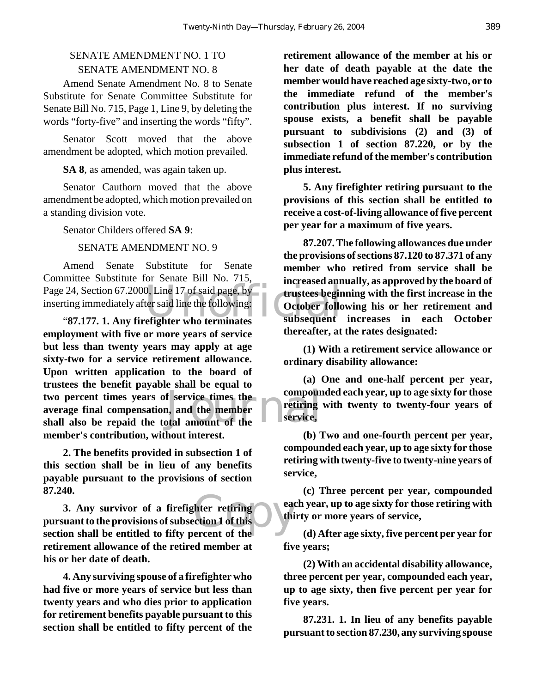# SENATE AMENDMENT NO. 1 TO SENATE AMENDMENT NO. 8

Amend Senate Amendment No. 8 to Senate Substitute for Senate Committee Substitute for Senate Bill No. 715, Page 1, Line 9, by deleting the words "forty-five" and inserting the words "fifty".

Senator Scott moved that the above amendment be adopted, which motion prevailed.

**SA 8**, as amended, was again taken up.

Senator Cauthorn moved that the above amendment be adopted, which motion prevailed on a standing division vote.

Senator Childers offered **SA 9**:

#### SENATE AMENDMENT NO. 9

24, Section 67.2000, Line 17 of said page, by<br>trustees beging immediately after said line the following:<br>"87.177. 1. Any firefighter who terminates subsequent Amend Senate Substitute for Senate Committee Substitute for Senate Bill No. 715, Page 24, Section 67.2000, Line 17 of said page, by inserting immediately after said line the following:

two percent times years of service times the<br>average final compensation, and the member<br>shall also be repaid the total amount of the<br>service, **employment with five or more years of service but less than twenty years may apply at age sixty-two for a service retirement allowance. Upon written application to the board of trustees the benefit payable shall be equal to average final compensation, and the member shall also be repaid the total amount of the member's contribution, without interest.**

**2. The benefits provided in subsection 1 of this section shall be in lieu of any benefits payable pursuant to the provisions of section 87.240.**

the settlement of the contraction of the contraction of the contraction of the contraction of the contraction of the contraction of the contraction of the contraction of the contraction of the contraction of the contractio **3. Any survivor of a firefighter retiring pursuant to the provisions of subsection 1 of this section shall be entitled to fifty percent of the retirement allowance of the retired member at his or her date of death.**

**4. Any surviving spouse of a firefighter who had five or more years of service but less than twenty years and who dies prior to application for retirement benefits payable pursuant to this section shall be entitled to fifty percent of the**

**retirement allowance of the member at his or her date of death payable at the date the member would have reached age sixty-two, or to the immediate refund of the member's contribution plus interest. If no surviving spouse exists, a benefit shall be payable pursuant to subdivisions (2) and (3) of subsection 1 of section 87.220, or by the immediate refund of the member's contribution plus interest.**

**5. Any firefighter retiring pursuant to the provisions of this section shall be entitled to receive a cost-of-living allowance of five percent per year for a maximum of five years.**

**87.207. The following allowances due under the provisions of sections 87.120 to 87.371 of any member who retired from service shall be increased annually, as approved by the board of trustees beginning with the first increase in the October following his or her retirement and subsequent increases in each October thereafter, at the rates designated:** 

**(1) With a retirement service allowance or ordinary disability allowance:** 

**(a) One and one-half percent per year, compounded each year, up to age sixty for those retiring with twenty to twenty-four years of service,** 

**(b) Two and one-fourth percent per year, compounded each year, up to age sixty for those retiring with twenty-five to twenty-nine years of service,** 

**(c) Three percent per year, compounded each year, up to age sixty for those retiring with thirty or more years of service,** 

**(d) After age sixty, five percent per year for five years;** 

**(2) With an accidental disability allowance, three percent per year, compounded each year, up to age sixty, then five percent per year for five years.**

**87.231. 1. In lieu of any benefits payable pursuant to section 87.230, any surviving spouse**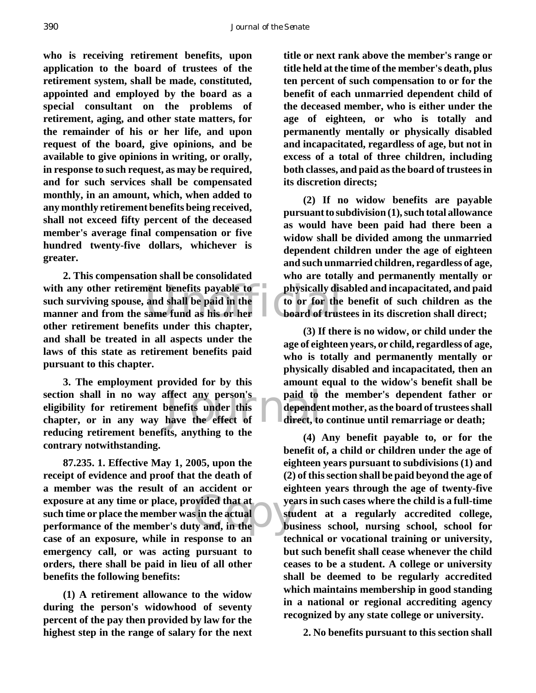**who is receiving retirement benefits, upon application to the board of trustees of the retirement system, shall be made, constituted, appointed and employed by the board as a special consultant on the problems of retirement, aging, and other state matters, for the remainder of his or her life, and upon request of the board, give opinions, and be available to give opinions in writing, or orally, in response to such request, as may be required, and for such services shall be compensated monthly, in an amount, which, when added to any monthly retirement benefits being received, shall not exceed fifty percent of the deceased member's average final compensation or five hundred twenty-five dollars, whichever is greater.**

with any other retirement benefits payable to physically dis<br>
such surviving spouse, and shall be paid in the<br>
manner and from the same fund as his or her<br>
sther retirement benefits under this shorter **2. This compensation shall be consolidated such surviving spouse, and shall be paid in the manner and from the same fund as his or her other retirement benefits under this chapter, and shall be treated in all aspects under the laws of this state as retirement benefits paid pursuant to this chapter.**

section shall in no way affect any person's paid to eligibility for retirement benefits under this dependent chapter, or in any way have the effect of direct, to **3. The employment provided for by this section shall in no way affect any person's eligibility for retirement benefits under this reducing retirement benefits, anything to the contrary notwithstanding.**

simulated that at the set of the set of the set of the set of the set of the set of the set of the set of the set of the set of the set of the set of the set of the set of the set of the set of the set of the set of the se **87.235. 1. Effective May 1, 2005, upon the receipt of evidence and proof that the death of a member was the result of an accident or exposure at any time or place, provided that at such time or place the member was in the actual performance of the member's duty and, in the case of an exposure, while in response to an emergency call, or was acting pursuant to orders, there shall be paid in lieu of all other benefits the following benefits:** 

**(1) A retirement allowance to the widow during the person's widowhood of seventy percent of the pay then provided by law for the highest step in the range of salary for the next**

**title or next rank above the member's range or title held at the time of the member's death, plus ten percent of such compensation to or for the benefit of each unmarried dependent child of the deceased member, who is either under the age of eighteen, or who is totally and permanently mentally or physically disabled and incapacitated, regardless of age, but not in excess of a total of three children, including both classes, and paid as the board of trustees in its discretion directs;** 

**(2) If no widow benefits are payable pursuant to subdivision (1), such total allowance as would have been paid had there been a widow shall be divided among the unmarried dependent children under the age of eighteen and such unmarried children, regardless of age, who are totally and permanently mentally or physically disabled and incapacitated, and paid to or for the benefit of such children as the board of trustees in its discretion shall direct;** 

**(3) If there is no widow, or child under the age of eighteen years, or child, regardless of age, who is totally and permanently mentally or physically disabled and incapacitated, then an amount equal to the widow's benefit shall be paid to the member's dependent father or dependent mother, as the board of trustees shall direct, to continue until remarriage or death;** 

**(4) Any benefit payable to, or for the benefit of, a child or children under the age of eighteen years pursuant to subdivisions (1) and (2) of this section shall be paid beyond the age of eighteen years through the age of twenty-five years in such cases where the child is a full-time student at a regularly accredited college, business school, nursing school, school for technical or vocational training or university, but such benefit shall cease whenever the child ceases to be a student. A college or university shall be deemed to be regularly accredited which maintains membership in good standing in a national or regional accrediting agency recognized by any state college or university.**

**2. No benefits pursuant to this section shall**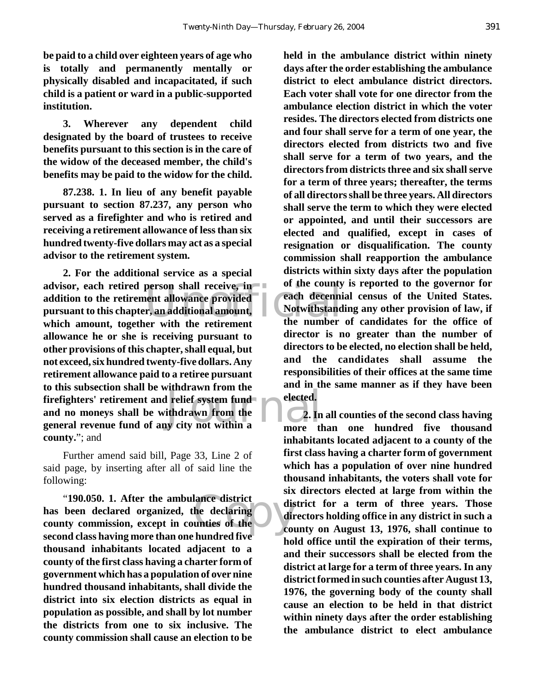**be paid to a child over eighteen years of age who is totally and permanently mentally or physically disabled and incapacitated, if such child is a patient or ward in a public-supported institution.** 

**3. Wherever any dependent child designated by the board of trustees to receive benefits pursuant to this section is in the care of the widow of the deceased member, the child's benefits may be paid to the widow for the child.**

**87.238. 1. In lieu of any benefit payable pursuant to section 87.237, any person who served as a firefighter and who is retired and receiving a retirement allowance of less than six hundred twenty-five dollars may act as a special advisor to the retirement system.** 

person shall receive, in the county<br>
uent allowance provided each decenni<br>
r, an additional amount, Notwithstand<br>
er with the retirement the number Frefighters' retirement and relief system fund<br>
and no moneys shall be withdrawn from the<br>
general revenue fund of any city not within a **2. For the additional service as a special advisor, each retired person shall receive, in addition to the retirement allowance provided pursuant to this chapter, an additional amount, which amount, together with the retirement allowance he or she is receiving pursuant to other provisions of this chapter, shall equal, but not exceed, six hundred twenty-five dollars. Any retirement allowance paid to a retiree pursuant to this subsection shall be withdrawn from the firefighters' retirement and relief system fund and no moneys shall be withdrawn from the county.**"; and

Further amend said bill, Page 33, Line 2 of said page, by inserting after all of said line the following:

"190.050. 1. After the ambulance district<br>been declared organized, the declaring<br>ty commission, except in counties of the **has been declared organized, the declaring county commission, except in counties of the second class having more than one hundred five thousand inhabitants located adjacent to a county of the first class having a charter form of government which has a population of over nine hundred thousand inhabitants, shall divide the district into six election districts as equal in population as possible, and shall by lot number the districts from one to six inclusive. The county commission shall cause an election to be**

**held in the ambulance district within ninety days after the order establishing the ambulance district to elect ambulance district directors. Each voter shall vote for one director from the ambulance election district in which the voter resides. The directors elected from districts one and four shall serve for a term of one year, the directors elected from districts two and five shall serve for a term of two years, and the directors from districts three and six shall serve for a term of three years; thereafter, the terms of all directors shall be three years. All directors shall serve the term to which they were elected or appointed, and until their successors are elected and qualified, except in cases of resignation or disqualification. The county commission shall reapportion the ambulance districts within sixty days after the population of the county is reported to the governor for each decennial census of the United States. Notwithstanding any other provision of law, if the number of candidates for the office of director is no greater than the number of directors to be elected, no election shall be held, and the candidates shall assume the responsibilities of their offices at the same time and in the same manner as if they have been elected.**

**2. In all counties of the second class having more than one hundred five thousand inhabitants located adjacent to a county of the first class having a charter form of government which has a population of over nine hundred thousand inhabitants, the voters shall vote for six directors elected at large from within the district for a term of three years. Those directors holding office in any district in such a county on August 13, 1976, shall continue to hold office until the expiration of their terms, and their successors shall be elected from the district at large for a term of three years. In any district formed in such counties after August 13, 1976, the governing body of the county shall cause an election to be held in that district within ninety days after the order establishing the ambulance district to elect ambulance**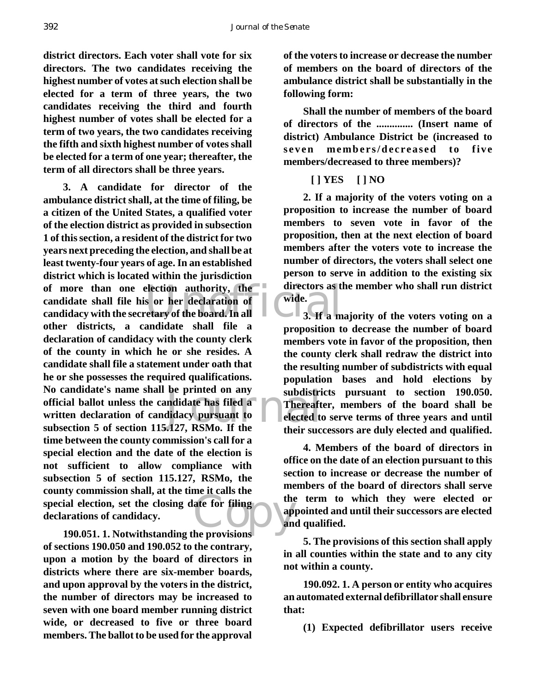**district directors. Each voter shall vote for six directors. The two candidates receiving the highest number of votes at such election shall be elected for a term of three years, the two candidates receiving the third and fourth highest number of votes shall be elected for a term of two years, the two candidates receiving the fifth and sixth highest number of votes shall be elected for a term of one year; thereafter, the term of all directors shall be three years.**

of more than one election authority, the directors as the candidate shall file his or her declaration of wide.<br>
candidacy with the secretary of the board. In all 3. If a m be printed on any<br>
mdidate has filed a<br>
didacy pursuant to<br>
1.127, RSMo. If the their suck special election, set the closing date for filing<br>declarations of candidacy. **3. A candidate for director of the ambulance district shall, at the time of filing, be a citizen of the United States, a qualified voter of the election district as provided in subsection 1 of this section, a resident of the district for two years next preceding the election, and shall be at least twenty-four years of age. In an established district which is located within the jurisdiction candidate shall file his or her declaration of candidacy with the secretary of the board. In all other districts, a candidate shall file a declaration of candidacy with the county clerk of the county in which he or she resides. A candidate shall file a statement under oath that he or she possesses the required qualifications. No candidate's name shall be printed on any official ballot unless the candidate has filed a written declaration of candidacy pursuant to subsection 5 of section 115.127, RSMo. If the time between the county commission's call for a special election and the date of the election is not sufficient to allow compliance with subsection 5 of section 115.127, RSMo, the county commission shall, at the time it calls the declarations of candidacy.**

**190.051. 1. Notwithstanding the provisions of sections 190.050 and 190.052 to the contrary, upon a motion by the board of directors in districts where there are six-member boards, and upon approval by the voters in the district, the number of directors may be increased to seven with one board member running district wide, or decreased to five or three board members. The ballot to be used for the approval**

**of the voters to increase or decrease the number of members on the board of directors of the ambulance district shall be substantially in the following form:** 

**Shall the number of members of the board of directors of the .............. (Insert name of district) Ambulance District be (increased to seven members/decreased to five members/decreased to three members)?** 

#### **[ ] YES [ ] NO**

**2. If a majority of the voters voting on a proposition to increase the number of board members to seven vote in favor of the proposition, then at the next election of board members after the voters vote to increase the number of directors, the voters shall select one person to serve in addition to the existing six directors as the member who shall run district wide.** 

**3. If a majority of the voters voting on a proposition to decrease the number of board members vote in favor of the proposition, then the county clerk shall redraw the district into the resulting number of subdistricts with equal population bases and hold elections by subdistricts pursuant to section 190.050. Thereafter, members of the board shall be elected to serve terms of three years and until their successors are duly elected and qualified.**

**4. Members of the board of directors in office on the date of an election pursuant to this section to increase or decrease the number of members of the board of directors shall serve the term to which they were elected or appointed and until their successors are elected and qualified.**

**5. The provisions of this section shall apply in all counties within the state and to any city not within a county.**

**190.092. 1. A person or entity who acquires an automated external defibrillator shall ensure that:** 

**(1) Expected defibrillator users receive**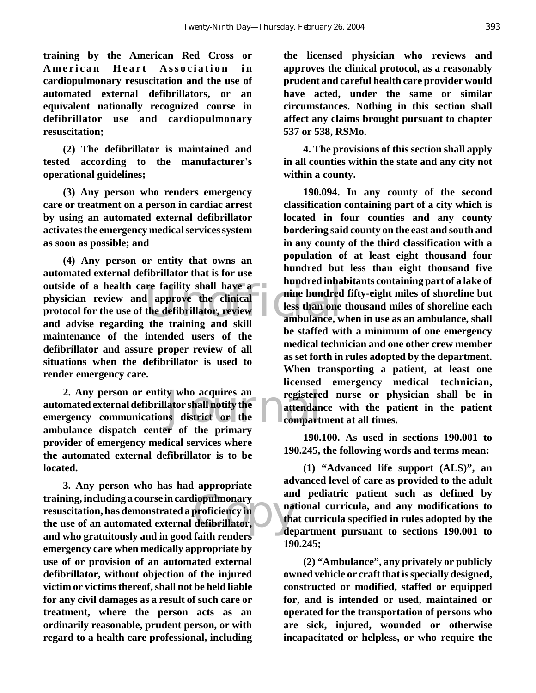**training by the American Red Cross or American Heart Association in cardiopulmonary resuscitation and the use of automated external defibrillators, or an equivalent nationally recognized course in defibrillator use and cardiopulmonary resuscitation;** 

**(2) The defibrillator is maintained and tested according to the manufacturer's operational guidelines;** 

**(3) Any person who renders emergency care or treatment on a person in cardiac arrest by using an automated external defibrillator activates the emergency medical services system as soon as possible; and** 

outside of a health care facility shall have a<br>
physician review and approve the clinical<br>
protocol for the use of the defibrillator, review<br>
and advise regarding the training and skill<br>
ambulance, w **(4) Any person or entity that owns an automated external defibrillator that is for use physician review and approve the clinical protocol for the use of the defibrillator, review and advise regarding the training and skill maintenance of the intended users of the defibrillator and assure proper review of all situations when the defibrillator is used to render emergency care.** 

y who acquires an egistere<br>ator shall notify the attendance attendance<br>is district or the compart **2. Any person or entity who acquires an automated external defibrillator shall notify the emergency communications district or the ambulance dispatch center of the primary provider of emergency medical services where the automated external defibrillator is to be located.**

liopulmonary<br>
proficiency in<br>
defibrillator,<br>
foith rondors **3. Any person who has had appropriate training, including a course in cardiopulmonary resuscitation, has demonstrated a proficiency in the use of an automated external defibrillator, and who gratuitously and in good faith renders emergency care when medically appropriate by use of or provision of an automated external defibrillator, without objection of the injured victim or victims thereof, shall not be held liable for any civil damages as a result of such care or treatment, where the person acts as an ordinarily reasonable, prudent person, or with regard to a health care professional, including**

**the licensed physician who reviews and approves the clinical protocol, as a reasonably prudent and careful health care provider would have acted, under the same or similar circumstances. Nothing in this section shall affect any claims brought pursuant to chapter 537 or 538, RSMo.**

**4. The provisions of this section shall apply in all counties within the state and any city not within a county.**

**190.094. In any county of the second classification containing part of a city which is located in four counties and any county bordering said county on the east and south and in any county of the third classification with a population of at least eight thousand four hundred but less than eight thousand five hundred inhabitants containing part of a lake of nine hundred fifty-eight miles of shoreline but less than one thousand miles of shoreline each ambulance, when in use as an ambulance, shall be staffed with a minimum of one emergency medical technician and one other crew member as set forth in rules adopted by the department. When transporting a patient, at least one licensed emergency medical technician, registered nurse or physician shall be in attendance with the patient in the patient compartment at all times.**

**190.100. As used in sections 190.001 to 190.245, the following words and terms mean:**

**(1) "Advanced life support (ALS)", an advanced level of care as provided to the adult and pediatric patient such as defined by national curricula, and any modifications to that curricula specified in rules adopted by the department pursuant to sections 190.001 to 190.245;**

**(2) "Ambulance", any privately or publicly owned vehicle or craft that is specially designed, constructed or modified, staffed or equipped for, and is intended or used, maintained or operated for the transportation of persons who are sick, injured, wounded or otherwise incapacitated or helpless, or who require the**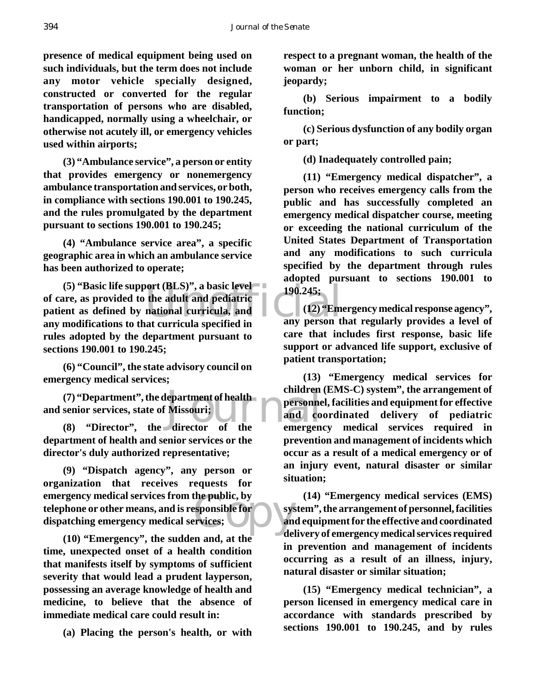**presence of medical equipment being used on such individuals, but the term does not include any motor vehicle specially designed, constructed or converted for the regular transportation of persons who are disabled, handicapped, normally using a wheelchair, or otherwise not acutely ill, or emergency vehicles used within airports;**

**(3) "Ambulance service", a person or entity that provides emergency or nonemergency ambulance transportation and services, or both, in compliance with sections 190.001 to 190.245, and the rules promulgated by the department pursuant to sections 190.001 to 190.245;**

**(4) "Ambulance service area", a specific geographic area in which an ambulance service has been authorized to operate;**

Nort (BLS)", a basic level<br>the adult and pediatric is national curricula, and<br>at curricula specified in any person that **(5) "Basic life support (BLS)", a basic level of care, as provided to the adult and pediatric patient as defined by national curricula, and any modifications to that curricula specified in rules adopted by the department pursuant to sections 190.001 to 190.245;**

**(6) "Council", the state advisory council on emergency medical services;**

(7) "Department", the department of health<br>
senior services, state of Missouri;<br>
(8) "Director", the director of the emergen **and senior services, state of Missouri;**

**(8) "Director", the director of the department of health and senior services or the director's duly authorized representative;**

the public, by<br>esponsible for<br>ervices;<br>and del **(9) "Dispatch agency", any person or organization that receives requests for emergency medical services from the public, by telephone or other means, and is responsible for dispatching emergency medical services;**

**(10) "Emergency", the sudden and, at the time, unexpected onset of a health condition that manifests itself by symptoms of sufficient severity that would lead a prudent layperson, possessing an average knowledge of health and medicine, to believe that the absence of immediate medical care could result in:**

**(a) Placing the person's health, or with**

**respect to a pregnant woman, the health of the woman or her unborn child, in significant jeopardy;**

**(b) Serious impairment to a bodily function;**

**(c) Serious dysfunction of any bodily organ or part;**

**(d) Inadequately controlled pain;**

**(11) "Emergency medical dispatcher", a person who receives emergency calls from the public and has successfully completed an emergency medical dispatcher course, meeting or exceeding the national curriculum of the United States Department of Transportation and any modifications to such curricula specified by the department through rules adopted pursuant to sections 190.001 to 190.245;**

**(12) "Emergency medical response agency", any person that regularly provides a level of care that includes first response, basic life support or advanced life support, exclusive of patient transportation;**

**(13) "Emergency medical services for children (EMS-C) system", the arrangement of personnel, facilities and equipment for effective and coordinated delivery of pediatric emergency medical services required in prevention and management of incidents which occur as a result of a medical emergency or of an injury event, natural disaster or similar situation;**

**(14) "Emergency medical services (EMS) system", the arrangement of personnel, facilities and equipment for the effective and coordinated delivery of emergency medical services required in prevention and management of incidents occurring as a result of an illness, injury, natural disaster or similar situation;**

**(15) "Emergency medical technician", a person licensed in emergency medical care in accordance with standards prescribed by sections 190.001 to 190.245, and by rules**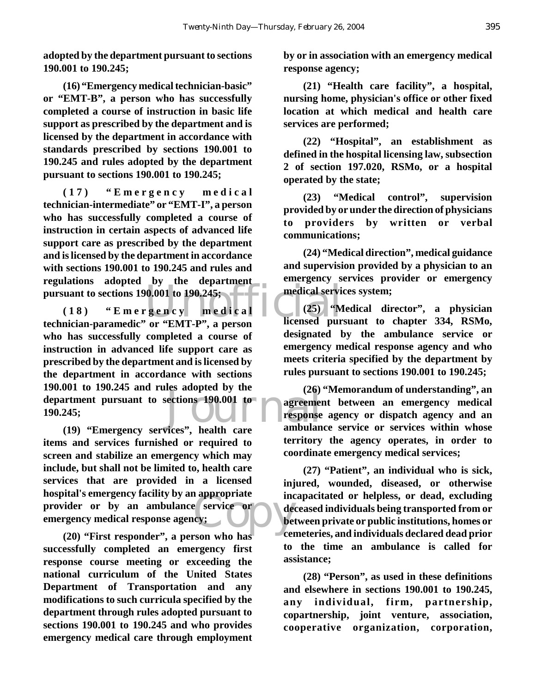**adopted by the department pursuant to sections 190.001 to 190.245;**

**(16) "Emergency medical technician-basic" or "EMT-B", a person who has successfully completed a course of instruction in basic life support as prescribed by the department and is licensed by the department in accordance with standards prescribed by sections 190.001 to 190.245 and rules adopted by the department pursuant to sections 190.001 to 190.245;**

**(17) "Emergency medical technician-intermediate" or "EMT-I", a person who has successfully completed a course of instruction in certain aspects of advanced life support care as prescribed by the department and is licensed by the department in accordance with sections 190.001 to 190.245 and rules and regulations adopted by the department pursuant to sections 190.001 to 190.245;**

Unofficial ections 190.001 to agreement<br>response<br>ices" health care ambulan **(18) "Emergency medical technician-paramedic" or "EMT-P", a person who has successfully completed a course of instruction in advanced life support care as prescribed by the department and is licensed by the department in accordance with sections 190.001 to 190.245 and rules adopted by the department pursuant to sections 190.001 to 190.245;**

Propriate incomes<br>
Copy: Copy<br>
Copy and the copy of the copy<br>
Copy of the copy of the copy of the copy of the copy of the copy of the copy of the copy of the copy of the copy of the copy of the copy of the copy of the copy **(19) "Emergency services", health care items and services furnished or required to screen and stabilize an emergency which may include, but shall not be limited to, health care services that are provided in a licensed hospital's emergency facility by an appropriate provider or by an ambulance service or emergency medical response agency;**

**(20) "First responder", a person who has successfully completed an emergency first response course meeting or exceeding the national curriculum of the United States Department of Transportation and any modifications to such curricula specified by the department through rules adopted pursuant to sections 190.001 to 190.245 and who provides emergency medical care through employment**

**by or in association with an emergency medical response agency;**

**(21) "Health care facility", a hospital, nursing home, physician's office or other fixed location at which medical and health care services are performed;**

**(22) "Hospital", an establishment as defined in the hospital licensing law, subsection 2 of section 197.020, RSMo, or a hospital operated by the state;**

**(23) "Medical control", supervision provided by or under the direction of physicians to providers by written or verbal communications;**

**(24) "Medical direction", medical guidance and supervision provided by a physician to an emergency services provider or emergency medical services system;**

**(25) "Medical director", a physician licensed pursuant to chapter 334, RSMo, designated by the ambulance service or emergency medical response agency and who meets criteria specified by the department by rules pursuant to sections 190.001 to 190.245;**

**(26) "Memorandum of understanding", an agreement between an emergency medical response agency or dispatch agency and an ambulance service or services within whose territory the agency operates, in order to coordinate emergency medical services;**

**(27) "Patient", an individual who is sick, injured, wounded, diseased, or otherwise incapacitated or helpless, or dead, excluding deceased individuals being transported from or between private or public institutions, homes or cemeteries, and individuals declared dead prior to the time an ambulance is called for assistance;**

**(28) "Person", as used in these definitions and elsewhere in sections 190.001 to 190.245, any individual, firm, partnership, copartnership, joint venture, association, cooperative organization, corporation,**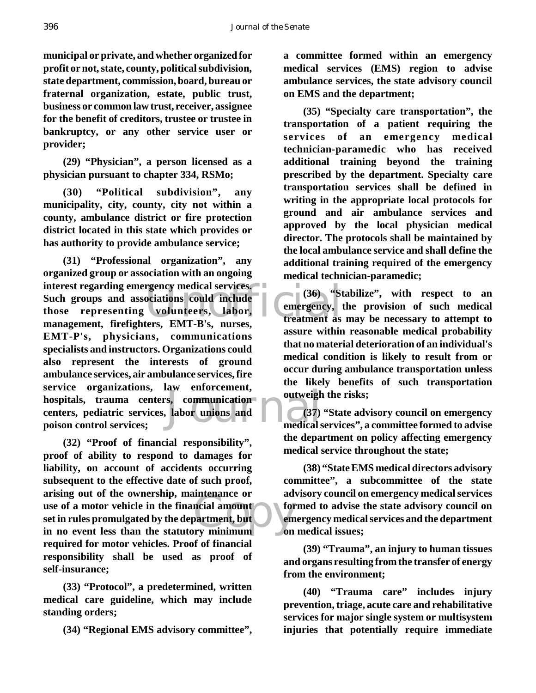396 *Journal of the Senate*

**municipal or private, and whether organized for profit or not, state, county, political subdivision, state department, commission, board, bureau or fraternal organization, estate, public trust, business or common law trust, receiver, assignee for the benefit of creditors, trustee or trustee in bankruptcy, or any other service user or provider;**

**(29) "Physician", a person licensed as a physician pursuant to chapter 334, RSMo;**

**(30) "Political subdivision", any municipality, city, county, city not within a county, ambulance district or fire protection district located in this state which provides or has authority to provide ambulance service;**

rgency medical services.<br>
ociations could include<br>
volunteers, labor,<br>
ters. EMT-R's, nurses,<br>
treatment as s, communication<br>Labor unions and<br>medical s **(31) "Professional organization", any organized group or association with an ongoing interest regarding emergency medical services. Such groups and associations could include those representing volunteers, labor, management, firefighters, EMT-B's, nurses, EMT-P's, physicians, communications specialists and instructors. Organizations could also represent the interests of ground ambulance services, air ambulance services, fire service organizations, law enforcement, hospitals, trauma centers, communication centers, pediatric services, labor unions and poison control services;**

notenance or<br>
ncial amount<br>
partment, but<br>
partment, but<br>
on<br>
on **(32) "Proof of financial responsibility", proof of ability to respond to damages for liability, on account of accidents occurring subsequent to the effective date of such proof, arising out of the ownership, maintenance or use of a motor vehicle in the financial amount set in rules promulgated by the department, but in no event less than the statutory minimum required for motor vehicles. Proof of financial responsibility shall be used as proof of self-insurance;**

**(33) "Protocol", a predetermined, written medical care guideline, which may include standing orders;**

**(34) "Regional EMS advisory committee",**

**a committee formed within an emergency medical services (EMS) region to advise ambulance services, the state advisory council on EMS and the department;**

**(35) "Specialty care transportation", the transportation of a patient requiring the services of an emergency medical technician-paramedic who has received additional training beyond the training prescribed by the department. Specialty care transportation services shall be defined in writing in the appropriate local protocols for ground and air ambulance services and approved by the local physician medical director. The protocols shall be maintained by the local ambulance service and shall define the additional training required of the emergency medical technician-paramedic;**

**(36) "Stabilize", with respect to an emergency, the provision of such medical treatment as may be necessary to attempt to assure within reasonable medical probability that no material deterioration of an individual's medical condition is likely to result from or occur during ambulance transportation unless the likely benefits of such transportation outweigh the risks;**

**(37) "State advisory council on emergency medical services", a committee formed to advise the department on policy affecting emergency medical service throughout the state;**

**(38) "State EMS medical directors advisory committee", a subcommittee of the state advisory council on emergency medical services formed to advise the state advisory council on emergency medical services and the department on medical issues;**

**(39) "Trauma", an injury to human tissues and organs resulting from the transfer of energy from the environment;**

**(40) "Trauma care" includes injury prevention, triage, acute care and rehabilitative services for major single system or multisystem injuries that potentially require immediate**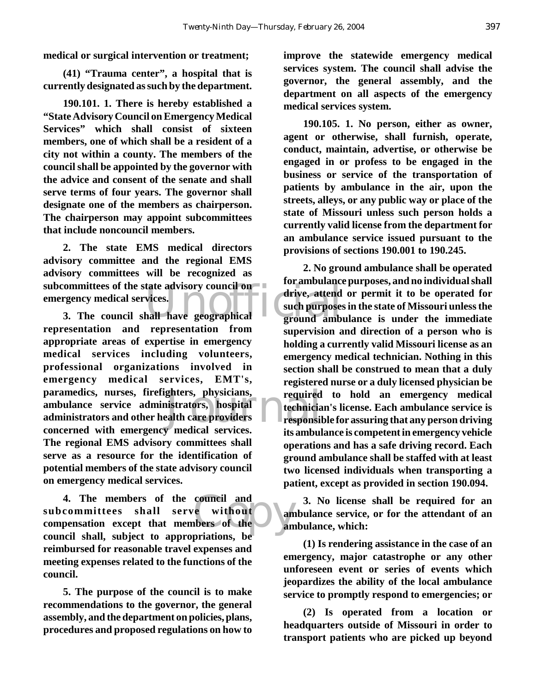**medical or surgical intervention or treatment;**

**(41) "Trauma center", a hospital that is currently designated as such by the department.**

**190.101. 1. There is hereby established a "State Advisory Council on Emergency Medical Services" which shall consist of sixteen members, one of which shall be a resident of a city not within a county. The members of the council shall be appointed by the governor with the advice and consent of the senate and shall serve terms of four years. The governor shall designate one of the members as chairperson. The chairperson may appoint subcommittees that include noncouncil members.**

subcommittees of the state advisory council on the ambulance<br>
emergency medical services.<br>
3. The council shall have geographical ground ambu **2. The state EMS medical directors advisory committee and the regional EMS advisory committees will be recognized as emergency medical services.**

ghters, physicians, required<br>istrators, hospital technicia<br>ealth care providers<br>with the responsi **3. The council shall have geographical representation and representation from appropriate areas of expertise in emergency medical services including volunteers, professional organizations involved in emergency medical services, EMT's, paramedics, nurses, firefighters, physicians, ambulance service administrators, hospital administrators and other health care providers concerned with emergency medical services. The regional EMS advisory committees shall serve as a resource for the identification of potential members of the state advisory council on emergency medical services.**

council and<br>
e without<br>
an<br>
notions he<br>
notions he<br>
an **4. The members of the council and subcommittees shall serve without compensation except that members of the council shall, subject to appropriations, be reimbursed for reasonable travel expenses and meeting expenses related to the functions of the council.**

**5. The purpose of the council is to make recommendations to the governor, the general assembly, and the department on policies, plans, procedures and proposed regulations on how to** **improve the statewide emergency medical services system. The council shall advise the governor, the general assembly, and the department on all aspects of the emergency medical services system.**

**190.105. 1. No person, either as owner, agent or otherwise, shall furnish, operate, conduct, maintain, advertise, or otherwise be engaged in or profess to be engaged in the business or service of the transportation of patients by ambulance in the air, upon the streets, alleys, or any public way or place of the state of Missouri unless such person holds a currently valid license from the department for an ambulance service issued pursuant to the provisions of sections 190.001 to 190.245.**

**2. No ground ambulance shall be operated for ambulance purposes, and no individual shall drive, attend or permit it to be operated for such purposes in the state of Missouri unless the ground ambulance is under the immediate supervision and direction of a person who is holding a currently valid Missouri license as an emergency medical technician. Nothing in this section shall be construed to mean that a duly registered nurse or a duly licensed physician be required to hold an emergency medical technician's license. Each ambulance service is responsible for assuring that any person driving its ambulance is competent in emergency vehicle operations and has a safe driving record. Each ground ambulance shall be staffed with at least two licensed individuals when transporting a patient, except as provided in section 190.094.**

**3. No license shall be required for an ambulance service, or for the attendant of an ambulance, which:**

**(1) Is rendering assistance in the case of an emergency, major catastrophe or any other unforeseen event or series of events which jeopardizes the ability of the local ambulance service to promptly respond to emergencies; or**

**(2) Is operated from a location or headquarters outside of Missouri in order to transport patients who are picked up beyond**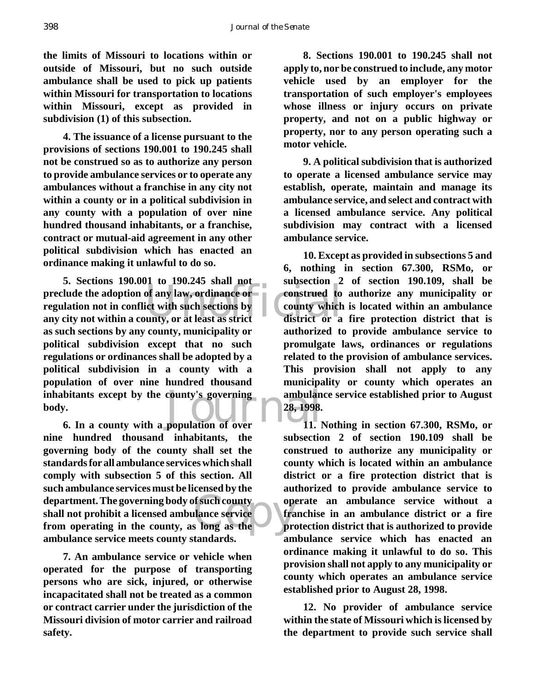398 *Journal of the Senate*

**the limits of Missouri to locations within or outside of Missouri, but no such outside ambulance shall be used to pick up patients within Missouri for transportation to locations within Missouri, except as provided in subdivision (1) of this subsection.**

**4. The issuance of a license pursuant to the provisions of sections 190.001 to 190.245 shall not be construed so as to authorize any person to provide ambulance services or to operate any ambulances without a franchise in any city not within a county or in a political subdivision in any county with a population of over nine hundred thousand inhabitants, or a franchise, contract or mutual-aid agreement in any other political subdivision which has enacted an ordinance making it unlawful to do so.**

preclude the adoption of any law, ordinance or<br>
regulation not in conflict with such sections by<br>
any city not within a county, or at least as strict district or a bitants except by the county's governing<br> **6.** In a county with a population of over<br> **6.** In a county with a population of over<br>
11. **5. Sections 190.001 to 190.245 shall not regulation not in conflict with such sections by any city not within a county, or at least as strict as such sections by any county, municipality or political subdivision except that no such regulations or ordinances shall be adopted by a political subdivision in a county with a population of over nine hundred thousand inhabitants except by the county's governing body.**

department. The governing body of such county<br>
shall not prohibit a licensed ambulance service<br>
from operating in the county, as long as the<br>
pro **nine hundred thousand inhabitants, the governing body of the county shall set the standards for all ambulance services which shall comply with subsection 5 of this section. All such ambulance services must be licensed by the shall not prohibit a licensed ambulance service from operating in the county, as long as the ambulance service meets county standards.**

**7. An ambulance service or vehicle when operated for the purpose of transporting persons who are sick, injured, or otherwise incapacitated shall not be treated as a common or contract carrier under the jurisdiction of the Missouri division of motor carrier and railroad safety.**

**8. Sections 190.001 to 190.245 shall not apply to, nor be construed to include, any motor vehicle used by an employer for the transportation of such employer's employees whose illness or injury occurs on private property, and not on a public highway or property, nor to any person operating such a motor vehicle.**

**9. A political subdivision that is authorized to operate a licensed ambulance service may establish, operate, maintain and manage its ambulance service, and select and contract with a licensed ambulance service. Any political subdivision may contract with a licensed ambulance service.**

**10. Except as provided in subsections 5 and 6, nothing in section 67.300, RSMo, or subsection 2 of section 190.109, shall be construed to authorize any municipality or county which is located within an ambulance district or a fire protection district that is authorized to provide ambulance service to promulgate laws, ordinances or regulations related to the provision of ambulance services. This provision shall not apply to any municipality or county which operates an ambulance service established prior to August 28, 1998.**

**11. Nothing in section 67.300, RSMo, or subsection 2 of section 190.109 shall be construed to authorize any municipality or county which is located within an ambulance district or a fire protection district that is authorized to provide ambulance service to operate an ambulance service without a franchise in an ambulance district or a fire protection district that is authorized to provide ambulance service which has enacted an ordinance making it unlawful to do so. This provision shall not apply to any municipality or county which operates an ambulance service established prior to August 28, 1998.**

**12. No provider of ambulance service within the state of Missouri which is licensed by the department to provide such service shall**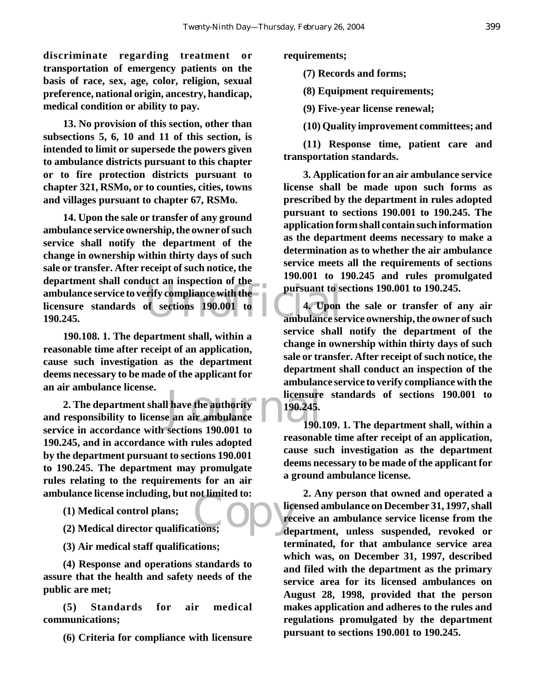**discriminate regarding treatment or transportation of emergency patients on the basis of race, sex, age, color, religion, sexual preference, national origin, ancestry, handicap, medical condition or ability to pay.**

**13. No provision of this section, other than subsections 5, 6, 10 and 11 of this section, is intended to limit or supersede the powers given to ambulance districts pursuant to this chapter or to fire protection districts pursuant to chapter 321, RSMo, or to counties, cities, towns and villages pursuant to chapter 67, RSMo.**

ambulance service to verify compliance with the<br>
licensure standards of sections 190.001 to 190.245.<br>
ambulance se **14. Upon the sale or transfer of any ground ambulance service ownership, the owner of such service shall notify the department of the change in ownership within thirty days of such sale or transfer. After receipt of such notice, the department shall conduct an inspection of the licensure standards of sections 190.001 to 190.245.**

**190.108. 1. The department shall, within a reasonable time after receipt of an application, cause such investigation as the department deems necessary to be made of the applicant for an air ambulance license.**

l have the authority<br>
e an air ambulance<br>
sections 190,001 to<br>  $\begin{array}{|c|c|c|}\n\hline\n190.245.\n\hline\n\end{array}$ **2. The department shall have the authority and responsibility to license an air ambulance service in accordance with sections 190.001 to 190.245, and in accordance with rules adopted by the department pursuant to sections 190.001 to 190.245. The department may promulgate rules relating to the requirements for an air ambulance license including, but not limited to:**

**(1) Medical control plans;**

**(2) Medical director qualifications;**

**(3) Air medical staff qualifications;**

**(4) Response and operations standards to assure that the health and safety needs of the public are met;**

**(5) Standards for air medical communications;**

**(6) Criteria for compliance with licensure**

**requirements;**

**(7) Records and forms;**

**(8) Equipment requirements;**

**(9) Five-year license renewal;**

**(10) Quality improvement committees; and**

**(11) Response time, patient care and transportation standards.**

**3. Application for an air ambulance service license shall be made upon such forms as prescribed by the department in rules adopted pursuant to sections 190.001 to 190.245. The application form shall contain such information as the department deems necessary to make a determination as to whether the air ambulance service meets all the requirements of sections 190.001 to 190.245 and rules promulgated pursuant to sections 190.001 to 190.245.**

**4. Upon the sale or transfer of any air ambulance service ownership, the owner of such service shall notify the department of the change in ownership within thirty days of such sale or transfer. After receipt of such notice, the department shall conduct an inspection of the ambulance service to verify compliance with the licensure standards of sections 190.001 to 190.245.**

**190.109. 1. The department shall, within a reasonable time after receipt of an application, cause such investigation as the department deems necessary to be made of the applicant for a ground ambulance license.**

tions; **2. Any person that owned and operated a licensed ambulance on December 31, 1997, shall receive an ambulance service license from the department, unless suspended, revoked or terminated, for that ambulance service area which was, on December 31, 1997, described and filed with the department as the primary service area for its licensed ambulances on August 28, 1998, provided that the person makes application and adheres to the rules and regulations promulgated by the department pursuant to sections 190.001 to 190.245.**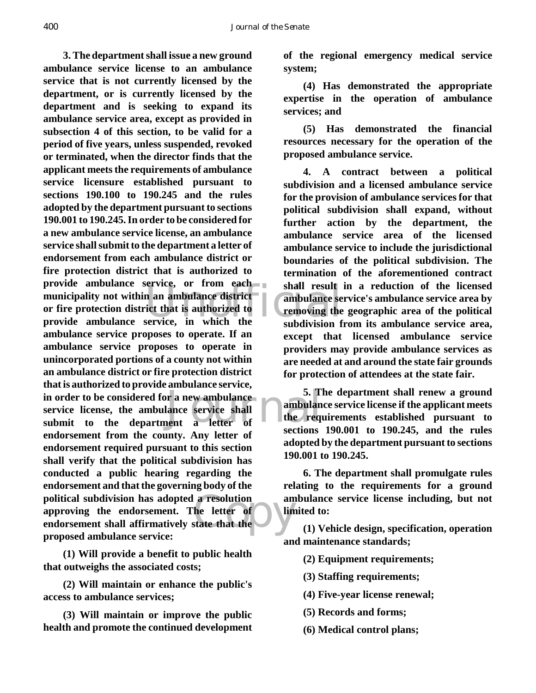provide ambulance service, or from each<br>
municipality not within an ambulance district—<br>
or fire protection district that is authorized to<br>
provide ambulance service, in which the subdivision f Forthe different construction of the service icense, the ambulance service shall submit to the department a letter of sections a resolution am<br>
he letter of line **3. The department shall issue a new ground ambulance service license to an ambulance service that is not currently licensed by the department, or is currently licensed by the department and is seeking to expand its ambulance service area, except as provided in subsection 4 of this section, to be valid for a period of five years, unless suspended, revoked or terminated, when the director finds that the applicant meets the requirements of ambulance service licensure established pursuant to sections 190.100 to 190.245 and the rules adopted by the department pursuant to sections 190.001 to 190.245. In order to be considered for a new ambulance service license, an ambulance service shall submit to the department a letter of endorsement from each ambulance district or fire protection district that is authorized to provide ambulance service, or from each municipality not within an ambulance district or fire protection district that is authorized to ambulance service proposes to operate. If an ambulance service proposes to operate in unincorporated portions of a county not within an ambulance district or fire protection district that is authorized to provide ambulance service, in order to be considered for a new ambulance service license, the ambulance service shall endorsement from the county. Any letter of endorsement required pursuant to this section shall verify that the political subdivision has conducted a public hearing regarding the endorsement and that the governing body of the political subdivision has adopted a resolution approving the endorsement. The letter of endorsement shall affirmatively state that the proposed ambulance service:**

**(1) Will provide a benefit to public health that outweighs the associated costs;**

**(2) Will maintain or enhance the public's access to ambulance services;**

**(3) Will maintain or improve the public health and promote the continued development**

**of the regional emergency medical service system;**

**(4) Has demonstrated the appropriate expertise in the operation of ambulance services; and**

**(5) Has demonstrated the financial resources necessary for the operation of the proposed ambulance service.**

**4. A contract between a political subdivision and a licensed ambulance service for the provision of ambulance services for that political subdivision shall expand, without further action by the department, the ambulance service area of the licensed ambulance service to include the jurisdictional boundaries of the political subdivision. The termination of the aforementioned contract shall result in a reduction of the licensed ambulance service's ambulance service area by removing the geographic area of the political subdivision from its ambulance service area, except that licensed ambulance service providers may provide ambulance services as are needed at and around the state fair grounds for protection of attendees at the state fair.**

**5. The department shall renew a ground ambulance service license if the applicant meets the requirements established pursuant to sections 190.001 to 190.245, and the rules adopted by the department pursuant to sections 190.001 to 190.245.**

**6. The department shall promulgate rules relating to the requirements for a ground ambulance service license including, but not limited to:**

**(1) Vehicle design, specification, operation and maintenance standards;**

**(2) Equipment requirements;**

**(3) Staffing requirements;**

- **(4) Five-year license renewal;**
- **(5) Records and forms;**
- **(6) Medical control plans;**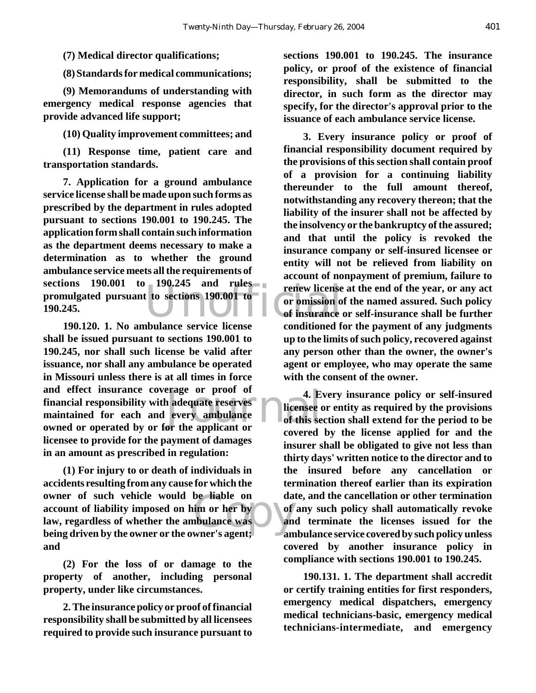**(7) Medical director qualifications;**

**(8) Standards for medical communications;**

**(9) Memorandums of understanding with emergency medical response agencies that provide advanced life support;**

**(10) Quality improvement committees; and**

**(11) Response time, patient care and transportation standards.**

190.245 and rules<br>t to sections 190.001-to-<br>or omission of insurance **7. Application for a ground ambulance service license shall be made upon such forms as prescribed by the department in rules adopted pursuant to sections 190.001 to 190.245. The application form shall contain such information as the department deems necessary to make a determination as to whether the ground ambulance service meets all the requirements of sections 190.001 to 190.245 and rules promulgated pursuant to sections 190.001 to 190.245.**

erage or proot of the applicant of this see or the applicant or the applicant or the set of this see or the applicant or the set of this see the set of this set of this set of the set of the set of the set of the set of th **190.120. 1. No ambulance service license shall be issued pursuant to sections 190.001 to 190.245, nor shall such license be valid after issuance, nor shall any ambulance be operated in Missouri unless there is at all times in force and effect insurance coverage or proof of financial responsibility with adequate reserves maintained for each and every ambulance owned or operated by or for the applicant or licensee to provide for the payment of damages in an amount as prescribed in regulation:**

be liable on da<br>
im or her by<br>
ibulance was<br>
wner's agent: **(1) For injury to or death of individuals in accidents resulting from any cause for which the owner of such vehicle would be liable on account of liability imposed on him or her by law, regardless of whether the ambulance was being driven by the owner or the owner's agent; and**

**(2) For the loss of or damage to the property of another, including personal property, under like circumstances.**

**2. The insurance policy or proof of financial responsibility shall be submitted by all licensees required to provide such insurance pursuant to** **sections 190.001 to 190.245. The insurance policy, or proof of the existence of financial responsibility, shall be submitted to the director, in such form as the director may specify, for the director's approval prior to the issuance of each ambulance service license.**

**3. Every insurance policy or proof of financial responsibility document required by the provisions of this section shall contain proof of a provision for a continuing liability thereunder to the full amount thereof, notwithstanding any recovery thereon; that the liability of the insurer shall not be affected by the insolvency or the bankruptcy of the assured; and that until the policy is revoked the insurance company or self-insured licensee or entity will not be relieved from liability on account of nonpayment of premium, failure to renew license at the end of the year, or any act or omission of the named assured. Such policy of insurance or self-insurance shall be further conditioned for the payment of any judgments up to the limits of such policy, recovered against any person other than the owner, the owner's agent or employee, who may operate the same with the consent of the owner.**

**4. Every insurance policy or self-insured licensee or entity as required by the provisions of this section shall extend for the period to be covered by the license applied for and the insurer shall be obligated to give not less than thirty days' written notice to the director and to the insured before any cancellation or termination thereof earlier than its expiration date, and the cancellation or other termination of any such policy shall automatically revoke and terminate the licenses issued for the ambulance service covered by such policy unless covered by another insurance policy in compliance with sections 190.001 to 190.245.**

**190.131. 1. The department shall accredit or certify training entities for first responders, emergency medical dispatchers, emergency medical technicians-basic, emergency medical technicians-intermediate, and emergency**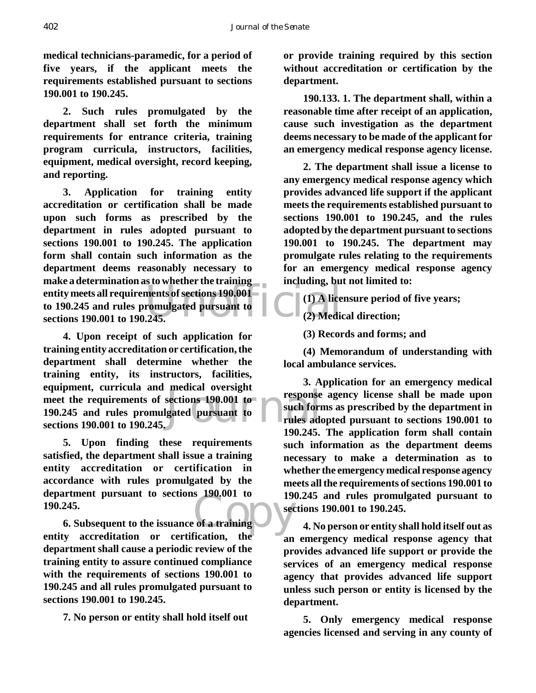**medical technicians-paramedic, for a period of five years, if the applicant meets the requirements established pursuant to sections 190.001 to 190.245.**

**2. Such rules promulgated by the department shall set forth the minimum requirements for entrance criteria, training program curricula, instructors, facilities, equipment, medical oversight, record keeping, and reporting.**

entity meets all requirements of sections 190.001<br>to 190.245 and rules promulgated pursuant to<br>sections 190.001 to 190.245. **3. Application for training entity accreditation or certification shall be made upon such forms as prescribed by the department in rules adopted pursuant to sections 190.001 to 190.245. The application form shall contain such information as the department deems reasonably necessary to make a determination as to whether the training to 190.245 and rules promulgated pursuant to sections 190.001 to 190.245.**

Exercise and the sections 190.001 to<br>gated pursuant to the such form<br>rules add<br> $100.245$ **4. Upon receipt of such application for training entity accreditation or certification, the department shall determine whether the training entity, its instructors, facilities, equipment, curricula and medical oversight meet the requirements of sections 190.001 to 190.245 and rules promulgated pursuant to sections 190.001 to 190.245.**

**5. Upon finding these requirements satisfied, the department shall issue a training entity accreditation or certification in accordance with rules promulgated by the department pursuant to sections 190.001 to 190.245.**

 $\begin{array}{c} \text{S} \end{array}$  190,001 to 190 **6. Subsequent to the issuance of a training entity accreditation or certification, the department shall cause a periodic review of the training entity to assure continued compliance with the requirements of sections 190.001 to 190.245 and all rules promulgated pursuant to sections 190.001 to 190.245.**

**7. No person or entity shall hold itself out**

**or provide training required by this section without accreditation or certification by the department.**

**190.133. 1. The department shall, within a reasonable time after receipt of an application, cause such investigation as the department deems necessary to be made of the applicant for an emergency medical response agency license.**

**2. The department shall issue a license to any emergency medical response agency which provides advanced life support if the applicant meets the requirements established pursuant to sections 190.001 to 190.245, and the rules adopted by the department pursuant to sections 190.001 to 190.245. The department may promulgate rules relating to the requirements for an emergency medical response agency including, but not limited to:**

**(1) A licensure period of five years;**

**(2) Medical direction;**

**(3) Records and forms; and**

**(4) Memorandum of understanding with local ambulance services.**

**3. Application for an emergency medical response agency license shall be made upon such forms as prescribed by the department in rules adopted pursuant to sections 190.001 to 190.245. The application form shall contain such information as the department deems necessary to make a determination as to whether the emergency medical response agency meets all the requirements of sections 190.001 to 190.245 and rules promulgated pursuant to sections 190.001 to 190.245.**

**4. No person or entity shall hold itself out as an emergency medical response agency that provides advanced life support or provide the services of an emergency medical response agency that provides advanced life support unless such person or entity is licensed by the department.**

**5. Only emergency medical response agencies licensed and serving in any county of**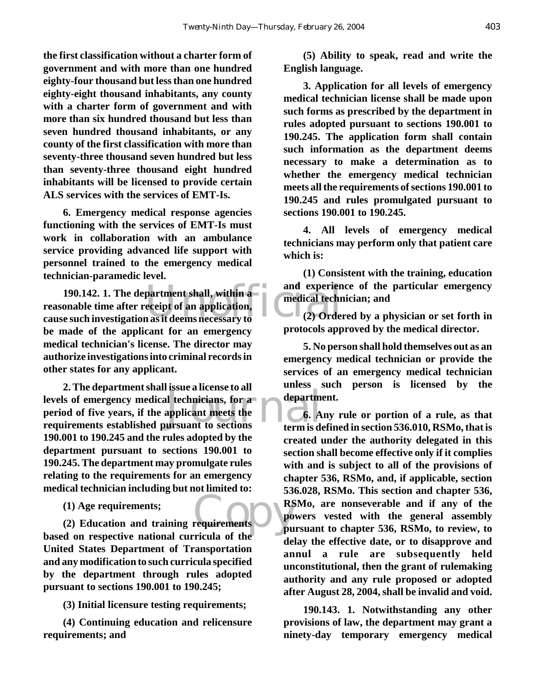**the first classification without a charter form of government and with more than one hundred eighty-four thousand but less than one hundred eighty-eight thousand inhabitants, any county with a charter form of government and with more than six hundred thousand but less than seven hundred thousand inhabitants, or any county of the first classification with more than seventy-three thousand seven hundred but less than seventy-three thousand eight hundred inhabitants will be licensed to provide certain ALS services with the services of EMT-Is.**

**6. Emergency medical response agencies functioning with the services of EMT-Is must work in collaboration with an ambulance service providing advanced life support with personnel trained to the emergency medical technician-paramedic level.**

190.142. 1. The department shall, within a structure and experient onable time after receipt of an application,<br> **190.142. 1. The department shall, within a** straight on a medical technomes used in vestigation as it deems **reasonable time after receipt of an application, cause such investigation as it deems necessary to be made of the applicant for an emergency medical technician's license. The director may authorize investigations into criminal records in other states for any applicant.**

department<br>applicant meets the<br>ursuant to sections the term is do **2. The department shall issue a license to all levels of emergency medical technicians, for a period of five years, if the applicant meets the requirements established pursuant to sections 190.001 to 190.245 and the rules adopted by the department pursuant to sections 190.001 to 190.245. The department may promulgate rules relating to the requirements for an emergency medical technician including but not limited to:**

**(1) Age requirements;**

requirements<br>
Figure 2018<br>
Figure 2019<br>
pu **(2) Education and training requirements based on respective national curricula of the United States Department of Transportation and any modification to such curricula specified by the department through rules adopted pursuant to sections 190.001 to 190.245;**

**(3) Initial licensure testing requirements;**

**(4) Continuing education and relicensure requirements; and**

**(5) Ability to speak, read and write the English language.**

**3. Application for all levels of emergency medical technician license shall be made upon such forms as prescribed by the department in rules adopted pursuant to sections 190.001 to 190.245. The application form shall contain such information as the department deems necessary to make a determination as to whether the emergency medical technician meets all the requirements of sections 190.001 to 190.245 and rules promulgated pursuant to sections 190.001 to 190.245.**

**4. All levels of emergency medical technicians may perform only that patient care which is:**

**(1) Consistent with the training, education and experience of the particular emergency medical technician; and**

**(2) Ordered by a physician or set forth in protocols approved by the medical director.**

**5. No person shall hold themselves out as an emergency medical technician or provide the services of an emergency medical technician unless such person is licensed by the department.**

**6. Any rule or portion of a rule, as that term is defined in section 536.010, RSMo, that is created under the authority delegated in this section shall become effective only if it complies with and is subject to all of the provisions of chapter 536, RSMo, and, if applicable, section 536.028, RSMo. This section and chapter 536, RSMo, are nonseverable and if any of the powers vested with the general assembly pursuant to chapter 536, RSMo, to review, to delay the effective date, or to disapprove and annul a rule are subsequently held unconstitutional, then the grant of rulemaking authority and any rule proposed or adopted after August 28, 2004, shall be invalid and void.**

**190.143. 1. Notwithstanding any other provisions of law, the department may grant a ninety-day temporary emergency medical**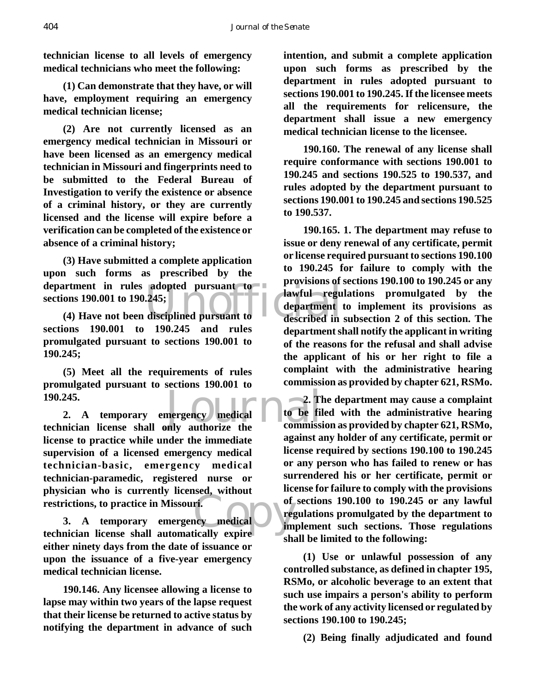**technician license to all levels of emergency medical technicians who meet the following:**

**(1) Can demonstrate that they have, or will have, employment requiring an emergency medical technician license;** 

**(2) Are not currently licensed as an emergency medical technician in Missouri or have been licensed as an emergency medical technician in Missouri and fingerprints need to be submitted to the Federal Bureau of Investigation to verify the existence or absence of a criminal history, or they are currently licensed and the license will expire before a verification can be completed of the existence or absence of a criminal history;** 

department in rules adopted pursuant to<br>sections 190.001 to 190.245;<br>(4) Have not been disciplined pursuant to<br>department **(3) Have submitted a complete application upon such forms as prescribed by the sections 190.001 to 190.245;**

**(4) Have not been disciplined pursuant to sections 190.001 to 190.245 and rules promulgated pursuant to sections 190.001 to 190.245;**

**(5) Meet all the requirements of rules promulgated pursuant to sections 190.001 to 190.245.**

example and the second to be fill<br>to be fill to be fill<br>not authorize the commissi **2. A temporary emergency medical technician license shall only authorize the license to practice while under the immediate supervision of a licensed emergency medical technician-basic, emergency medical technician-paramedic, registered nurse or physician who is currently licensed, without restrictions, to practice in Missouri.**

ri.<br>
ncy medical<br>
tically expire **3. A temporary emergency medical technician license shall automatically expire either ninety days from the date of issuance or upon the issuance of a five-year emergency medical technician license.**

**190.146. Any licensee allowing a license to lapse may within two years of the lapse request that their license be returned to active status by notifying the department in advance of such** **intention, and submit a complete application upon such forms as prescribed by the department in rules adopted pursuant to sections 190.001 to 190.245. If the licensee meets all the requirements for relicensure, the department shall issue a new emergency medical technician license to the licensee.**

**190.160. The renewal of any license shall require conformance with sections 190.001 to 190.245 and sections 190.525 to 190.537, and rules adopted by the department pursuant to sections 190.001 to 190.245 and sections 190.525 to 190.537.**

**190.165. 1. The department may refuse to issue or deny renewal of any certificate, permit or license required pursuant to sections 190.100 to 190.245 for failure to comply with the provisions of sections 190.100 to 190.245 or any lawful regulations promulgated by the department to implement its provisions as described in subsection 2 of this section. The department shall notify the applicant in writing of the reasons for the refusal and shall advise the applicant of his or her right to file a complaint with the administrative hearing commission as provided by chapter 621, RSMo.**

**2. The department may cause a complaint to be filed with the administrative hearing commission as provided by chapter 621, RSMo, against any holder of any certificate, permit or license required by sections 190.100 to 190.245 or any person who has failed to renew or has surrendered his or her certificate, permit or license for failure to comply with the provisions of sections 190.100 to 190.245 or any lawful regulations promulgated by the department to implement such sections. Those regulations shall be limited to the following:**

**(1) Use or unlawful possession of any controlled substance, as defined in chapter 195, RSMo, or alcoholic beverage to an extent that such use impairs a person's ability to perform the work of any activity licensed or regulated by sections 190.100 to 190.245;**

**(2) Being finally adjudicated and found**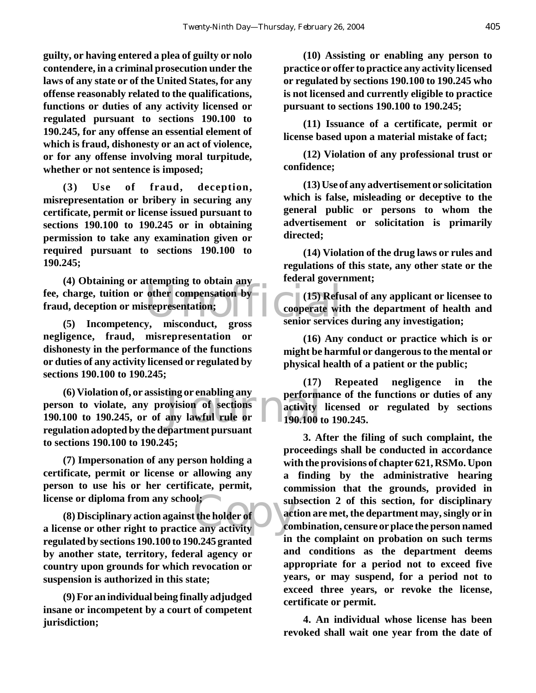**guilty, or having entered a plea of guilty or nolo contendere, in a criminal prosecution under the laws of any state or of the United States, for any offense reasonably related to the qualifications, functions or duties of any activity licensed or regulated pursuant to sections 190.100 to 190.245, for any offense an essential element of which is fraud, dishonesty or an act of violence, or for any offense involving moral turpitude, whether or not sentence is imposed;**

**(3) Use of fraud, deception, misrepresentation or bribery in securing any certificate, permit or license issued pursuant to sections 190.100 to 190.245 or in obtaining permission to take any examination given or required pursuant to sections 190.100 to 190.245;**

(4) Obtaining or attempting to obtain any<br>fee, charge, tuition or other compensation by<br>fraud, deception or misrepresentation;<br>(5) Incompetency, misconduct, gross senior service **(4) Obtaining or attempting to obtain any fraud, deception or misrepresentation;**

**(5) Incompetency, misconduct, gross negligence, fraud, misrepresentation or dishonesty in the performance of the functions or duties of any activity licensed or regulated by sections 190.100 to 190.245;**

ting or enabling any perform:<br>
ovision of sections<br>
any lawful rule or 190.100 to<br>
an<br>
performant pursuant **(6) Violation of, or assisting or enabling any person to violate, any provision of sections 190.100 to 190.245, or of any lawful rule or regulation adopted by the department pursuant to sections 190.100 to 190.245;**

**(7) Impersonation of any person holding a certificate, permit or license or allowing any person to use his or her certificate, permit, license or diploma from any school;** 

**a** license or diploma from any school;<br>
(8) Disciplinary action against the holder of action are all the practice any activity **(8) Disciplinary action against the holder of regulated by sections 190.100 to 190.245 granted by another state, territory, federal agency or country upon grounds for which revocation or suspension is authorized in this state;**

**(9) For an individual being finally adjudged insane or incompetent by a court of competent jurisdiction;**

**(10) Assisting or enabling any person to practice or offer to practice any activity licensed or regulated by sections 190.100 to 190.245 who is not licensed and currently eligible to practice pursuant to sections 190.100 to 190.245;**

**(11) Issuance of a certificate, permit or license based upon a material mistake of fact;**

**(12) Violation of any professional trust or confidence;**

**(13) Use of any advertisement or solicitation which is false, misleading or deceptive to the general public or persons to whom the advertisement or solicitation is primarily directed;**

**(14) Violation of the drug laws or rules and regulations of this state, any other state or the federal government;**

**(15) Refusal of any applicant or licensee to cooperate with the department of health and senior services during any investigation;**

**(16) Any conduct or practice which is or might be harmful or dangerous to the mental or physical health of a patient or the public;**

**(17) Repeated negligence in the performance of the functions or duties of any activity licensed or regulated by sections 190.100 to 190.245.**

**3. After the filing of such complaint, the proceedings shall be conducted in accordance with the provisions of chapter 621, RSMo. Upon a finding by the administrative hearing commission that the grounds, provided in subsection 2 of this section, for disciplinary action are met, the department may, singly or in combination, censure or place the person named in the complaint on probation on such terms and conditions as the department deems appropriate for a period not to exceed five years, or may suspend, for a period not to exceed three years, or revoke the license, certificate or permit.**

**4. An individual whose license has been revoked shall wait one year from the date of**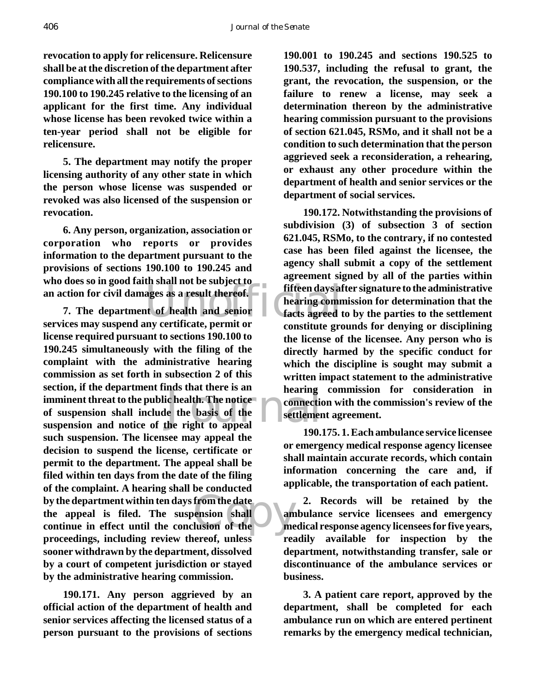406 *Journal of the Senate*

**revocation to apply for relicensure. Relicensure shall be at the discretion of the department after compliance with all the requirements of sections 190.100 to 190.245 relative to the licensing of an applicant for the first time. Any individual whose license has been revoked twice within a ten-year period shall not be eligible for relicensure.**

**5. The department may notify the proper licensing authority of any other state in which the person whose license was suspended or revoked was also licensed of the suspension or revocation.**

**6. Any person, organization, association or corporation who reports or provides information to the department pursuant to the provisions of sections 190.100 to 190.245 and who does so in good faith shall not be subject to**

an action for civil damages as a result thereof.<br>
The department of health and senior<br>
Services may suspend any certificate, permit or<br> **Exervices** agreed the services may suspend any certificate, permit or Example and the right to appeal<br>the right to appeal by the department within ten days from the date<br>the appeal is filed. The suspension shall an<br>continue in effect until the conclusion of the **7. The department of health and senior services may suspend any certificate, permit or license required pursuant to sections 190.100 to 190.245 simultaneously with the filing of the complaint with the administrative hearing commission as set forth in subsection 2 of this section, if the department finds that there is an imminent threat to the public health. The notice of suspension shall include the basis of the suspension and notice of the right to appeal such suspension. The licensee may appeal the decision to suspend the license, certificate or permit to the department. The appeal shall be filed within ten days from the date of the filing of the complaint. A hearing shall be conducted by the department within ten days from the date the appeal is filed. The suspension shall proceedings, including review thereof, unless sooner withdrawn by the department, dissolved by a court of competent jurisdiction or stayed by the administrative hearing commission.**

**190.171. Any person aggrieved by an official action of the department of health and senior services affecting the licensed status of a person pursuant to the provisions of sections**

**190.001 to 190.245 and sections 190.525 to 190.537, including the refusal to grant, the grant, the revocation, the suspension, or the failure to renew a license, may seek a determination thereon by the administrative hearing commission pursuant to the provisions of section 621.045, RSMo, and it shall not be a condition to such determination that the person aggrieved seek a reconsideration, a rehearing, or exhaust any other procedure within the department of health and senior services or the department of social services.**

**190.172. Notwithstanding the provisions of subdivision (3) of subsection 3 of section 621.045, RSMo, to the contrary, if no contested case has been filed against the licensee, the agency shall submit a copy of the settlement agreement signed by all of the parties within fifteen days after signature to the administrative hearing commission for determination that the facts agreed to by the parties to the settlement constitute grounds for denying or disciplining the license of the licensee. Any person who is directly harmed by the specific conduct for which the discipline is sought may submit a written impact statement to the administrative hearing commission for consideration in connection with the commission's review of the settlement agreement.**

**190.175. 1. Each ambulance service licensee or emergency medical response agency licensee shall maintain accurate records, which contain information concerning the care and, if applicable, the transportation of each patient.**

**2. Records will be retained by the ambulance service licensees and emergency medical response agency licensees for five years, readily available for inspection by the department, notwithstanding transfer, sale or discontinuance of the ambulance services or business.**

**3. A patient care report, approved by the department, shall be completed for each ambulance run on which are entered pertinent remarks by the emergency medical technician,**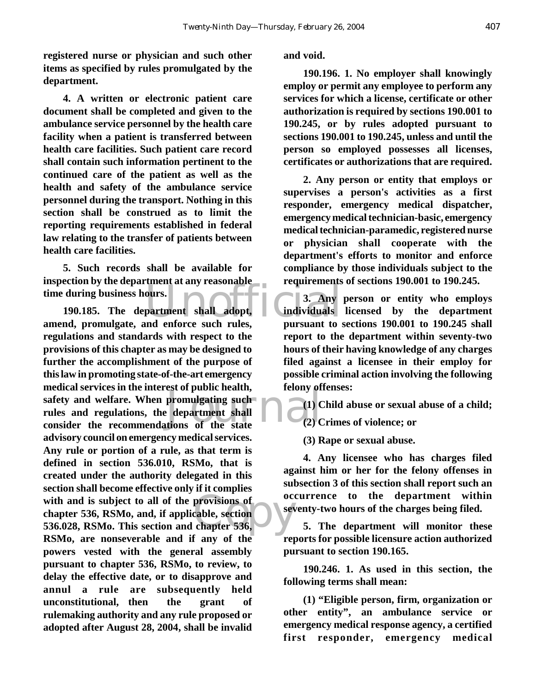**registered nurse or physician and such other items as specified by rules promulgated by the department.**

**4. A written or electronic patient care document shall be completed and given to the ambulance service personnel by the health care facility when a patient is transferred between health care facilities. Such patient care record shall contain such information pertinent to the continued care of the patient as well as the health and safety of the ambulance service personnel during the transport. Nothing in this section shall be construed as to limit the reporting requirements established in federal law relating to the transfer of patients between health care facilities.**

**5. Such records shall be available for inspection by the department at any reasonable time during business hours.**

ours.<br>partment shall adopt, 1 3. Any<br>and enforce such rules, pursuant to promulgating such<br>
edepartment shall<br>
tions of the state<br>  $(2)$  C with and is subject to all of the provisions of<br>
chapter 536, RSMo, and, if applicable, section<br>
536.028, RSMo. This section and chapter 536, **190.185. The department shall adopt, amend, promulgate, and enforce such rules, regulations and standards with respect to the provisions of this chapter as may be designed to further the accomplishment of the purpose of this law in promoting state-of-the-art emergency medical services in the interest of public health, safety and welfare. When promulgating such rules and regulations, the department shall consider the recommendations of the state advisory council on emergency medical services. Any rule or portion of a rule, as that term is defined in section 536.010, RSMo, that is created under the authority delegated in this section shall become effective only if it complies chapter 536, RSMo, and, if applicable, section 536.028, RSMo. This section and chapter 536, RSMo, are nonseverable and if any of the powers vested with the general assembly pursuant to chapter 536, RSMo, to review, to delay the effective date, or to disapprove and annul a rule are subsequently held unconstitutional, then the grant of rulemaking authority and any rule proposed or adopted after August 28, 2004, shall be invalid**

#### **and void.**

**190.196. 1. No employer shall knowingly employ or permit any employee to perform any services for which a license, certificate or other authorization is required by sections 190.001 to 190.245, or by rules adopted pursuant to sections 190.001 to 190.245, unless and until the person so employed possesses all licenses, certificates or authorizations that are required.**

**2. Any person or entity that employs or supervises a person's activities as a first responder, emergency medical dispatcher, emergency medical technician-basic, emergency medical technician-paramedic, registered nurse or physician shall cooperate with the department's efforts to monitor and enforce compliance by those individuals subject to the requirements of sections 190.001 to 190.245.**

**3. Any person or entity who employs individuals licensed by the department pursuant to sections 190.001 to 190.245 shall report to the department within seventy-two hours of their having knowledge of any charges filed against a licensee in their employ for possible criminal action involving the following felony offenses:**

**(1) Child abuse or sexual abuse of a child; (2) Crimes of violence; or** 

**(3) Rape or sexual abuse.** 

**4. Any licensee who has charges filed against him or her for the felony offenses in subsection 3 of this section shall report such an occurrence to the department within seventy-two hours of the charges being filed.**

**5. The department will monitor these reports for possible licensure action authorized pursuant to section 190.165.** 

**190.246. 1. As used in this section, the following terms shall mean:**

**(1) "Eligible person, firm, organization or other entity", an ambulance service or emergency medical response agency, a certified first responder, emergency medical**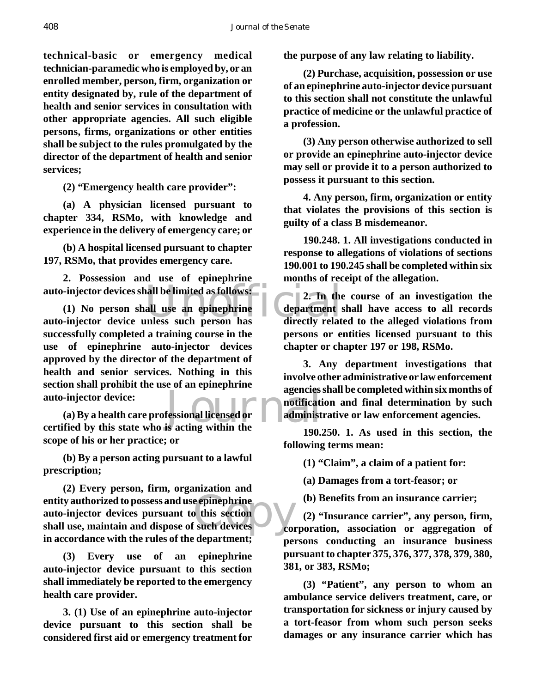**technical-basic or emergency medical technician-paramedic who is employed by, or an enrolled member, person, firm, organization or entity designated by, rule of the department of health and senior services in consultation with other appropriate agencies. All such eligible persons, firms, organizations or other entities shall be subject to the rules promulgated by the director of the department of health and senior services;**

**(2) "Emergency health care provider":** 

**(a) A physician licensed pursuant to chapter 334, RSMo, with knowledge and experience in the delivery of emergency care; or**

**(b) A hospital licensed pursuant to chapter 197, RSMo, that provides emergency care.**

**2. Possession and use of epinephrine auto-injector devices shall be limited as follows:**

auto-injector devices shall be limited as follows:<br>
(1) No person shall use an epinephrine<br>
auto-injector device unless such person has directly relat **(1) No person shall use an epinephrine successfully completed a training course in the use of epinephrine auto-injector devices approved by the director of the department of health and senior services. Nothing in this section shall prohibit the use of an epinephrine auto-injector device:**

agencies<br>
fessional licensed or<br>
is acting within the **(a) By a health care professional licensed or certified by this state who is acting within the scope of his or her practice; or** 

**(b) By a person acting pursuant to a lawful prescription;** 

entity authorized to possess and use epinephrine<br>auto-injector devices pursuant to this section<br>shall use, maintain and dispose of such devices **(2) Every person, firm, organization and auto-injector devices pursuant to this section shall use, maintain and dispose of such devices in accordance with the rules of the department;**

**(3) Every use of an epinephrine auto-injector device pursuant to this section shall immediately be reported to the emergency health care provider.**

**3. (1) Use of an epinephrine auto-injector device pursuant to this section shall be considered first aid or emergency treatment for** **the purpose of any law relating to liability.**

**(2) Purchase, acquisition, possession or use of an epinephrine auto-injector device pursuant to this section shall not constitute the unlawful practice of medicine or the unlawful practice of a profession.**

**(3) Any person otherwise authorized to sell or provide an epinephrine auto-injector device may sell or provide it to a person authorized to possess it pursuant to this section.**

**4. Any person, firm, organization or entity that violates the provisions of this section is guilty of a class B misdemeanor.**

**190.248. 1. All investigations conducted in response to allegations of violations of sections 190.001 to 190.245 shall be completed within six months of receipt of the allegation.**

**2. In the course of an investigation the department shall have access to all records directly related to the alleged violations from persons or entities licensed pursuant to this chapter or chapter 197 or 198, RSMo.**

**3. Any department investigations that involve other administrative or law enforcement agencies shall be completed within six months of notification and final determination by such administrative or law enforcement agencies.**

**190.250. 1. As used in this section, the following terms mean:**

**(1) "Claim", a claim of a patient for:**

**(a) Damages from a tort-feasor; or**

**(b) Benefits from an insurance carrier;**

**(2) "Insurance carrier", any person, firm, corporation, association or aggregation of persons conducting an insurance business pursuant to chapter 375, 376, 377, 378, 379, 380, 381, or 383, RSMo;**

**(3) "Patient", any person to whom an ambulance service delivers treatment, care, or transportation for sickness or injury caused by a tort-feasor from whom such person seeks damages or any insurance carrier which has**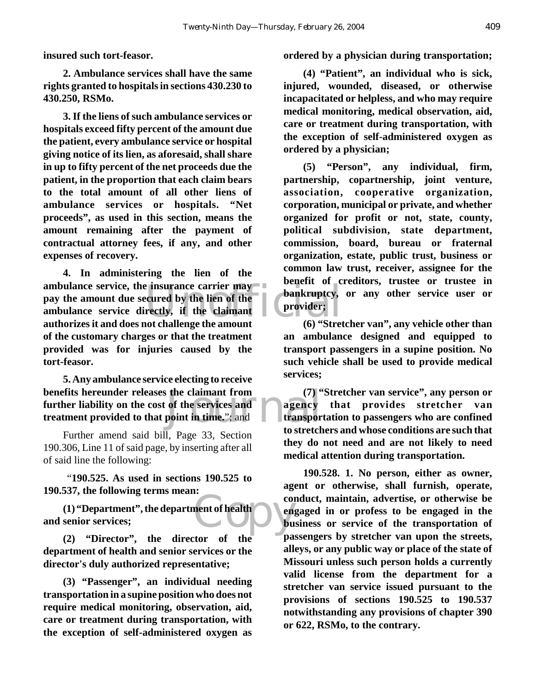**insured such tort-feasor.**

**2. Ambulance services shall have the same rights granted to hospitals in sections 430.230 to 430.250, RSMo.**

**3. If the liens of such ambulance services or hospitals exceed fifty percent of the amount due the patient, every ambulance service or hospital giving notice of its lien, as aforesaid, shall share in up to fifty percent of the net proceeds due the patient, in the proportion that each claim bears to the total amount of all other liens of ambulance services or hospitals. "Net proceeds", as used in this section, means the amount remaining after the payment of contractual attorney fees, if any, and other expenses of recovery.**

Example the settlem of the term of the term of the term of the term of the term of the term of the term of challenge the amount (6) "Stret **4. In administering the lien of the ambulance service, the insurance carrier may pay the amount due secured by the lien of the ambulance service directly, if the claimant authorizes it and does not challenge the amount of the customary charges or that the treatment provided was for injuries caused by the tort-feasor.**

 $\begin{array}{c} \text{the claimant from} \\ \text{of the services and} \\ \text{point in time.} \\ \text{in time.} \\ \text{in state} \\ \end{array}$ **5. Any ambulance service electing to receive benefits hereunder releases the claimant from further liability on the cost of the services and treatment provided to that point in time.**"; and

Further amend said bill, Page 33, Section 190.306, Line 11 of said page, by inserting after all of said line the following:

 "**190.525. As used in sections 190.525 to 190.537, the following terms mean:**

ment of health **(1) "Department", the department of health and senior services;**

**(2) "Director", the director of the department of health and senior services or the director's duly authorized representative;**

**(3) "Passenger", an individual needing transportation in a supine position who does not require medical monitoring, observation, aid, care or treatment during transportation, with the exception of self-administered oxygen as**

**ordered by a physician during transportation;**

**(4) "Patient", an individual who is sick, injured, wounded, diseased, or otherwise incapacitated or helpless, and who may require medical monitoring, medical observation, aid, care or treatment during transportation, with the exception of self-administered oxygen as ordered by a physician;**

**(5) "Person", any individual, firm, partnership, copartnership, joint venture, association, cooperative organization, corporation, municipal or private, and whether organized for profit or not, state, county, political subdivision, state department, commission, board, bureau or fraternal organization, estate, public trust, business or common law trust, receiver, assignee for the benefit of creditors, trustee or trustee in bankruptcy, or any other service user or provider;**

**(6) "Stretcher van", any vehicle other than an ambulance designed and equipped to transport passengers in a supine position. No such vehicle shall be used to provide medical services;** 

**(7) "Stretcher van service", any person or agency that provides stretcher van transportation to passengers who are confined to stretchers and whose conditions are such that they do not need and are not likely to need medical attention during transportation.**

**190.528. 1. No person, either as owner, agent or otherwise, shall furnish, operate, conduct, maintain, advertise, or otherwise be engaged in or profess to be engaged in the business or service of the transportation of passengers by stretcher van upon the streets, alleys, or any public way or place of the state of Missouri unless such person holds a currently valid license from the department for a stretcher van service issued pursuant to the provisions of sections 190.525 to 190.537 notwithstanding any provisions of chapter 390 or 622, RSMo, to the contrary.**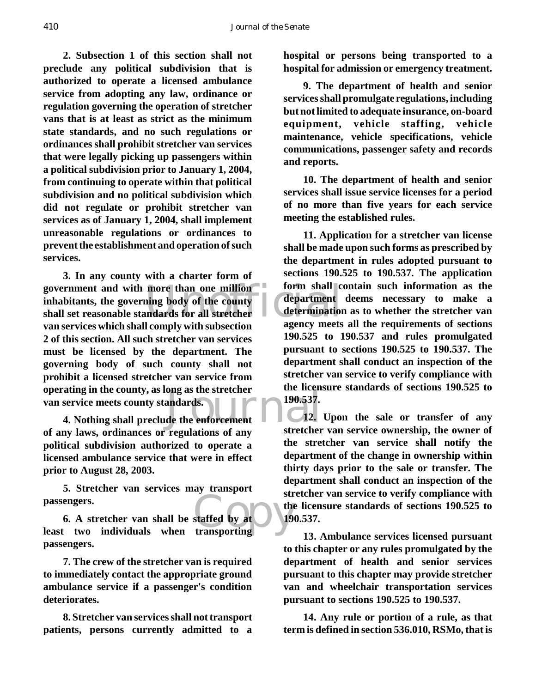**2. Subsection 1 of this section shall not preclude any political subdivision that is authorized to operate a licensed ambulance service from adopting any law, ordinance or regulation governing the operation of stretcher vans that is at least as strict as the minimum state standards, and no such regulations or ordinances shall prohibit stretcher van services that were legally picking up passengers within a political subdivision prior to January 1, 2004, from continuing to operate within that political subdivision and no political subdivision which did not regulate or prohibit stretcher van services as of January 1, 2004, shall implement unreasonable regulations or ordinances to prevent the establishment and operation of such services.**

government and with more than one million form shall c<br>
inhabitants, the governing body of the county<br>
shall set reasonable standards for all stretcher<br>
shall set reasonable standards for all stretcher<br>
agency meets For the county, as long as the stretcher<br>
service meets county standards.<br>
4. Nothing shall preclude the enforcement<br>
12. **3. In any county with a charter form of inhabitants, the governing body of the county shall set reasonable standards for all stretcher van services which shall comply with subsection 2 of this section. All such stretcher van services must be licensed by the department. The governing body of such county shall not prohibit a licensed stretcher van service from operating in the county, as long as the stretcher van service meets county standards.**

**of any laws, ordinances or regulations of any political subdivision authorized to operate a licensed ambulance service that were in effect prior to August 28, 2003.**

**5. Stretcher van services may transport passengers.** 

passengers.<br>
6. A stretcher van shall be staffed by at the state of the state of the state of the state of the state of the state of the state of the state of the state of the state of the state of the state of the state o **6. A stretcher van shall be staffed by at passengers.**

**7. The crew of the stretcher van is required to immediately contact the appropriate ground ambulance service if a passenger's condition deteriorates.**

**8. Stretcher van services shall not transport patients, persons currently admitted to a**

**hospital or persons being transported to a hospital for admission or emergency treatment.**

**9. The department of health and senior services shall promulgate regulations, including but not limited to adequate insurance, on-board equipment, vehicle staffing, vehicle maintenance, vehicle specifications, vehicle communications, passenger safety and records and reports.**

**10. The department of health and senior services shall issue service licenses for a period of no more than five years for each service meeting the established rules.**

**11. Application for a stretcher van license shall be made upon such forms as prescribed by the department in rules adopted pursuant to sections 190.525 to 190.537. The application form shall contain such information as the department deems necessary to make a determination as to whether the stretcher van agency meets all the requirements of sections 190.525 to 190.537 and rules promulgated pursuant to sections 190.525 to 190.537. The department shall conduct an inspection of the stretcher van service to verify compliance with the licensure standards of sections 190.525 to 190.537.**

**12. Upon the sale or transfer of any stretcher van service ownership, the owner of the stretcher van service shall notify the department of the change in ownership within thirty days prior to the sale or transfer. The department shall conduct an inspection of the stretcher van service to verify compliance with the licensure standards of sections 190.525 to 190.537.**

**13. Ambulance services licensed pursuant to this chapter or any rules promulgated by the department of health and senior services pursuant to this chapter may provide stretcher van and wheelchair transportation services pursuant to sections 190.525 to 190.537.**

**14. Any rule or portion of a rule, as that term is defined in section 536.010, RSMo, that is**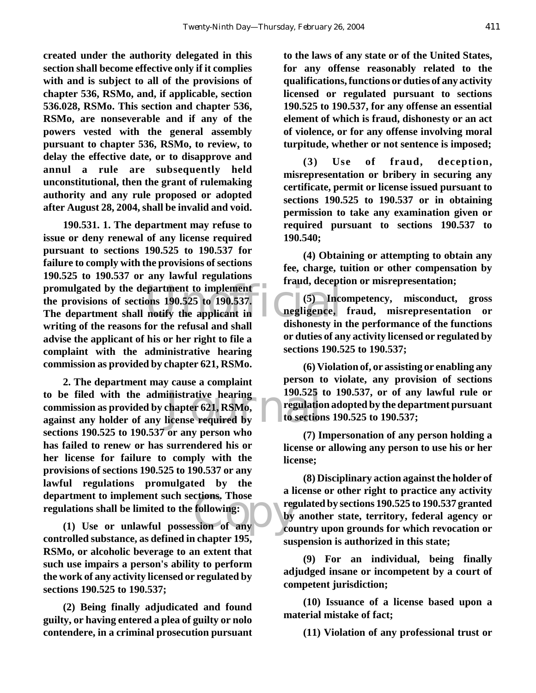**created under the authority delegated in this section shall become effective only if it complies with and is subject to all of the provisions of chapter 536, RSMo, and, if applicable, section 536.028, RSMo. This section and chapter 536, RSMo, are nonseverable and if any of the powers vested with the general assembly pursuant to chapter 536, RSMo, to review, to delay the effective date, or to disapprove and annul a rule are subsequently held unconstitutional, then the grant of rulemaking authority and any rule proposed or adopted after August 28, 2004, shall be invalid and void.**

promulgated by the department to implement<br>the provisions of sections 190.525 to 190.537. (5) Inco<br>The department shall notify the applicant in angligence, **190.531. 1. The department may refuse to issue or deny renewal of any license required pursuant to sections 190.525 to 190.537 for failure to comply with the provisions of sections 190.525 to 190.537 or any lawful regulations the provisions of sections 190.525 to 190.537. The department shall notify the applicant in writing of the reasons for the refusal and shall advise the applicant of his or her right to file a complaint with the administrative hearing commission as provided by chapter 621, RSMo.**

to be filed with the administrative hearing 190.525<br>
commission as provided by chapter 621, RSMo,<br>
against any holder of any license required by to section Fortnent to implement such sections. Those<br>
lations shall be limited to the following:<br>
(1) Use or unlawful possession of any<br>
counter the contract of the contract of the contract of the contract of the contract of the con **2. The department may cause a complaint commission as provided by chapter 621, RSMo, against any holder of any license required by sections 190.525 to 190.537 or any person who has failed to renew or has surrendered his or her license for failure to comply with the provisions of sections 190.525 to 190.537 or any lawful regulations promulgated by the department to implement such sections. Those regulations shall be limited to the following:**

**controlled substance, as defined in chapter 195, RSMo, or alcoholic beverage to an extent that such use impairs a person's ability to perform the work of any activity licensed or regulated by sections 190.525 to 190.537;**

**(2) Being finally adjudicated and found guilty, or having entered a plea of guilty or nolo contendere, in a criminal prosecution pursuant**

**to the laws of any state or of the United States, for any offense reasonably related to the qualifications, functions or duties of any activity licensed or regulated pursuant to sections 190.525 to 190.537, for any offense an essential element of which is fraud, dishonesty or an act of violence, or for any offense involving moral turpitude, whether or not sentence is imposed;**

**(3) Use of fraud, deception, misrepresentation or bribery in securing any certificate, permit or license issued pursuant to sections 190.525 to 190.537 or in obtaining permission to take any examination given or required pursuant to sections 190.537 to 190.540;**

**(4) Obtaining or attempting to obtain any fee, charge, tuition or other compensation by fraud, deception or misrepresentation;**

**(5) Incompetency, misconduct, gross negligence, fraud, misrepresentation or dishonesty in the performance of the functions or duties of any activity licensed or regulated by sections 190.525 to 190.537;**

**(6) Violation of, or assisting or enabling any person to violate, any provision of sections 190.525 to 190.537, or of any lawful rule or regulation adopted by the department pursuant to sections 190.525 to 190.537;**

**(7) Impersonation of any person holding a license or allowing any person to use his or her license;**

**(8) Disciplinary action against the holder of a license or other right to practice any activity regulated by sections 190.525 to 190.537 granted by another state, territory, federal agency or country upon grounds for which revocation or suspension is authorized in this state;**

**(9) For an individual, being finally adjudged insane or incompetent by a court of competent jurisdiction;**

**(10) Issuance of a license based upon a material mistake of fact;**

**(11) Violation of any professional trust or**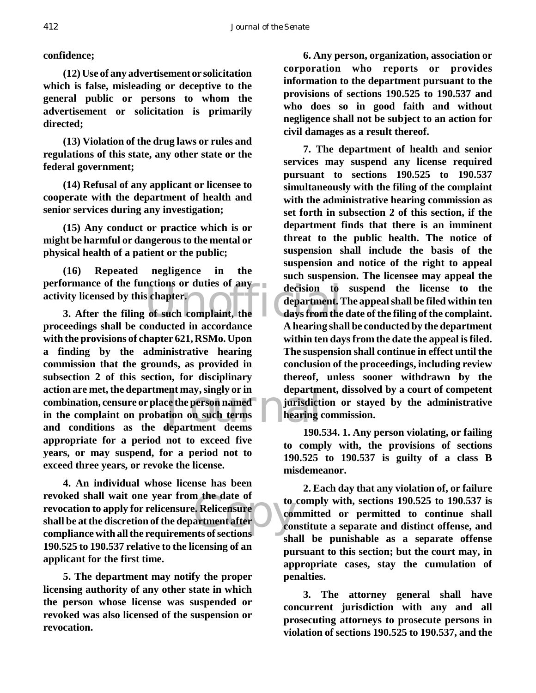## **confidence;**

**(12) Use of any advertisement or solicitation which is false, misleading or deceptive to the general public or persons to whom the advertisement or solicitation is primarily directed;**

**(13) Violation of the drug laws or rules and regulations of this state, any other state or the federal government;**

**(14) Refusal of any applicant or licensee to cooperate with the department of health and senior services during any investigation;**

**(15) Any conduct or practice which is or might be harmful or dangerous to the mental or physical health of a patient or the public;**

performance of the functions or duties of any decision to<br>activity licensed by this chapter.<br>3. After the filing of such complaint, the days from the **(16) Repeated negligence in the activity licensed by this chapter.**

ent may, singly or in<br>
ce the person named<br>
tion on such terms<br>
department<br>
deems **3. After the filing of such complaint, the proceedings shall be conducted in accordance with the provisions of chapter 621, RSMo. Upon a finding by the administrative hearing commission that the grounds, as provided in subsection 2 of this section, for disciplinary action are met, the department may, singly or in combination, censure or place the person named in the complaint on probation on such terms and conditions as the department deems appropriate for a period not to exceed five years, or may suspend, for a period not to exceed three years, or revoke the license.**

n the date of<br>
e. Relicensure<br>
artment after<br>
onts of sections **4. An individual whose license has been revoked shall wait one year from the date of revocation to apply for relicensure. Relicensure shall be at the discretion of the department after compliance with all the requirements of sections 190.525 to 190.537 relative to the licensing of an applicant for the first time.**

**5. The department may notify the proper licensing authority of any other state in which the person whose license was suspended or revoked was also licensed of the suspension or revocation.**

**6. Any person, organization, association or corporation who reports or provides information to the department pursuant to the provisions of sections 190.525 to 190.537 and who does so in good faith and without negligence shall not be subject to an action for civil damages as a result thereof.**

**7. The department of health and senior services may suspend any license required pursuant to sections 190.525 to 190.537 simultaneously with the filing of the complaint with the administrative hearing commission as set forth in subsection 2 of this section, if the department finds that there is an imminent threat to the public health. The notice of suspension shall include the basis of the suspension and notice of the right to appeal such suspension. The licensee may appeal the decision to suspend the license to the department. The appeal shall be filed within ten days from the date of the filing of the complaint. A hearing shall be conducted by the department within ten days from the date the appeal is filed. The suspension shall continue in effect until the conclusion of the proceedings, including review thereof, unless sooner withdrawn by the department, dissolved by a court of competent jurisdiction or stayed by the administrative hearing commission.**

**190.534. 1. Any person violating, or failing to comply with, the provisions of sections 190.525 to 190.537 is guilty of a class B misdemeanor.**

**2. Each day that any violation of, or failure to comply with, sections 190.525 to 190.537 is committed or permitted to continue shall constitute a separate and distinct offense, and shall be punishable as a separate offense pursuant to this section; but the court may, in appropriate cases, stay the cumulation of penalties.**

**3. The attorney general shall have concurrent jurisdiction with any and all prosecuting attorneys to prosecute persons in violation of sections 190.525 to 190.537, and the**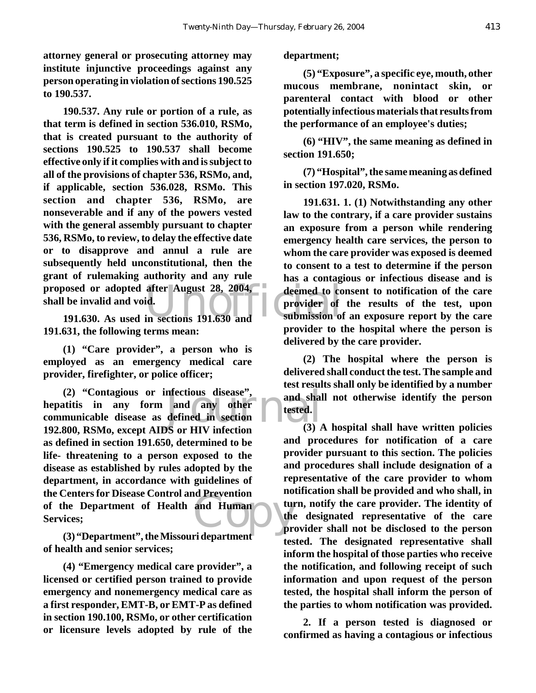**attorney general or prosecuting attorney may institute injunctive proceedings against any person operating in violation of sections 190.525 to 190.537.**

proposed or adopted after August 28, 2004, a deemed to co<br>
shall be invalid and void.<br>
191.630. As used in sections 191.630 and submission of **190.537. Any rule or portion of a rule, as that term is defined in section 536.010, RSMo, that is created pursuant to the authority of sections 190.525 to 190.537 shall become effective only if it complies with and is subject to all of the provisions of chapter 536, RSMo, and, if applicable, section 536.028, RSMo. This section and chapter 536, RSMo, are nonseverable and if any of the powers vested with the general assembly pursuant to chapter 536, RSMo, to review, to delay the effective date or to disapprove and annul a rule are subsequently held unconstitutional, then the grant of rulemaking authority and any rule shall be invalid and void.**

**191.630. As used in sections 191.630 and 191.631, the following terms mean:**

**(1) "Care provider", a person who is employed as an emergency medical care provider, firefighter, or police officer;**

mfectious disease",<br>
and any other<br>
defined in section<br>
Sor HIV infection<br>
(3) and Human **(2) "Contagious or infectious disease", hepatitis in any form and any other communicable disease as defined in section 192.800, RSMo, except AIDS or HIV infection as defined in section 191.650, determined to be life- threatening to a person exposed to the disease as established by rules adopted by the department, in accordance with guidelines of the Centers for Disease Control and Prevention of the Department of Health and Human Services;** 

**(3) "Department", the Missouri department of health and senior services;** 

**(4) "Emergency medical care provider", a licensed or certified person trained to provide emergency and nonemergency medical care as a first responder, EMT-B, or EMT-P as defined in section 190.100, RSMo, or other certification or licensure levels adopted by rule of the**

#### **department;**

**(5) "Exposure", a specific eye, mouth, other mucous membrane, nonintact skin, or parenteral contact with blood or other potentially infectious materials that results from the performance of an employee's duties;** 

**(6) "HIV", the same meaning as defined in section 191.650;** 

**(7) "Hospital", the same meaning as defined in section 197.020, RSMo.** 

**191.631. 1. (1) Notwithstanding any other law to the contrary, if a care provider sustains an exposure from a person while rendering emergency health care services, the person to whom the care provider was exposed is deemed to consent to a test to determine if the person has a contagious or infectious disease and is deemed to consent to notification of the care provider of the results of the test, upon submission of an exposure report by the care provider to the hospital where the person is delivered by the care provider.** 

**(2) The hospital where the person is delivered shall conduct the test. The sample and test results shall only be identified by a number and shall not otherwise identify the person tested.** 

**(3) A hospital shall have written policies and procedures for notification of a care provider pursuant to this section. The policies and procedures shall include designation of a representative of the care provider to whom notification shall be provided and who shall, in turn, notify the care provider. The identity of the designated representative of the care provider shall not be disclosed to the person tested. The designated representative shall inform the hospital of those parties who receive the notification, and following receipt of such information and upon request of the person tested, the hospital shall inform the person of the parties to whom notification was provided.**

**2. If a person tested is diagnosed or confirmed as having a contagious or infectious**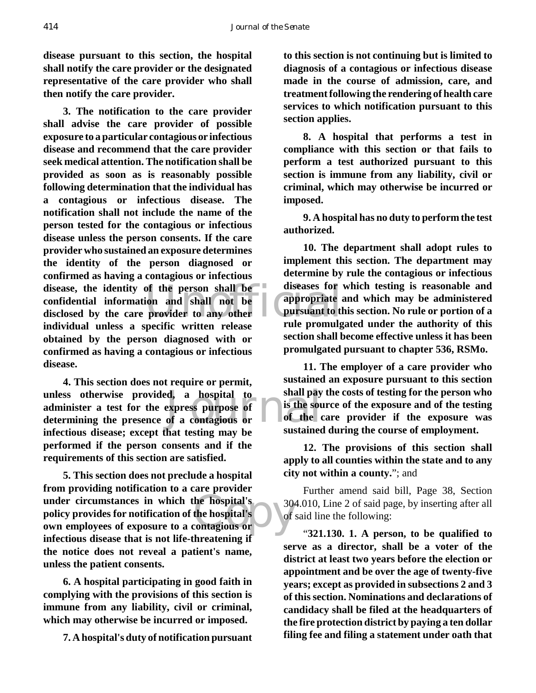**disease pursuant to this section, the hospital shall notify the care provider or the designated representative of the care provider who shall then notify the care provider.** 

disease, the identity of the person shall be diseases for confidential information and shall not be disclosed by the care provider to any other appropriate individual unless a specific written release. **3. The notification to the care provider shall advise the care provider of possible exposure to a particular contagious or infectious disease and recommend that the care provider seek medical attention. The notification shall be provided as soon as is reasonably possible following determination that the individual has a contagious or infectious disease. The notification shall not include the name of the person tested for the contagious or infectious disease unless the person consents. If the care provider who sustained an exposure determines the identity of the person diagnosed or confirmed as having a contagious or infectious confidential information and shall not be disclosed by the care provider to any other individual unless a specific written release obtained by the person diagnosed with or confirmed as having a contagious or infectious disease.**

d, a hospital to shall pay<br>express purpose of is the source of a contagious or of the contagious or sustained **4. This section does not require or permit, unless otherwise provided, a hospital to administer a test for the express purpose of determining the presence of a contagious or infectious disease; except that testing may be performed if the person consents and if the requirements of this section are satisfied.**

under circumstances in which the hospital's policy provides for notification of the hospital's of of our employees of exposure to a contagious or **5. This section does not preclude a hospital from providing notification to a care provider policy provides for notification of the hospital's own employees of exposure to a contagious or infectious disease that is not life-threatening if the notice does not reveal a patient's name, unless the patient consents.**

**6. A hospital participating in good faith in complying with the provisions of this section is immune from any liability, civil or criminal, which may otherwise be incurred or imposed.**

**7. A hospital's duty of notification pursuant**

**to this section is not continuing but is limited to diagnosis of a contagious or infectious disease made in the course of admission, care, and treatment following the rendering of health care services to which notification pursuant to this section applies.**

**8. A hospital that performs a test in compliance with this section or that fails to perform a test authorized pursuant to this section is immune from any liability, civil or criminal, which may otherwise be incurred or imposed.**

**9. A hospital has no duty to perform the test authorized.**

**10. The department shall adopt rules to implement this section. The department may determine by rule the contagious or infectious diseases for which testing is reasonable and appropriate and which may be administered pursuant to this section. No rule or portion of a rule promulgated under the authority of this section shall become effective unless it has been promulgated pursuant to chapter 536, RSMo.**

**11. The employer of a care provider who sustained an exposure pursuant to this section shall pay the costs of testing for the person who is the source of the exposure and of the testing of the care provider if the exposure was sustained during the course of employment.**

**12. The provisions of this section shall apply to all counties within the state and to any city not within a county.**"; and

Further amend said bill, Page 38, Section 304.010, Line 2 of said page, by inserting after all of said line the following:

"**321.130. 1. A person, to be qualified to serve as a director, shall be a voter of the district at least two years before the election or appointment and be over the age of twenty-five years; except as provided in subsections 2 and 3 of this section. Nominations and declarations of candidacy shall be filed at the headquarters of the fire protection district by paying a ten dollar filing fee and filing a statement under oath that**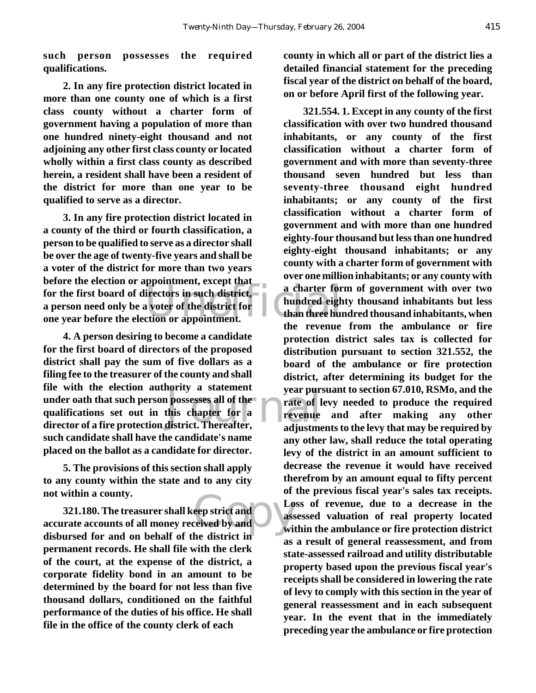**such person possesses the required qualifications.**

**2. In any fire protection district located in more than one county one of which is a first class county without a charter form of government having a population of more than one hundred ninety-eight thousand and not adjoining any other first class county or located wholly within a first class county as described herein, a resident shall have been a resident of the district for more than one year to be qualified to serve as a director.**

For the first board of directors in such district,<br>a person need only be a voter of the district for<br>one year before the election or appointment. **3. In any fire protection district located in a county of the third or fourth classification, a person to be qualified to serve as a director shall be over the age of twenty-five years and shall be a voter of the district for more than two years before the election or appointment, except that a person need only be a voter of the district for one year before the election or appointment.**

possesses all of the<br>
possesses all of the<br>
this chapter for a<br>
district. Thereafter,<br>
adjustme **4. A person desiring to become a candidate for the first board of directors of the proposed district shall pay the sum of five dollars as a filing fee to the treasurer of the county and shall file with the election authority a statement under oath that such person possesses all of the qualifications set out in this chapter for a director of a fire protection district. Thereafter, such candidate shall have the candidate's name placed on the ballot as a candidate for director.**

**5. The provisions of this section shall apply to any county within the state and to any city not within a county.**

eep strict and<br>
ceived by and<br>
he district in **321.180. The treasurer shall keep strict and accurate accounts of all money received by and disbursed for and on behalf of the district in permanent records. He shall file with the clerk of the court, at the expense of the district, a corporate fidelity bond in an amount to be determined by the board for not less than five thousand dollars, conditioned on the faithful performance of the duties of his office. He shall file in the office of the county clerk of each**

**county in which all or part of the district lies a detailed financial statement for the preceding fiscal year of the district on behalf of the board, on or before April first of the following year.**

**321.554. 1. Except in any county of the first classification with over two hundred thousand inhabitants, or any county of the first classification without a charter form of government and with more than seventy-three thousand seven hundred but less than seventy-three thousand eight hundred inhabitants; or any county of the first classification without a charter form of government and with more than one hundred eighty-four thousand but less than one hundred eighty-eight thousand inhabitants; or any county with a charter form of government with over one million inhabitants; or any county with a charter form of government with over two hundred eighty thousand inhabitants but less than three hundred thousand inhabitants, when the revenue from the ambulance or fire protection district sales tax is collected for distribution pursuant to section 321.552, the board of the ambulance or fire protection district, after determining its budget for the year pursuant to section 67.010, RSMo, and the rate of levy needed to produce the required revenue and after making any other adjustments to the levy that may be required by any other law, shall reduce the total operating levy of the district in an amount sufficient to decrease the revenue it would have received therefrom by an amount equal to fifty percent of the previous fiscal year's sales tax receipts. Loss of revenue, due to a decrease in the assessed valuation of real property located within the ambulance or fire protection district as a result of general reassessment, and from state-assessed railroad and utility distributable property based upon the previous fiscal year's receipts shall be considered in lowering the rate of levy to comply with this section in the year of general reassessment and in each subsequent year. In the event that in the immediately preceding year the ambulance or fire protection**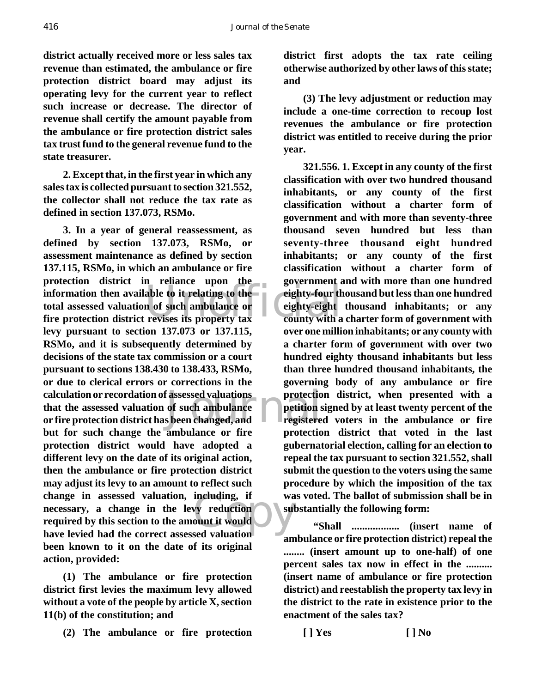**district actually received more or less sales tax revenue than estimated, the ambulance or fire protection district board may adjust its operating levy for the current year to reflect such increase or decrease. The director of revenue shall certify the amount payable from the ambulance or fire protection district sales tax trust fund to the general revenue fund to the state treasurer.**

**2. Except that, in the first year in which any sales tax is collected pursuant to section 321.552, the collector shall not reduce the tax rate as defined in section 137.073, RSMo.**

information then available to it relating to the<br>
total assessed valuation of such ambulance or<br>
fire protection district revises its property tax<br>
the eighty-eight Fassessed valuations protections of such ambulance petition s<br>s been changed, and registere Copy **3. In a year of general reassessment, as defined by section 137.073, RSMo, or assessment maintenance as defined by section 137.115, RSMo, in which an ambulance or fire protection district in reliance upon the total assessed valuation of such ambulance or fire protection district revises its property tax levy pursuant to section 137.073 or 137.115, RSMo, and it is subsequently determined by decisions of the state tax commission or a court pursuant to sections 138.430 to 138.433, RSMo, or due to clerical errors or corrections in the calculation or recordation of assessed valuations that the assessed valuation of such ambulance or fire protection district has been changed, and but for such change the ambulance or fire protection district would have adopted a different levy on the date of its original action, then the ambulance or fire protection district may adjust its levy to an amount to reflect such change in assessed valuation, including, if necessary, a change in the levy reduction required by this section to the amount it would have levied had the correct assessed valuation been known to it on the date of its original action, provided:**

**(1) The ambulance or fire protection district first levies the maximum levy allowed without a vote of the people by article X, section 11(b) of the constitution; and**

**(2) The ambulance or fire protection**

**district first adopts the tax rate ceiling otherwise authorized by other laws of this state; and**

**(3) The levy adjustment or reduction may include a one-time correction to recoup lost revenues the ambulance or fire protection district was entitled to receive during the prior year.**

**321.556. 1. Except in any county of the first classification with over two hundred thousand inhabitants, or any county of the first classification without a charter form of government and with more than seventy-three thousand seven hundred but less than seventy-three thousand eight hundred inhabitants; or any county of the first classification without a charter form of government and with more than one hundred eighty-four thousand but less than one hundred eighty-eight thousand inhabitants; or any county with a charter form of government with over one million inhabitants; or any county with a charter form of government with over two hundred eighty thousand inhabitants but less than three hundred thousand inhabitants, the governing body of any ambulance or fire protection district, when presented with a petition signed by at least twenty percent of the registered voters in the ambulance or fire protection district that voted in the last gubernatorial election, calling for an election to repeal the tax pursuant to section 321.552, shall submit the question to the voters using the same procedure by which the imposition of the tax was voted. The ballot of submission shall be in substantially the following form:**

 **"Shall .................. (insert name of ambulance or fire protection district) repeal the ........ (insert amount up to one-half) of one percent sales tax now in effect in the .......... (insert name of ambulance or fire protection district) and reestablish the property tax levy in the district to the rate in existence prior to the enactment of the sales tax?**

**[ ] Yes [ ] No**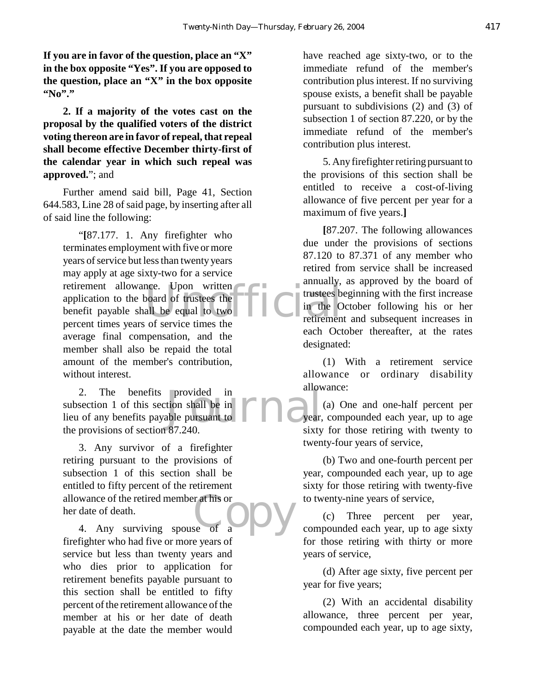**If you are in favor of the question, place an "X" in the box opposite "Yes". If you are opposed to the question, place an "X" in the box opposite "No"."**

**2. If a majority of the votes cast on the proposal by the qualified voters of the district voting thereon are in favor of repeal, that repeal shall become effective December thirty-first of the calendar year in which such repeal was approved.**"; and

Further amend said bill, Page 41, Section 644.583, Line 28 of said page, by inserting after all of said line the following:

nee. Upon written<br>
board of trustees the<br>
all be equal to two<br>
of service times the<br>
of service times the "**[**87.177. 1. Any firefighter who terminates employment with five or more years of service but less than twenty years may apply at age sixty-two for a service retirement allowance. Upon written application to the board of trustees the benefit payable shall be equal to two percent times years of service times the average final compensation, and the member shall also be repaid the total amount of the member's contribution, without interest.

provided in<br>tion shall be in<br>able pursuant to  $\prod_{\text{year,}}$ 2. The benefits provided in subsection 1 of this section shall be in lieu of any benefits payable pursuant to the provisions of section 87.240.

r at his or<br>se of a 3. Any survivor of a firefighter retiring pursuant to the provisions of subsection 1 of this section shall be entitled to fifty percent of the retirement allowance of the retired member at his or her date of death.

4. Any surviving spouse of a firefighter who had five or more years of service but less than twenty years and who dies prior to application for retirement benefits payable pursuant to this section shall be entitled to fifty percent of the retirement allowance of the member at his or her date of death payable at the date the member would have reached age sixty-two, or to the immediate refund of the member's contribution plus interest. If no surviving spouse exists, a benefit shall be payable pursuant to subdivisions (2) and (3) of subsection 1 of section 87.220, or by the immediate refund of the member's contribution plus interest.

5. Any firefighter retiring pursuant to the provisions of this section shall be entitled to receive a cost-of-living allowance of five percent per year for a maximum of five years.**]**

**[**87.207. The following allowances due under the provisions of sections 87.120 to 87.371 of any member who retired from service shall be increased annually, as approved by the board of trustees beginning with the first increase in the October following his or her retirement and subsequent increases in each October thereafter, at the rates designated:

(1) With a retirement service allowance or ordinary disability allowance:

(a) One and one-half percent per year, compounded each year, up to age sixty for those retiring with twenty to twenty-four years of service,

(b) Two and one-fourth percent per year, compounded each year, up to age sixty for those retiring with twenty-five to twenty-nine years of service,

(c) Three percent per year, compounded each year, up to age sixty for those retiring with thirty or more years of service,

(d) After age sixty, five percent per year for five years;

(2) With an accidental disability allowance, three percent per year, compounded each year, up to age sixty,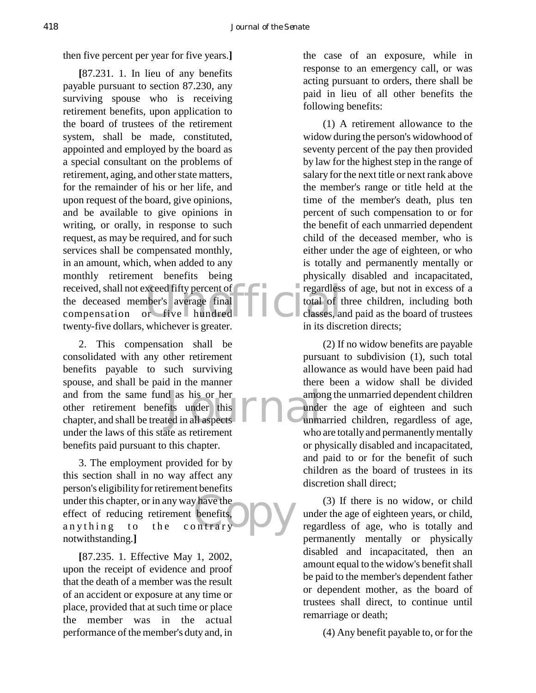then five percent per year for five years.**]**

received, shall not exceed fifty percent of<br>
the deceased member's average final<br>
compensation or five hundred **[**87.231. 1. In lieu of any benefits payable pursuant to section 87.230, any surviving spouse who is receiving retirement benefits, upon application to the board of trustees of the retirement system, shall be made, constituted, appointed and employed by the board as a special consultant on the problems of retirement, aging, and other state matters, for the remainder of his or her life, and upon request of the board, give opinions, and be available to give opinions in writing, or orally, in response to such request, as may be required, and for such services shall be compensated monthly, in an amount, which, when added to any monthly retirement benefits being the deceased member's average final compensation or five hundred twenty-five dollars, whichever is greater.

d as his or her<br>fits under this<br>ted in all aspects 2. This compensation shall be consolidated with any other retirement benefits payable to such surviving spouse, and shall be paid in the manner and from the same fund as his or her other retirement benefits under this chapter, and shall be treated in all aspects under the laws of this state as retirement benefits paid pursuant to this chapter.

whave the<br>benefits,<br>b n trary 3. The employment provided for by this section shall in no way affect any person's eligibility for retirement benefits under this chapter, or in any way have the effect of reducing retirement benefits, anything to the contrary notwithstanding.**]**

**[**87.235. 1. Effective May 1, 2002, upon the receipt of evidence and proof that the death of a member was the result of an accident or exposure at any time or place, provided that at such time or place the member was in the actual performance of the member's duty and, in the case of an exposure, while in response to an emergency call, or was acting pursuant to orders, there shall be paid in lieu of all other benefits the following benefits:

(1) A retirement allowance to the widow during the person's widowhood of seventy percent of the pay then provided by law for the highest step in the range of salary for the next title or next rank above the member's range or title held at the time of the member's death, plus ten percent of such compensation to or for the benefit of each unmarried dependent child of the deceased member, who is either under the age of eighteen, or who is totally and permanently mentally or physically disabled and incapacitated, regardless of age, but not in excess of a total of three children, including both classes, and paid as the board of trustees in its discretion directs;

(2) If no widow benefits are payable pursuant to subdivision (1), such total allowance as would have been paid had there been a widow shall be divided among the unmarried dependent children under the age of eighteen and such unmarried children, regardless of age, who are totally and permanently mentally or physically disabled and incapacitated, and paid to or for the benefit of such children as the board of trustees in its discretion shall direct;

(3) If there is no widow, or child under the age of eighteen years, or child, regardless of age, who is totally and permanently mentally or physically disabled and incapacitated, then an amount equal to the widow's benefit shall be paid to the member's dependent father or dependent mother, as the board of trustees shall direct, to continue until remarriage or death;

(4) Any benefit payable to, or for the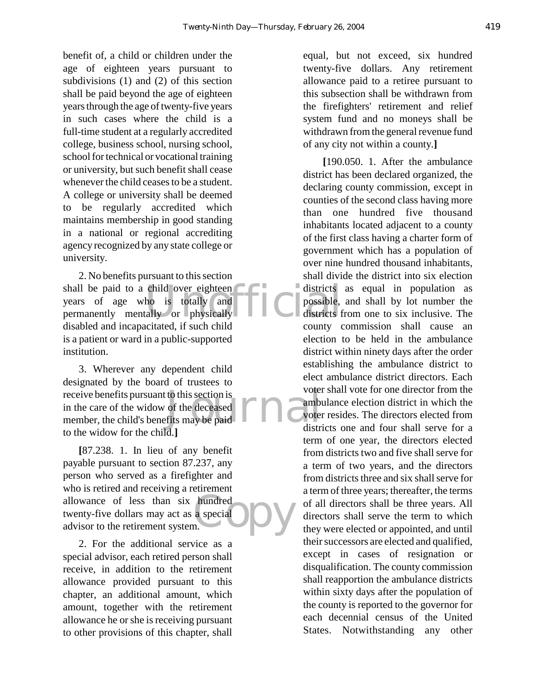benefit of, a child or children under the age of eighteen years pursuant to subdivisions (1) and (2) of this section shall be paid beyond the age of eighteen years through the age of twenty-five years in such cases where the child is a full-time student at a regularly accredited college, business school, nursing school, school for technical or vocational training or university, but such benefit shall cease whenever the child ceases to be a student. A college or university shall be deemed to be regularly accredited which maintains membership in good standing in a national or regional accrediting agency recognized by any state college or university.

shall be paid to a child over eighteen<br>
years of age who is totally and<br>
permanently mentally or physically 2. No benefits pursuant to this section years of age who is totally and permanently mentally or physically disabled and incapacitated, if such child is a patient or ward in a public-supported institution.

receive benefits pursuant to this section is<br>
in the care of the widow of the deceased<br>
member, the child's benefits may be paid<br>
distributed the child of the distribution of the distribution of the distribution of the dis 3. Wherever any dependent child designated by the board of trustees to receive benefits pursuant to this section is in the care of the widow of the deceased to the widow for the child.**]**

hundred<br>a special DV **[**87.238. 1. In lieu of any benefit payable pursuant to section 87.237, any person who served as a firefighter and who is retired and receiving a retirement allowance of less than six hundred twenty-five dollars may act as a special advisor to the retirement system.

2. For the additional service as a special advisor, each retired person shall receive, in addition to the retirement allowance provided pursuant to this chapter, an additional amount, which amount, together with the retirement allowance he or she is receiving pursuant to other provisions of this chapter, shall

equal, but not exceed, six hundred twenty-five dollars. Any retirement allowance paid to a retiree pursuant to this subsection shall be withdrawn from the firefighters' retirement and relief system fund and no moneys shall be withdrawn from the general revenue fund of any city not within a county.**]**

**[**190.050. 1. After the ambulance district has been declared organized, the declaring county commission, except in counties of the second class having more than one hundred five thousand inhabitants located adjacent to a county of the first class having a charter form of government which has a population of over nine hundred thousand inhabitants, shall divide the district into six election districts as equal in population as possible, and shall by lot number the districts from one to six inclusive. The county commission shall cause an election to be held in the ambulance district within ninety days after the order establishing the ambulance district to elect ambulance district directors. Each voter shall vote for one director from the ambulance election district in which the voter resides. The directors elected from districts one and four shall serve for a term of one year, the directors elected from districts two and five shall serve for a term of two years, and the directors from districts three and six shall serve for a term of three years; thereafter, the terms of all directors shall be three years. All directors shall serve the term to which they were elected or appointed, and until their successors are elected and qualified, except in cases of resignation or disqualification. The county commission shall reapportion the ambulance districts within sixty days after the population of the county is reported to the governor for each decennial census of the United States. Notwithstanding any other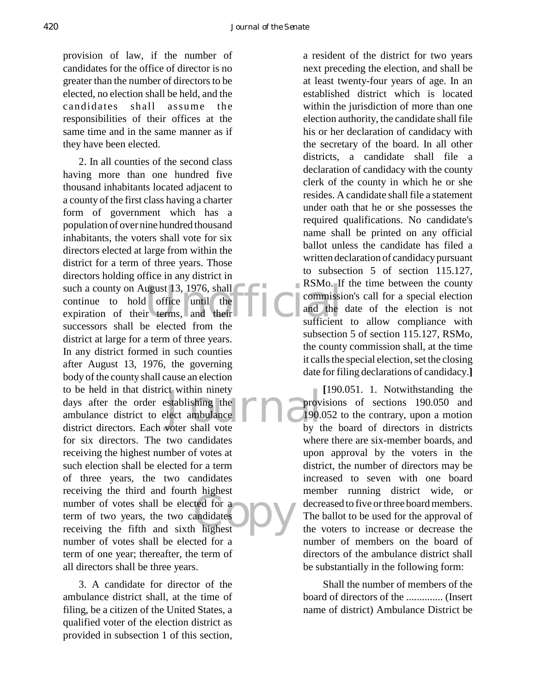provision of law, if the number of candidates for the office of director is no greater than the number of directors to be elected, no election shall be held, and the candidates shall assume the responsibilities of their offices at the same time and in the same manner as if they have been elected.

such a county on August 13, 1976, shall<br>
continue to hold office until the terms and their<br>
expiration of their terms, and their<br>
sufficient ext within ninety<br>
stablishing the<br>
lect ambulance<br>
voter shall vote<br>
by t ted for a<br>andidates<br>highest 2. In all counties of the second class having more than one hundred five thousand inhabitants located adjacent to a county of the first class having a charter form of government which has a population of over nine hundred thousand inhabitants, the voters shall vote for six directors elected at large from within the district for a term of three years. Those directors holding office in any district in such a county on August 13, 1976, shall continue to hold office until the successors shall be elected from the district at large for a term of three years. In any district formed in such counties after August 13, 1976, the governing body of the county shall cause an election to be held in that district within ninety days after the order establishing the ambulance district to elect ambulance district directors. Each voter shall vote for six directors. The two candidates receiving the highest number of votes at such election shall be elected for a term of three years, the two candidates receiving the third and fourth highest number of votes shall be elected for a term of two years, the two candidates receiving the fifth and sixth highest number of votes shall be elected for a term of one year; thereafter, the term of all directors shall be three years.

3. A candidate for director of the ambulance district shall, at the time of filing, be a citizen of the United States, a qualified voter of the election district as provided in subsection 1 of this section,

a resident of the district for two years next preceding the election, and shall be at least twenty-four years of age. In an established district which is located within the jurisdiction of more than one election authority, the candidate shall file his or her declaration of candidacy with the secretary of the board. In all other districts, a candidate shall file a declaration of candidacy with the county clerk of the county in which he or she resides. A candidate shall file a statement under oath that he or she possesses the required qualifications. No candidate's name shall be printed on any official ballot unless the candidate has filed a written declaration of candidacy pursuant to subsection 5 of section 115.127, RSMo. If the time between the county commission's call for a special election and the date of the election is not sufficient to allow compliance with subsection 5 of section 115.127, RSMo, the county commission shall, at the time it calls the special election, set the closing date for filing declarations of candidacy.**]**

**[**190.051. 1. Notwithstanding the provisions of sections 190.050 and 190.052 to the contrary, upon a motion by the board of directors in districts where there are six-member boards, and upon approval by the voters in the district, the number of directors may be increased to seven with one board member running district wide, or decreased to five or three board members. The ballot to be used for the approval of the voters to increase or decrease the number of members on the board of directors of the ambulance district shall be substantially in the following form:

Shall the number of members of the board of directors of the .............. (Insert name of district) Ambulance District be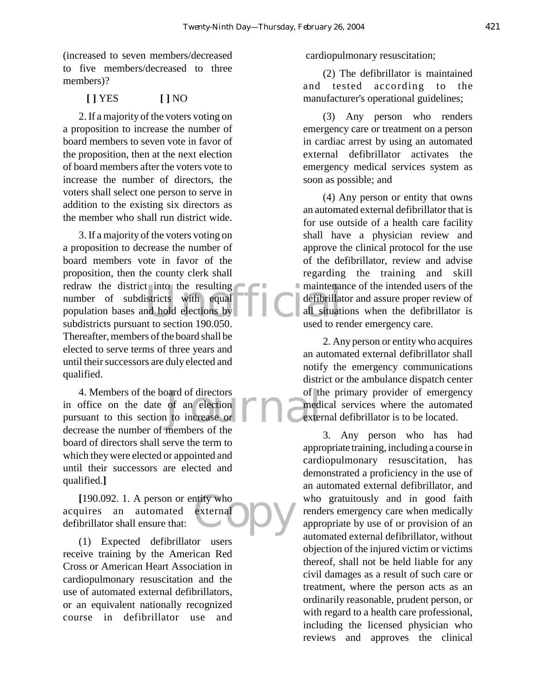(increased to seven members/decreased to five members/decreased to three members)?

# **[ ]** YES **[ ]** NO

2. If a majority of the voters voting on a proposition to increase the number of board members to seven vote in favor of the proposition, then at the next election of board members after the voters vote to increase the number of directors, the voters shall select one person to serve in addition to the existing six directors as the member who shall run district wide.

t into the resulting<br>
istricts with equal defibrillat<br>
all situation<br>
to section 190,050<br>
used to re 3. If a majority of the voters voting on a proposition to decrease the number of board members vote in favor of the proposition, then the county clerk shall redraw the district into the resulting number of subdistricts with equal population bases and hold elections by subdistricts pursuant to section 190.050. Thereafter, members of the board shall be elected to serve terms of three years and until their successors are duly elected and qualified.

beard of directors of the<br>of an election<br>of the contract of the<br>members of the 4. Members of the board of directors in office on the date of an election pursuant to this section to increase or decrease the number of members of the board of directors shall serve the term to which they were elected or appointed and until their successors are elected and qualified.**]**

ntity who<br>externated the N **[**190.092. 1. A person or entity who acquires an automated external defibrillator shall ensure that:

(1) Expected defibrillator users receive training by the American Red Cross or American Heart Association in cardiopulmonary resuscitation and the use of automated external defibrillators, or an equivalent nationally recognized course in defibrillator use and cardiopulmonary resuscitation;

(2) The defibrillator is maintained and tested according to the manufacturer's operational guidelines;

(3) Any person who renders emergency care or treatment on a person in cardiac arrest by using an automated external defibrillator activates the emergency medical services system as soon as possible; and

(4) Any person or entity that owns an automated external defibrillator that is for use outside of a health care facility shall have a physician review and approve the clinical protocol for the use of the defibrillator, review and advise regarding the training and skill maintenance of the intended users of the defibrillator and assure proper review of all situations when the defibrillator is used to render emergency care.

2. Any person or entity who acquires an automated external defibrillator shall notify the emergency communications district or the ambulance dispatch center of the primary provider of emergency medical services where the automated external defibrillator is to be located.

3. Any person who has had appropriate training, including a course in cardiopulmonary resuscitation, has demonstrated a proficiency in the use of an automated external defibrillator, and who gratuitously and in good faith renders emergency care when medically appropriate by use of or provision of an automated external defibrillator, without objection of the injured victim or victims thereof, shall not be held liable for any civil damages as a result of such care or treatment, where the person acts as an ordinarily reasonable, prudent person, or with regard to a health care professional, including the licensed physician who reviews and approves the clinical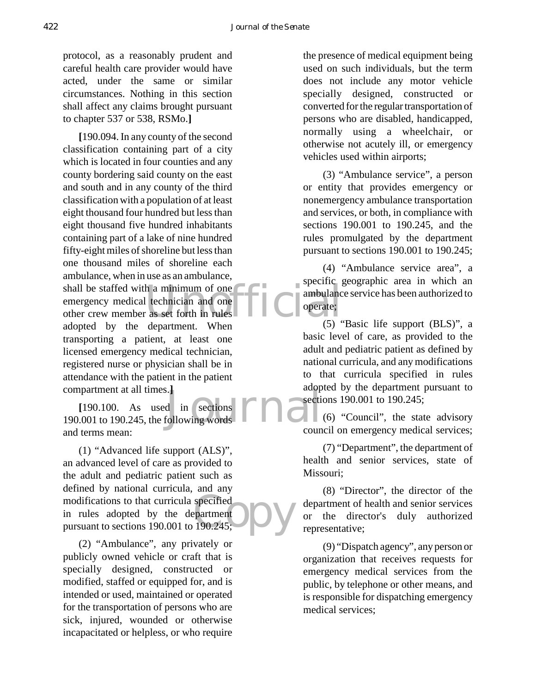protocol, as a reasonably prudent and careful health care provider would have acted, under the same or similar circumstances. Nothing in this section shall affect any claims brought pursuant to chapter 537 or 538, RSMo.**]**

shall be staffed with a minimum of one<br>
emergency medical technician and one<br>
other crew member as set forth in rules<br>
operate;<br>
operate;<br>
operate;<br>  $(5)$ **[**190.094. In any county of the second classification containing part of a city which is located in four counties and any county bordering said county on the east and south and in any county of the third classification with a population of at least eight thousand four hundred but less than eight thousand five hundred inhabitants containing part of a lake of nine hundred fifty-eight miles of shoreline but less than one thousand miles of shoreline each ambulance, when in use as an ambulance, emergency medical technician and one other crew member as set forth in rules adopted by the department. When transporting a patient, at least one licensed emergency medical technician, registered nurse or physician shall be in attendance with the patient in the patient compartment at all times.**]**

i. J<br>d in sections **FID** adopted<br>following words **FID** and **[**190.100. As used in sections 190.001 to 190.245, the following words and terms mean:

specified<br>partment<br>190.245; (1) "Advanced life support (ALS)", an advanced level of care as provided to the adult and pediatric patient such as defined by national curricula, and any modifications to that curricula specified in rules adopted by the department pursuant to sections 190.001 to 190.245;

(2) "Ambulance", any privately or publicly owned vehicle or craft that is specially designed, constructed or modified, staffed or equipped for, and is intended or used, maintained or operated for the transportation of persons who are sick, injured, wounded or otherwise incapacitated or helpless, or who require

the presence of medical equipment being used on such individuals, but the term does not include any motor vehicle specially designed, constructed or converted for the regular transportation of persons who are disabled, handicapped, normally using a wheelchair, or otherwise not acutely ill, or emergency vehicles used within airports;

(3) "Ambulance service", a person or entity that provides emergency or nonemergency ambulance transportation and services, or both, in compliance with sections 190.001 to 190.245, and the rules promulgated by the department pursuant to sections 190.001 to 190.245;

(4) "Ambulance service area", a specific geographic area in which an ambulance service has been authorized to operate;

(5) "Basic life support (BLS)", a basic level of care, as provided to the adult and pediatric patient as defined by national curricula, and any modifications to that curricula specified in rules adopted by the department pursuant to sections 190.001 to 190.245;

 $\Box$ (6) "Council", the state advisory council on emergency medical services;

(7) "Department", the department of health and senior services, state of Missouri;

(8) "Director", the director of the department of health and senior services or the director's duly authorized representative;

(9) "Dispatch agency", any person or organization that receives requests for emergency medical services from the public, by telephone or other means, and is responsible for dispatching emergency medical services;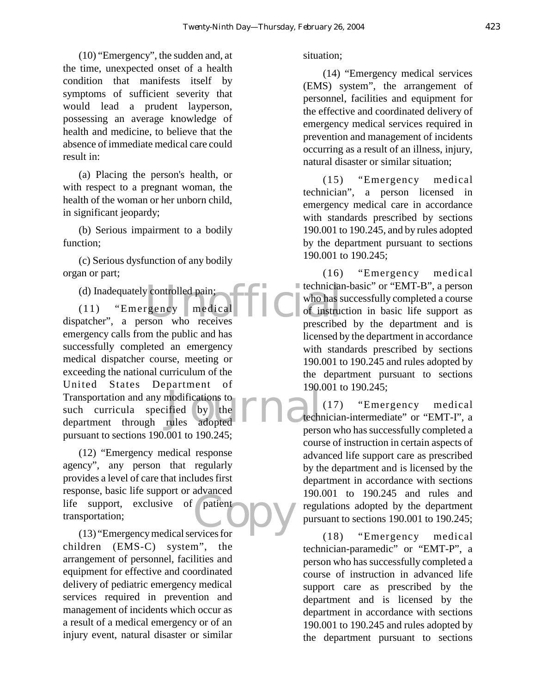(10) "Emergency", the sudden and, at the time, unexpected onset of a health condition that manifests itself by symptoms of sufficient severity that would lead a prudent layperson, possessing an average knowledge of health and medicine, to believe that the absence of immediate medical care could result in:

(a) Placing the person's health, or with respect to a pregnant woman, the health of the woman or her unborn child, in significant jeopardy;

(b) Serious impairment to a bodily function;

(c) Serious dysfunction of any bodily organ or part;

(d) Inadequately controlled pain;

(d) Inadequately controlled pain;<br>
(11) "Emergency medical who has s<br>
dispatcher", a person who receives prescribed modifications to<br>ified by the **FIRE**<br>rules adopted (11) "Emergency medical emergency calls from the public and has successfully completed an emergency medical dispatcher course, meeting or exceeding the national curriculum of the United States Department of Transportation and any modifications to such curricula specified by the department through rules adopted pursuant to sections 190.001 to 190.245;

patient<br> **CODY**<br> **CODY** (12) "Emergency medical response agency", any person that regularly provides a level of care that includes first response, basic life support or advanced life support, exclusive of patient transportation;

(13) "Emergency medical services for children (EMS-C) system", the arrangement of personnel, facilities and equipment for effective and coordinated delivery of pediatric emergency medical services required in prevention and management of incidents which occur as a result of a medical emergency or of an injury event, natural disaster or similar

#### situation;

(14) "Emergency medical services (EMS) system", the arrangement of personnel, facilities and equipment for the effective and coordinated delivery of emergency medical services required in prevention and management of incidents occurring as a result of an illness, injury, natural disaster or similar situation;

(15) "Emergency medical technician", a person licensed in emergency medical care in accordance with standards prescribed by sections 190.001 to 190.245, and by rules adopted by the department pursuant to sections 190.001 to 190.245;

(16) "Emergency medical technician-basic" or "EMT-B", a person who has successfully completed a course of instruction in basic life support as prescribed by the department and is licensed by the department in accordance with standards prescribed by sections 190.001 to 190.245 and rules adopted by the department pursuant to sections 190.001 to 190.245;

(17) "Emergency medical technician-intermediate" or "EMT-I", a person who has successfully completed a course of instruction in certain aspects of advanced life support care as prescribed by the department and is licensed by the department in accordance with sections 190.001 to 190.245 and rules and regulations adopted by the department pursuant to sections 190.001 to 190.245;

(18) "Emergency medical technician-paramedic" or "EMT-P", a person who has successfully completed a course of instruction in advanced life support care as prescribed by the department and is licensed by the department in accordance with sections 190.001 to 190.245 and rules adopted by the department pursuant to sections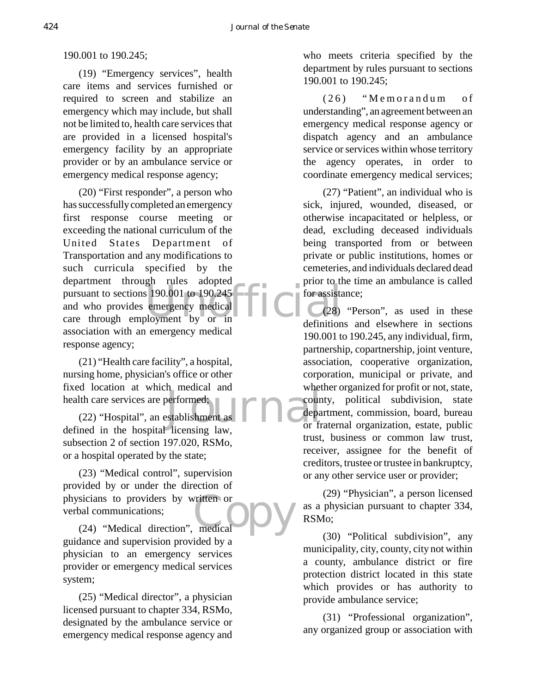190.001 to 190.245;

(19) "Emergency services", health care items and services furnished or required to screen and stabilize an emergency which may include, but shall not be limited to, health care services that are provided in a licensed hospital's emergency facility by an appropriate provider or by an ambulance service or emergency medical response agency;

pursuant to sections 190.001 to 190.245<br>
and who provides emergency medical<br>
care through employment by or in (20) "First responder", a person who has successfully completed an emergency first response course meeting or exceeding the national curriculum of the United States Department of Transportation and any modifications to such curricula specified by the department through rules adopted and who provides emergency medical care through employment by or in association with an emergency medical response agency;

(21) "Health care facility", a hospital, nursing home, physician's office or other fixed location at which medical and health care services are performed;

erformed:<br>
Stablishment as **FIRE** department of the department of the department of the department of the department of the department of the department of the department of the department of the department of the departme (22) "Hospital", an establishment as defined in the hospital licensing law, subsection 2 of section 197.020, RSMo, or a hospital operated by the state;

**Contract OF THE CONTRACT OF THE CONTRACT OF THE CONTRACT OF THE CONTRACT OF THE CONTRACT OF THE CONTRACT OF THE CONTRACT OF THE CONTRACT OF THE CONTRACT OF THE CONTRACT OF THE CONTRACT OF THE CONTRACT OF THE CONTRACT OF T** (23) "Medical control", supervision provided by or under the direction of physicians to providers by written or verbal communications;

(24) "Medical direction", medical guidance and supervision provided by a physician to an emergency services provider or emergency medical services system;

(25) "Medical director", a physician licensed pursuant to chapter 334, RSMo, designated by the ambulance service or emergency medical response agency and who meets criteria specified by the department by rules pursuant to sections 190.001 to 190.245;

(26) "Memorandum of understanding", an agreement between an emergency medical response agency or dispatch agency and an ambulance service or services within whose territory the agency operates, in order to coordinate emergency medical services;

(27) "Patient", an individual who is sick, injured, wounded, diseased, or otherwise incapacitated or helpless, or dead, excluding deceased individuals being transported from or between private or public institutions, homes or cemeteries, and individuals declared dead prior to the time an ambulance is called for assistance;

(28) "Person", as used in these definitions and elsewhere in sections 190.001 to 190.245, any individual, firm, partnership, copartnership, joint venture, association, cooperative organization, corporation, municipal or private, and whether organized for profit or not, state, county, political subdivision, state department, commission, board, bureau or fraternal organization, estate, public trust, business or common law trust, receiver, assignee for the benefit of creditors, trustee or trustee in bankruptcy, or any other service user or provider;

(29) "Physician", a person licensed as a physician pursuant to chapter 334, RSMo;

(30) "Political subdivision", any municipality, city, county, city not within a county, ambulance district or fire protection district located in this state which provides or has authority to provide ambulance service;

(31) "Professional organization", any organized group or association with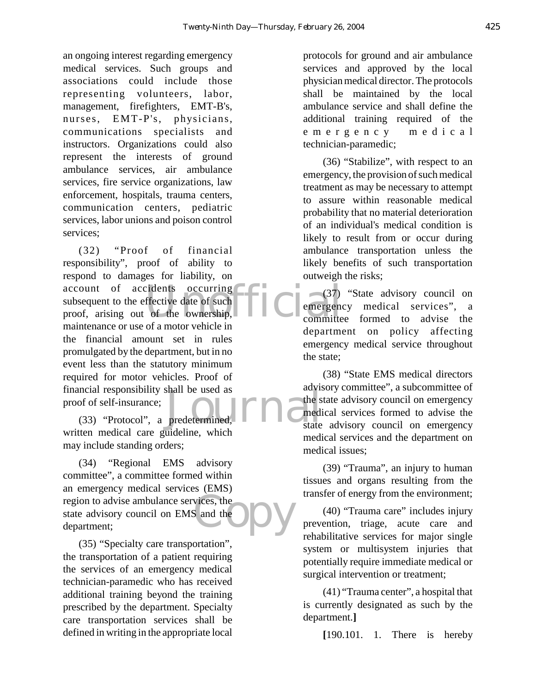an ongoing interest regarding emergency medical services. Such groups and associations could include those representing volunteers, labor, management, firefighters, EMT-B's, nurses, EMT-P's, physicians, communications specialists and instructors. Organizations could also represent the interests of ground ambulance services, air ambulance services, fire service organizations, law enforcement, hospitals, trauma centers, communication centers, pediatric services, labor unions and poison control services;

account of accidents occurring<br>
subsequent to the effective date of such<br>
proof, arising out of the ownership,<br>
meintangnes or we of a materialistic in media responsibility shall be used as<br>
of of self-insurance;<br>
(33) "Protocol", a predetermined, and the state (32) "Proof of financial responsibility", proof of ability to respond to damages for liability, on subsequent to the effective date of such proof, arising out of the ownership, maintenance or use of a motor vehicle in the financial amount set in rules promulgated by the department, but in no event less than the statutory minimum required for motor vehicles. Proof of financial responsibility shall be used as proof of self-insurance;

written medical care guideline, which may include standing orders;

vices, the (34) "Regional EMS advisory committee", a committee formed within an emergency medical services (EMS) region to advise ambulance services, the state advisory council on EMS and the department;

(35) "Specialty care transportation", the transportation of a patient requiring the services of an emergency medical technician-paramedic who has received additional training beyond the training prescribed by the department. Specialty care transportation services shall be defined in writing in the appropriate local

protocols for ground and air ambulance services and approved by the local physician medical director. The protocols shall be maintained by the local ambulance service and shall define the additional training required of the emergency medical technician-paramedic;

(36) "Stabilize", with respect to an emergency, the provision of such medical treatment as may be necessary to attempt to assure within reasonable medical probability that no material deterioration of an individual's medical condition is likely to result from or occur during ambulance transportation unless the likely benefits of such transportation outweigh the risks;

(37) "State advisory council on emergency medical services", a committee formed to advise the department on policy affecting emergency medical service throughout the state;

(38) "State EMS medical directors advisory committee", a subcommittee of the state advisory council on emergency medical services formed to advise the state advisory council on emergency medical services and the department on medical issues;

(39) "Trauma", an injury to human tissues and organs resulting from the transfer of energy from the environment;

(40) "Trauma care" includes injury prevention, triage, acute care and rehabilitative services for major single system or multisystem injuries that potentially require immediate medical or surgical intervention or treatment;

(41) "Trauma center", a hospital that is currently designated as such by the department.**]**

**[**190.101. 1. There is hereby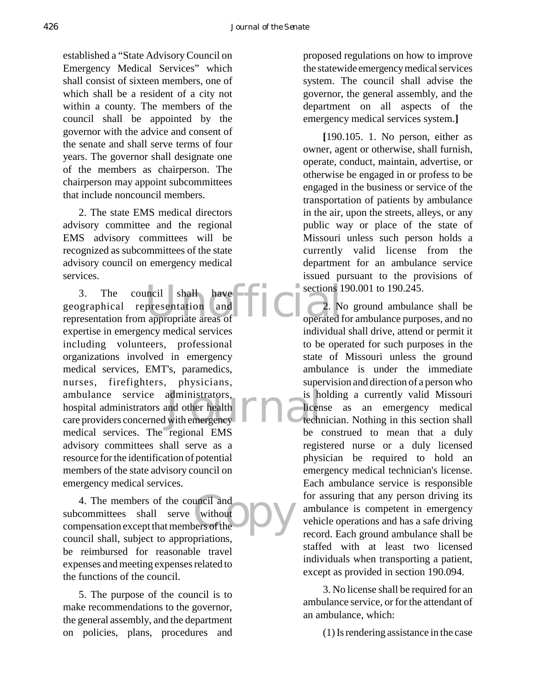established a "State Advisory Council on Emergency Medical Services" which shall consist of sixteen members, one of which shall be a resident of a city not within a county. The members of the council shall be appointed by the governor with the advice and consent of the senate and shall serve terms of four years. The governor shall designate one of the members as chairperson. The chairperson may appoint subcommittees that include noncouncil members.

2. The state EMS medical directors advisory committee and the regional EMS advisory committees will be recognized as subcommittees of the state advisory council on emergency medical services.

3. The council shall have exections 1<br>geographical representation and  $\begin{bmatrix} 2 & N \end{bmatrix}$ <br>representation from appropriate areas of ambulance service administrators, is hospital administrators and other health<br>
care providers concerned with emergency 3. The council shall have geographical representation and expertise in emergency medical services including volunteers, professional organizations involved in emergency medical services, EMT's, paramedics, nurses, firefighters, physicians, ambulance service administrators, hospital administrators and other health medical services. The regional EMS advisory committees shall serve as a resource for the identification of potential members of the state advisory council on emergency medical services.

uncil and<br>
without<br>
pers of the 4. The members of the council and subcommittees shall serve without compensation except that members of the council shall, subject to appropriations, be reimbursed for reasonable travel expenses and meeting expenses related to the functions of the council.

5. The purpose of the council is to make recommendations to the governor, the general assembly, and the department on policies, plans, procedures and proposed regulations on how to improve the statewide emergency medical services system. The council shall advise the governor, the general assembly, and the department on all aspects of the emergency medical services system.**]**

**[**190.105. 1. No person, either as owner, agent or otherwise, shall furnish, operate, conduct, maintain, advertise, or otherwise be engaged in or profess to be engaged in the business or service of the transportation of patients by ambulance in the air, upon the streets, alleys, or any public way or place of the state of Missouri unless such person holds a currently valid license from the department for an ambulance service issued pursuant to the provisions of sections 190.001 to 190.245.

2. No ground ambulance shall be operated for ambulance purposes, and no individual shall drive, attend or permit it to be operated for such purposes in the state of Missouri unless the ground ambulance is under the immediate supervision and direction of a person who is holding a currently valid Missouri license as an emergency medical technician. Nothing in this section shall be construed to mean that a duly registered nurse or a duly licensed physician be required to hold an emergency medical technician's license. Each ambulance service is responsible for assuring that any person driving its ambulance is competent in emergency vehicle operations and has a safe driving record. Each ground ambulance shall be staffed with at least two licensed individuals when transporting a patient, except as provided in section 190.094.

3. No license shall be required for an ambulance service, or for the attendant of an ambulance, which:

(1) Is rendering assistance in the case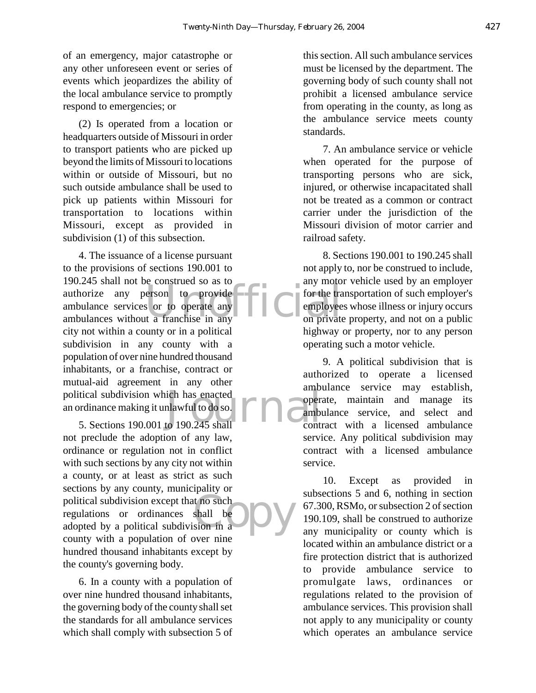of an emergency, major catastrophe or any other unforeseen event or series of events which jeopardizes the ability of the local ambulance service to promptly respond to emergencies; or

(2) Is operated from a location or headquarters outside of Missouri in order to transport patients who are picked up beyond the limits of Missouri to locations within or outside of Missouri, but no such outside ambulance shall be used to pick up patients within Missouri for transportation to locations within Missouri, except as provided in subdivision (1) of this subsection.

authorize any person to provide<br>
ambulance services or to operate any for the transmolulance services or to operate any<br>
ambulances without a franchise in any ich has enacted<br>nlawful to do so.<br>to 190.245 shall contracted 4. The issuance of a license pursuant to the provisions of sections 190.001 to 190.245 shall not be construed so as to authorize any person to provide ambulance services or to operate any city not within a county or in a political subdivision in any county with a population of over nine hundred thousand inhabitants, or a franchise, contract or mutual-aid agreement in any other political subdivision which has enacted an ordinance making it unlawful to do so.

t no such<br>shall be<br>sion in a 5. Sections 190.001 to 190.245 shall not preclude the adoption of any law, ordinance or regulation not in conflict with such sections by any city not within a county, or at least as strict as such sections by any county, municipality or political subdivision except that no such regulations or ordinances shall be adopted by a political subdivision in a county with a population of over nine hundred thousand inhabitants except by the county's governing body.

6. In a county with a population of over nine hundred thousand inhabitants, the governing body of the county shall set the standards for all ambulance services which shall comply with subsection 5 of

this section. All such ambulance services must be licensed by the department. The governing body of such county shall not prohibit a licensed ambulance service from operating in the county, as long as the ambulance service meets county standards.

7. An ambulance service or vehicle when operated for the purpose of transporting persons who are sick, injured, or otherwise incapacitated shall not be treated as a common or contract carrier under the jurisdiction of the Missouri division of motor carrier and railroad safety.

8. Sections 190.001 to 190.245 shall not apply to, nor be construed to include, any motor vehicle used by an employer for the transportation of such employer's employees whose illness or injury occurs on private property, and not on a public highway or property, nor to any person operating such a motor vehicle.

9. A political subdivision that is authorized to operate a licensed ambulance service may establish, operate, maintain and manage its ambulance service, and select and contract with a licensed ambulance service. Any political subdivision may contract with a licensed ambulance service.

10. Except as provided in subsections 5 and 6, nothing in section 67.300, RSMo, or subsection 2 of section 190.109, shall be construed to authorize any municipality or county which is located within an ambulance district or a fire protection district that is authorized to provide ambulance service to promulgate laws, ordinances or regulations related to the provision of ambulance services. This provision shall not apply to any municipality or county which operates an ambulance service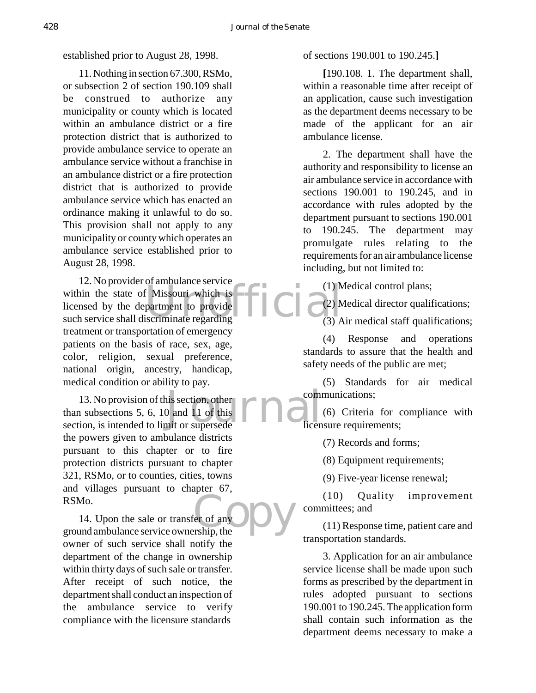established prior to August 28, 1998.

11. Nothing in section 67.300, RSMo, or subsection 2 of section 190.109 shall be construed to authorize any municipality or county which is located within an ambulance district or a fire protection district that is authorized to provide ambulance service to operate an ambulance service without a franchise in an ambulance district or a fire protection district that is authorized to provide ambulance service which has enacted an ordinance making it unlawful to do so. This provision shall not apply to any municipality or county which operates an ambulance service established prior to August 28, 1998.

within the state of Missouri which is<br>
licensed by the department to provide<br>
such service shall discriminate regarding<br>
(3) A 12. No provider of ambulance service within the state of Missouri which is licensed by the department to provide treatment or transportation of emergency patients on the basis of race, sex, age, color, religion, sexual preference, national origin, ancestry, handicap, medical condition or ability to pay.

his section, other<br>D and 11 of this<br>mit or supersede 13. No provision of this section, other than subsections 5, 6, 10 and 11 of this section, is intended to limit or supersede the powers given to ambulance districts pursuant to this chapter or to fire protection districts pursuant to chapter 321, RSMo, or to counties, cities, towns and villages pursuant to chapter 67, RSMo.

er of any DV 14. Upon the sale or transfer of any ground ambulance service ownership, the owner of such service shall notify the department of the change in ownership within thirty days of such sale or transfer. After receipt of such notice, the department shall conduct an inspection of the ambulance service to verify compliance with the licensure standards

of sections 190.001 to 190.245.**]**

**[**190.108. 1. The department shall, within a reasonable time after receipt of an application, cause such investigation as the department deems necessary to be made of the applicant for an air ambulance license.

2. The department shall have the authority and responsibility to license an air ambulance service in accordance with sections 190.001 to 190.245, and in accordance with rules adopted by the department pursuant to sections 190.001 to 190.245. The department may promulgate rules relating to the requirements for an air ambulance license including, but not limited to:

(1) Medical control plans;

(2) Medical director qualifications;

(3) Air medical staff qualifications;

(4) Response and operations standards to assure that the health and safety needs of the public are met;

(5) Standards for air medical communications;

(6) Criteria for compliance with licensure requirements;

(7) Records and forms;

(8) Equipment requirements;

(9) Five-year license renewal;

(10) Quality improvement committees; and

(11) Response time, patient care and transportation standards.

3. Application for an air ambulance service license shall be made upon such forms as prescribed by the department in rules adopted pursuant to sections 190.001 to 190.245. The application form shall contain such information as the department deems necessary to make a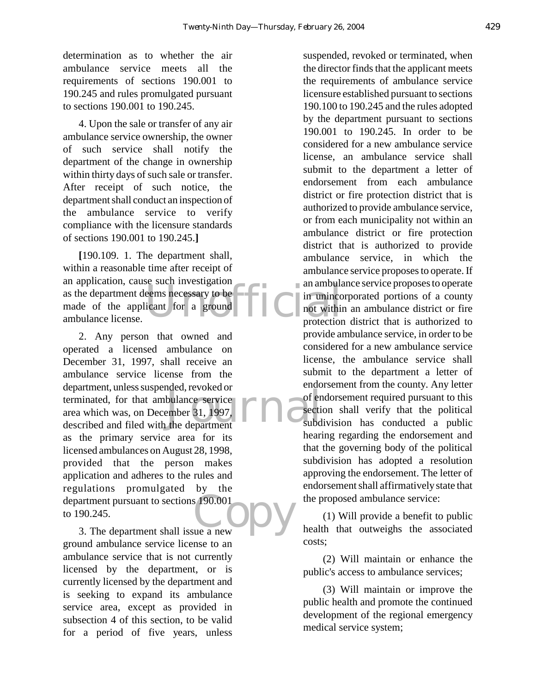determination as to whether the air ambulance service meets all the requirements of sections 190.001 to 190.245 and rules promulgated pursuant to sections 190.001 to 190.245.

4. Upon the sale or transfer of any air ambulance service ownership, the owner of such service shall notify the department of the change in ownership within thirty days of such sale or transfer. After receipt of such notice, the department shall conduct an inspection of the ambulance service to verify compliance with the licensure standards of sections 190.001 to 190.245.**]**

an amount as the department deems necessary to be applicant for a ground amount of the applicant for a ground amount amount amount amount amount amount and the state of the applicant for a ground  $\sum_{n=1}^{\infty}$  and  $\sum_{n=1$ **[**190.109. 1. The department shall, within a reasonable time after receipt of an application, cause such investigation made of the applicant for a ground ambulance license.

bulance service<br>
ember 31, 1997,<br>
the department<br>
the department  $\sum_{\text{ue a new}}^{190.001}$ 2. Any person that owned and operated a licensed ambulance on December 31, 1997, shall receive an ambulance service license from the department, unless suspended, revoked or terminated, for that ambulance service area which was, on December 31, 1997, described and filed with the department as the primary service area for its licensed ambulances on August 28, 1998, provided that the person makes application and adheres to the rules and regulations promulgated by the department pursuant to sections 190.001 to 190.245.

3. The department shall issue a new ground ambulance service license to an ambulance service that is not currently licensed by the department, or is currently licensed by the department and is seeking to expand its ambulance service area, except as provided in subsection 4 of this section, to be valid for a period of five years, unless

suspended, revoked or terminated, when the director finds that the applicant meets the requirements of ambulance service licensure established pursuant to sections 190.100 to 190.245 and the rules adopted by the department pursuant to sections 190.001 to 190.245. In order to be considered for a new ambulance service license, an ambulance service shall submit to the department a letter of endorsement from each ambulance district or fire protection district that is authorized to provide ambulance service, or from each municipality not within an ambulance district or fire protection district that is authorized to provide ambulance service, in which the ambulance service proposes to operate. If an ambulance service proposes to operate in unincorporated portions of a county not within an ambulance district or fire protection district that is authorized to provide ambulance service, in order to be considered for a new ambulance service license, the ambulance service shall submit to the department a letter of endorsement from the county. Any letter of endorsement required pursuant to this section shall verify that the political subdivision has conducted a public hearing regarding the endorsement and that the governing body of the political subdivision has adopted a resolution approving the endorsement. The letter of endorsement shall affirmatively state that the proposed ambulance service:

(1) Will provide a benefit to public health that outweighs the associated costs;

(2) Will maintain or enhance the public's access to ambulance services;

(3) Will maintain or improve the public health and promote the continued development of the regional emergency medical service system;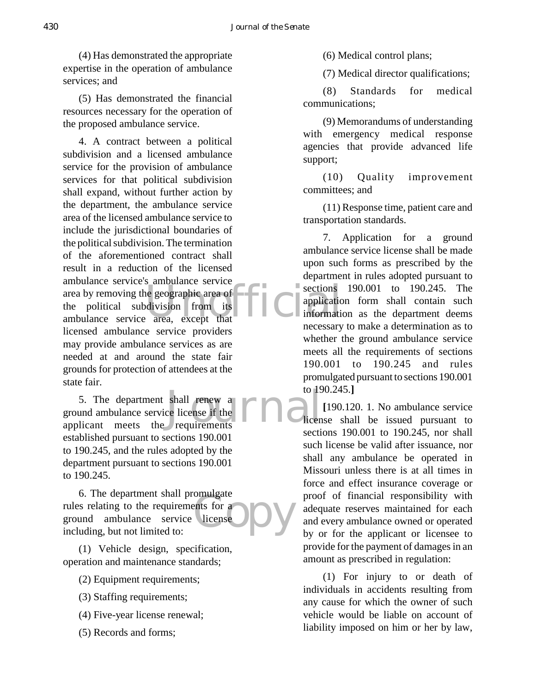(4) Has demonstrated the appropriate expertise in the operation of ambulance services; and

(5) Has demonstrated the financial resources necessary for the operation of the proposed ambulance service.

ambulance service ambulance service<br>
the political subdivision from its<br>
ambulance service area, except that 4. A contract between a political subdivision and a licensed ambulance service for the provision of ambulance services for that political subdivision shall expand, without further action by the department, the ambulance service area of the licensed ambulance service to include the jurisdictional boundaries of the political subdivision. The termination of the aforementioned contract shall result in a reduction of the licensed ambulance service's ambulance service area by removing the geographic area of the political subdivision from its licensed ambulance service providers may provide ambulance services as are needed at and around the state fair grounds for protection of attendees at the state fair.

shall renew a<br>ce license if the **Figure 19** dicen-<br>requirements 5. The department shall renew a ground ambulance service license if the applicant meets the requirements established pursuant to sections 190.001 to 190.245, and the rules adopted by the department pursuant to sections 190.001 to 190.245.

omurgate<br>ents for a<br>license 6. The department shall promulgate rules relating to the requirements for a ground ambulance service license including, but not limited to:

(1) Vehicle design, specification, operation and maintenance standards;

- (2) Equipment requirements;
- (3) Staffing requirements;
- (4) Five-year license renewal;
- (5) Records and forms;

(6) Medical control plans;

(7) Medical director qualifications;

(8) Standards for medical communications;

(9) Memorandums of understanding with emergency medical response agencies that provide advanced life support;

(10) Quality improvement committees; and

(11) Response time, patient care and transportation standards.

7. Application for a ground ambulance service license shall be made upon such forms as prescribed by the department in rules adopted pursuant to sections 190.001 to 190.245. The application form shall contain such information as the department deems necessary to make a determination as to whether the ground ambulance service meets all the requirements of sections 190.001 to 190.245 and rules promulgated pursuant to sections 190.001 to 190.245.**]**

**[**190.120. 1. No ambulance service license shall be issued pursuant to sections 190.001 to 190.245, nor shall such license be valid after issuance, nor shall any ambulance be operated in Missouri unless there is at all times in force and effect insurance coverage or proof of financial responsibility with adequate reserves maintained for each and every ambulance owned or operated by or for the applicant or licensee to provide for the payment of damages in an amount as prescribed in regulation:

(1) For injury to or death of individuals in accidents resulting from any cause for which the owner of such vehicle would be liable on account of liability imposed on him or her by law,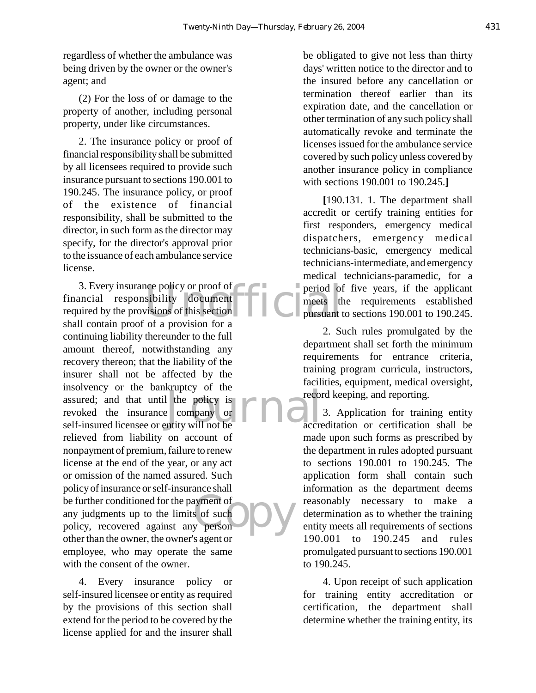regardless of whether the ambulance was being driven by the owner or the owner's agent; and

(2) For the loss of or damage to the property of another, including personal property, under like circumstances.

2. The insurance policy or proof of financial responsibility shall be submitted by all licensees required to provide such insurance pursuant to sections 190.001 to 190.245. The insurance policy, or proof of the existence of financial responsibility, shall be submitted to the director, in such form as the director may specify, for the director's approval prior to the issuance of each ambulance service license.

eve policy or proof of<br>sibility document<br>visions of this section<br>of a provision for a Let the policy is<br>
the policy is<br>
thity will not be<br>
accre Expressed<br>contained a transfer of the set of the set of the set of the set of the set of the set of the set of the set of the set of the set of the set of the set of the set of the set of the set of the set of the set of t 3. Every insurance policy or proof of financial responsibility document required by the provisions of this section shall contain proof of a provision for a continuing liability thereunder to the full amount thereof, notwithstanding any recovery thereon; that the liability of the insurer shall not be affected by the insolvency or the bankruptcy of the assured; and that until the policy is revoked the insurance company or self-insured licensee or entity will not be relieved from liability on account of nonpayment of premium, failure to renew license at the end of the year, or any act or omission of the named assured. Such policy of insurance or self-insurance shall be further conditioned for the payment of any judgments up to the limits of such policy, recovered against any person other than the owner, the owner's agent or employee, who may operate the same with the consent of the owner.

4. Every insurance policy or self-insured licensee or entity as required by the provisions of this section shall extend for the period to be covered by the license applied for and the insurer shall

be obligated to give not less than thirty days' written notice to the director and to the insured before any cancellation or termination thereof earlier than its expiration date, and the cancellation or other termination of any such policy shall automatically revoke and terminate the licenses issued for the ambulance service covered by such policy unless covered by another insurance policy in compliance with sections 190.001 to 190.245.**]**

**[**190.131. 1. The department shall accredit or certify training entities for first responders, emergency medical dispatchers, emergency medical technicians-basic, emergency medical technicians-intermediate, and emergency medical technicians-paramedic, for a period of five years, if the applicant meets the requirements established pursuant to sections 190.001 to 190.245.

2. Such rules promulgated by the department shall set forth the minimum requirements for entrance criteria, training program curricula, instructors, facilities, equipment, medical oversight, record keeping, and reporting.

3. Application for training entity accreditation or certification shall be made upon such forms as prescribed by the department in rules adopted pursuant to sections 190.001 to 190.245. The application form shall contain such information as the department deems reasonably necessary to make a determination as to whether the training entity meets all requirements of sections 190.001 to 190.245 and rules promulgated pursuant to sections 190.001 to 190.245.

4. Upon receipt of such application for training entity accreditation or certification, the department shall determine whether the training entity, its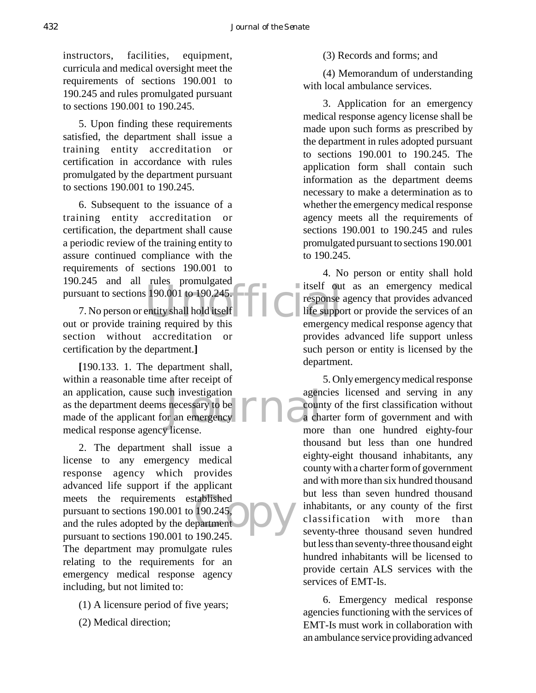instructors, facilities, equipment, curricula and medical oversight meet the requirements of sections 190.001 to 190.245 and rules promulgated pursuant to sections 190.001 to 190.245.

5. Upon finding these requirements satisfied, the department shall issue a training entity accreditation or certification in accordance with rules promulgated by the department pursuant to sections 190.001 to 190.245.

6. Subsequent to the issuance of a training entity accreditation or certification, the department shall cause a periodic review of the training entity to assure continued compliance with the requirements of sections 190.001 to 190.245 and all rules promulgated

pursuant to sections 190.001 to 190.245.<br>
T. No person or entity shall hold itself<br>
out or provide training required by this 7. No person or entity shall hold itself out or provide training required by this section without accreditation or certification by the department.**]**

ch investigation agen<br>
necessary to be<br>
or an emergency<br>
License **[**190.133. 1. The department shall, within a reasonable time after receipt of an application, cause such investigation as the department deems necessary to be made of the applicant for an emergency medical response agency license.

tablished<br>190.245<br>190.245 2. The department shall issue a license to any emergency medical response agency which provides advanced life support if the applicant meets the requirements established pursuant to sections 190.001 to 190.245, and the rules adopted by the department pursuant to sections 190.001 to 190.245. The department may promulgate rules relating to the requirements for an emergency medical response agency including, but not limited to:

- (1) A licensure period of five years;
- (2) Medical direction;

(3) Records and forms; and

(4) Memorandum of understanding with local ambulance services.

3. Application for an emergency medical response agency license shall be made upon such forms as prescribed by the department in rules adopted pursuant to sections 190.001 to 190.245. The application form shall contain such information as the department deems necessary to make a determination as to whether the emergency medical response agency meets all the requirements of sections 190.001 to 190.245 and rules promulgated pursuant to sections 190.001 to 190.245.

4. No person or entity shall hold itself out as an emergency medical response agency that provides advanced life support or provide the services of an emergency medical response agency that provides advanced life support unless such person or entity is licensed by the department.

5. Only emergency medical response agencies licensed and serving in any county of the first classification without a charter form of government and with more than one hundred eighty-four thousand but less than one hundred eighty-eight thousand inhabitants, any county with a charter form of government and with more than six hundred thousand but less than seven hundred thousand inhabitants, or any county of the first classification with more than seventy-three thousand seven hundred but less than seventy-three thousand eight hundred inhabitants will be licensed to provide certain ALS services with the services of EMT-Is.

6. Emergency medical response agencies functioning with the services of EMT-Is must work in collaboration with an ambulance service providing advanced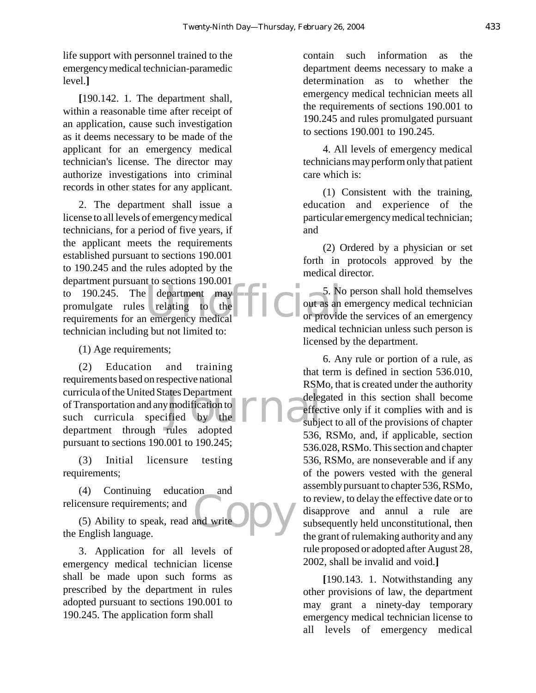life support with personnel trained to the emergency medical technician-paramedic level.**]**

**[**190.142. 1. The department shall, within a reasonable time after receipt of an application, cause such investigation as it deems necessary to be made of the applicant for an emergency medical technician's license. The director may authorize investigations into criminal records in other states for any applicant.

to 190.245. The department may contain the sections 190.001<br>promulgate rules relating to the couras and or providence of the couras and or providence of the couras and or providence of the couras and or providence of the c 2. The department shall issue a license to all levels of emergency medical technicians, for a period of five years, if the applicant meets the requirements established pursuant to sections 190.001 to 190.245 and the rules adopted by the department pursuant to sections 190.001 to 190.245. The department may promulgate rules relating to the technician including but not limited to:

(1) Age requirements;

ates Department<br>
The different state of the contract of the contract of the contract of the contract of the contract of the contract of the contract of the contract of the contract of the contract of the contract of the co (2) Education and training requirements based on respective national curricula of the United States Department of Transportation and any modification to such curricula specified by the department through rules adopted pursuant to sections 190.001 to 190.245;

(3) Initial licensure testing requirements;

(4) Continuing education and relicensure requirements; and

and write (5) Ability to speak, read and write the English language.

3. Application for all levels of emergency medical technician license shall be made upon such forms as prescribed by the department in rules adopted pursuant to sections 190.001 to 190.245. The application form shall

contain such information as the department deems necessary to make a determination as to whether the emergency medical technician meets all the requirements of sections 190.001 to 190.245 and rules promulgated pursuant to sections 190.001 to 190.245.

4. All levels of emergency medical technicians may perform only that patient care which is:

(1) Consistent with the training, education and experience of the particular emergency medical technician; and

(2) Ordered by a physician or set forth in protocols approved by the medical director.

5. No person shall hold themselves out as an emergency medical technician or provide the services of an emergency medical technician unless such person is licensed by the department.

6. Any rule or portion of a rule, as that term is defined in section 536.010, RSMo, that is created under the authority delegated in this section shall become effective only if it complies with and is subject to all of the provisions of chapter 536, RSMo, and, if applicable, section 536.028, RSMo. This section and chapter 536, RSMo, are nonseverable and if any of the powers vested with the general assembly pursuant to chapter 536, RSMo, to review, to delay the effective date or to disapprove and annul a rule are subsequently held unconstitutional, then the grant of rulemaking authority and any rule proposed or adopted after August 28, 2002, shall be invalid and void.**]**

**[**190.143. 1. Notwithstanding any other provisions of law, the department may grant a ninety-day temporary emergency medical technician license to all levels of emergency medical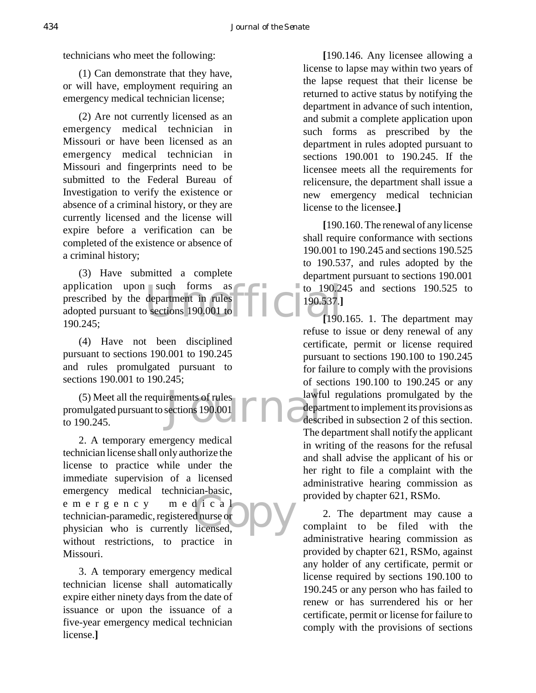technicians who meet the following:

(1) Can demonstrate that they have, or will have, employment requiring an emergency medical technician license;

(2) Are not currently licensed as an emergency medical technician in Missouri or have been licensed as an emergency medical technician in Missouri and fingerprints need to be submitted to the Federal Bureau of Investigation to verify the existence or absence of a criminal history, or they are currently licensed and the license will expire before a verification can be completed of the existence or absence of a criminal history;

such forms as<br>department in rules<br>b sections 190.001 to<br> $\begin{bmatrix} 190.537. \\ 190.537. \end{bmatrix}$ (3) Have submitted a complete application upon such forms as prescribed by the department in rules adopted pursuant to sections 190.001 to 190.245;

(4) Have not been disciplined pursuant to sections 190.001 to 190.245 and rules promulgated pursuant to sections 190.001 to 190.245;

Francisco de la Contra de la Contra de la Contra de la Contra de la Contra de la Contra de la Contra de la Contra de la Contra de la Contra de la Contra de la Contra de la Contra de la Contra de la Contra de la Contra de l (5) Meet all the requirements of rules promulgated pursuant to sections 190.001 to 190.245.

d i c a 1<br>dnurse or bicensed, 2. A temporary emergency medical technician license shall only authorize the license to practice while under the immediate supervision of a licensed emergency medical technician-basic, emergency medical technician-paramedic, registered nurse or physician who is currently licensed, without restrictions, to practice in Missouri.

3. A temporary emergency medical technician license shall automatically expire either ninety days from the date of issuance or upon the issuance of a five-year emergency medical technician license.**]**

**[**190.146. Any licensee allowing a license to lapse may within two years of the lapse request that their license be returned to active status by notifying the department in advance of such intention, and submit a complete application upon such forms as prescribed by the department in rules adopted pursuant to sections 190.001 to 190.245. If the licensee meets all the requirements for relicensure, the department shall issue a new emergency medical technician license to the licensee.**]**

**[**190.160. The renewal of any license shall require conformance with sections 190.001 to 190.245 and sections 190.525 to 190.537, and rules adopted by the department pursuant to sections 190.001  $\bullet$  to 190.245 and sections 190.525 to 190.537.**]**

**[**190.165. 1. The department may refuse to issue or deny renewal of any certificate, permit or license required pursuant to sections 190.100 to 190.245 for failure to comply with the provisions of sections 190.100 to 190.245 or any lawful regulations promulgated by the department to implement its provisions as described in subsection 2 of this section. The department shall notify the applicant in writing of the reasons for the refusal and shall advise the applicant of his or her right to file a complaint with the administrative hearing commission as provided by chapter 621, RSMo.

2. The department may cause a complaint to be filed with the administrative hearing commission as provided by chapter 621, RSMo, against any holder of any certificate, permit or license required by sections 190.100 to 190.245 or any person who has failed to renew or has surrendered his or her certificate, permit or license for failure to comply with the provisions of sections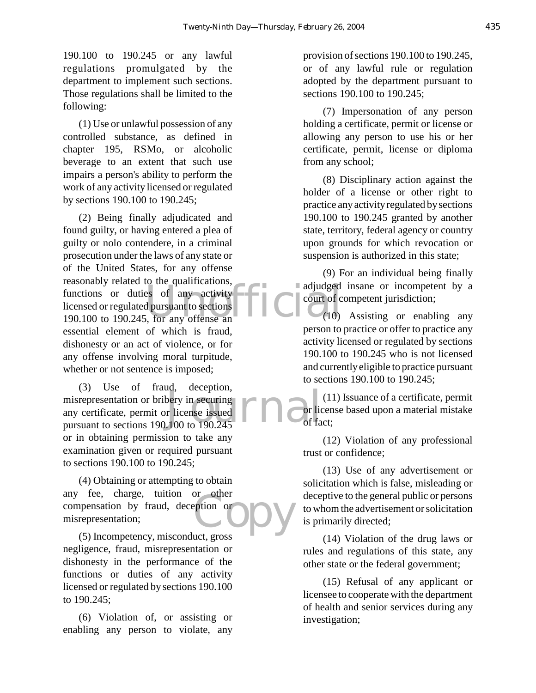190.100 to 190.245 or any lawful regulations promulgated by the department to implement such sections. Those regulations shall be limited to the following:

(1) Use or unlawful possession of any controlled substance, as defined in chapter 195, RSMo, or alcoholic beverage to an extent that such use impairs a person's ability to perform the work of any activity licensed or regulated by sections 190.100 to 190.245;

Functions or duties of any activity<br>
licensed or regulated pursuant to sections<br>
190.100 to 190.245, for any offense an (2) Being finally adjudicated and found guilty, or having entered a plea of guilty or nolo contendere, in a criminal prosecution under the laws of any state or of the United States, for any offense reasonably related to the qualifications, licensed or regulated pursuant to sections 190.100 to 190.245, for any offense an essential element of which is fraud, dishonesty or an act of violence, or for any offense involving moral turpitude, whether or not sentence is imposed;

bery in securing<br>r license issued<br>100 to 190.245 (3) Use of fraud, deception, misrepresentation or bribery in securing any certificate, permit or license issued pursuant to sections 190.100 to 190.245 or in obtaining permission to take any examination given or required pursuant to sections 190.100 to 190.245;

eption or<br>eption or<br>ust gross (4) Obtaining or attempting to obtain any fee, charge, tuition or other compensation by fraud, deception or misrepresentation;

(5) Incompetency, misconduct, gross negligence, fraud, misrepresentation or dishonesty in the performance of the functions or duties of any activity licensed or regulated by sections 190.100 to 190.245;

(6) Violation of, or assisting or enabling any person to violate, any provision of sections 190.100 to 190.245, or of any lawful rule or regulation adopted by the department pursuant to sections 190.100 to 190.245;

(7) Impersonation of any person holding a certificate, permit or license or allowing any person to use his or her certificate, permit, license or diploma from any school;

(8) Disciplinary action against the holder of a license or other right to practice any activity regulated by sections 190.100 to 190.245 granted by another state, territory, federal agency or country upon grounds for which revocation or suspension is authorized in this state;

(9) For an individual being finally adjudged insane or incompetent by a court of competent jurisdiction;

(10) Assisting or enabling any person to practice or offer to practice any activity licensed or regulated by sections 190.100 to 190.245 who is not licensed and currently eligible to practice pursuant to sections 190.100 to 190.245;

(11) Issuance of a certificate, permit or license based upon a material mistake of fact;

(12) Violation of any professional trust or confidence;

(13) Use of any advertisement or solicitation which is false, misleading or deceptive to the general public or persons to whom the advertisement or solicitation is primarily directed;

(14) Violation of the drug laws or rules and regulations of this state, any other state or the federal government;

(15) Refusal of any applicant or licensee to cooperate with the department of health and senior services during any investigation;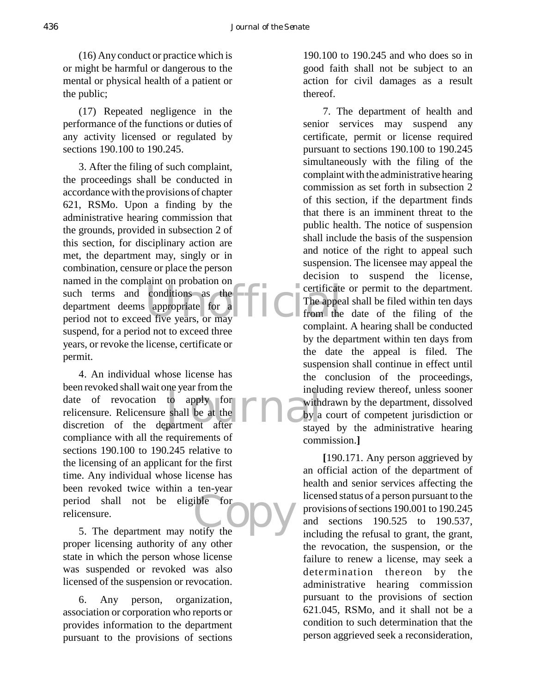(16) Any conduct or practice which is or might be harmful or dangerous to the mental or physical health of a patient or the public;

(17) Repeated negligence in the performance of the functions or duties of any activity licensed or regulated by sections 190.100 to 190.245.

example the complaint of probation on<br>
such terms and conditions as the contribution of the department deems appropriate for a The appear<br>
period not to exceed five years, or may 3. After the filing of such complaint, the proceedings shall be conducted in accordance with the provisions of chapter 621, RSMo. Upon a finding by the administrative hearing commission that the grounds, provided in subsection 2 of this section, for disciplinary action are met, the department may, singly or in combination, censure or place the person named in the complaint on probation on such terms and conditions as the department deems appropriate for a suspend, for a period not to exceed three years, or revoke the license, certificate or permit.

to apply for<br>shall be at the **Form of the state**<br>partment after stave ible for<br>tify the 4. An individual whose license has been revoked shall wait one year from the date of revocation to apply for relicensure. Relicensure shall be at the discretion of the department after compliance with all the requirements of sections 190.100 to 190.245 relative to the licensing of an applicant for the first time. Any individual whose license has been revoked twice within a ten-year period shall not be eligible for relicensure.

5. The department may notify the proper licensing authority of any other state in which the person whose license was suspended or revoked was also licensed of the suspension or revocation.

6. Any person, organization, association or corporation who reports or provides information to the department pursuant to the provisions of sections

190.100 to 190.245 and who does so in good faith shall not be subject to an action for civil damages as a result thereof.

7. The department of health and senior services may suspend any certificate, permit or license required pursuant to sections 190.100 to 190.245 simultaneously with the filing of the complaint with the administrative hearing commission as set forth in subsection 2 of this section, if the department finds that there is an imminent threat to the public health. The notice of suspension shall include the basis of the suspension and notice of the right to appeal such suspension. The licensee may appeal the decision to suspend the license, certificate or permit to the department. The appeal shall be filed within ten days from the date of the filing of the complaint. A hearing shall be conducted by the department within ten days from the date the appeal is filed. The suspension shall continue in effect until the conclusion of the proceedings, including review thereof, unless sooner withdrawn by the department, dissolved by a court of competent jurisdiction or stayed by the administrative hearing commission.**]**

**[**190.171. Any person aggrieved by an official action of the department of health and senior services affecting the licensed status of a person pursuant to the provisions of sections 190.001 to 190.245 and sections 190.525 to 190.537, including the refusal to grant, the grant, the revocation, the suspension, or the failure to renew a license, may seek a determination thereon by the administrative hearing commission pursuant to the provisions of section 621.045, RSMo, and it shall not be a condition to such determination that the person aggrieved seek a reconsideration,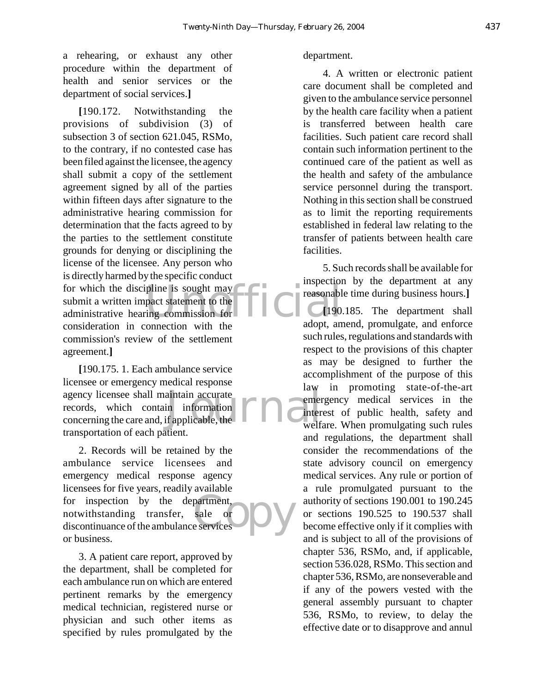a rehearing, or exhaust any other procedure within the department of health and senior services or the department of social services.**]**

for which the discipline is sought may<br>submit a written impact statement to the<br>administrative hearing commission for<br>adopt and adopt an **[**190.172. Notwithstanding the provisions of subdivision (3) of subsection 3 of section 621.045, RSMo, to the contrary, if no contested case has been filed against the licensee, the agency shall submit a copy of the settlement agreement signed by all of the parties within fifteen days after signature to the administrative hearing commission for determination that the facts agreed to by the parties to the settlement constitute grounds for denying or disciplining the license of the licensee. Any person who is directly harmed by the specific conduct for which the discipline is sought may submit a written impact statement to the consideration in connection with the commission's review of the settlement agreement.**]**

aintain accurate<br>in information<br>if applicable, the **Example 19** The Termination **[**190.175. 1. Each ambulance service licensee or emergency medical response agency licensee shall maintain accurate records, which contain information concerning the care and, if applicable, the transportation of each patient.

partment,<br>sale or<br>e services 2. Records will be retained by the ambulance service licensees and emergency medical response agency licensees for five years, readily available for inspection by the department, notwithstanding transfer, sale or discontinuance of the ambulance services or business.

3. A patient care report, approved by the department, shall be completed for each ambulance run on which are entered pertinent remarks by the emergency medical technician, registered nurse or physician and such other items as specified by rules promulgated by the

### department.

4. A written or electronic patient care document shall be completed and given to the ambulance service personnel by the health care facility when a patient is transferred between health care facilities. Such patient care record shall contain such information pertinent to the continued care of the patient as well as the health and safety of the ambulance service personnel during the transport. Nothing in this section shall be construed as to limit the reporting requirements established in federal law relating to the transfer of patients between health care facilities.

5. Such records shall be available for inspection by the department at any reasonable time during business hours.**]**

**[**190.185. The department shall adopt, amend, promulgate, and enforce such rules, regulations and standards with respect to the provisions of this chapter as may be designed to further the accomplishment of the purpose of this law in promoting state-of-the-art emergency medical services in the interest of public health, safety and welfare. When promulgating such rules and regulations, the department shall consider the recommendations of the state advisory council on emergency medical services. Any rule or portion of a rule promulgated pursuant to the authority of sections 190.001 to 190.245 or sections 190.525 to 190.537 shall become effective only if it complies with and is subject to all of the provisions of chapter 536, RSMo, and, if applicable, section 536.028, RSMo. This section and chapter 536, RSMo, are nonseverable and if any of the powers vested with the general assembly pursuant to chapter 536, RSMo, to review, to delay the effective date or to disapprove and annul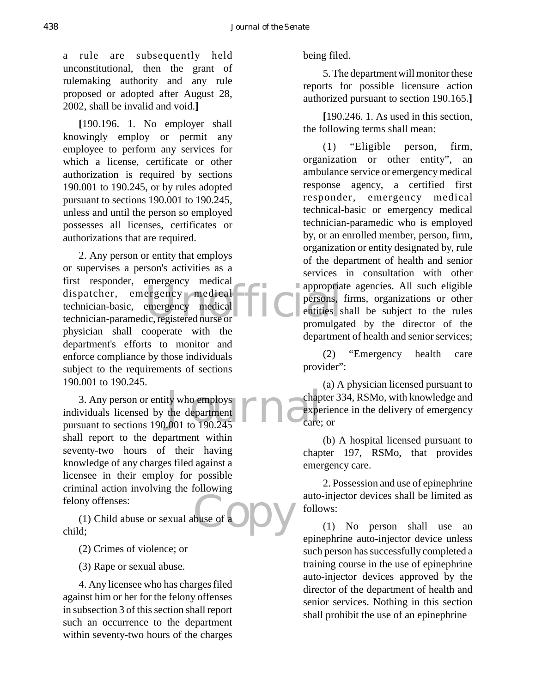a rule are subsequently held unconstitutional, then the grant of rulemaking authority and any rule proposed or adopted after August 28, 2002, shall be invalid and void.**]**

**[**190.196. 1. No employer shall knowingly employ or permit any employee to perform any services for which a license, certificate or other authorization is required by sections 190.001 to 190.245, or by rules adopted pursuant to sections 190.001 to 190.245, unless and until the person so employed possesses all licenses, certificates or authorizations that are required.

dispatcher, emergency medical<br>technician-basic, emergency medical<br>technician-paramedic, registered nurse or commutes 2. Any person or entity that employs or supervises a person's activities as a first responder, emergency medical technician-basic, emergency medical technician-paramedic, registered nurse or physician shall cooperate with the department's efforts to monitor and enforce compliance by those individuals subject to the requirements of sections 190.001 to 190.245.

ty who employs<br>the department<br>.001 to 190.245 3. Any person or entity who employs individuals licensed by the department pursuant to sections 190.001 to 190.245 shall report to the department within seventy-two hours of their having knowledge of any charges filed against a licensee in their employ for possible criminal action involving the following felony offenses:

buse of a DV (1) Child abuse or sexual abuse of  $\epsilon$ child;

(2) Crimes of violence; or

(3) Rape or sexual abuse.

4. Any licensee who has charges filed against him or her for the felony offenses in subsection 3 of this section shall report such an occurrence to the department within seventy-two hours of the charges being filed.

5. The department will monitor these reports for possible licensure action authorized pursuant to section 190.165.**]**

**[**190.246. 1. As used in this section, the following terms shall mean:

(1) "Eligible person, firm, organization or other entity", an ambulance service or emergency medical response agency, a certified first responder, emergency medical technical-basic or emergency medical technician-paramedic who is employed by, or an enrolled member, person, firm, organization or entity designated by, rule of the department of health and senior services in consultation with other appropriate agencies. All such eligible persons, firms, organizations or other entities shall be subject to the rules promulgated by the director of the department of health and senior services;

(2) "Emergency health care provider":

(a) A physician licensed pursuant to chapter 334, RSMo, with knowledge and experience in the delivery of emergency care; or

(b) A hospital licensed pursuant to chapter 197, RSMo, that provides emergency care.

2. Possession and use of epinephrine auto-injector devices shall be limited as follows:

(1) No person shall use an epinephrine auto-injector device unless such person has successfully completed a training course in the use of epinephrine auto-injector devices approved by the director of the department of health and senior services. Nothing in this section shall prohibit the use of an epinephrine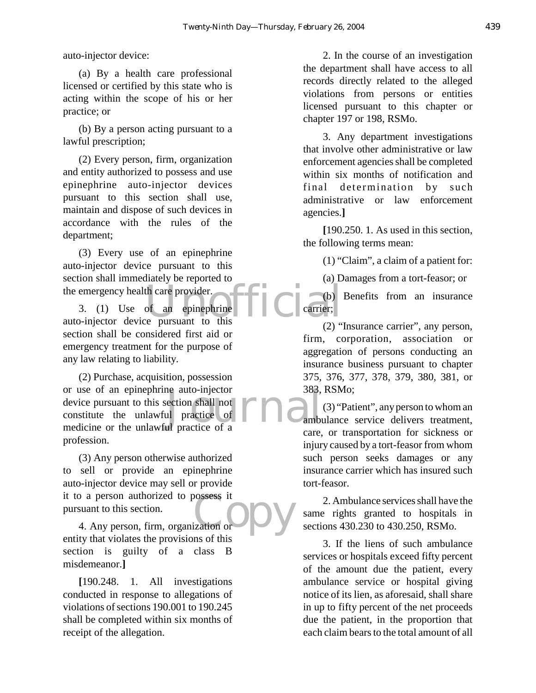auto-injector device:

(a) By a health care professional licensed or certified by this state who is acting within the scope of his or her practice; or

(b) By a person acting pursuant to a lawful prescription;

(2) Every person, firm, organization and entity authorized to possess and use epinephrine auto-injector devices pursuant to this section shall use, maintain and dispose of such devices in accordance with the rules of the department;

(3) Every use of an epinephrine auto-injector device pursuant to this section shall immediately be reported to the emergency health care provider.

th care provider.<br>
of an epinephrine  $\begin{bmatrix} 1 \end{bmatrix}$   $\begin{bmatrix} 0 \end{bmatrix}$  carrier; 3. (1) Use of an epinephrine auto-injector device pursuant to this section shall be considered first aid or emergency treatment for the purpose of any law relating to liability.

or use of an epinephrine auto-injector 383,<br>device pursuant to this section shall not<br>constitute the unlawful practice of a<br>medicine or the unlawful practice of a (2) Purchase, acquisition, possession or use of an epinephrine auto-injector device pursuant to this section shall not constitute the unlawful practice of profession.

possess it<br>ization or DV (3) Any person otherwise authorized to sell or provide an epinephrine auto-injector device may sell or provide it to a person authorized to possess it pursuant to this section.

4. Any person, firm, organization or entity that violates the provisions of this section is guilty of a class B misdemeanor.**]**

**[**190.248. 1. All investigations conducted in response to allegations of violations of sections 190.001 to 190.245 shall be completed within six months of receipt of the allegation.

2. In the course of an investigation the department shall have access to all records directly related to the alleged violations from persons or entities licensed pursuant to this chapter or chapter 197 or 198, RSMo.

3. Any department investigations that involve other administrative or law enforcement agencies shall be completed within six months of notification and final determination by such administrative or law enforcement agencies.**]**

**[**190.250. 1. As used in this section, the following terms mean:

(1) "Claim", a claim of a patient for:

(a) Damages from a tort-feasor; or

(b) Benefits from an insurance carrier;

(2) "Insurance carrier", any person, firm, corporation, association or aggregation of persons conducting an insurance business pursuant to chapter 375, 376, 377, 378, 379, 380, 381, or 383, RSMo;

(3) "Patient", any person to whom an ambulance service delivers treatment, care, or transportation for sickness or injury caused by a tort-feasor from whom such person seeks damages or any insurance carrier which has insured such tort-feasor.

2. Ambulance services shall have the same rights granted to hospitals in sections 430.230 to 430.250, RSMo.

3. If the liens of such ambulance services or hospitals exceed fifty percent of the amount due the patient, every ambulance service or hospital giving notice of its lien, as aforesaid, shall share in up to fifty percent of the net proceeds due the patient, in the proportion that each claim bears to the total amount of all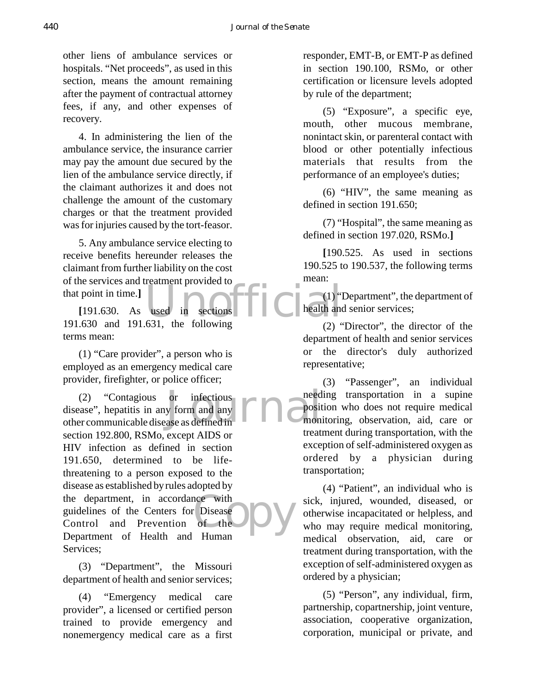other liens of ambulance services or hospitals. "Net proceeds", as used in this section, means the amount remaining after the payment of contractual attorney fees, if any, and other expenses of recovery.

4. In administering the lien of the ambulance service, the insurance carrier may pay the amount due secured by the lien of the ambulance service directly, if the claimant authorizes it and does not challenge the amount of the customary charges or that the treatment provided was for injuries caused by the tort-feasor.

5. Any ambulance service electing to receive benefits hereunder releases the claimant from further liability on the cost of the services and treatment provided to that point in time.**]**

used in sections  $\begin{bmatrix} 1 \\ 1 \end{bmatrix}$  health and<br>631 the following [191.630. As used in sections] 191.630 and 191.631, the following terms mean:

(1) "Care provider", a person who is employed as an emergency medical care provider, firefighter, or police officer;

or infectious<br>y form and any **FRA** Posit<br>ase as defined in nce with<br>
Copyright Disease<br>
Copyright Disease<br>
Humon (2) "Contagious or infectious disease", hepatitis in any form and any other communicable disease as defined in section 192.800, RSMo, except AIDS or HIV infection as defined in section 191.650, determined to be lifethreatening to a person exposed to the disease as established by rules adopted by the department, in accordance with guidelines of the Centers for Disease Control and Prevention of the Department of Health and Human Services;

(3) "Department", the Missouri department of health and senior services;

(4) "Emergency medical care provider", a licensed or certified person trained to provide emergency and nonemergency medical care as a first responder, EMT-B, or EMT-P as defined in section 190.100, RSMo, or other certification or licensure levels adopted by rule of the department;

(5) "Exposure", a specific eye, mouth, other mucous membrane, nonintact skin, or parenteral contact with blood or other potentially infectious materials that results from the performance of an employee's duties;

(6) "HIV", the same meaning as defined in section 191.650;

(7) "Hospital", the same meaning as defined in section 197.020, RSMo.**]**

**[**190.525. As used in sections 190.525 to 190.537, the following terms mean:

(1) "Department", the department of health and senior services;

(2) "Director", the director of the department of health and senior services or the director's duly authorized representative;

(3) "Passenger", an individual needing transportation in a supine position who does not require medical monitoring, observation, aid, care or treatment during transportation, with the exception of self-administered oxygen as ordered by a physician during transportation;

(4) "Patient", an individual who is sick, injured, wounded, diseased, or otherwise incapacitated or helpless, and who may require medical monitoring. medical observation, aid, care treatment during transportation, with the exception of self-administered oxygen as ordered by a physician;

(5) "Person", any individual, firm, partnership, copartnership, joint venture, association, cooperative organization, corporation, municipal or private, and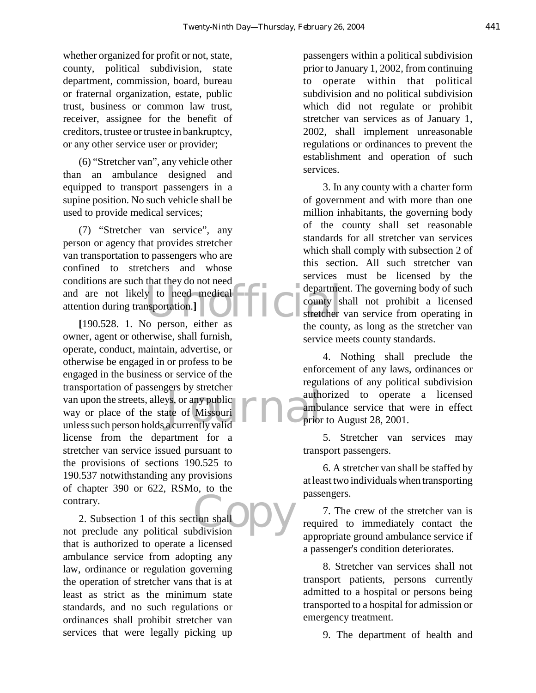whether organized for profit or not, state, county, political subdivision, state department, commission, board, bureau or fraternal organization, estate, public trust, business or common law trust, receiver, assignee for the benefit of creditors, trustee or trustee in bankruptcy, or any other service user or provider;

(6) "Stretcher van", any vehicle other than an ambulance designed and equipped to transport passengers in a supine position. No such vehicle shall be used to provide medical services;

explanations are such that they do not heed<br>
and are not likely to need medical<br>
attention during transportation.]<br>
[190.528 1 No person either as<br>
the county (7) "Stretcher van service", any person or agency that provides stretcher van transportation to passengers who are confined to stretchers and whose conditions are such that they do not need attention during transportation.**]**

gers by stretcher<br>
ys, or any public<br>
ate of Missouri<br>
a currently valid **[**190.528. 1. No person, either as owner, agent or otherwise, shall furnish, operate, conduct, maintain, advertise, or otherwise be engaged in or profess to be engaged in the business or service of the transportation of passengers by stretcher van upon the streets, alleys, or any public way or place of the state of Missouri unless such person holds a currently valid license from the department for a stretcher van service issued pursuant to the provisions of sections 190.525 to 190.537 notwithstanding any provisions of chapter 390 or 622, RSMo, to the contrary.

tion shall 2. Subsection 1 of this section shall not preclude any political subdivision that is authorized to operate a licensed ambulance service from adopting any law, ordinance or regulation governing the operation of stretcher vans that is at least as strict as the minimum state standards, and no such regulations or ordinances shall prohibit stretcher van services that were legally picking up

passengers within a political subdivision prior to January 1, 2002, from continuing to operate within that political subdivision and no political subdivision which did not regulate or prohibit stretcher van services as of January 1, 2002, shall implement unreasonable regulations or ordinances to prevent the establishment and operation of such services.

3. In any county with a charter form of government and with more than one million inhabitants, the governing body of the county shall set reasonable standards for all stretcher van services which shall comply with subsection 2 of this section. All such stretcher van services must be licensed by the department. The governing body of such county shall not prohibit a licensed stretcher van service from operating in the county, as long as the stretcher van service meets county standards.

4. Nothing shall preclude the enforcement of any laws, ordinances or regulations of any political subdivision authorized to operate a licensed ambulance service that were in effect prior to August 28, 2001.

5. Stretcher van services may transport passengers.

6. A stretcher van shall be staffed by at least two individuals when transporting passengers.

7. The crew of the stretcher van is required to immediately contact the appropriate ground ambulance service if a passenger's condition deteriorates.

8. Stretcher van services shall not transport patients, persons currently admitted to a hospital or persons being transported to a hospital for admission or emergency treatment.

9. The department of health and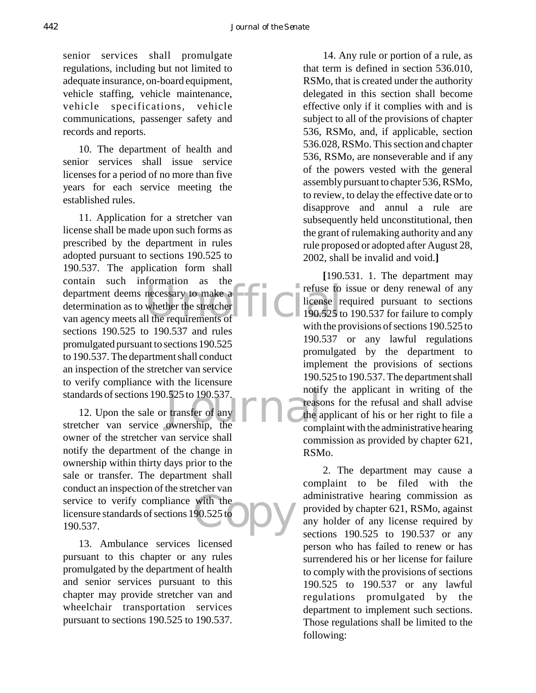senior services shall promulgate regulations, including but not limited to adequate insurance, on-board equipment, vehicle staffing, vehicle maintenance, vehicle specifications, vehicle communications, passenger safety and records and reports.

10. The department of health and senior services shall issue service licenses for a period of no more than five years for each service meeting the established rules.

department deems necessary to make a<br>determination as to whether the stretcher<br>van agency meets all the requirements of 11. Application for a stretcher van license shall be made upon such forms as prescribed by the department in rules adopted pursuant to sections 190.525 to 190.537. The application form shall contain such information as the determination as to whether the stretcher van agency meets all the requirements of sections 190.525 to 190.537 and rules promulgated pursuant to sections 190.525 to 190.537. The department shall conduct an inspection of the stretcher van service to verify compliance with the licensure standards of sections 190.525 to 190.537.

standards of sections 190.525 to 190.537.<br>
12. Upon the sale or transfer of any<br>
stretcher van service ownership, the comm with the  $90.525$  to  $\bigcup$ 12. Upon the sale or transfer of any owner of the stretcher van service shall notify the department of the change in ownership within thirty days prior to the sale or transfer. The department shall conduct an inspection of the stretcher van service to verify compliance with the licensure standards of sections 190.525 to 190.537.

13. Ambulance services licensed pursuant to this chapter or any rules promulgated by the department of health and senior services pursuant to this chapter may provide stretcher van and wheelchair transportation services pursuant to sections 190.525 to 190.537.

14. Any rule or portion of a rule, as that term is defined in section 536.010, RSMo, that is created under the authority delegated in this section shall become effective only if it complies with and is subject to all of the provisions of chapter 536, RSMo, and, if applicable, section 536.028, RSMo. This section and chapter 536, RSMo, are nonseverable and if any of the powers vested with the general assembly pursuant to chapter 536, RSMo, to review, to delay the effective date or to disapprove and annul a rule are subsequently held unconstitutional, then the grant of rulemaking authority and any rule proposed or adopted after August 28, 2002, shall be invalid and void.**]**

**[**190.531. 1. The department may refuse to issue or deny renewal of any license required pursuant to sections 190.525 to 190.537 for failure to comply with the provisions of sections 190.525 to 190.537 or any lawful regulations promulgated by the department to implement the provisions of sections 190.525 to 190.537. The department shall notify the applicant in writing of the reasons for the refusal and shall advise the applicant of his or her right to file a complaint with the administrative hearing commission as provided by chapter 621, RSMo.

2. The department may cause a complaint to be filed with the administrative hearing commission as provided by chapter 621, RSMo, against any holder of any license required by sections 190.525 to 190.537 or any person who has failed to renew or has surrendered his or her license for failure to comply with the provisions of sections 190.525 to 190.537 or any lawful regulations promulgated by the department to implement such sections. Those regulations shall be limited to the following: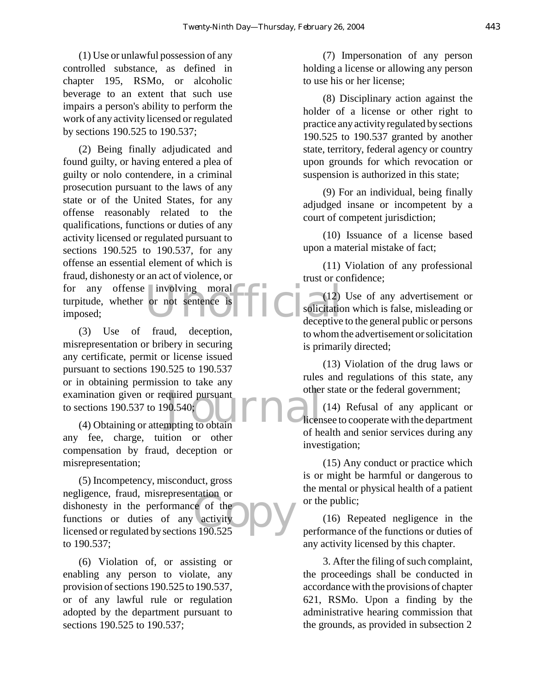(1) Use or unlawful possession of any controlled substance, as defined in chapter 195, RSMo, or alcoholic beverage to an extent that such use impairs a person's ability to perform the work of any activity licensed or regulated by sections 190.525 to 190.537;

for any offense involving moral<br>turpitude, whether or not sentence is  $\begin{bmatrix} 12 \\ 1 \end{bmatrix}$  solicitation<br>imposed; (2) Being finally adjudicated and found guilty, or having entered a plea of guilty or nolo contendere, in a criminal prosecution pursuant to the laws of any state or of the United States, for any offense reasonably related to the qualifications, functions or duties of any activity licensed or regulated pursuant to sections 190.525 to 190.537, for any offense an essential element of which is fraud, dishonesty or an act of violence, or turpitude, whether or not sentence is imposed;

quired pursuant<br>
P0.540;<br>
mpting to obtain (3) Use of fraud, deception, misrepresentation or bribery in securing any certificate, permit or license issued pursuant to sections 190.525 to 190.537 or in obtaining permission to take any examination given or required pursuant to sections 190.537 to 190.540;

(4) Obtaining or attempting to obtain any fee, charge, tuition or other compensation by fraud, deception or misrepresentation;

re of the<br>activity<br>s 190.525 (5) Incompetency, misconduct, gross negligence, fraud, misrepresentation or dishonesty in the performance of the functions or duties of any activity licensed or regulated by sections 190.525 to 190.537;

(6) Violation of, or assisting or enabling any person to violate, any provision of sections 190.525 to 190.537, or of any lawful rule or regulation adopted by the department pursuant to sections 190.525 to 190.537;

(7) Impersonation of any person holding a license or allowing any person to use his or her license;

(8) Disciplinary action against the holder of a license or other right to practice any activity regulated by sections 190.525 to 190.537 granted by another state, territory, federal agency or country upon grounds for which revocation or suspension is authorized in this state;

(9) For an individual, being finally adjudged insane or incompetent by a court of competent jurisdiction;

(10) Issuance of a license based upon a material mistake of fact;

(11) Violation of any professional trust or confidence;

(12) Use of any advertisement or solicitation which is false, misleading or deceptive to the general public or persons to whom the advertisement or solicitation is primarily directed;

(13) Violation of the drug laws or rules and regulations of this state, any other state or the federal government;

(14) Refusal of any applicant or licensee to cooperate with the department of health and senior services during any investigation;

(15) Any conduct or practice which is or might be harmful or dangerous to the mental or physical health of a patient or the public;

(16) Repeated negligence in the performance of the functions or duties of any activity licensed by this chapter.

3. After the filing of such complaint, the proceedings shall be conducted in accordance with the provisions of chapter 621, RSMo. Upon a finding by the administrative hearing commission that the grounds, as provided in subsection 2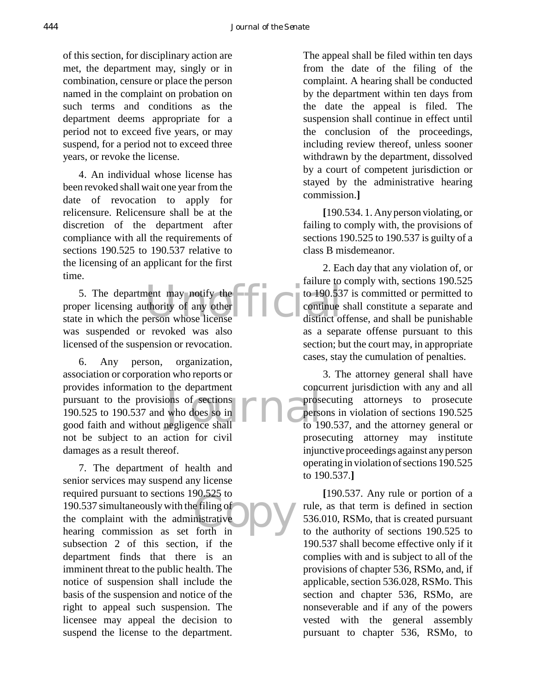of this section, for disciplinary action are met, the department may, singly or in combination, censure or place the person named in the complaint on probation on such terms and conditions as the department deems appropriate for a period not to exceed five years, or may suspend, for a period not to exceed three years, or revoke the license.

4. An individual whose license has been revoked shall wait one year from the date of revocation to apply for relicensure. Relicensure shall be at the discretion of the department after compliance with all the requirements of sections 190.525 to 190.537 relative to the licensing of an applicant for the first time.

5. The department may notify the to 190.53<br>proper licensing authority of any other to 190.53<br>state in which the person whose license distinct of 5. The department may notify the proper licensing authority of any other was suspended or revoked was also licensed of the suspension or revocation.

ons of sections<br>who does so in<br>negligence shall to 19 6. Any person, organization, association or corporation who reports or provides information to the department pursuant to the provisions of sections 190.525 to 190.537 and who does so in good faith and without negligence shall not be subject to an action for civil damages as a result thereof.

so.325 to<br>
e filing of<br>
nistrative<br>
forth in 7. The department of health and senior services may suspend any license required pursuant to sections 190.525 to 190.537 simultaneously with the filing of the complaint with the administrative hearing commission as set forth in subsection 2 of this section, if the department finds that there is an imminent threat to the public health. The notice of suspension shall include the basis of the suspension and notice of the right to appeal such suspension. The licensee may appeal the decision to suspend the license to the department.

The appeal shall be filed within ten days from the date of the filing of the complaint. A hearing shall be conducted by the department within ten days from the date the appeal is filed. The suspension shall continue in effect until the conclusion of the proceedings, including review thereof, unless sooner withdrawn by the department, dissolved by a court of competent jurisdiction or stayed by the administrative hearing commission.**]**

**[**190.534. 1. Any person violating, or failing to comply with, the provisions of sections 190.525 to 190.537 is guilty of a class B misdemeanor.

2. Each day that any violation of, or failure to comply with, sections 190.525 to 190.537 is committed or permitted to continue shall constitute a separate and distinct offense, and shall be punishable as a separate offense pursuant to this section; but the court may, in appropriate cases, stay the cumulation of penalties.

3. The attorney general shall have concurrent jurisdiction with any and all prosecuting attorneys to prosecute persons in violation of sections 190.525 to 190.537, and the attorney general or prosecuting attorney may institute injunctive proceedings against any person operating in violation of sections 190.525 to 190.537.**]**

**[**190.537. Any rule or portion of a rule, as that term is defined in section 536.010, RSMo, that is created pursuant to the authority of sections 190.525 to 190.537 shall become effective only if it complies with and is subject to all of the provisions of chapter 536, RSMo, and, if applicable, section 536.028, RSMo. This section and chapter 536, RSMo, are nonseverable and if any of the powers vested with the general assembly pursuant to chapter 536, RSMo, to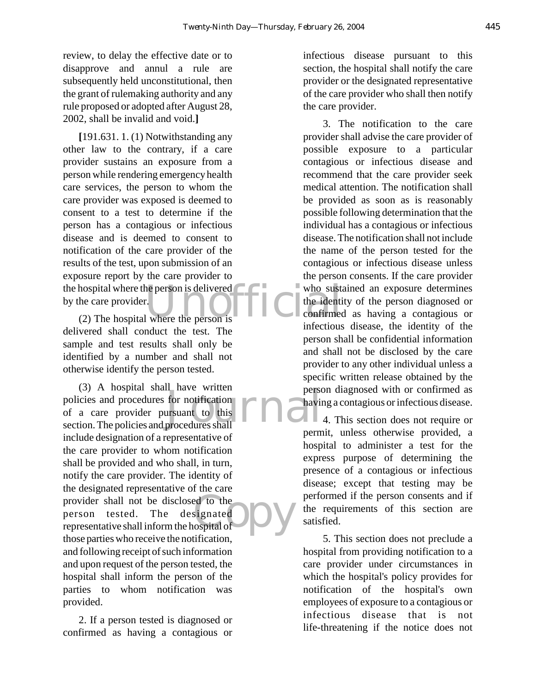review, to delay the effective date or to disapprove and annul a rule are subsequently held unconstitutional, then the grant of rulemaking authority and any rule proposed or adopted after August 28, 2002, shall be invalid and void.**]**

the hospital where the person is delivered<br>
(2) The hospital where the person is<br>
(2) The hospital where the person is **[**191.631. 1. (1) Notwithstanding any other law to the contrary, if a care provider sustains an exposure from a person while rendering emergency health care services, the person to whom the care provider was exposed is deemed to consent to a test to determine if the person has a contagious or infectious disease and is deemed to consent to notification of the care provider of the results of the test, upon submission of an exposure report by the care provider to by the care provider.

(2) The hospital where the person is delivered shall conduct the test. The sample and test results shall only be identified by a number and shall not otherwise identify the person tested.

Figure 11 and to this<br>
In the person of the person of the set of this procedures shall ed to the<br>signated<br>ospital of (3) A hospital shall have written policies and procedures for notification of a care provider pursuant to this section. The policies and procedures shall include designation of a representative of the care provider to whom notification shall be provided and who shall, in turn, notify the care provider. The identity of the designated representative of the care provider shall not be disclosed to the person tested. The designated representative shall inform the hospital of those parties who receive the notification, and following receipt of such information and upon request of the person tested, the hospital shall inform the person of the parties to whom notification was provided.

2. If a person tested is diagnosed or confirmed as having a contagious or infectious disease pursuant to this section, the hospital shall notify the care provider or the designated representative of the care provider who shall then notify the care provider.

3. The notification to the care provider shall advise the care provider of possible exposure to a particular contagious or infectious disease and recommend that the care provider seek medical attention. The notification shall be provided as soon as is reasonably possible following determination that the individual has a contagious or infectious disease. The notification shall not include the name of the person tested for the contagious or infectious disease unless the person consents. If the care provider who sustained an exposure determines the identity of the person diagnosed or confirmed as having a contagious or infectious disease, the identity of the person shall be confidential information and shall not be disclosed by the care provider to any other individual unless a specific written release obtained by the person diagnosed with or confirmed as having a contagious or infectious disease.

4. This section does not require or permit, unless otherwise provided, a hospital to administer a test for the express purpose of determining the presence of a contagious or infectious disease; except that testing may be performed if the person consents and if the requirements of this section are satisfied.

5. This section does not preclude a hospital from providing notification to a care provider under circumstances in which the hospital's policy provides for notification of the hospital's own employees of exposure to a contagious or infectious disease that is not life-threatening if the notice does not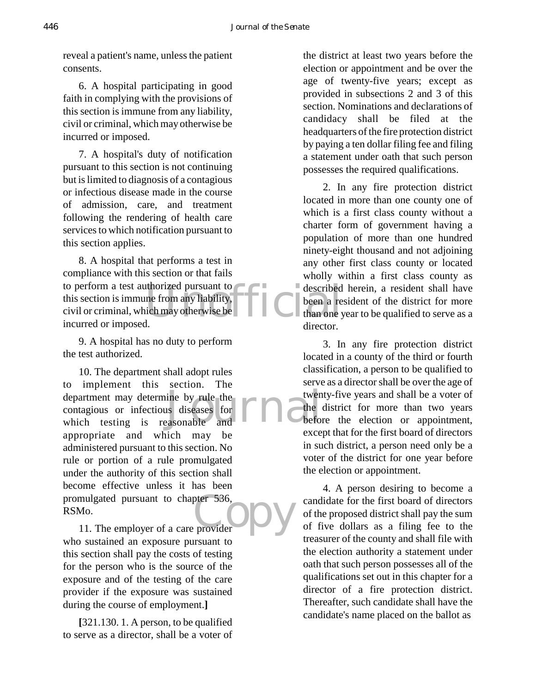reveal a patient's name, unless the patient consents.

6. A hospital participating in good faith in complying with the provisions of this section is immune from any liability, civil or criminal, which may otherwise be incurred or imposed.

7. A hospital's duty of notification pursuant to this section is not continuing but is limited to diagnosis of a contagious or infectious disease made in the course of admission, care, and treatment following the rendering of health care services to which notification pursuant to this section applies.

Unofficial 8. A hospital that performs a test in compliance with this section or that fails to perform a test authorized pursuant to this section is immune from any liability, civil or criminal, which may otherwise be incurred or imposed.

9. A hospital has no duty to perform the test authorized.

department may determine by rule the<br>
contagious or infectious diseases for<br>
which testing is reasonable and<br>
deformed and pter 536,<br>provider 10. The department shall adopt rules to implement this section. The contagious or infectious diseases for which testing is reasonable and appropriate and which may be administered pursuant to this section. No rule or portion of a rule promulgated under the authority of this section shall become effective unless it has been promulgated pursuant to chapter 536, RSMo.

11. The employer of a care provider who sustained an exposure pursuant to this section shall pay the costs of testing for the person who is the source of the exposure and of the testing of the care provider if the exposure was sustained during the course of employment.**]**

**[**321.130. 1. A person, to be qualified to serve as a director, shall be a voter of the district at least two years before the election or appointment and be over the age of twenty-five years; except as provided in subsections 2 and 3 of this section. Nominations and declarations of candidacy shall be filed at the headquarters of the fire protection district by paying a ten dollar filing fee and filing a statement under oath that such person possesses the required qualifications.

2. In any fire protection district located in more than one county one of which is a first class county without a charter form of government having a population of more than one hundred ninety-eight thousand and not adjoining any other first class county or located wholly within a first class county as described herein, a resident shall have been a resident of the district for more than one year to be qualified to serve as a director.

3. In any fire protection district located in a county of the third or fourth classification, a person to be qualified to serve as a director shall be over the age of twenty-five years and shall be a voter of the district for more than two years before the election or appointment, except that for the first board of directors in such district, a person need only be a voter of the district for one year before the election or appointment.

4. A person desiring to become a candidate for the first board of directors of the proposed district shall pay the sum of five dollars as a filing fee to the treasurer of the county and shall file with the election authority a statement under oath that such person possesses all of the qualifications set out in this chapter for a director of a fire protection district. Thereafter, such candidate shall have the candidate's name placed on the ballot as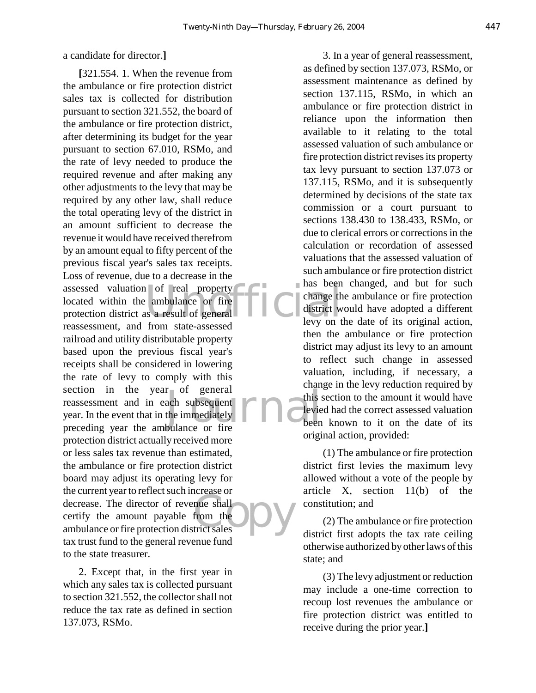a candidate for director.**]**

of real property<br>
ambulance or fire<br>
In the second and the property<br>
second and the second second second second second second second second second second second second second second second second second second second secon r of general<br>ach subsequent<br>the immediately<br>bulance or fire Freedoc of<br>
the shall<br>
trict sales **[**321.554. 1. When the revenue from the ambulance or fire protection district sales tax is collected for distribution pursuant to section 321.552, the board of the ambulance or fire protection district, after determining its budget for the year pursuant to section 67.010, RSMo, and the rate of levy needed to produce the required revenue and after making any other adjustments to the levy that may be required by any other law, shall reduce the total operating levy of the district in an amount sufficient to decrease the revenue it would have received therefrom by an amount equal to fifty percent of the previous fiscal year's sales tax receipts. Loss of revenue, due to a decrease in the assessed valuation of real property located within the ambulance or fire protection district as a result of general reassessment, and from state-assessed railroad and utility distributable property based upon the previous fiscal year's receipts shall be considered in lowering the rate of levy to comply with this section in the year of general reassessment and in each subsequent year. In the event that in the immediately preceding year the ambulance or fire protection district actually received more or less sales tax revenue than estimated, the ambulance or fire protection district board may adjust its operating levy for the current year to reflect such increase or decrease. The director of revenue shall certify the amount payable from the ambulance or fire protection district sales tax trust fund to the general revenue fund to the state treasurer.

2. Except that, in the first year in which any sales tax is collected pursuant to section 321.552, the collector shall not reduce the tax rate as defined in section 137.073, RSMo.

3. In a year of general reassessment, as defined by section 137.073, RSMo, or assessment maintenance as defined by section 137.115, RSMo, in which an ambulance or fire protection district in reliance upon the information then available to it relating to the total assessed valuation of such ambulance or fire protection district revises its property tax levy pursuant to section 137.073 or 137.115, RSMo, and it is subsequently determined by decisions of the state tax commission or a court pursuant to sections 138.430 to 138.433, RSMo, or due to clerical errors or corrections in the calculation or recordation of assessed valuations that the assessed valuation of such ambulance or fire protection district has been changed, and but for such change the ambulance or fire protection district would have adopted a different levy on the date of its original action, then the ambulance or fire protection district may adjust its levy to an amount to reflect such change in assessed valuation, including, if necessary, a change in the levy reduction required by this section to the amount it would have levied had the correct assessed valuation been known to it on the date of its original action, provided:

(1) The ambulance or fire protection district first levies the maximum levy allowed without a vote of the people by article X, section 11(b) of the constitution; and

(2) The ambulance or fire protection district first adopts the tax rate ceiling otherwise authorized by other laws of this state; and

(3) The levy adjustment or reduction may include a one-time correction to recoup lost revenues the ambulance or fire protection district was entitled to receive during the prior year.**]**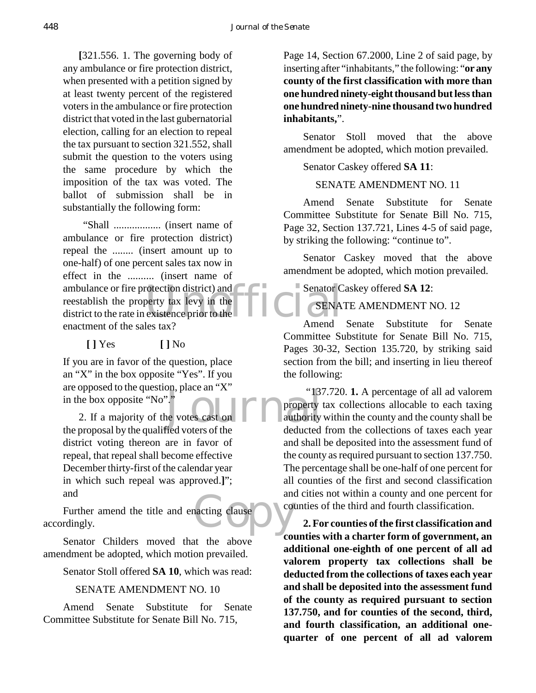**[**321.556. 1. The governing body of any ambulance or fire protection district, when presented with a petition signed by at least twenty percent of the registered voters in the ambulance or fire protection district that voted in the last gubernatorial election, calling for an election to repeal the tax pursuant to section 321.552, shall submit the question to the voters using the same procedure by which the imposition of the tax was voted. The ballot of submission shall be in substantially the following form:

ambulance or fire protection district) and<br>
reestablish the property tax levy in the<br>
district to the rate in existence prior to the<br> **ENA**<br>
Amend "Shall .................. (insert name of ambulance or fire protection district) repeal the ........ (insert amount up to one-half) of one percent sales tax now in effect in the .......... (insert name of reestablish the property tax levy in the district to the rate in existence prior to the enactment of the sales tax?

**[ ]** Yes **[ ]** No

If you are in favor of the question, place an "X" in the box opposite "Yes". If you are opposed to the question, place an "X" in the box opposite "No"."

2. If a majority of the votes cast on the proposal by the qualified voters of the district voting thereon are in favor of repeal, that repeal shall become effective December thirty-first of the calendar year in which such repeal was approved.**]**"; and

acting clause Courant Further amend the title and enacting clause accordingly.

Senator Childers moved that the above amendment be adopted, which motion prevailed.

Senator Stoll offered **SA 10**, which was read:

#### SENATE AMENDMENT NO. 10

Amend Senate Substitute for Senate Committee Substitute for Senate Bill No. 715,

Page 14, Section 67.2000, Line 2 of said page, by inserting after "inhabitants," the following: "**or any county of the first classification with more than one hundred ninety-eight thousand but less than one hundred ninety-nine thousand two hundred inhabitants,**".

Senator Stoll moved that the above amendment be adopted, which motion prevailed.

#### Senator Caskey offered **SA 11**:

## SENATE AMENDMENT NO. 11

Amend Senate Substitute for Senate Committee Substitute for Senate Bill No. 715, Page 32, Section 137.721, Lines 4-5 of said page, by striking the following: "continue to".

Senator Caskey moved that the above amendment be adopted, which motion prevailed.

Senator Caskey offered **SA 12**:

SENATE AMENDMENT NO. 12

Amend Senate Substitute for Senate Committee Substitute for Senate Bill No. 715, Pages 30-32, Section 135.720, by striking said section from the bill; and inserting in lieu thereof the following:

Journal "137.720. **1.** A percentage of all ad valorem property tax collections allocable to each taxing authority within the county and the county shall be deducted from the collections of taxes each year and shall be deposited into the assessment fund of the county as required pursuant to section 137.750. The percentage shall be one-half of one percent for all counties of the first and second classification and cities not within a county and one percent for counties of the third and fourth classification.

> **2. For counties of the first classification and counties with a charter form of government, an additional one-eighth of one percent of all ad valorem property tax collections shall be deducted from the collections of taxes each year and shall be deposited into the assessment fund of the county as required pursuant to section 137.750, and for counties of the second, third, and fourth classification, an additional onequarter of one percent of all ad valorem**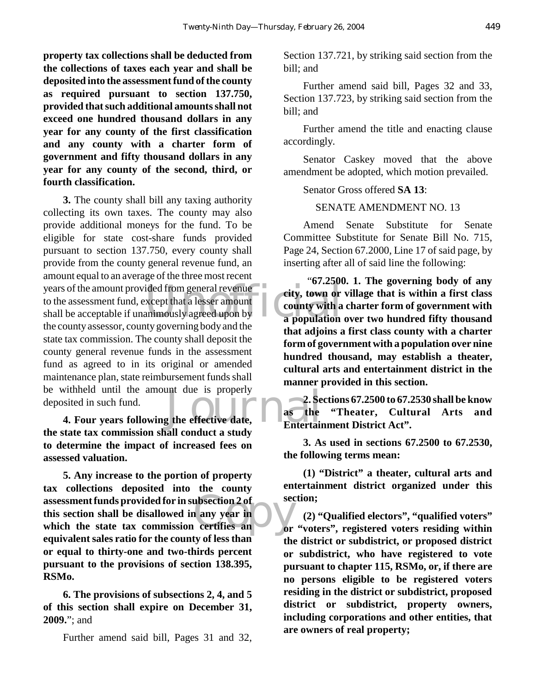**property tax collections shall be deducted from the collections of taxes each year and shall be deposited into the assessment fund of the county as required pursuant to section 137.750, provided that such additional amounts shall not exceed one hundred thousand dollars in any year for any county of the first classification and any county with a charter form of government and fifty thousand dollars in any year for any county of the second, third, or fourth classification.** 

years of the amount provided from general revenue<br>to the assessment fund, except that a lesser amount<br>shall be acceptable if unanimously agreed upon by<br>the county sesses a county covering bedy and the Four years following the effective date,<br> **4. Four years following the effective date,**<br> **4. Four years following the effective date,**<br> **1.** Entertain **3.** The county shall bill any taxing authority collecting its own taxes. The county may also provide additional moneys for the fund. To be eligible for state cost-share funds provided pursuant to section 137.750, every county shall provide from the county general revenue fund, an amount equal to an average of the three most recent to the assessment fund, except that a lesser amount shall be acceptable if unanimously agreed upon by the county assessor, county governing body and the state tax commission. The county shall deposit the county general revenue funds in the assessment fund as agreed to in its original or amended maintenance plan, state reimbursement funds shall be withheld until the amount due is properly deposited in such fund.

**the state tax commission shall conduct a study to determine the impact of increased fees on assessed valuation.**

assessment funds provided for in subsection 2 of<br>
this section shall be disallowed in any year in<br>
which the state tax commission certifies an **5. Any increase to the portion of property tax collections deposited into the county this section shall be disallowed in any year in which the state tax commission certifies an equivalent sales ratio for the county of less than or equal to thirty-one and two-thirds percent pursuant to the provisions of section 138.395, RSMo.**

**6. The provisions of subsections 2, 4, and 5 of this section shall expire on December 31, 2009.**"; and

Further amend said bill, Pages 31 and 32,

Section 137.721, by striking said section from the bill; and

Further amend said bill, Pages 32 and 33, Section 137.723, by striking said section from the bill; and

Further amend the title and enacting clause accordingly.

Senator Caskey moved that the above amendment be adopted, which motion prevailed.

Senator Gross offered **SA 13**:

SENATE AMENDMENT NO. 13

Amend Senate Substitute for Senate Committee Substitute for Senate Bill No. 715, Page 24, Section 67.2000, Line 17 of said page, by inserting after all of said line the following:

 "**67.2500. 1. The governing body of any city, town or village that is within a first class county with a charter form of government with a population over two hundred fifty thousand that adjoins a first class county with a charter form of government with a population over nine hundred thousand, may establish a theater, cultural arts and entertainment district in the manner provided in this section.**

**2. Sections 67.2500 to 67.2530 shall be know as the "Theater, Cultural Arts and Entertainment District Act".**

**3. As used in sections 67.2500 to 67.2530, the following terms mean:**

**(1) "District" a theater, cultural arts and entertainment district organized under this section;**

**(2) "Qualified electors", "qualified voters" or "voters", registered voters residing within the district or subdistrict, or proposed district or subdistrict, who have registered to vote pursuant to chapter 115, RSMo, or, if there are no persons eligible to be registered voters residing in the district or subdistrict, proposed district or subdistrict, property owners, including corporations and other entities, that are owners of real property;**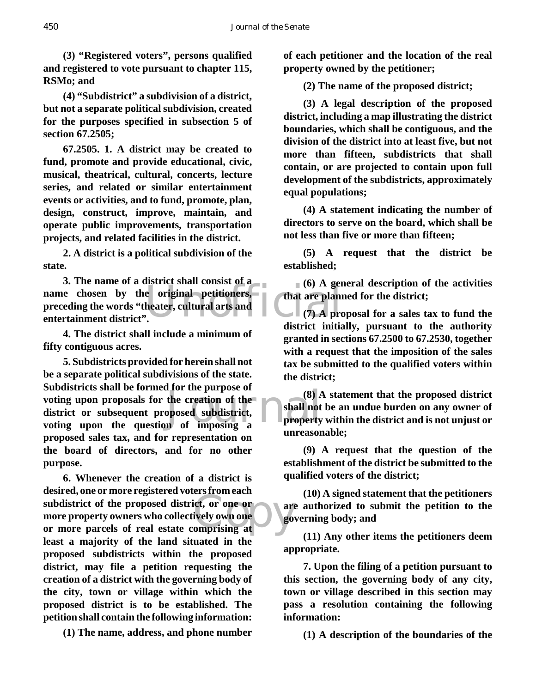**(3) "Registered voters", persons qualified and registered to vote pursuant to chapter 115, RSMo; and**

**(4) "Subdistrict" a subdivision of a district, but not a separate political subdivision, created for the purposes specified in subsection 5 of section 67.2505;**

**67.2505. 1. A district may be created to fund, promote and provide educational, civic, musical, theatrical, cultural, concerts, lecture series, and related or similar entertainment events or activities, and to fund, promote, plan, design, construct, improve, maintain, and operate public improvements, transportation projects, and related facilities in the district.**

**2. A district is a political subdivision of the state.**

U. The name of a district shan consist of a<br>
name chosen by the original petitioners,<br>
preceding the words "theater, cultural arts and<br>
entertainment district". **3. The name of a district shall consist of a preceding the words "theater, cultural arts and entertainment district".**

**4. The district shall include a minimum of fifty contiguous acres.**

the creation of the the creation of the oposed subdistrict,<br>n of imposing a property **5. Subdistricts provided for herein shall not be a separate political subdivisions of the state. Subdistricts shall be formed for the purpose of voting upon proposals for the creation of the district or subsequent proposed subdistrict, voting upon the question of imposing a proposed sales tax, and for representation on the board of directors, and for no other purpose.**

subdistrict of the proposed district, or one or<br>
more property owners who collectively own one<br>
or more parcels of real estate comprising at **6. Whenever the creation of a district is desired, one or more registered voters from each more property owners who collectively own one or more parcels of real estate comprising at least a majority of the land situated in the proposed subdistricts within the proposed district, may file a petition requesting the creation of a district with the governing body of the city, town or village within which the proposed district is to be established. The petition shall contain the following information:**

**(1) The name, address, and phone number**

**of each petitioner and the location of the real property owned by the petitioner;**

**(2) The name of the proposed district;**

**(3) A legal description of the proposed district, including a map illustrating the district boundaries, which shall be contiguous, and the division of the district into at least five, but not more than fifteen, subdistricts that shall contain, or are projected to contain upon full development of the subdistricts, approximately equal populations;**

**(4) A statement indicating the number of directors to serve on the board, which shall be not less than five or more than fifteen;**

**(5) A request that the district be established;**

**(6) A general description of the activities that are planned for the district;**

**(7) A proposal for a sales tax to fund the district initially, pursuant to the authority granted in sections 67.2500 to 67.2530, together with a request that the imposition of the sales tax be submitted to the qualified voters within the district;**

**(8) A statement that the proposed district shall not be an undue burden on any owner of property within the district and is not unjust or unreasonable;**

**(9) A request that the question of the establishment of the district be submitted to the qualified voters of the district;**

**(10) A signed statement that the petitioners are authorized to submit the petition to the governing body; and**

**(11) Any other items the petitioners deem appropriate.**

**7. Upon the filing of a petition pursuant to this section, the governing body of any city, town or village described in this section may pass a resolution containing the following information:**

**(1) A description of the boundaries of the**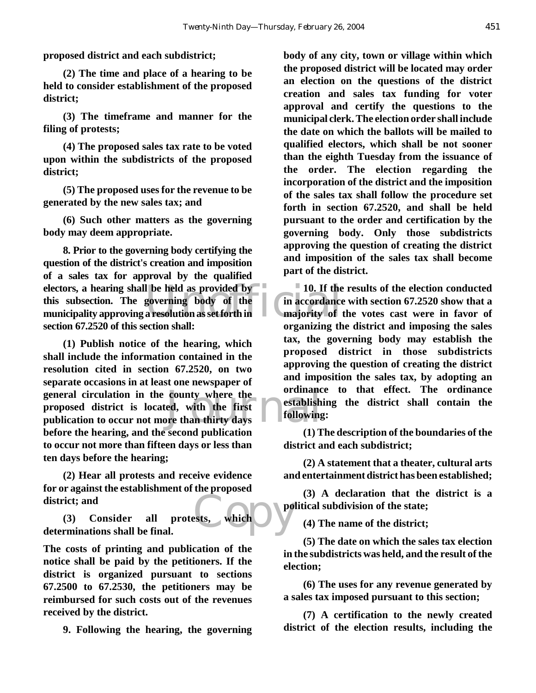**proposed district and each subdistrict;**

**(2) The time and place of a hearing to be held to consider establishment of the proposed district;**

**(3) The timeframe and manner for the filing of protests;**

**(4) The proposed sales tax rate to be voted upon within the subdistricts of the proposed district;**

**(5) The proposed uses for the revenue to be generated by the new sales tax; and**

**(6) Such other matters as the governing body may deem appropriate.**

electors, a hearing shall be held as provided by<br>
this subsection. The governing body of the in accordance<br>
municipality approving a resolution as set forth in analysis of the<br>
majority of **8. Prior to the governing body certifying the question of the district's creation and imposition of a sales tax for approval by the qualified this subsection. The governing body of the municipality approving a resolution as set forth in section 67.2520 of this section shall:**

general circulation in the county where the<br>
proposed district is located, with the first<br>
publication to occur not more than thirty days<br>
let exite the distribution of the distribution of the distribution of the distribut **(1) Publish notice of the hearing, which shall include the information contained in the resolution cited in section 67.2520, on two separate occasions in at least one newspaper of proposed district is located, with the first publication to occur not more than thirty days before the hearing, and the second publication to occur not more than fifteen days or less than ten days before the hearing;**

**(2) Hear all protests and receive evidence for or against the establishment of the proposed district; and**

ests, which po **(3) Consider all protests, which determinations shall be final.**

**The costs of printing and publication of the notice shall be paid by the petitioners. If the district is organized pursuant to sections 67.2500 to 67.2530, the petitioners may be reimbursed for such costs out of the revenues received by the district.**

**9. Following the hearing, the governing**

**body of any city, town or village within which the proposed district will be located may order an election on the questions of the district creation and sales tax funding for voter approval and certify the questions to the municipal clerk. The election order shall include the date on which the ballots will be mailed to qualified electors, which shall be not sooner than the eighth Tuesday from the issuance of the order. The election regarding the incorporation of the district and the imposition of the sales tax shall follow the procedure set forth in section 67.2520, and shall be held pursuant to the order and certification by the governing body. Only those subdistricts approving the question of creating the district and imposition of the sales tax shall become part of the district.**

**10. If the results of the election conducted in accordance with section 67.2520 show that a majority of the votes cast were in favor of organizing the district and imposing the sales tax, the governing body may establish the proposed district in those subdistricts approving the question of creating the district and imposition the sales tax, by adopting an ordinance to that effect. The ordinance establishing the district shall contain the following:**

**(1) The description of the boundaries of the district and each subdistrict;**

**(2) A statement that a theater, cultural arts and entertainment district has been established;**

**(3) A declaration that the district is a political subdivision of the state;**

**(4) The name of the district;**

**(5) The date on which the sales tax election in the subdistricts was held, and the result of the election;**

**(6) The uses for any revenue generated by a sales tax imposed pursuant to this section;**

**(7) A certification to the newly created district of the election results, including the**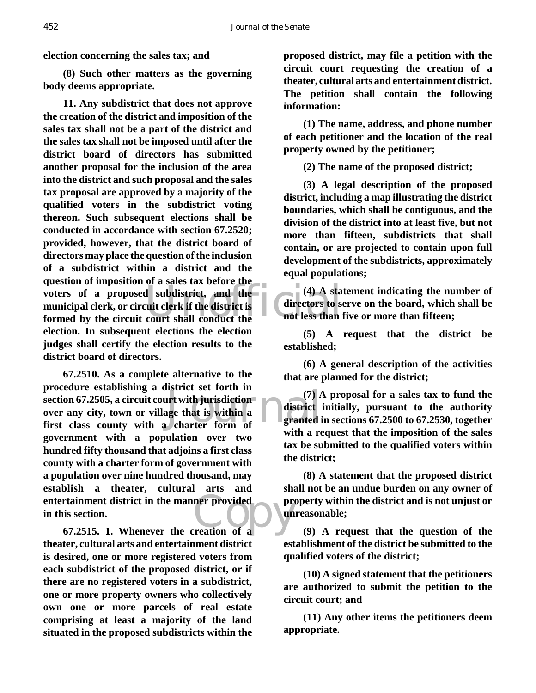**election concerning the sales tax; and**

**(8) Such other matters as the governing body deems appropriate.**

voters of a proposed subdistrict, and the (4) A sta<br>
municipal clerk, or circuit clerk if the district is<br>
formed by the circuit court shall conduct the not less than **11. Any subdistrict that does not approve the creation of the district and imposition of the sales tax shall not be a part of the district and the sales tax shall not be imposed until after the district board of directors has submitted another proposal for the inclusion of the area into the district and such proposal and the sales tax proposal are approved by a majority of the qualified voters in the subdistrict voting thereon. Such subsequent elections shall be conducted in accordance with section 67.2520; provided, however, that the district board of directors may place the question of the inclusion of a subdistrict within a district and the question of imposition of a sales tax before the municipal clerk, or circuit clerk if the district is formed by the circuit court shall conduct the election. In subsequent elections the election judges shall certify the election results to the district board of directors.**

 $\begin{array}{c}\n\text{first set for all } m \\
\text{first with jurisdiction} \\
\text{age that is within a} \\
\text{character form of} \\
\text{in} \\
\end{array}$ entertainment district in the manner provided<br>in this section.<br>67.2515. 1. Whenever the creation of a **67.2510. As a complete alternative to the procedure establishing a district set forth in section 67.2505, a circuit court with jurisdiction over any city, town or village that is within a first class county with a charter form of government with a population over two hundred fifty thousand that adjoins a first class county with a charter form of government with a population over nine hundred thousand, may establish a theater, cultural arts and in this section.**

**67.2515. 1. Whenever the creation of a theater, cultural arts and entertainment district is desired, one or more registered voters from each subdistrict of the proposed district, or if there are no registered voters in a subdistrict, one or more property owners who collectively own one or more parcels of real estate comprising at least a majority of the land situated in the proposed subdistricts within the**

**proposed district, may file a petition with the circuit court requesting the creation of a theater, cultural arts and entertainment district. The petition shall contain the following information:**

**(1) The name, address, and phone number of each petitioner and the location of the real property owned by the petitioner;**

**(2) The name of the proposed district;**

**(3) A legal description of the proposed district, including a map illustrating the district boundaries, which shall be contiguous, and the division of the district into at least five, but not more than fifteen, subdistricts that shall contain, or are projected to contain upon full development of the subdistricts, approximately equal populations;**

**(4) A statement indicating the number of directors to serve on the board, which shall be not less than five or more than fifteen;**

**(5) A request that the district be established;**

**(6) A general description of the activities that are planned for the district;**

**(7) A proposal for a sales tax to fund the district initially, pursuant to the authority granted in sections 67.2500 to 67.2530, together with a request that the imposition of the sales tax be submitted to the qualified voters within the district;**

**(8) A statement that the proposed district shall not be an undue burden on any owner of property within the district and is not unjust or unreasonable;**

**(9) A request that the question of the establishment of the district be submitted to the qualified voters of the district;**

**(10) A signed statement that the petitioners are authorized to submit the petition to the circuit court; and**

**(11) Any other items the petitioners deem appropriate.**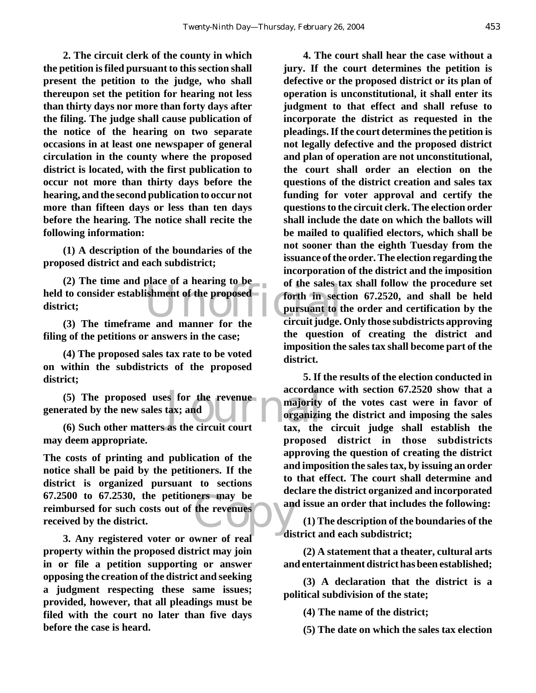**2. The circuit clerk of the county in which the petition is filed pursuant to this section shall present the petition to the judge, who shall thereupon set the petition for hearing not less than thirty days nor more than forty days after the filing. The judge shall cause publication of the notice of the hearing on two separate occasions in at least one newspaper of general circulation in the county where the proposed district is located, with the first publication to occur not more than thirty days before the hearing, and the second publication to occur not more than fifteen days or less than ten days before the hearing. The notice shall recite the following information:**

**(1) A description of the boundaries of the proposed district and each subdistrict;**

held to consider establishment of the proposed<br>district;<br>(3) The timeframe and manner for the circuit judge. **(2) The time and place of a hearing to be district;**

**(3) The timeframe and manner for the filing of the petitions or answers in the case;**

**(4) The proposed sales tax rate to be voted on within the subdistricts of the proposed district;**

(5) The proposed uses for the revenue accordance accordance rated by the new sales tax; and **and**  $\begin{bmatrix} \text{arrows} \\ \text{arrows} \\ \text{arrows} \end{bmatrix}$  and  $\begin{bmatrix} \text{arrows} \\ \text{arrows} \\ \text{arrows} \end{bmatrix}$  and  $\begin{bmatrix} \text{arrows} \\ \text{arrows} \end{bmatrix}$  and  $\begin{bmatrix} \text{arrows} \\$ **generated by the new sales tax; and**

**(6) Such other matters as the circuit court may deem appropriate.**

the revenues **The costs of printing and publication of the notice shall be paid by the petitioners. If the district is organized pursuant to sections 67.2500 to 67.2530, the petitioners may be reimbursed for such costs out of the revenues received by the district.**

**3. Any registered voter or owner of real property within the proposed district may join in or file a petition supporting or answer opposing the creation of the district and seeking a judgment respecting these same issues; provided, however, that all pleadings must be filed with the court no later than five days before the case is heard.**

**4. The court shall hear the case without a jury. If the court determines the petition is defective or the proposed district or its plan of operation is unconstitutional, it shall enter its judgment to that effect and shall refuse to incorporate the district as requested in the pleadings. If the court determines the petition is not legally defective and the proposed district and plan of operation are not unconstitutional, the court shall order an election on the questions of the district creation and sales tax funding for voter approval and certify the questions to the circuit clerk. The election order shall include the date on which the ballots will be mailed to qualified electors, which shall be not sooner than the eighth Tuesday from the issuance of the order. The election regarding the incorporation of the district and the imposition of the sales tax shall follow the procedure set forth in section 67.2520, and shall be held pursuant to the order and certification by the circuit judge. Only those subdistricts approving the question of creating the district and imposition the sales tax shall become part of the district.**

**5. If the results of the election conducted in accordance with section 67.2520 show that a majority of the votes cast were in favor of organizing the district and imposing the sales tax, the circuit judge shall establish the proposed district in those subdistricts approving the question of creating the district and imposition the sales tax, by issuing an order to that effect. The court shall determine and declare the district organized and incorporated and issue an order that includes the following:**

**(1) The description of the boundaries of the district and each subdistrict;**

**(2) A statement that a theater, cultural arts and entertainment district has been established;**

**(3) A declaration that the district is a political subdivision of the state;**

**(4) The name of the district;**

**(5) The date on which the sales tax election**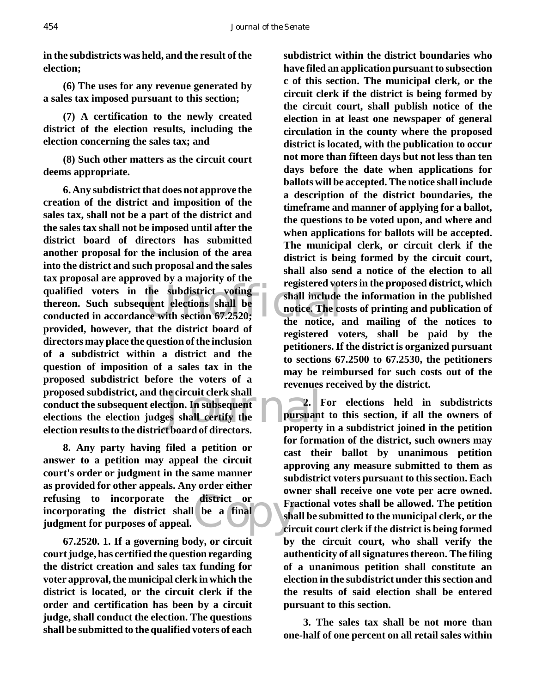**in the subdistricts was held, and the result of the election;**

**(6) The uses for any revenue generated by a sales tax imposed pursuant to this section;**

**(7) A certification to the newly created district of the election results, including the election concerning the sales tax; and**

**(8) Such other matters as the circuit court deems appropriate.**

qualified voters in the subdistrict voting<br>thereon. Such subsequent elections shall be<br>conducted in accordance with section 67.2520;<br>the notice, a e circuit clerk shall<br>
tion. In subsequent<br>
es shall certify the<br>
theord of directors<br>
pursuant **6. Any subdistrict that does not approve the creation of the district and imposition of the sales tax, shall not be a part of the district and the sales tax shall not be imposed until after the district board of directors has submitted another proposal for the inclusion of the area into the district and such proposal and the sales tax proposal are approved by a majority of the thereon. Such subsequent elections shall be conducted in accordance with section 67.2520; provided, however, that the district board of directors may place the question of the inclusion of a subdistrict within a district and the question of imposition of a sales tax in the proposed subdistrict before the voters of a proposed subdistrict, and the circuit clerk shall conduct the subsequent election. In subsequent elections the election judges shall certify the election results to the district board of directors.**

district or France **8. Any party having filed a petition or answer to a petition may appeal the circuit court's order or judgment in the same manner as provided for other appeals. Any order either refusing to incorporate the district or incorporating the district shall be a final judgment for purposes of appeal.**

**67.2520. 1. If a governing body, or circuit court judge, has certified the question regarding the district creation and sales tax funding for voter approval, the municipal clerk in which the district is located, or the circuit clerk if the order and certification has been by a circuit judge, shall conduct the election. The questions shall be submitted to the qualified voters of each**

**subdistrict within the district boundaries who have filed an application pursuant to subsection c of this section. The municipal clerk, or the circuit clerk if the district is being formed by the circuit court, shall publish notice of the election in at least one newspaper of general circulation in the county where the proposed district is located, with the publication to occur not more than fifteen days but not less than ten days before the date when applications for ballots will be accepted. The notice shall include a description of the district boundaries, the timeframe and manner of applying for a ballot, the questions to be voted upon, and where and when applications for ballots will be accepted. The municipal clerk, or circuit clerk if the district is being formed by the circuit court, shall also send a notice of the election to all registered voters in the proposed district, which shall include the information in the published notice. The costs of printing and publication of the notice, and mailing of the notices to registered voters, shall be paid by the petitioners. If the district is organized pursuant to sections 67.2500 to 67.2530, the petitioners may be reimbursed for such costs out of the revenues received by the district.**

**2. For elections held in subdistricts pursuant to this section, if all the owners of property in a subdistrict joined in the petition for formation of the district, such owners may cast their ballot by unanimous petition approving any measure submitted to them as subdistrict voters pursuant to this section. Each owner shall receive one vote per acre owned. Fractional votes shall be allowed. The petition shall be submitted to the municipal clerk, or the circuit court clerk if the district is being formed by the circuit court, who shall verify the authenticity of all signatures thereon. The filing of a unanimous petition shall constitute an election in the subdistrict under this section and the results of said election shall be entered pursuant to this section.**

**3. The sales tax shall be not more than one-half of one percent on all retail sales within**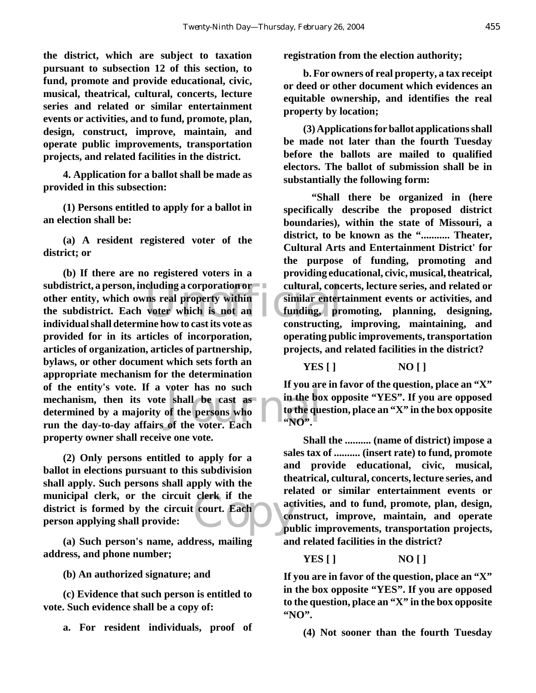**the district, which are subject to taxation pursuant to subsection 12 of this section, to fund, promote and provide educational, civic, musical, theatrical, cultural, concerts, lecture series and related or similar entertainment events or activities, and to fund, promote, plan, design, construct, improve, maintain, and operate public improvements, transportation projects, and related facilities in the district.**

**4. Application for a ballot shall be made as provided in this subsection:**

**(1) Persons entitled to apply for a ballot in an election shall be:**

**(a) A resident registered voter of the district; or**

eluding a corporation or equal concerns<br>
ms real property within<br>
voter which is not an<br>
ine how to cast its vote as<br>
constructing shall be cast as<br>of the persons who<br>of the voter. Each<br>of the voter. Each<br> $NQ$ . **(b) If there are no registered voters in a subdistrict, a person, including a corporation or other entity, which owns real property within the subdistrict. Each voter which is not an individual shall determine how to cast its vote as provided for in its articles of incorporation, articles of organization, articles of partnership, bylaws, or other document which sets forth an appropriate mechanism for the determination of the entity's vote. If a voter has no such mechanism, then its vote shall be cast as determined by a majority of the persons who run the day-to-day affairs of the voter. Each property owner shall receive one vote.**

clerk if the **(2) Only persons entitled to apply for a ballot in elections pursuant to this subdivision shall apply. Such persons shall apply with the municipal clerk, or the circuit clerk if the district is formed by the circuit court. Each person applying shall provide:**

**(a) Such person's name, address, mailing address, and phone number;**

**(b) An authorized signature; and**

**(c) Evidence that such person is entitled to vote. Such evidence shall be a copy of:**

**a. For resident individuals, proof of**

**registration from the election authority;**

**b. For owners of real property, a tax receipt or deed or other document which evidences an equitable ownership, and identifies the real property by location;**

**(3) Applications for ballot applications shall be made not later than the fourth Tuesday before the ballots are mailed to qualified electors. The ballot of submission shall be in substantially the following form:**

 **"Shall there be organized in (here specifically describe the proposed district boundaries), within the state of Missouri, a district, to be known as the "........... Theater, Cultural Arts and Entertainment District' for the purpose of funding, promoting and providing educational, civic, musical, theatrical, cultural, concerts, lecture series, and related or similar entertainment events or activities, and funding, promoting, planning, designing, constructing, improving, maintaining, and operating public improvements, transportation projects, and related facilities in the district?**

**YES [ ] NO [ ]**

**If you are in favor of the question, place an "X" in the box opposite "YES". If you are opposed to the question, place an "X" in the box opposite "NO".**

**Shall the .......... (name of district) impose a sales tax of .......... (insert rate) to fund, promote and provide educational, civic, musical, theatrical, cultural, concerts, lecture series, and related or similar entertainment events or activities, and to fund, promote, plan, design, construct, improve, maintain, and operate public improvements, transportation projects, and related facilities in the district?**

**YES [ ] NO [ ]**

**If you are in favor of the question, place an "X" in the box opposite "YES". If you are opposed to the question, place an "X" in the box opposite "NO".**

**(4) Not sooner than the fourth Tuesday**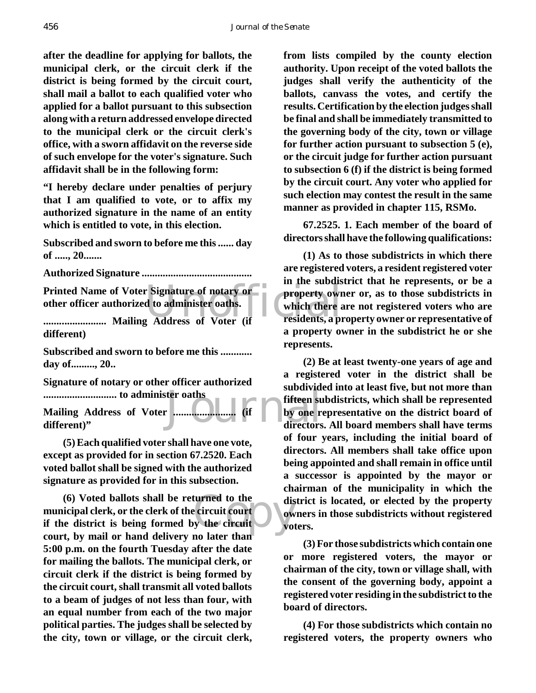**after the deadline for applying for ballots, the municipal clerk, or the circuit clerk if the district is being formed by the circuit court, shall mail a ballot to each qualified voter who applied for a ballot pursuant to this subsection along with a return addressed envelope directed to the municipal clerk or the circuit clerk's office, with a sworn affidavit on the reverse side of such envelope for the voter's signature. Such affidavit shall be in the following form:**

**"I hereby declare under penalties of perjury that I am qualified to vote, or to affix my authorized signature in the name of an entity which is entitled to vote, in this election.**

**Subscribed and sworn to before me this ...... day of ....., 20.......**

**Authorized Signature ..........................................**

Printed Name of Voter Signature of notary or<br>
other officer authorized to administer oaths.<br> **Example 19 and 19 and 19 and 19 and 19 and 19 and 19 and 19 and 19 and 19 and 19 and 19 and 19 and 19 and 19 and 19 and 19 and 1 other officer authorized to administer oaths.**

**........................ Mailing Address of Voter (if different)**

**Subscribed and sworn to before me this ............ day of........., 20..**

**Signature of notary or other officer authorized ............................ to administer oaths**

ter oaths<br>
Fifteen subdivideo fifteen subdivideo fifteen subdivideo fifteen subdivideo fifteen subdivideo fifteen subdivideo fifteen subdivideo fifteen subdivideo fifteen subdivideo fifteen subdivideo fifteen subdivideo fi **Mailing Address of Voter ........................ (if different)"**

**(5) Each qualified voter shall have one vote, except as provided for in section 67.2520. Each voted ballot shall be signed with the authorized signature as provided for in this subsection.**

turned to the<br>
exercuit court<br>
y the circuit<br>
y the circuit<br>
y the parameters<br>
y the parameters<br>
y the parameters<br>
y the parameters<br>
y the parameters<br>
y the parameters<br>
y the parameters<br>
y the parameters<br>
y the parameters<br> **(6) Voted ballots shall be returned to the municipal clerk, or the clerk of the circuit court if the district is being formed by the circuit court, by mail or hand delivery no later than 5:00 p.m. on the fourth Tuesday after the date for mailing the ballots. The municipal clerk, or circuit clerk if the district is being formed by the circuit court, shall transmit all voted ballots to a beam of judges of not less than four, with an equal number from each of the two major political parties. The judges shall be selected by the city, town or village, or the circuit clerk,**

**from lists compiled by the county election authority. Upon receipt of the voted ballots the judges shall verify the authenticity of the ballots, canvass the votes, and certify the results. Certification by the election judges shall be final and shall be immediately transmitted to the governing body of the city, town or village for further action pursuant to subsection 5 (e), or the circuit judge for further action pursuant to subsection 6 (f) if the district is being formed by the circuit court. Any voter who applied for such election may contest the result in the same manner as provided in chapter 115, RSMo.**

**67.2525. 1. Each member of the board of directors shall have the following qualifications:**

**(1) As to those subdistricts in which there are registered voters, a resident registered voter in the subdistrict that he represents, or be a property owner or, as to those subdistricts in which there are not registered voters who are residents, a property owner or representative of a property owner in the subdistrict he or she represents.**

**(2) Be at least twenty-one years of age and a registered voter in the district shall be subdivided into at least five, but not more than fifteen subdistricts, which shall be represented by one representative on the district board of directors. All board members shall have terms of four years, including the initial board of directors. All members shall take office upon being appointed and shall remain in office until a successor is appointed by the mayor or chairman of the municipality in which the district is located, or elected by the property owners in those subdistricts without registered voters.**

**(3) For those subdistricts which contain one or more registered voters, the mayor or chairman of the city, town or village shall, with the consent of the governing body, appoint a registered voter residing in the subdistrict to the board of directors.**

**(4) For those subdistricts which contain no registered voters, the property owners who**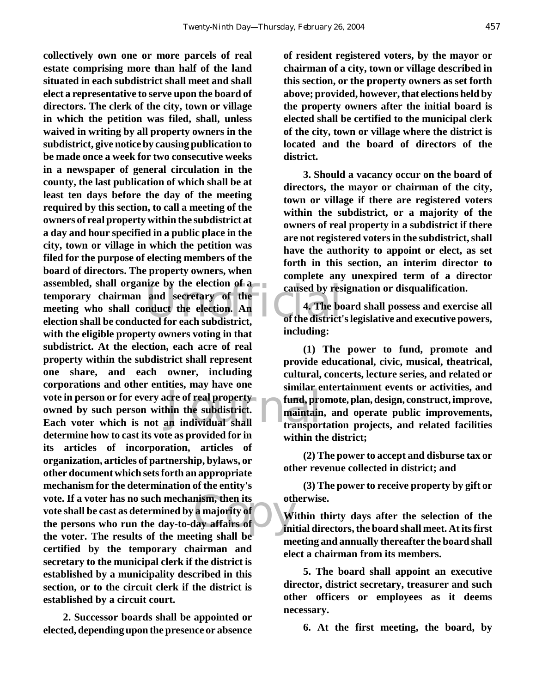and secretary of the caused by res<br>
and secretary of the dection. An<br>
exted for each subdistrict, of the district Final Property<br>
Ain the subdistrict.<br>
This maintain<br>
Transport of the subdistrict. mism, then its<br>
a majority of<br>
lay affairs of<br>
ting shall be **collectively own one or more parcels of real estate comprising more than half of the land situated in each subdistrict shall meet and shall elect a representative to serve upon the board of directors. The clerk of the city, town or village in which the petition was filed, shall, unless waived in writing by all property owners in the subdistrict, give notice by causing publication to be made once a week for two consecutive weeks in a newspaper of general circulation in the county, the last publication of which shall be at least ten days before the day of the meeting required by this section, to call a meeting of the owners of real property within the subdistrict at a day and hour specified in a public place in the city, town or village in which the petition was filed for the purpose of electing members of the board of directors. The property owners, when assembled, shall organize by the election of a temporary chairman and secretary of the meeting who shall conduct the election. An election shall be conducted for each subdistrict, with the eligible property owners voting in that subdistrict. At the election, each acre of real property within the subdistrict shall represent one share, and each owner, including corporations and other entities, may have one vote in person or for every acre of real property owned by such person within the subdistrict. Each voter which is not an individual shall determine how to cast its vote as provided for in its articles of incorporation, articles of organization, articles of partnership, bylaws, or other document which sets forth an appropriate mechanism for the determination of the entity's vote. If a voter has no such mechanism, then its vote shall be cast as determined by a majority of the persons who run the day-to-day affairs of the voter. The results of the meeting shall be certified by the temporary chairman and secretary to the municipal clerk if the district is established by a municipality described in this section, or to the circuit clerk if the district is established by a circuit court.**

**2. Successor boards shall be appointed or elected, depending upon the presence or absence**

**of resident registered voters, by the mayor or chairman of a city, town or village described in this section, or the property owners as set forth above; provided, however, that elections held by the property owners after the initial board is elected shall be certified to the municipal clerk of the city, town or village where the district is located and the board of directors of the district.**

**3. Should a vacancy occur on the board of directors, the mayor or chairman of the city, town or village if there are registered voters within the subdistrict, or a majority of the owners of real property in a subdistrict if there are not registered voters in the subdistrict, shall have the authority to appoint or elect, as set forth in this section, an interim director to complete any unexpired term of a director caused by resignation or disqualification.**

**4. The board shall possess and exercise all of the district's legislative and executive powers, including:**

**(1) The power to fund, promote and provide educational, civic, musical, theatrical, cultural, concerts, lecture series, and related or similar entertainment events or activities, and fund, promote, plan, design, construct, improve, maintain, and operate public improvements, transportation projects, and related facilities within the district;**

**(2) The power to accept and disburse tax or other revenue collected in district; and**

**(3) The power to receive property by gift or otherwise.**

**Within thirty days after the selection of the initial directors, the board shall meet. At its first meeting and annually thereafter the board shall elect a chairman from its members.**

**5. The board shall appoint an executive director, district secretary, treasurer and such other officers or employees as it deems necessary.**

**6. At the first meeting, the board, by**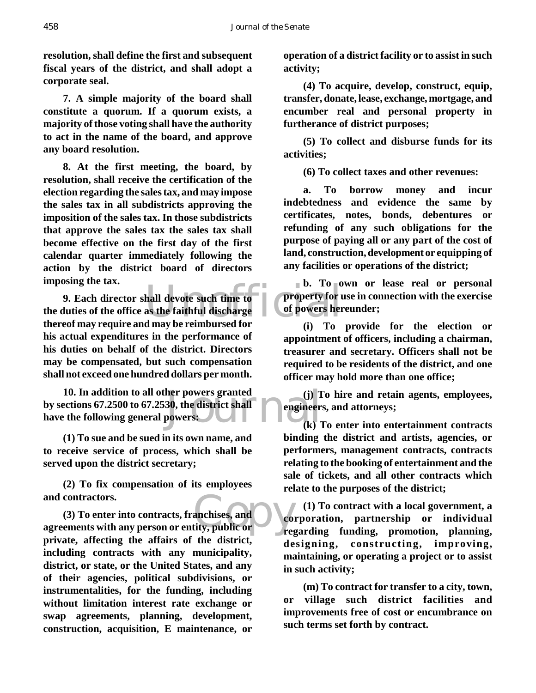**resolution, shall define the first and subsequent fiscal years of the district, and shall adopt a corporate seal.**

**7. A simple majority of the board shall constitute a quorum. If a quorum exists, a majority of those voting shall have the authority to act in the name of the board, and approve any board resolution.**

**8. At the first meeting, the board, by resolution, shall receive the certification of the election regarding the sales tax, and may impose the sales tax in all subdistricts approving the imposition of the sales tax. In those subdistricts that approve the sales tax the sales tax shall become effective on the first day of the first calendar quarter immediately following the action by the district board of directors imposing the tax.**

b. 10 0<br>hall devote such time to<br>as the faithful discharge<br>d may be reimbursed for<br>d may be reimbursed for **9. Each director shall devote such time to the duties of the office as the faithful discharge thereof may require and may be reimbursed for his actual expenditures in the performance of his duties on behalf of the district. Directors may be compensated, but such compensation shall not exceed one hundred dollars per month.**

her powers granted (j) I<br>30, the district shall engineers<br>powers: (k) I **10. In addition to all other powers granted by sections 67.2500 to 67.2530, the district shall have the following general powers:**

**(1) To sue and be sued in its own name, and to receive service of process, which shall be served upon the district secretary;**

**(2) To fix compensation of its employees and contractors.**

anchises, and<br>tity, public or **(3) To enter into contracts, franchises, and agreements with any person or entity, public or private, affecting the affairs of the district, including contracts with any municipality, district, or state, or the United States, and any of their agencies, political subdivisions, or instrumentalities, for the funding, including without limitation interest rate exchange or swap agreements, planning, development, construction, acquisition, E maintenance, or**

**operation of a district facility or to assist in such activity;**

**(4) To acquire, develop, construct, equip, transfer, donate, lease, exchange, mortgage, and encumber real and personal property in furtherance of district purposes;**

**(5) To collect and disburse funds for its activities;**

**(6) To collect taxes and other revenues:**

**a. To borrow money and incur indebtedness and evidence the same by certificates, notes, bonds, debentures or refunding of any such obligations for the purpose of paying all or any part of the cost of land, construction, development or equipping of any facilities or operations of the district;**

**b. To own or lease real or personal property for use in connection with the exercise of powers hereunder;**

**(i) To provide for the election or appointment of officers, including a chairman, treasurer and secretary. Officers shall not be required to be residents of the district, and one officer may hold more than one office;**

**(j) To hire and retain agents, employees, engineers, and attorneys;**

**(k) To enter into entertainment contracts binding the district and artists, agencies, or performers, management contracts, contracts relating to the booking of entertainment and the sale of tickets, and all other contracts which relate to the purposes of the district;**

**(1) To contract with a local government, a corporation, partnership or individual regarding funding, promotion, planning, designing, constructing, improving, maintaining, or operating a project or to assist in such activity;**

**(m) To contract for transfer to a city, town, or village such district facilities and improvements free of cost or encumbrance on such terms set forth by contract.**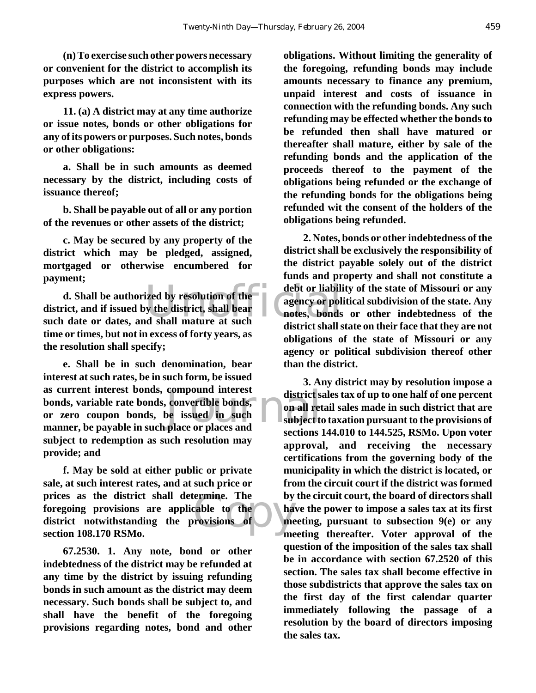**(n) To exercise such other powers necessary or convenient for the district to accomplish its purposes which are not inconsistent with its express powers.**

**11. (a) A district may at any time authorize or issue notes, bonds or other obligations for any of its powers or purposes. Such notes, bonds or other obligations:**

**a. Shall be in such amounts as deemed necessary by the district, including costs of issuance thereof;**

**b. Shall be payable out of all or any portion of the revenues or other assets of the district;**

**c. May be secured by any property of the district which may be pledged, assigned, mortgaged or otherwise encumbered for payment;**

Example 12 debt or liability<br>the district, shall bear<br>intes, bonds<br>interior about the district chall of the district chall of **d. Shall be authorized by resolution of the district, and if issued by the district, shall bear such date or dates, and shall mature at such time or times, but not in excess of forty years, as the resolution shall specify;**

compound interest<br>
convertible bonds,<br>
be issued in such<br>
place or places and **e. Shall be in such denomination, bear interest at such rates, be in such form, be issued as current interest bonds, compound interest bonds, variable rate bonds, convertible bonds, or zero coupon bonds, be issued in such manner, be payable in such place or places and subject to redemption as such resolution may provide; and**

ermine. The by<br>cable to the ha<br>rovisions of me **f. May be sold at either public or private sale, at such interest rates, and at such price or prices as the district shall determine. The foregoing provisions are applicable to the district notwithstanding the provisions of section 108.170 RSMo.**

**67.2530. 1. Any note, bond or other indebtedness of the district may be refunded at any time by the district by issuing refunding bonds in such amount as the district may deem necessary. Such bonds shall be subject to, and shall have the benefit of the foregoing provisions regarding notes, bond and other**

**obligations. Without limiting the generality of the foregoing, refunding bonds may include amounts necessary to finance any premium, unpaid interest and costs of issuance in connection with the refunding bonds. Any such refunding may be effected whether the bonds to be refunded then shall have matured or thereafter shall mature, either by sale of the refunding bonds and the application of the proceeds thereof to the payment of the obligations being refunded or the exchange of the refunding bonds for the obligations being refunded wit the consent of the holders of the obligations being refunded.**

**2. Notes, bonds or other indebtedness of the district shall be exclusively the responsibility of the district payable solely out of the district funds and property and shall not constitute a debt or liability of the state of Missouri or any agency or political subdivision of the state. Any notes, bonds or other indebtedness of the district shall state on their face that they are not obligations of the state of Missouri or any agency or political subdivision thereof other than the district.**

**3. Any district may by resolution impose a district sales tax of up to one half of one percent on all retail sales made in such district that are subject to taxation pursuant to the provisions of sections 144.010 to 144.525, RSMo. Upon voter approval, and receiving the necessary certifications from the governing body of the municipality in which the district is located, or from the circuit court if the district was formed by the circuit court, the board of directors shall have the power to impose a sales tax at its first meeting, pursuant to subsection 9(e) or any meeting thereafter. Voter approval of the question of the imposition of the sales tax shall be in accordance with section 67.2520 of this section. The sales tax shall become effective in those subdistricts that approve the sales tax on the first day of the first calendar quarter immediately following the passage of a resolution by the board of directors imposing the sales tax.**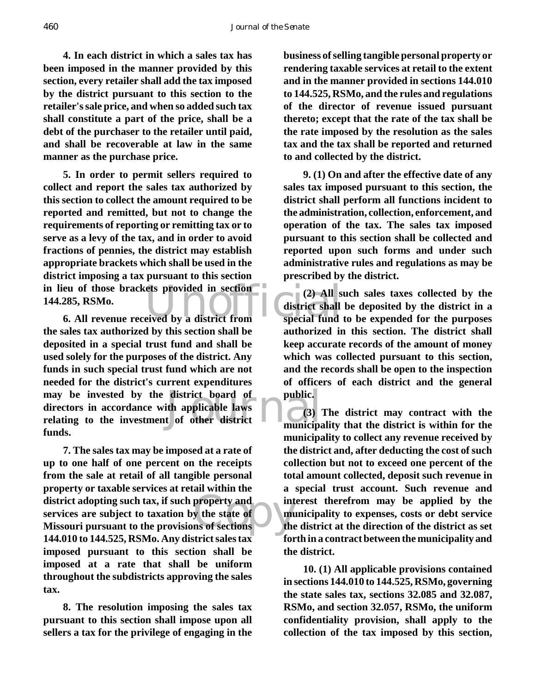**4. In each district in which a sales tax has been imposed in the manner provided by this section, every retailer shall add the tax imposed by the district pursuant to this section to the retailer's sale price, and when so added such tax shall constitute a part of the price, shall be a debt of the purchaser to the retailer until paid, and shall be recoverable at law in the same manner as the purchase price.**

in lieu of those brackets provided in section<br>
144.285, RSMo. (2) All s<br>
6. All revenue received by a district from special fund **5. In order to permit sellers required to collect and report the sales tax authorized by this section to collect the amount required to be reported and remitted, but not to change the requirements of reporting or remitting tax or to serve as a levy of the tax, and in order to avoid fractions of pennies, the district may establish appropriate brackets which shall be used in the district imposing a tax pursuant to this section 144.285, RSMo.**

may be invested by the district board of public.<br>
directors in accordance with applicable laws<br>
relating to the investment of other district<br>
municipal **6. All revenue received by a district from the sales tax authorized by this section shall be deposited in a special trust fund and shall be used solely for the purposes of the district. Any funds in such special trust fund which are not needed for the district's current expenditures directors in accordance with applicable laws relating to the investment of other district funds.**

district adopting such tax, if such property and<br>services are subject to taxation by the state of<br>Missouri pursuant to the provisions of sections **7. The sales tax may be imposed at a rate of up to one half of one percent on the receipts from the sale at retail of all tangible personal property or taxable services at retail within the district adopting such tax, if such property and services are subject to taxation by the state of 144.010 to 144.525, RSMo. Any district sales tax imposed pursuant to this section shall be imposed at a rate that shall be uniform throughout the subdistricts approving the sales tax.**

**8. The resolution imposing the sales tax pursuant to this section shall impose upon all sellers a tax for the privilege of engaging in the**

**business of selling tangible personal property or rendering taxable services at retail to the extent and in the manner provided in sections 144.010 to 144.525, RSMo, and the rules and regulations of the director of revenue issued pursuant thereto; except that the rate of the tax shall be the rate imposed by the resolution as the sales tax and the tax shall be reported and returned to and collected by the district.**

**9. (1) On and after the effective date of any sales tax imposed pursuant to this section, the district shall perform all functions incident to the administration, collection, enforcement, and operation of the tax. The sales tax imposed pursuant to this section shall be collected and reported upon such forms and under such administrative rules and regulations as may be prescribed by the district.**

**(2) All such sales taxes collected by the district shall be deposited by the district in a special fund to be expended for the purposes authorized in this section. The district shall keep accurate records of the amount of money which was collected pursuant to this section, and the records shall be open to the inspection of officers of each district and the general public.**

**(3) The district may contract with the municipality that the district is within for the municipality to collect any revenue received by the district and, after deducting the cost of such collection but not to exceed one percent of the total amount collected, deposit such revenue in a special trust account. Such revenue and interest therefrom may be applied by the municipality to expenses, costs or debt service the district at the direction of the district as set forth in a contract between the municipality and the district.**

**10. (1) All applicable provisions contained in sections 144.010 to 144.525, RSMo, governing the state sales tax, sections 32.085 and 32.087, RSMo, and section 32.057, RSMo, the uniform confidentiality provision, shall apply to the collection of the tax imposed by this section,**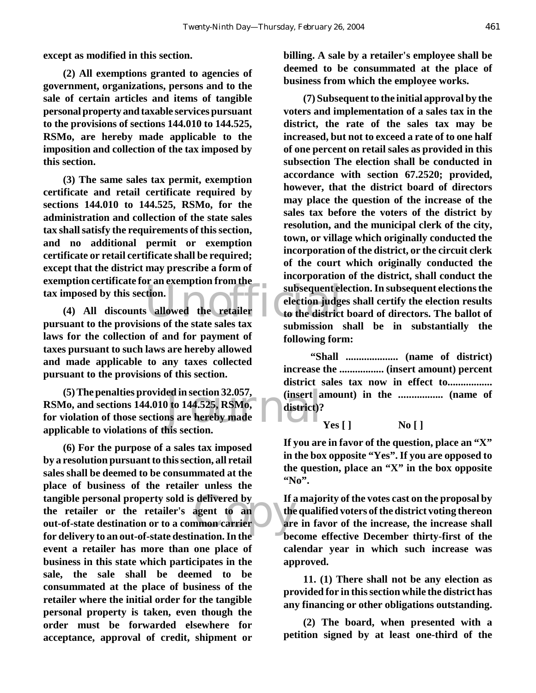**except as modified in this section.**

**(2) All exemptions granted to agencies of government, organizations, persons and to the sale of certain articles and items of tangible personal property and taxable services pursuant to the provisions of sections 144.010 to 144.525, RSMo, are hereby made applicable to the imposition and collection of the tax imposed by this section.**

**(3) The same sales tax permit, exemption certificate and retail certificate required by sections 144.010 to 144.525, RSMo, for the administration and collection of the state sales tax shall satisfy the requirements of this section, and no additional permit or exemption certificate or retail certificate shall be required; except that the district may prescribe a form of exemption certificate for an exemption from the tax imposed by this section.**

**(4) All discounts allowed the retailer pursuant to the provisions of the state sales tax laws for the collection of and for payment of taxes pursuant to such laws are hereby allowed and made applicable to any taxes collected pursuant to the provisions of this section.**

ed in section 32.057,<br>a) to 144.525, RSMo,<br>ms are hereby made<br>his section **(5) The penalties provided in section 32.057, RSMo, and sections 144.010 to 144.525, RSMo, for violation of those sections are hereby made applicable to violations of this section.**

tangible personal property sold is delivered by<br>
the retailer or the retailer's agent to an<br>
out-of-state destination or to a common carrier<br>
for delivery to an eut of state destination. In the **(6) For the purpose of a sales tax imposed by a resolution pursuant to this section, all retail sales shall be deemed to be consummated at the place of business of the retailer unless the the retailer or the retailer's agent to an out-of-state destination or to a common carrier for delivery to an out-of-state destination. In the event a retailer has more than one place of business in this state which participates in the sale, the sale shall be deemed to be consummated at the place of business of the retailer where the initial order for the tangible personal property is taken, even though the order must be forwarded elsewhere for acceptance, approval of credit, shipment or**

**billing. A sale by a retailer's employee shall be deemed to be consummated at the place of business from which the employee works.**

subsequent election.<br>
allowed the retailer to the district<br>
ons of the state sales tax **(7) Subsequent to the initial approval by the voters and implementation of a sales tax in the district, the rate of the sales tax may be increased, but not to exceed a rate of to one half of one percent on retail sales as provided in this subsection The election shall be conducted in accordance with section 67.2520; provided, however, that the district board of directors may place the question of the increase of the sales tax before the voters of the district by resolution, and the municipal clerk of the city, town, or village which originally conducted the incorporation of the district, or the circuit clerk of the court which originally conducted the incorporation of the district, shall conduct the subsequent election. In subsequent elections the election judges shall certify the election results to the district board of directors. The ballot of submission shall be in substantially the following form:**

> **"Shall .................... (name of district) increase the ................. (insert amount) percent district sales tax now in effect to................. (insert amount) in the ................. (name of district)?**

> > **Yes [ ] No [ ]**

**If you are in favor of the question, place an "X" in the box opposite "Yes". If you are opposed to the question, place an "X" in the box opposite "No".**

**If a majority of the votes cast on the proposal by the qualified voters of the district voting thereon are in favor of the increase, the increase shall become effective December thirty-first of the calendar year in which such increase was approved.**

**11. (1) There shall not be any election as provided for in this section while the district has any financing or other obligations outstanding.**

**(2) The board, when presented with a petition signed by at least one-third of the**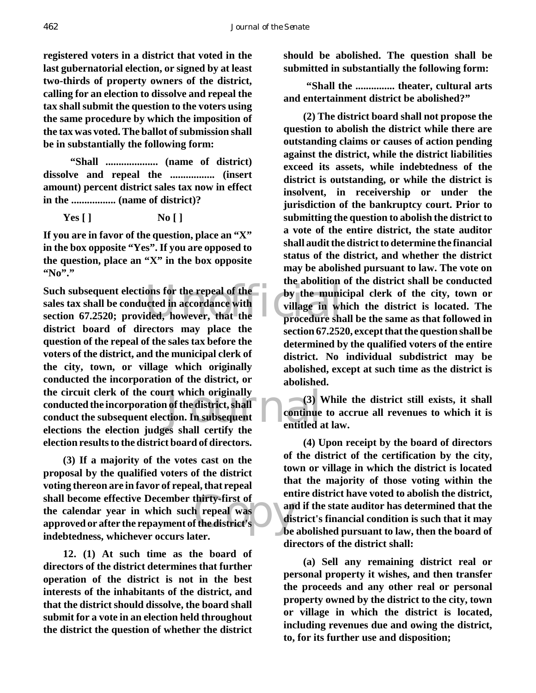**registered voters in a district that voted in the last gubernatorial election, or signed by at least two-thirds of property owners of the district, calling for an election to dissolve and repeal the tax shall submit the question to the voters using the same procedure by which the imposition of the tax was voted. The ballot of submission shall be in substantially the following form:**

 **"Shall .................... (name of district) dissolve and repeal the ................. (insert amount) percent district sales tax now in effect in the ................. (name of district)?**

**Yes [ ] No [ ]**

**If you are in favor of the question, place an "X" in the box opposite "Yes". If you are opposed to the question, place an "X" in the box opposite "No"."**

Such subsequent elections for the repeal of the by the munisales tax shall be conducted in accordance with<br>section 67.2520; provided, however, that the procedure sha rt which originally<br>
of the district, shall<br>
tion. In subsequent<br>
es shall certify the<br>
entitled a **Such subsequent elections for the repeal of the sales tax shall be conducted in accordance with district board of directors may place the question of the repeal of the sales tax before the voters of the district, and the municipal clerk of the city, town, or village which originally conducted the incorporation of the district, or the circuit clerk of the court which originally conducted the incorporation of the district, shall conduct the subsequent election. In subsequent elections the election judges shall certify the election results to the district board of directors.**

thirty-first of<br>h repeal was<br>f the district's<br>tter **(3) If a majority of the votes cast on the proposal by the qualified voters of the district voting thereon are in favor of repeal, that repeal shall become effective December thirty-first of the calendar year in which such repeal was approved or after the repayment of the district's indebtedness, whichever occurs later.**

**12. (1) At such time as the board of directors of the district determines that further operation of the district is not in the best interests of the inhabitants of the district, and that the district should dissolve, the board shall submit for a vote in an election held throughout the district the question of whether the district** **should be abolished. The question shall be submitted in substantially the following form:**

 **"Shall the ............... theater, cultural arts and entertainment district be abolished?"**

**(2) The district board shall not propose the question to abolish the district while there are outstanding claims or causes of action pending against the district, while the district liabilities exceed its assets, while indebtedness of the district is outstanding, or while the district is insolvent, in receivership or under the jurisdiction of the bankruptcy court. Prior to submitting the question to abolish the district to a vote of the entire district, the state auditor shall audit the district to determine the financial status of the district, and whether the district may be abolished pursuant to law. The vote on the abolition of the district shall be conducted by the municipal clerk of the city, town or village in which the district is located. The procedure shall be the same as that followed in section 67.2520, except that the question shall be determined by the qualified voters of the entire district. No individual subdistrict may be abolished, except at such time as the district is abolished.**

**(3) While the district still exists, it shall continue to accrue all revenues to which it is entitled at law.**

**(4) Upon receipt by the board of directors of the district of the certification by the city, town or village in which the district is located that the majority of those voting within the entire district have voted to abolish the district, and if the state auditor has determined that the district's financial condition is such that it may be abolished pursuant to law, then the board of directors of the district shall:**

**(a) Sell any remaining district real or personal property it wishes, and then transfer the proceeds and any other real or personal property owned by the district to the city, town or village in which the district is located, including revenues due and owing the district, to, for its further use and disposition;**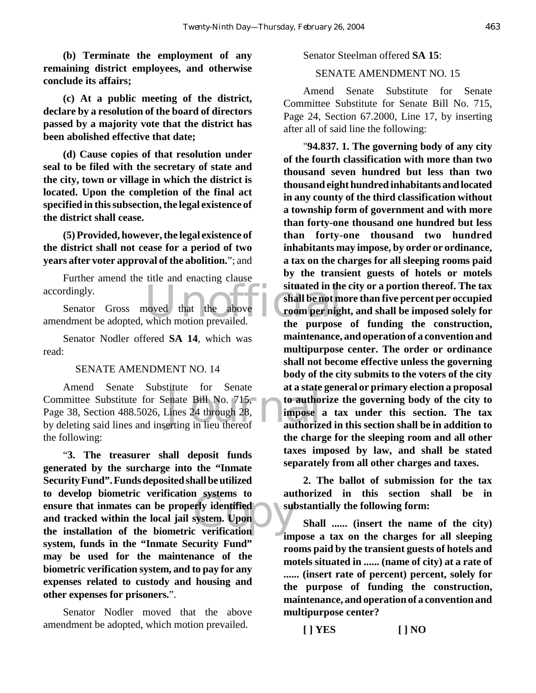**(b) Terminate the employment of any remaining district employees, and otherwise conclude its affairs;**

**(c) At a public meeting of the district, declare by a resolution of the board of directors passed by a majority vote that the district has been abolished effective that date;**

**(d) Cause copies of that resolution under seal to be filed with the secretary of state and the city, town or village in which the district is located. Upon the completion of the final act specified in this subsection, the legal existence of the district shall cease.**

**(5) Provided, however, the legal existence of the district shall not cease for a period of two years after voter approval of the abolition.**"; and

Further amend the title and enacting clause accordingly.

accordingly.<br>
Senator Gross moved that the above situated in the shall be not m<br>
amendment be adopted, which motion prevailed. Senator Gross moved that the above

Senator Nodler offered **SA 14**, which was read:

#### SENATE AMENDMENT NO. 14

enate Bill No. 715,<br>Lines 24 through 28,<br>erting in lieu thereof authorize Amend Senate Substitute for Senate Committee Substitute for Senate Bill No. 715, Page 38, Section 488.5026, Lines 24 through 28, by deleting said lines and inserting in lieu thereof the following:

n systems to au<br>
system. Upon<br>
c verification "**3. The treasurer shall deposit funds generated by the surcharge into the "Inmate Security Fund". Funds deposited shall be utilized to develop biometric verification systems to ensure that inmates can be properly identified and tracked within the local jail system. Upon the installation of the biometric verification system, funds in the "Inmate Security Fund" may be used for the maintenance of the biometric verification system, and to pay for any expenses related to custody and housing and other expenses for prisoners.**".

Senator Nodler moved that the above amendment be adopted, which motion prevailed.

Senator Steelman offered **SA 15**:

## SENATE AMENDMENT NO. 15

Amend Senate Substitute for Senate Committee Substitute for Senate Bill No. 715, Page 24, Section 67.2000, Line 17, by inserting after all of said line the following:

"**94.837. 1. The governing body of any city of the fourth classification with more than two thousand seven hundred but less than two thousand eight hundred inhabitants and located in any county of the third classification without a township form of government and with more than forty-one thousand one hundred but less than forty-one thousand two hundred inhabitants may impose, by order or ordinance, a tax on the charges for all sleeping rooms paid by the transient guests of hotels or motels situated in the city or a portion thereof. The tax shall be not more than five percent per occupied room per night, and shall be imposed solely for the purpose of funding the construction, maintenance, and operation of a convention and multipurpose center. The order or ordinance shall not become effective unless the governing body of the city submits to the voters of the city at a state general or primary election a proposal to authorize the governing body of the city to impose a tax under this section. The tax authorized in this section shall be in addition to the charge for the sleeping room and all other taxes imposed by law, and shall be stated separately from all other charges and taxes.**

**2. The ballot of submission for the tax authorized in this section shall be in substantially the following form:**

**Shall ...... (insert the name of the city) impose a tax on the charges for all sleeping rooms paid by the transient guests of hotels and motels situated in ...... (name of city) at a rate of ...... (insert rate of percent) percent, solely for the purpose of funding the construction, maintenance, and operation of a convention and multipurpose center?**

**[ ] YES [ ] NO**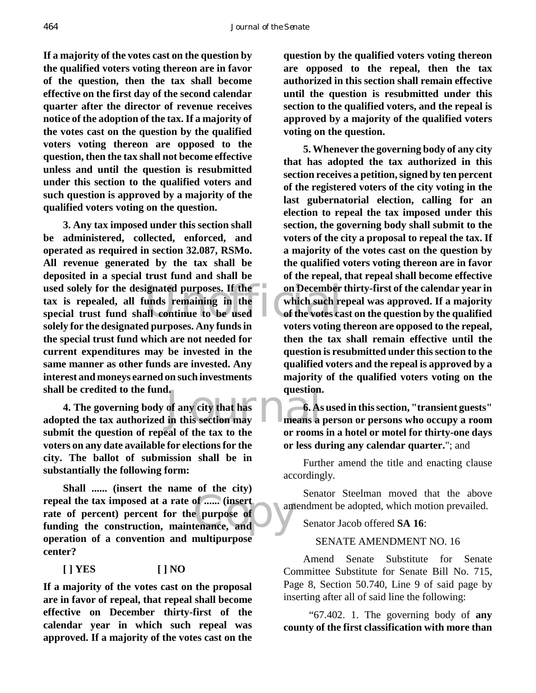**If a majority of the votes cast on the question by the qualified voters voting thereon are in favor of the question, then the tax shall become effective on the first day of the second calendar quarter after the director of revenue receives notice of the adoption of the tax. If a majority of the votes cast on the question by the qualified voters voting thereon are opposed to the question, then the tax shall not become effective unless and until the question is resubmitted under this section to the qualified voters and such question is approved by a majority of the qualified voters voting on the question.**

used solely for the designated purposes. If the<br>
tax is repealed, all funds remaining in the<br>
special trust fund shall continue to be used<br>
and the votes called for the designated purposes. Any funds in the votes votes wit **3. Any tax imposed under this section shall be administered, collected, enforced, and operated as required in section 32.087, RSMo. All revenue generated by the tax shall be deposited in a special trust fund and shall be tax is repealed, all funds remaining in the special trust fund shall continue to be used solely for the designated purposes. Any funds in the special trust fund which are not needed for current expenditures may be invested in the same manner as other funds are invested. Any interest and moneys earned on such investments shall be credited to the fund.**

1. question.<br>
of any city that has<br>
in this section may means a **4. The governing body of any city that has adopted the tax authorized in this section may submit the question of repeal of the tax to the voters on any date available for elections for the city. The ballot of submission shall be in substantially the following form:**

repeal the tax imposed at a rate of ...... (insert<br>rate of percent) percent for the purpose of<br>funding the construction, maintenance, and **Shall ...... (insert the name of the city) rate of percent) percent for the purpose of funding the construction, maintenance, and operation of a convention and multipurpose center?**

## **[ ] YES [ ] NO**

**If a majority of the votes cast on the proposal are in favor of repeal, that repeal shall become effective on December thirty-first of the calendar year in which such repeal was approved. If a majority of the votes cast on the**

**question by the qualified voters voting thereon are opposed to the repeal, then the tax authorized in this section shall remain effective until the question is resubmitted under this section to the qualified voters, and the repeal is approved by a majority of the qualified voters voting on the question.**

**5. Whenever the governing body of any city that has adopted the tax authorized in this section receives a petition, signed by ten percent of the registered voters of the city voting in the last gubernatorial election, calling for an election to repeal the tax imposed under this section, the governing body shall submit to the voters of the city a proposal to repeal the tax. If a majority of the votes cast on the question by the qualified voters voting thereon are in favor of the repeal, that repeal shall become effective on December thirty-first of the calendar year in which such repeal was approved. If a majority of the votes cast on the question by the qualified voters voting thereon are opposed to the repeal, then the tax shall remain effective until the question is resubmitted under this section to the qualified voters and the repeal is approved by a majority of the qualified voters voting on the question.**

**6. As used in this section, "transient guests" means a person or persons who occupy a room or rooms in a hotel or motel for thirty-one days or less during any calendar quarter.**"; and

Further amend the title and enacting clause accordingly.

Senator Steelman moved that the above amendment be adopted, which motion prevailed.

Senator Jacob offered **SA 16**:

## SENATE AMENDMENT NO. 16

Amend Senate Substitute for Senate Committee Substitute for Senate Bill No. 715, Page 8, Section 50.740, Line 9 of said page by inserting after all of said line the following:

 "67.402. 1. The governing body of **any county of the first classification with more than**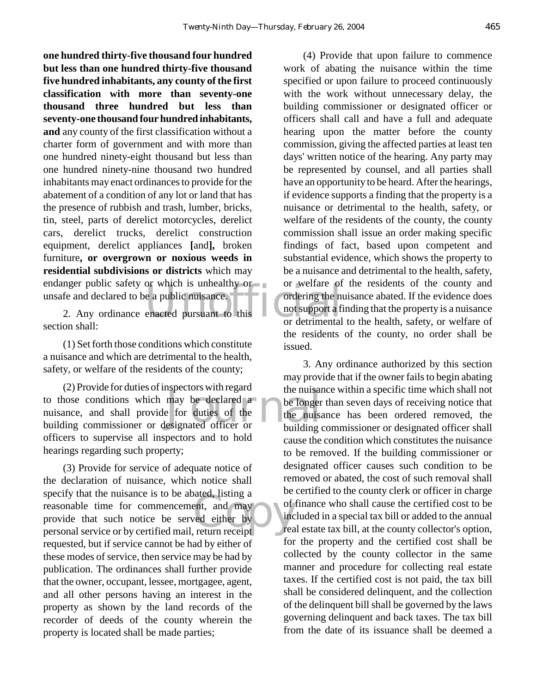endanger public safety or which is unhealthy or<br>
unsafe and declared to be a public nuisance.<br>
2. Any ordinance enacted pursuant to this<br>
or detrimental<br>
or detrimental **one hundred thirty-five thousand four hundred but less than one hundred thirty-five thousand five hundred inhabitants, any county of the first classification with more than seventy-one thousand three hundred but less than seventy-one thousand four hundred inhabitants, and** any county of the first classification without a charter form of government and with more than one hundred ninety-eight thousand but less than one hundred ninety-nine thousand two hundred inhabitants may enact ordinances to provide for the abatement of a condition of any lot or land that has the presence of rubbish and trash, lumber, bricks, tin, steel, parts of derelict motorcycles, derelict cars, derelict trucks, derelict construction equipment, derelict appliances **[**and**],** broken furniture**, or overgrown or noxious weeds in residential subdivisions or districts** which may unsafe and declared to be a public nuisance.

2. Any ordinance enacted pursuant to this section shall:

(1) Set forth those conditions which constitute a nuisance and which are detrimental to the health, safety, or welfare of the residents of the county;

the nuisar<br>
may be declared a<br>
e for duties of the<br>
esignated officer or<br>
building (2) Provide for duties of inspectors with regard to those conditions which may be declared a nuisance, and shall provide for duties of the building commissioner or designated officer or officers to supervise all inspectors and to hold hearings regarding such property;

spectly that the nuisance is to be abated, fisting a<br>reasonable time for commencement, and may<br>personal service or by certified mail, return receipt (3) Provide for service of adequate notice of the declaration of nuisance, which notice shall specify that the nuisance is to be abated, listing a reasonable time for commencement, and may provide that such notice be served either by requested, but if service cannot be had by either of these modes of service, then service may be had by publication. The ordinances shall further provide that the owner, occupant, lessee, mortgagee, agent, and all other persons having an interest in the property as shown by the land records of the recorder of deeds of the county wherein the property is located shall be made parties;

(4) Provide that upon failure to commence work of abating the nuisance within the time specified or upon failure to proceed continuously with the work without unnecessary delay, the building commissioner or designated officer or officers shall call and have a full and adequate hearing upon the matter before the county commission, giving the affected parties at least ten days' written notice of the hearing. Any party may be represented by counsel, and all parties shall have an opportunity to be heard. After the hearings, if evidence supports a finding that the property is a nuisance or detrimental to the health, safety, or welfare of the residents of the county, the county commission shall issue an order making specific findings of fact, based upon competent and substantial evidence, which shows the property to be a nuisance and detrimental to the health, safety, or welfare of the residents of the county and ordering the nuisance abated. If the evidence does not support a finding that the property is a nuisance or detrimental to the health, safety, or welfare of the residents of the county, no order shall be issued.

3. Any ordinance authorized by this section may provide that if the owner fails to begin abating the nuisance within a specific time which shall not be longer than seven days of receiving notice that the nuisance has been ordered removed, the building commissioner or designated officer shall cause the condition which constitutes the nuisance to be removed. If the building commissioner or designated officer causes such condition to be removed or abated, the cost of such removal shall be certified to the county clerk or officer in charge of finance who shall cause the certified cost to be included in a special tax bill or added to the annual real estate tax bill, at the county collector's option, for the property and the certified cost shall be collected by the county collector in the same manner and procedure for collecting real estate taxes. If the certified cost is not paid, the tax bill shall be considered delinquent, and the collection of the delinquent bill shall be governed by the laws governing delinquent and back taxes. The tax bill from the date of its issuance shall be deemed a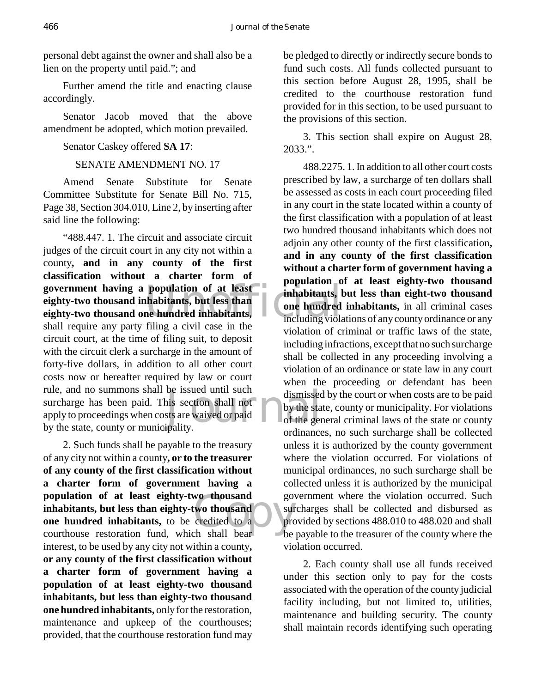personal debt against the owner and shall also be a lien on the property until paid."; and

Further amend the title and enacting clause accordingly.

Senator Jacob moved that the above amendment be adopted, which motion prevailed.

Senator Caskey offered **SA 17**:

SENATE AMENDMENT NO. 17

Amend Senate Substitute for Senate Committee Substitute for Senate Bill No. 715, Page 38, Section 304.010, Line 2, by inserting after said line the following:

government having a population of at least<br>
eighty-two thousand inhabitants, but less than<br>
eighty-two thousand one hundred inhabitants, be issued until such<br>
is section shall not<br>
sts are waived or paid<br>
ipality. "488.447. 1. The circuit and associate circuit judges of the circuit court in any city not within a county**, and in any county of the first classification without a charter form of eighty-two thousand inhabitants, but less than eighty-two thousand one hundred inhabitants,** shall require any party filing a civil case in the circuit court, at the time of filing suit, to deposit with the circuit clerk a surcharge in the amount of forty-five dollars, in addition to all other court costs now or hereafter required by law or court rule, and no summons shall be issued until such surcharge has been paid. This section shall not apply to proceedings when costs are waived or paid by the state, county or municipality.

wo thousand<br>
credited to a<br>
ch shall bear<br>
ch shall bear 2. Such funds shall be payable to the treasury of any city not within a county**, or to the treasurer of any county of the first classification without a charter form of government having a population of at least eighty-two thousand inhabitants, but less than eighty-two thousand one hundred inhabitants,** to be credited to a courthouse restoration fund, which shall bear interest, to be used by any city not within a county**, or any county of the first classification without a charter form of government having a population of at least eighty-two thousand inhabitants, but less than eighty-two thousand one hundred inhabitants,** only for the restoration, maintenance and upkeep of the courthouses; provided, that the courthouse restoration fund may

be pledged to directly or indirectly secure bonds to fund such costs. All funds collected pursuant to this section before August 28, 1995, shall be credited to the courthouse restoration fund provided for in this section, to be used pursuant to the provisions of this section.

3. This section shall expire on August 28, 2033.".

488.2275. 1. In addition to all other court costs prescribed by law, a surcharge of ten dollars shall be assessed as costs in each court proceeding filed in any court in the state located within a county of the first classification with a population of at least two hundred thousand inhabitants which does not adjoin any other county of the first classification**, and in any county of the first classification without a charter form of government having a population of at least eighty-two thousand inhabitants, but less than eight-two thousand one hundred inhabitants,** in all criminal cases including violations of any county ordinance or any violation of criminal or traffic laws of the state, including infractions, except that no such surcharge shall be collected in any proceeding involving a violation of an ordinance or state law in any court when the proceeding or defendant has been dismissed by the court or when costs are to be paid by the state, county or municipality. For violations of the general criminal laws of the state or county ordinances, no such surcharge shall be collected unless it is authorized by the county government where the violation occurred. For violations of municipal ordinances, no such surcharge shall be collected unless it is authorized by the municipal government where the violation occurred. Such surcharges shall be collected and disbursed as provided by sections 488.010 to 488.020 and shall be payable to the treasurer of the county where the violation occurred.

2. Each county shall use all funds received under this section only to pay for the costs associated with the operation of the county judicial facility including, but not limited to, utilities, maintenance and building security. The county shall maintain records identifying such operating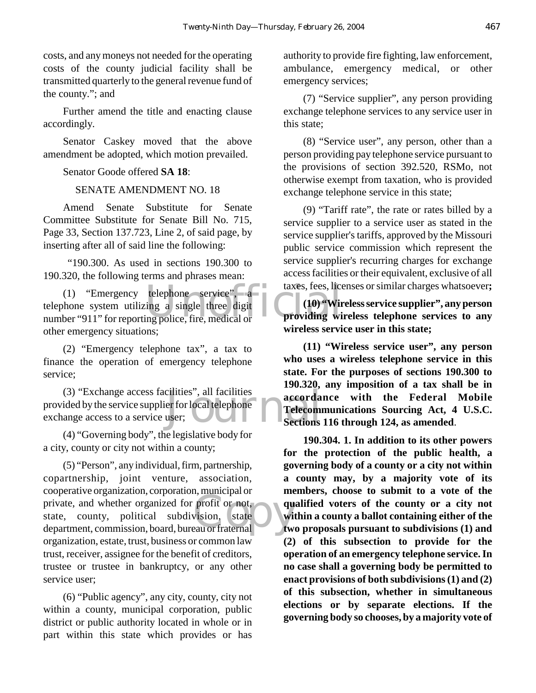costs, and any moneys not needed for the operating costs of the county judicial facility shall be transmitted quarterly to the general revenue fund of the county."; and

Further amend the title and enacting clause accordingly.

Senator Caskey moved that the above amendment be adopted, which motion prevailed.

Senator Goode offered **SA 18**:

## SENATE AMENDMENT NO. 18

Amend Senate Substitute for Senate Committee Substitute for Senate Bill No. 715, Page 33, Section 137.723, Line 2, of said page, by inserting after all of said line the following:

 "190.300. As used in sections 190.300 to 190.320, the following terms and phrases mean:

telephone service". a taxes, fees, lice<br>
ing a single three digit (10) Wire<br>
ing police, fire, medical or<br> **Providing wire:** (1) "Emergency telephone service", a telephone system utilizing a single three digit number "911" for reporting police, fire, medical or other emergency situations;

(2) "Emergency telephone tax", a tax to finance the operation of emergency telephone service;

cilities", all facilities<br>er for local telephone<br>user;<br>Sections (3) "Exchange access facilities", all facilities provided by the service supplier for local telephone exchange access to a service user;

(4) "Governing body", the legislative body for a city, county or city not within a county;

profit or not,<br>wision, state<br>au or fraternal (5) "Person", any individual, firm, partnership, copartnership, joint venture, association, cooperative organization, corporation, municipal or private, and whether organized for profit or not, state, county, political subdivision, state department, commission, board, bureau or fraternal organization, estate, trust, business or common law trust, receiver, assignee for the benefit of creditors, trustee or trustee in bankruptcy, or any other service user;

(6) "Public agency", any city, county, city not within a county, municipal corporation, public district or public authority located in whole or in part within this state which provides or has authority to provide fire fighting, law enforcement, ambulance, emergency medical, or other emergency services;

(7) "Service supplier", any person providing exchange telephone services to any service user in this state;

(8) "Service user", any person, other than a person providing pay telephone service pursuant to the provisions of section 392.520, RSMo, not otherwise exempt from taxation, who is provided exchange telephone service in this state;

(9) "Tariff rate", the rate or rates billed by a service supplier to a service user as stated in the service supplier's tariffs, approved by the Missouri public service commission which represent the service supplier's recurring charges for exchange access facilities or their equivalent, exclusive of all taxes, fees, licenses or similar charges whatsoever**;**

**(10) "Wireless service supplier", any person providing wireless telephone services to any wireless service user in this state;**

**(11) "Wireless service user", any person who uses a wireless telephone service in this state. For the purposes of sections 190.300 to 190.320, any imposition of a tax shall be in accordance with the Federal Mobile Telecommunications Sourcing Act, 4 U.S.C. Sections 116 through 124, as amended**.

**190.304. 1. In addition to its other powers for the protection of the public health, a governing body of a county or a city not within a county may, by a majority vote of its members, choose to submit to a vote of the qualified voters of the county or a city not within a county a ballot containing either of the two proposals pursuant to subdivisions (1) and (2) of this subsection to provide for the operation of an emergency telephone service. In no case shall a governing body be permitted to enact provisions of both subdivisions (1) and (2) of this subsection, whether in simultaneous elections or by separate elections. If the governing body so chooses, by a majority vote of**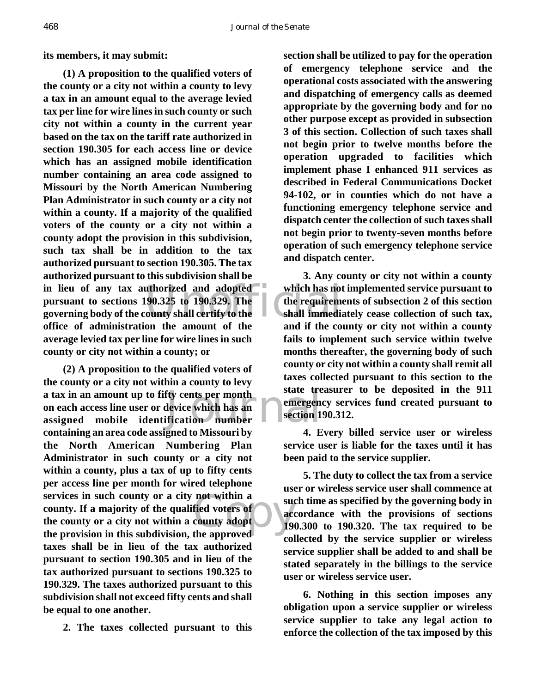**its members, it may submit:**

in lieu of any tax authorized and adopted<br>
pursuant to sections 190.325 to 190.329. The<br>
governing body of the county shall certify to the<br>
shall immedia<br>
effice of edministration, the emeunt of the sond if the sec **(1) A proposition to the qualified voters of the county or a city not within a county to levy a tax in an amount equal to the average levied tax per line for wire lines in such county or such city not within a county in the current year based on the tax on the tariff rate authorized in section 190.305 for each access line or device which has an assigned mobile identification number containing an area code assigned to Missouri by the North American Numbering Plan Administrator in such county or a city not within a county. If a majority of the qualified voters of the county or a city not within a county adopt the provision in this subdivision, such tax shall be in addition to the tax authorized pursuant to section 190.305. The tax authorized pursuant to this subdivision shall be pursuant to sections 190.325 to 190.329. The governing body of the county shall certify to the office of administration the amount of the average levied tax per line for wire lines in such county or city not within a county; or**

Fity cents per month<br>device which has an ification number not within a<br>fied voters of<br>county adopt<br>the annroved **(2) A proposition to the qualified voters of the county or a city not within a county to levy a tax in an amount up to fifty cents per month on each access line user or device which has an assigned mobile identification number containing an area code assigned to Missouri by the North American Numbering Plan Administrator in such county or a city not within a county, plus a tax of up to fifty cents per access line per month for wired telephone services in such county or a city not within a county. If a majority of the qualified voters of the county or a city not within a county adopt the provision in this subdivision, the approved taxes shall be in lieu of the tax authorized pursuant to section 190.305 and in lieu of the tax authorized pursuant to sections 190.325 to 190.329. The taxes authorized pursuant to this subdivision shall not exceed fifty cents and shall be equal to one another.**

**2. The taxes collected pursuant to this**

**section shall be utilized to pay for the operation of emergency telephone service and the operational costs associated with the answering and dispatching of emergency calls as deemed appropriate by the governing body and for no other purpose except as provided in subsection 3 of this section. Collection of such taxes shall not begin prior to twelve months before the operation upgraded to facilities which implement phase I enhanced 911 services as described in Federal Communications Docket 94-102, or in counties which do not have a functioning emergency telephone service and dispatch center the collection of such taxes shall not begin prior to twenty-seven months before operation of such emergency telephone service and dispatch center.**

**3. Any county or city not within a county which has not implemented service pursuant to the requirements of subsection 2 of this section shall immediately cease collection of such tax, and if the county or city not within a county fails to implement such service within twelve months thereafter, the governing body of such county or city not within a county shall remit all taxes collected pursuant to this section to the state treasurer to be deposited in the 911 emergency services fund created pursuant to section 190.312.**

**4. Every billed service user or wireless service user is liable for the taxes until it has been paid to the service supplier.**

**5. The duty to collect the tax from a service user or wireless service user shall commence at such time as specified by the governing body in accordance with the provisions of sections 190.300 to 190.320. The tax required to be collected by the service supplier or wireless service supplier shall be added to and shall be stated separately in the billings to the service user or wireless service user.**

**6. Nothing in this section imposes any obligation upon a service supplier or wireless service supplier to take any legal action to enforce the collection of the tax imposed by this**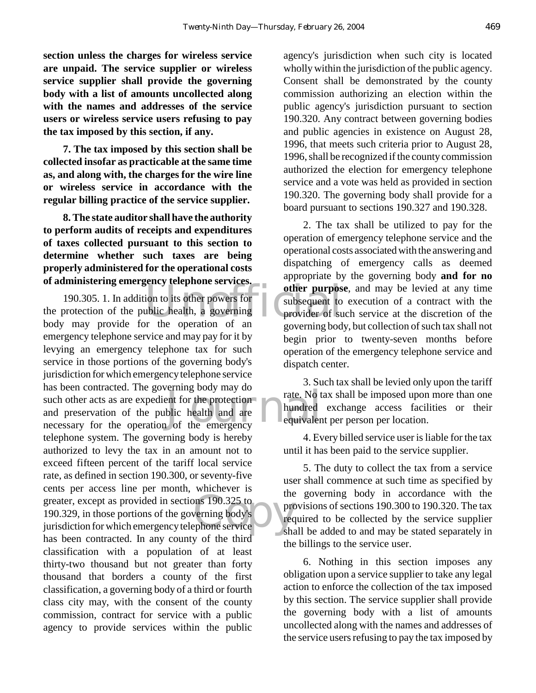**section unless the charges for wireless service are unpaid. The service supplier or wireless service supplier shall provide the governing body with a list of amounts uncollected along with the names and addresses of the service users or wireless service users refusing to pay the tax imposed by this section, if any.**

**7. The tax imposed by this section shall be collected insofar as practicable at the same time as, and along with, the charges for the wire line or wireless service in accordance with the regular billing practice of the service supplier.**

**8. The state auditor shall have the authority to perform audits of receipts and expenditures of taxes collected pursuant to this section to determine whether such taxes are being properly administered for the operational costs of administering emergency telephone services.**

other purpos<br>
ion to its other powers for<br>
ublic health, a governing<br>
which are contributed by<br>
provider of sur-<br>
notation of an contributed by<br>
contributed by<br>
contributed by<br>
contributed by<br>
contributed by<br>
contributed b example of the protection<br>blic health and are<br>of the emergency ons 190.325 to<br>
verning body's<br>
ephone service<br>
sha 190.305. 1. In addition to its other powers for the protection of the public health, a governing body may provide for the operation of an emergency telephone service and may pay for it by levying an emergency telephone tax for such service in those portions of the governing body's jurisdiction for which emergency telephone service has been contracted. The governing body may do such other acts as are expedient for the protection and preservation of the public health and are necessary for the operation of the emergency telephone system. The governing body is hereby authorized to levy the tax in an amount not to exceed fifteen percent of the tariff local service rate, as defined in section 190.300, or seventy-five cents per access line per month, whichever is greater, except as provided in sections 190.325 to 190.329, in those portions of the governing body's jurisdiction for which emergency telephone service has been contracted. In any county of the third classification with a population of at least thirty-two thousand but not greater than forty thousand that borders a county of the first classification, a governing body of a third or fourth class city may, with the consent of the county commission, contract for service with a public agency to provide services within the public

agency's jurisdiction when such city is located wholly within the jurisdiction of the public agency. Consent shall be demonstrated by the county commission authorizing an election within the public agency's jurisdiction pursuant to section 190.320. Any contract between governing bodies and public agencies in existence on August 28, 1996, that meets such criteria prior to August 28, 1996, shall be recognized if the county commission authorized the election for emergency telephone service and a vote was held as provided in section 190.320. The governing body shall provide for a board pursuant to sections 190.327 and 190.328.

2. The tax shall be utilized to pay for the operation of emergency telephone service and the operational costs associated with the answering and dispatching of emergency calls as deemed appropriate by the governing body **and for no other purpose**, and may be levied at any time subsequent to execution of a contract with the provider of such service at the discretion of the governing body, but collection of such tax shall not begin prior to twenty-seven months before operation of the emergency telephone service and dispatch center.

3. Such tax shall be levied only upon the tariff rate. No tax shall be imposed upon more than one hundred exchange access facilities or their equivalent per person per location.

4. Every billed service user is liable for the tax until it has been paid to the service supplier.

5. The duty to collect the tax from a service user shall commence at such time as specified by the governing body in accordance with the provisions of sections 190.300 to 190.320. The tax required to be collected by the service supplier shall be added to and may be stated separately in the billings to the service user.

6. Nothing in this section imposes any obligation upon a service supplier to take any legal action to enforce the collection of the tax imposed by this section. The service supplier shall provide the governing body with a list of amounts uncollected along with the names and addresses of the service users refusing to pay the tax imposed by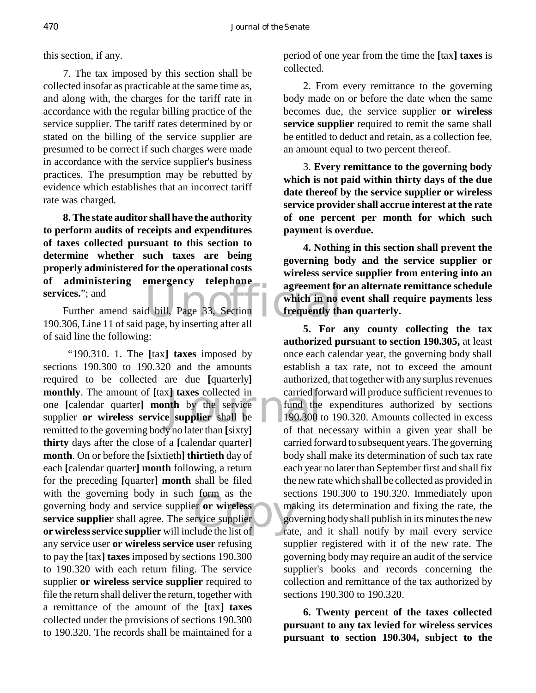this section, if any.

7. The tax imposed by this section shall be collected insofar as practicable at the same time as, and along with, the charges for the tariff rate in accordance with the regular billing practice of the service supplier. The tariff rates determined by or stated on the billing of the service supplier are presumed to be correct if such charges were made in accordance with the service supplier's business practices. The presumption may be rebutted by evidence which establishes that an incorrect tariff rate was charged.

**8. The state auditor shall have the authority to perform audits of receipts and expenditures of taxes collected pursuant to this section to determine whether such taxes are being properly administered for the operational costs of administering emergency telephone services.**"; and

agreement for<br>d bill, Page 33, Section<br>nage by inserting after all Further amend said bill, Page 33, Section 190.306, Line 11 of said page, by inserting after all of said line the following:

x] **taxes** collected in carried for the by the service  $\bullet$  fund the supplier shall be  $\bullet$  190.300 to that n From as the second<br>
experience supplier<br>
Experience supplier<br>
Experience of the second second<br>
that the list of the rate "190.310. 1. The **[**tax**] taxes** imposed by sections 190.300 to 190.320 and the amounts required to be collected are due **[**quarterly**] monthly**. The amount of **[**tax**] taxes** collected in one **[**calendar quarter**] month** by the service supplier **or wireless service supplier** shall be remitted to the governing body no later than **[**sixty**] thirty** days after the close of a **[**calendar quarter**] month**. On or before the **[**sixtieth**] thirtieth** day of each **[**calendar quarter**] month** following, a return for the preceding **[**quarter**] month** shall be filed with the governing body in such form as the governing body and service supplier **or wireless service supplier** shall agree. The service supplier **or wireless service supplier** will include the list of any service user **or wireless service user** refusing to pay the **[**tax**] taxes** imposed by sections 190.300 to 190.320 with each return filing. The service supplier **or wireless service supplier** required to file the return shall deliver the return, together with a remittance of the amount of the **[**tax**] taxes** collected under the provisions of sections 190.300 to 190.320. The records shall be maintained for a

period of one year from the time the **[**tax**] taxes** is collected.

2. From every remittance to the governing body made on or before the date when the same becomes due, the service supplier **or wireless service supplier** required to remit the same shall be entitled to deduct and retain, as a collection fee, an amount equal to two percent thereof.

3. **Every remittance to the governing body which is not paid within thirty days of the due date thereof by the service supplier or wireless service provider shall accrue interest at the rate of one percent per month for which such payment is overdue.**

**4. Nothing in this section shall prevent the governing body and the service supplier or wireless service supplier from entering into an agreement for an alternate remittance schedule which in no event shall require payments less frequently than quarterly.**

**5. For any county collecting the tax authorized pursuant to section 190.305,** at least once each calendar year, the governing body shall establish a tax rate, not to exceed the amount authorized, that together with any surplus revenues carried forward will produce sufficient revenues to fund the expenditures authorized by sections 190.300 to 190.320. Amounts collected in excess of that necessary within a given year shall be carried forward to subsequent years. The governing body shall make its determination of such tax rate each year no later than September first and shall fix the new rate which shall be collected as provided in sections 190.300 to 190.320. Immediately upon making its determination and fixing the rate, the governing body shall publish in its minutes the new rate, and it shall notify by mail every service supplier registered with it of the new rate. The governing body may require an audit of the service supplier's books and records concerning the collection and remittance of the tax authorized by sections 190.300 to 190.320.

**6. Twenty percent of the taxes collected pursuant to any tax levied for wireless services pursuant to section 190.304, subject to the**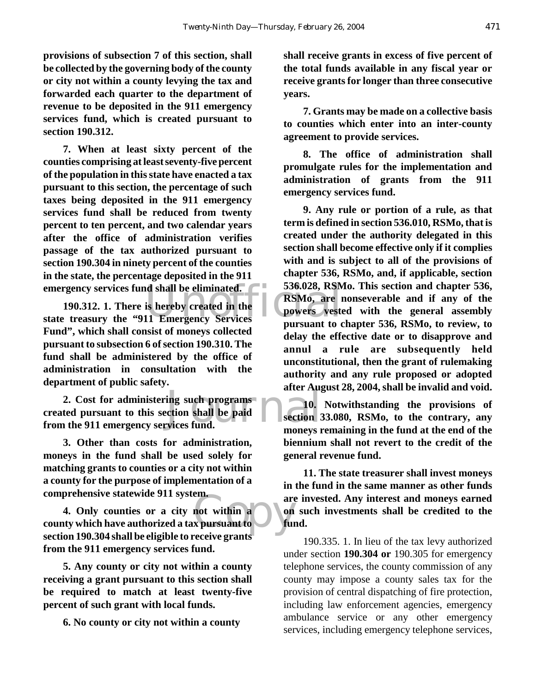**provisions of subsection 7 of this section, shall be collected by the governing body of the county or city not within a county levying the tax and forwarded each quarter to the department of revenue to be deposited in the 911 emergency services fund, which is created pursuant to section 190.312.**

**7. When at least sixty percent of the counties comprising at least seventy-five percent of the population in this state have enacted a tax pursuant to this section, the percentage of such taxes being deposited in the 911 emergency services fund shall be reduced from twenty percent to ten percent, and two calendar years after the office of administration verifies passage of the tax authorized pursuant to section 190.304 in ninety percent of the counties in the state, the percentage deposited in the 911 emergency services fund shall be eliminated.**

emergency services fund shall be eliminated. **EXECUSE 190.312.** 1. There is hereby created in the **RSMo, are 1**<br>state treasury the "911 Emergency Services pursuant to our **190.312. 1. There is hereby created in the Fund", which shall consist of moneys collected pursuant to subsection 6 of section 190.310. The fund shall be administered by the office of administration in consultation with the department of public safety.**

ing such programs<br>
ection shall be paid<br>
vices fund. **2. Cost for administering such programs created pursuant to this section shall be paid from the 911 emergency services fund.**

**3. Other than costs for administration, moneys in the fund shall be used solely for matching grants to counties or a city not within a county for the purpose of implementation of a comprehensive statewide 911 system.**

em.<br>
not within a on<br>
x pursuant to full<br>
x pursuant to full **4. Only counties or a city not within a county which have authorized a tax pursuant to section 190.304 shall be eligible to receive grants from the 911 emergency services fund.**

**5. Any county or city not within a county receiving a grant pursuant to this section shall be required to match at least twenty-five percent of such grant with local funds.**

**6. No county or city not within a county**

**shall receive grants in excess of five percent of the total funds available in any fiscal year or receive grants for longer than three consecutive years.**

**7. Grants may be made on a collective basis to counties which enter into an inter-county agreement to provide services.**

**8. The office of administration shall promulgate rules for the implementation and administration of grants from the 911 emergency services fund.**

**9. Any rule or portion of a rule, as that term is defined in section 536.010, RSMo, that is created under the authority delegated in this section shall become effective only if it complies with and is subject to all of the provisions of chapter 536, RSMo, and, if applicable, section 536.028, RSMo. This section and chapter 536, RSMo, are nonseverable and if any of the powers vested with the general assembly pursuant to chapter 536, RSMo, to review, to delay the effective date or to disapprove and annul a rule are subsequently held unconstitutional, then the grant of rulemaking authority and any rule proposed or adopted after August 28, 2004, shall be invalid and void.**

**10. Notwithstanding the provisions of section 33.080, RSMo, to the contrary, any moneys remaining in the fund at the end of the biennium shall not revert to the credit of the general revenue fund.**

**11. The state treasurer shall invest moneys in the fund in the same manner as other funds are invested. Any interest and moneys earned on such investments shall be credited to the fund.**

190.335. 1. In lieu of the tax levy authorized under section **190.304 or** 190.305 for emergency telephone services, the county commission of any county may impose a county sales tax for the provision of central dispatching of fire protection, including law enforcement agencies, emergency ambulance service or any other emergency services, including emergency telephone services,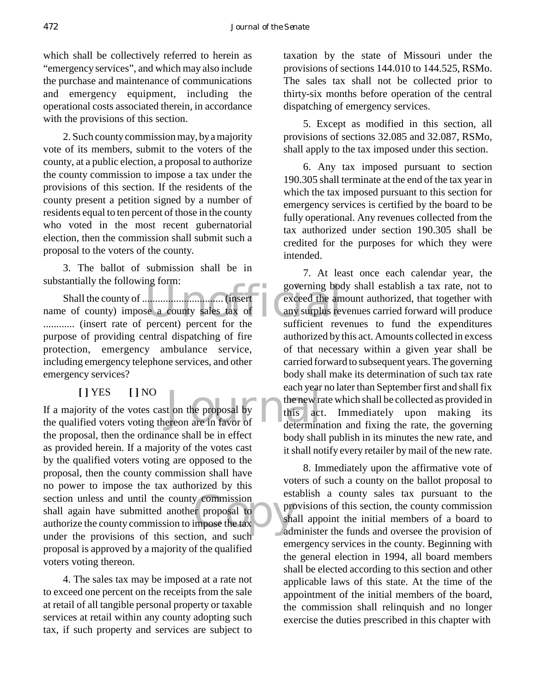which shall be collectively referred to herein as "emergency services", and which may also include the purchase and maintenance of communications and emergency equipment, including the operational costs associated therein, in accordance with the provisions of this section.

2. Such county commission may, by a majority vote of its members, submit to the voters of the county, at a public election, a proposal to authorize the county commission to impose a tax under the provisions of this section. If the residents of the county present a petition signed by a number of residents equal to ten percent of those in the county who voted in the most recent gubernatorial election, then the commission shall submit such a proposal to the voters of the county.

3. The ballot of submission shall be in substantially the following form:

governing both.<br>
Exceed the am<br>
See a county sales tax of<br>
the sufficient rev Shall the county of ............................... (insert name of county) impose a county sales tax of ............ (insert rate of percent) percent for the purpose of providing central dispatching of fire protection, emergency ambulance service, including emergency telephone services, and other emergency services?

**[ ]** YES **[ ]** NO

each year<br>t on the proposal by<br>ereon are in favor of this act by commission<br>
or proposal to<br>
impose the tax<br>
on and such and If a majority of the votes cast on the proposal by the qualified voters voting thereon are in favor of the proposal, then the ordinance shall be in effect as provided herein. If a majority of the votes cast by the qualified voters voting are opposed to the proposal, then the county commission shall have no power to impose the tax authorized by this section unless and until the county commission shall again have submitted another proposal to authorize the county commission to impose the tax under the provisions of this section, and such proposal is approved by a majority of the qualified voters voting thereon.

4. The sales tax may be imposed at a rate not to exceed one percent on the receipts from the sale at retail of all tangible personal property or taxable services at retail within any county adopting such tax, if such property and services are subject to

taxation by the state of Missouri under the provisions of sections 144.010 to 144.525, RSMo. The sales tax shall not be collected prior to thirty-six months before operation of the central dispatching of emergency services.

5. Except as modified in this section, all provisions of sections 32.085 and 32.087, RSMo, shall apply to the tax imposed under this section.

6. Any tax imposed pursuant to section 190.305 shall terminate at the end of the tax year in which the tax imposed pursuant to this section for emergency services is certified by the board to be fully operational. Any revenues collected from the tax authorized under section 190.305 shall be credited for the purposes for which they were intended.

7. At least once each calendar year, the governing body shall establish a tax rate, not to exceed the amount authorized, that together with any surplus revenues carried forward will produce sufficient revenues to fund the expenditures authorized by this act. Amounts collected in excess of that necessary within a given year shall be carried forward to subsequent years. The governing body shall make its determination of such tax rate each year no later than September first and shall fix the new rate which shall be collected as provided in this act. Immediately upon making its determination and fixing the rate, the governing body shall publish in its minutes the new rate, and it shall notify every retailer by mail of the new rate.

8. Immediately upon the affirmative vote of voters of such a county on the ballot proposal to establish a county sales tax pursuant to the provisions of this section, the county commission shall appoint the initial members of a board to administer the funds and oversee the provision of emergency services in the county. Beginning with the general election in 1994, all board members shall be elected according to this section and other applicable laws of this state. At the time of the appointment of the initial members of the board, the commission shall relinquish and no longer exercise the duties prescribed in this chapter with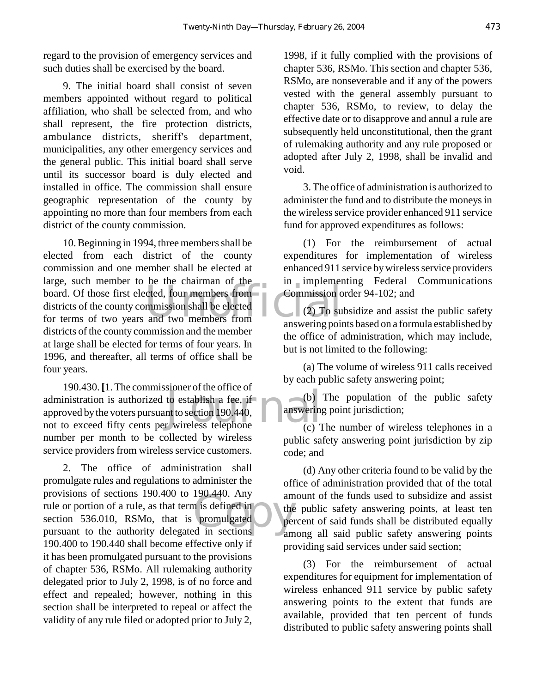regard to the provision of emergency services and such duties shall be exercised by the board.

9. The initial board shall consist of seven members appointed without regard to political affiliation, who shall be selected from, and who shall represent, the fire protection districts, ambulance districts, sheriff's department, municipalities, any other emergency services and the general public. This initial board shall serve until its successor board is duly elected and installed in office. The commission shall ensure geographic representation of the county by appointing no more than four members from each district of the county commission.

The critical commission shall be elected<br>and two members from<br>answering point 10. Beginning in 1994, three members shall be elected from each district of the county commission and one member shall be elected at large, such member to be the chairman of the board. Of those first elected, four members from districts of the county commission shall be elected for terms of two years and two members from districts of the county commission and the member at large shall be elected for terms of four years. In 1996, and thereafter, all terms of office shall be four years.

to establish a fee, if<br>nt to section 190.440,<br>r wireless telephone (c) 1 190.430. **[**1. The commissioner of the office of administration is authorized to establish a fee, if approved by the voters pursuant to section 190.440, not to exceed fifty cents per wireless telephone number per month to be collected by wireless service providers from wireless service customers.

n is defined in<br>
promulgated<br>
d in sections 2. The office of administration shall promulgate rules and regulations to administer the provisions of sections 190.400 to 190.440. Any rule or portion of a rule, as that term is defined in section 536.010, RSMo, that is promulgated pursuant to the authority delegated in sections 190.400 to 190.440 shall become effective only if it has been promulgated pursuant to the provisions of chapter 536, RSMo. All rulemaking authority delegated prior to July 2, 1998, is of no force and effect and repealed; however, nothing in this section shall be interpreted to repeal or affect the validity of any rule filed or adopted prior to July 2,

1998, if it fully complied with the provisions of chapter 536, RSMo. This section and chapter 536, RSMo, are nonseverable and if any of the powers vested with the general assembly pursuant to chapter 536, RSMo, to review, to delay the effective date or to disapprove and annul a rule are subsequently held unconstitutional, then the grant of rulemaking authority and any rule proposed or adopted after July 2, 1998, shall be invalid and void.

3. The office of administration is authorized to administer the fund and to distribute the moneys in the wireless service provider enhanced 911 service fund for approved expenditures as follows:

(1) For the reimbursement of actual expenditures for implementation of wireless enhanced 911 service by wireless service providers in implementing Federal Communications Commission order 94-102; and

(2) To subsidize and assist the public safety answering points based on a formula established by the office of administration, which may include, but is not limited to the following:

(a) The volume of wireless 911 calls received by each public safety answering point;

(b) The population of the public safety answering point jurisdiction;

(c) The number of wireless telephones in a public safety answering point jurisdiction by zip code; and

(d) Any other criteria found to be valid by the office of administration provided that of the total amount of the funds used to subsidize and assist the public safety answering points, at least ten percent of said funds shall be distributed equally among all said public safety answering points providing said services under said section;

(3) For the reimbursement of actual expenditures for equipment for implementation of wireless enhanced 911 service by public safety answering points to the extent that funds are available, provided that ten percent of funds distributed to public safety answering points shall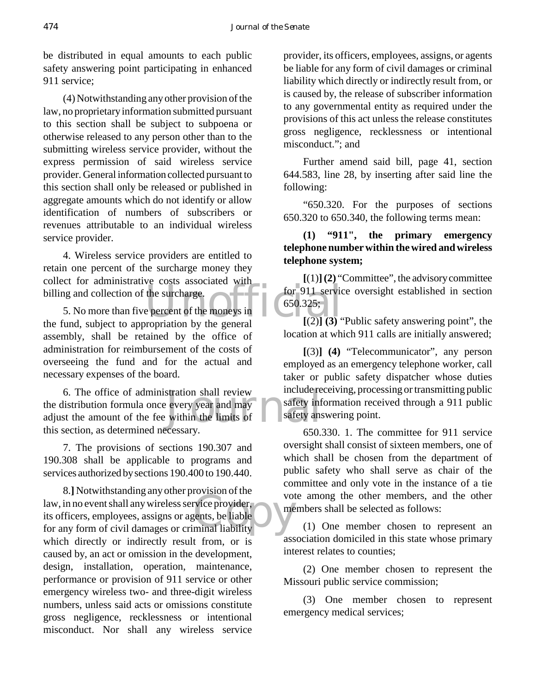be distributed in equal amounts to each public safety answering point participating in enhanced 911 service;

(4) Notwithstanding any other provision of the law, no proprietary information submitted pursuant to this section shall be subject to subpoena or otherwise released to any person other than to the submitting wireless service provider, without the express permission of said wireless service provider. General information collected pursuant to this section shall only be released or published in aggregate amounts which do not identify or allow identification of numbers of subscribers or revenues attributable to an individual wireless service provider.

4. Wireless service providers are entitled to retain one percent of the surcharge money they collect for administrative costs associated with billing and collection of the surcharge.

the surcharge.<br>
Exercise associated which for 911 service<br>
for 911 service<br>  $(650.325;$ <br>  $(2)$ ]  $(3)$ 5. No more than five percent of the moneys in the fund, subject to appropriation by the general assembly, shall be retained by the office of administration for reimbursement of the costs of overseeing the fund and for the actual and necessary expenses of the board.

stration shall review<br>every year and may safety inf<br>within the limits of safety ans 6. The office of administration shall review the distribution formula once every year and may adjust the amount of the fee within the limits of this section, as determined necessary.

7. The provisions of sections 190.307 and 190.308 shall be applicable to programs and services authorized by sections 190.400 to 190.440.

Complete the vision of the volume of the volume of the volume of the volume of the volume of the volume of the volume of the volume of the volume of the volume of the volume of the volume of the volume of the volume of the 8.**]** Notwithstanding any other provision of the its officers, employees, assigns or agents, be liable for any form of civil damages or criminal liability which directly or indirectly result from, or is caused by, an act or omission in the development, design, installation, operation, maintenance, performance or provision of 911 service or other emergency wireless two- and three-digit wireless numbers, unless said acts or omissions constitute gross negligence, recklessness or intentional misconduct. Nor shall any wireless service

provider, its officers, employees, assigns, or agents be liable for any form of civil damages or criminal liability which directly or indirectly result from, or is caused by, the release of subscriber information to any governmental entity as required under the provisions of this act unless the release constitutes gross negligence, recklessness or intentional misconduct."; and

Further amend said bill, page 41, section 644.583, line 28, by inserting after said line the following:

"650.320. For the purposes of sections 650.320 to 650.340, the following terms mean:

## **(1) "911", the primary emergency telephone number within the wired and wireless telephone system;**

**[**(1)**](2)** "Committee", the advisory committee for 911 service oversight established in section 650.325;

 $[(2)]$  **(3)** "Public safety answering point", the location at which 911 calls are initially answered;

**[**(3)**] (4)** "Telecommunicator", any person employed as an emergency telephone worker, call taker or public safety dispatcher whose duties include receiving, processing or transmitting public safety information received through a 911 public safety answering point.

650.330. 1. The committee for 911 service oversight shall consist of sixteen members, one of which shall be chosen from the department of public safety who shall serve as chair of the committee and only vote in the instance of a tie vote among the other members, and the other members shall be selected as follows:

(1) One member chosen to represent an association domiciled in this state whose primary interest relates to counties;

(2) One member chosen to represent the Missouri public service commission;

(3) One member chosen to represent emergency medical services;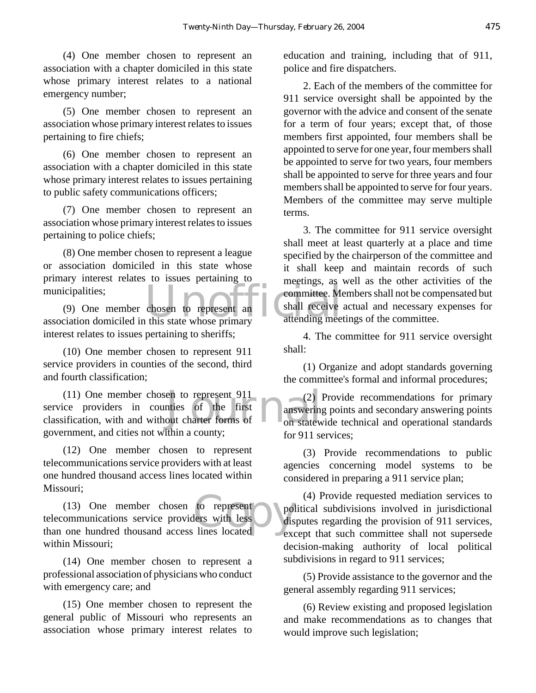(4) One member chosen to represent an association with a chapter domiciled in this state whose primary interest relates to a national emergency number;

(5) One member chosen to represent an association whose primary interest relates to issues pertaining to fire chiefs;

(6) One member chosen to represent an association with a chapter domiciled in this state whose primary interest relates to issues pertaining to public safety communications officers;

(7) One member chosen to represent an association whose primary interest relates to issues pertaining to police chiefs;

(8) One member chosen to represent a league or association domiciled in this state whose primary interest relates to issues pertaining to municipalities;

municipalities;<br>
(9) One member chosen to represent an shall receive<br>
association domiciled in this state whose primary<br>
attending meetings. (9) One member chosen to represent an interest relates to issues pertaining to sheriffs;

(10) One member chosen to represent 911 service providers in counties of the second, third and fourth classification;

en to represent 911 (2)<br>
out charter forms of on state when the charter forms of on state and the charter forms of the charter of the charter of the charter of the charter of the charter of the charter of the charter of th (11) One member chosen to represent 911 service providers in counties of the first classification, with and without charter forms of government, and cities not within a county;

(12) One member chosen to represent telecommunications service providers with at least one hundred thousand access lines located within Missouri;

to represent<br>lers with less dis (13) One member chosen to represent telecommunications service providers with less than one hundred thousand access lines located within Missouri;

(14) One member chosen to represent a professional association of physicians who conduct with emergency care; and

(15) One member chosen to represent the general public of Missouri who represents an association whose primary interest relates to

education and training, including that of 911, police and fire dispatchers.

2. Each of the members of the committee for 911 service oversight shall be appointed by the governor with the advice and consent of the senate for a term of four years; except that, of those members first appointed, four members shall be appointed to serve for one year, four members shall be appointed to serve for two years, four members shall be appointed to serve for three years and four members shall be appointed to serve for four years. Members of the committee may serve multiple terms.

3. The committee for 911 service oversight shall meet at least quarterly at a place and time specified by the chairperson of the committee and it shall keep and maintain records of such meetings, as well as the other activities of the committee. Members shall not be compensated but shall receive actual and necessary expenses for attending meetings of the committee.

4. The committee for 911 service oversight shall:

(1) Organize and adopt standards governing the committee's formal and informal procedures;

(2) Provide recommendations for primary answering points and secondary answering points on statewide technical and operational standards for 911 services;

(3) Provide recommendations to public agencies concerning model systems to be considered in preparing a 911 service plan;

(4) Provide requested mediation services to political subdivisions involved in jurisdictional disputes regarding the provision of 911 services, except that such committee shall not supersede decision-making authority of local political subdivisions in regard to 911 services;

(5) Provide assistance to the governor and the general assembly regarding 911 services;

(6) Review existing and proposed legislation and make recommendations as to changes that would improve such legislation;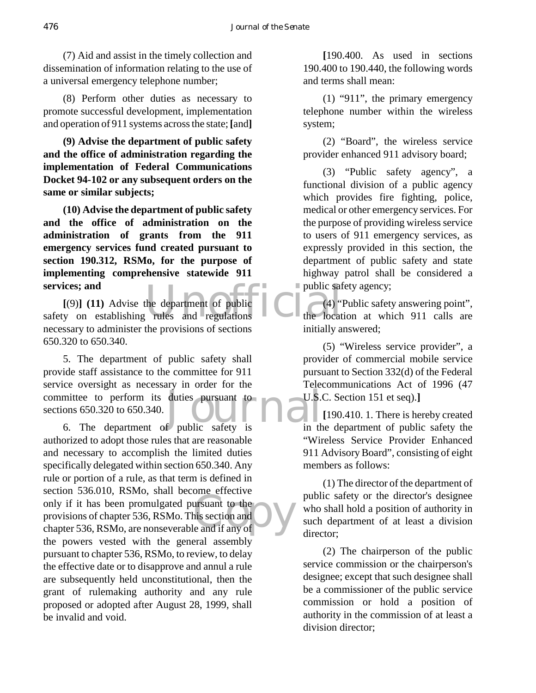(7) Aid and assist in the timely collection and dissemination of information relating to the use of a universal emergency telephone number;

(8) Perform other duties as necessary to promote successful development, implementation and operation of 911 systems across the state; **[**and**]**

**(9) Advise the department of public safety and the office of administration regarding the implementation of Federal Communications Docket 94-102 or any subsequent orders on the same or similar subjects;**

**(10) Advise the department of public safety and the office of administration on the administration of grants from the 911 emergency services fund created pursuant to section 190.312, RSMo, for the purpose of implementing comprehensive statewide 911 services; and**

services; and<br>
[(9)] (11) Advise the department of public and<br>
safety on establishing rules and regulations the locat **[**(9)**] (11)** Advise the department of public necessary to administer the provisions of sections 650.320 to 650.340.

EXECUTE TENDENT IN ALTERATION COMMITTEE TO DESCRIPTION OF THE SECTION SECTION 6. The department of public safety is in the 5. The department of public safety shall provide staff assistance to the committee for 911 service oversight as necessary in order for the sections 650.320 to 650.340.

only if it has been promulgated pursuant to the<br>provisions of chapter 536, RSMo. This section and<br>chapter 536, RSMo, are nonseverable and if any of 6. The department of public safety is authorized to adopt those rules that are reasonable and necessary to accomplish the limited duties specifically delegated within section 650.340. Any rule or portion of a rule, as that term is defined in section 536.010, RSMo, shall become effective only if it has been promulgated pursuant to the provisions of chapter 536, RSMo. This section and the powers vested with the general assembly pursuant to chapter 536, RSMo, to review, to delay the effective date or to disapprove and annul a rule are subsequently held unconstitutional, then the grant of rulemaking authority and any rule proposed or adopted after August 28, 1999, shall be invalid and void.

**[**190.400. As used in sections 190.400 to 190.440, the following words and terms shall mean:

(1) "911", the primary emergency telephone number within the wireless system;

(2) "Board", the wireless service provider enhanced 911 advisory board;

(3) "Public safety agency", a functional division of a public agency which provides fire fighting, police, medical or other emergency services. For the purpose of providing wireless service to users of 911 emergency services, as expressly provided in this section, the department of public safety and state highway patrol shall be considered a public safety agency;

(4) "Public safety answering point", the location at which 911 calls are initially answered;

(5) "Wireless service provider", a provider of commercial mobile service pursuant to Section 332(d) of the Federal Telecommunications Act of 1996 (47 U.S.C. Section 151 et seq).**]**

**[**190.410. 1. There is hereby created in the department of public safety the "Wireless Service Provider Enhanced 911 Advisory Board", consisting of eight members as follows:

(1) The director of the department of public safety or the director's designee who shall hold a position of authority in such department of at least a division director;

(2) The chairperson of the public service commission or the chairperson's designee; except that such designee shall be a commissioner of the public service commission or hold a position of authority in the commission of at least a division director;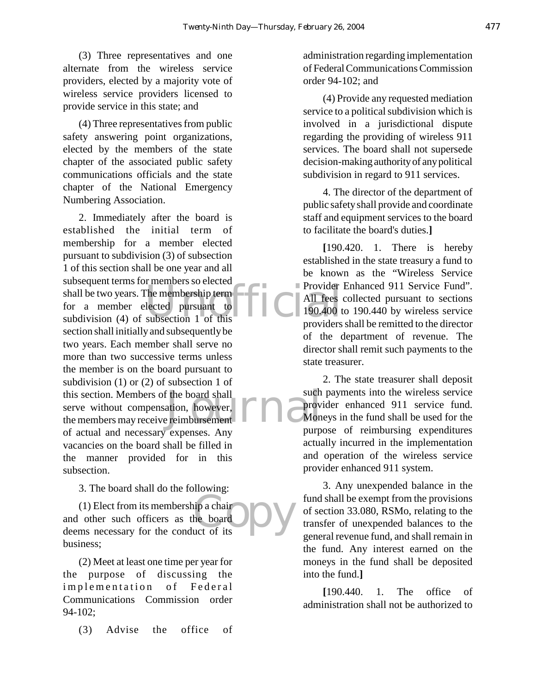(3) Three representatives and one alternate from the wireless service providers, elected by a majority vote of wireless service providers licensed to provide service in this state; and

(4) Three representatives from public safety answering point organizations, elected by the members of the state chapter of the associated public safety communications officials and the state chapter of the National Emergency Numbering Association.

Subsequent terms for members so elected<br>
shall be two years. The membership term<br>
for a member elected pursuant to<br>
subdivision (4) of subsection 1 of this<br>
moviders this section. Members of the board shall such<br>serve without compensation, however,<br>the members may receive reimbursement<br>Non 2. Immediately after the board is established the initial term of membership for a member elected pursuant to subdivision (3) of subsection 1 of this section shall be one year and all subsequent terms for members so elected shall be two years. The membership term for a member elected pursuant to section shall initially and subsequently be two years. Each member shall serve no more than two successive terms unless the member is on the board pursuant to subdivision (1) or (2) of subsection 1 of this section. Members of the board shall serve without compensation, however, of actual and necessary expenses. Any vacancies on the board shall be filled in the manner provided for in this subsection.

3. The board shall do the following:

proposed<br>
the board<br>
uct of its (1) Elect from its membership a chair and other such officers as the board deems necessary for the conduct of its business;

(2) Meet at least one time per year for the purpose of discussing the implementation of Federal Communications Commission order 94-102;

(3) Advise the office of

administration regarding implementation of Federal Communications Commission order 94-102; and

(4) Provide any requested mediation service to a political subdivision which is involved in a jurisdictional dispute regarding the providing of wireless 911 services. The board shall not supersede decision-making authority of any political subdivision in regard to 911 services.

4. The director of the department of public safety shall provide and coordinate staff and equipment services to the board to facilitate the board's duties.**]**

**[**190.420. 1. There is hereby established in the state treasury a fund to be known as the "Wireless Service Provider Enhanced 911 Service Fund". All fees collected pursuant to sections 190.400 to 190.440 by wireless service providers shall be remitted to the director of the department of revenue. The director shall remit such payments to the state treasurer.

2. The state treasurer shall deposit such payments into the wireless service provider enhanced 911 service fund. Moneys in the fund shall be used for the purpose of reimbursing expenditures actually incurred in the implementation and operation of the wireless service provider enhanced 911 system.

3. Any unexpended balance in the fund shall be exempt from the provisions of section 33.080, RSMo, relating to the transfer of unexpended balances to the general revenue fund, and shall remain in the fund. Any interest earned on the moneys in the fund shall be deposited into the fund.**]**

**[**190.440. 1. The office of administration shall not be authorized to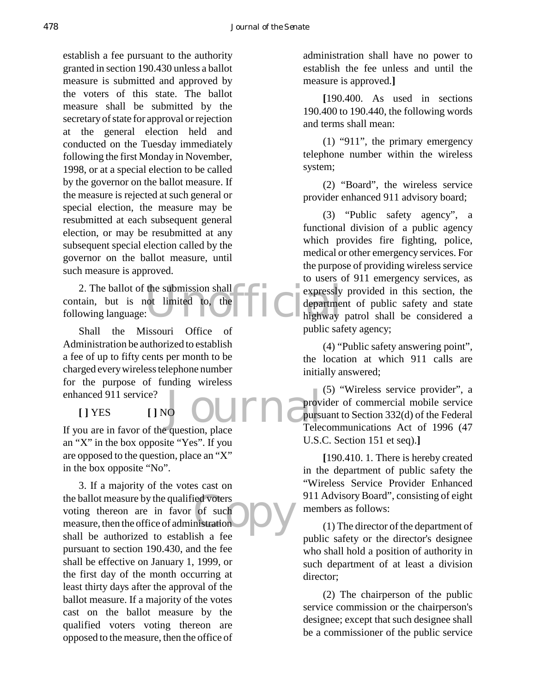establish a fee pursuant to the authority granted in section 190.430 unless a ballot measure is submitted and approved by the voters of this state. The ballot measure shall be submitted by the secretary of state for approval or rejection at the general election held and conducted on the Tuesday immediately following the first Monday in November, 1998, or at a special election to be called by the governor on the ballot measure. If the measure is rejected at such general or special election, the measure may be resubmitted at each subsequent general election, or may be resubmitted at any subsequent special election called by the governor on the ballot measure, until such measure is approved.

2. The ballot of the submission shall compared as a contract of the submitted to the compare of the compare of the compare of the compare of the compare of the compared  $\frac{1}{2}$  of the compare of the compared of the compa contain, but is not limited to, the following language:

Journal Prov Shall the Missouri Office of Administration be authorized to establish a fee of up to fifty cents per month to be charged every wireless telephone number for the purpose of funding wireless enhanced 911 service?

If you are in favor of the question, place an "X" in the box opposite "Yes". If you are opposed to the question, place an "X" in the box opposite "No".

**[ ]** YES **[ ]** NO

ed voters<br>
of such<br>
mistration<br>
lish a foo 3. If a majority of the votes cast on the ballot measure by the qualified voters voting thereon are in favor of such measure, then the office of administration shall be authorized to establish a fee pursuant to section 190.430, and the fee shall be effective on January 1, 1999, or the first day of the month occurring at least thirty days after the approval of the ballot measure. If a majority of the votes cast on the ballot measure by the qualified voters voting thereon are opposed to the measure, then the office of

administration shall have no power to establish the fee unless and until the measure is approved.**]**

**[**190.400. As used in sections 190.400 to 190.440, the following words and terms shall mean:

(1) "911", the primary emergency telephone number within the wireless system;

(2) "Board", the wireless service provider enhanced 911 advisory board;

(3) "Public safety agency", a functional division of a public agency which provides fire fighting, police, medical or other emergency services. For the purpose of providing wireless service to users of 911 emergency services, as expressly provided in this section, the department of public safety and state highway patrol shall be considered a public safety agency;

(4) "Public safety answering point", the location at which 911 calls are initially answered;

(5) "Wireless service provider", a provider of commercial mobile service pursuant to Section 332(d) of the Federal Telecommunications Act of 1996 (47 U.S.C. Section 151 et seq).**]**

**[**190.410. 1. There is hereby created in the department of public safety the "Wireless Service Provider Enhanced 911 Advisory Board", consisting of eight members as follows:

(1) The director of the department of public safety or the director's designee who shall hold a position of authority in such department of at least a division director;

(2) The chairperson of the public service commission or the chairperson's designee; except that such designee shall be a commissioner of the public service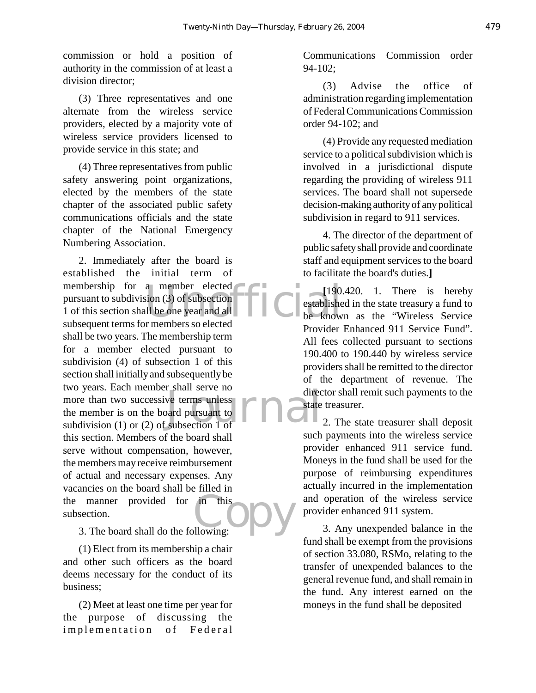commission or hold a position of authority in the commission of at least a division director;

(3) Three representatives and one alternate from the wireless service providers, elected by a majority vote of wireless service providers licensed to provide service in this state; and

(4) Three representatives from public safety answering point organizations, elected by the members of the state chapter of the associated public safety communications officials and the state chapter of the National Emergency Numbering Association.

a -member elected<br>
sion (3) of subsection<br>
III be one year and all<br>
r members so elected<br>  $\begin{bmatrix} 190 \\ 190 \end{bmatrix}$ <br>  $\begin{bmatrix} 190 \\ 190 \end{bmatrix}$ <br>  $\begin{bmatrix} 190 \\ 190 \end{bmatrix}$ For shart serve no<br>ve terms unless<br>pard pursuant to<br>subsection 1 of in this or DV 2. Immediately after the board is established the initial term of membership for a member elected pursuant to subdivision (3) of subsection 1 of this section shall be one year and all subsequent terms for members so elected shall be two years. The membership term for a member elected pursuant to subdivision (4) of subsection 1 of this section shall initially and subsequently be two years. Each member shall serve no more than two successive terms unless the member is on the board pursuant to subdivision (1) or (2) of subsection 1 of this section. Members of the board shall serve without compensation, however, the members may receive reimbursement of actual and necessary expenses. Any vacancies on the board shall be filled in the manner provided for in this subsection.

3. The board shall do the following:

(1) Elect from its membership a chair and other such officers as the board deems necessary for the conduct of its business;

(2) Meet at least one time per year for the purpose of discussing the implementation of Federal Communications Commission order 94-102;

(3) Advise the office of administration regarding implementation of Federal Communications Commission order 94-102; and

(4) Provide any requested mediation service to a political subdivision which is involved in a jurisdictional dispute regarding the providing of wireless 911 services. The board shall not supersede decision-making authority of any political subdivision in regard to 911 services.

4. The director of the department of public safety shall provide and coordinate staff and equipment services to the board to facilitate the board's duties.**]**

**[**190.420. 1. There is hereby established in the state treasury a fund to be known as the "Wireless Service Provider Enhanced 911 Service Fund". All fees collected pursuant to sections 190.400 to 190.440 by wireless service providers shall be remitted to the director of the department of revenue. The director shall remit such payments to the state treasurer.

2. The state treasurer shall deposit such payments into the wireless service provider enhanced 911 service fund. Moneys in the fund shall be used for the purpose of reimbursing expenditures actually incurred in the implementation and operation of the wireless service provider enhanced 911 system.

3. Any unexpended balance in the fund shall be exempt from the provisions of section 33.080, RSMo, relating to the transfer of unexpended balances to the general revenue fund, and shall remain in the fund. Any interest earned on the moneys in the fund shall be deposited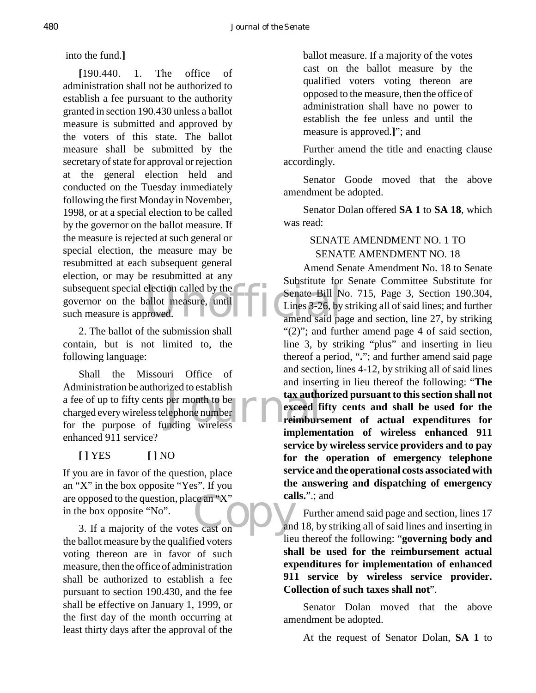into the fund.**]**

subsequent special election called by the<br>governor on the ballot measure, until<br>such measure is approved.<br>amend said pa **[**190.440. 1. The office of administration shall not be authorized to establish a fee pursuant to the authority granted in section 190.430 unless a ballot measure is submitted and approved by the voters of this state. The ballot measure shall be submitted by the secretary of state for approval or rejection at the general election held and conducted on the Tuesday immediately following the first Monday in November, 1998, or at a special election to be called by the governor on the ballot measure. If the measure is rejected at such general or special election, the measure may be resubmitted at each subsequent general election, or may be resubmitted at any governor on the ballot measure, until such measure is approved.

2. The ballot of the submission shall contain, but is not limited to, the following language:

Exercisations tax author<br>
lephone number<br>
Inding wireless<br>
Figure 1 Shall the Missouri Office of Administration be authorized to establish a fee of up to fifty cents per month to be charged every wireless telephone number for the purpose of funding wireless enhanced 911 service?

## **[ ]** YES **[ ]** NO

 $\begin{bmatrix} \text{ce an "X"} \\ \text{cs cast on} \end{bmatrix}$ If you are in favor of the question, place an "X" in the box opposite "Yes". If you are opposed to the question, place an "X" in the box opposite "No".

3. If a majority of the votes cast on the ballot measure by the qualified voters voting thereon are in favor of such measure, then the office of administration shall be authorized to establish a fee pursuant to section 190.430, and the fee shall be effective on January 1, 1999, or the first day of the month occurring at least thirty days after the approval of the ballot measure. If a majority of the votes cast on the ballot measure by the qualified voters voting thereon are opposed to the measure, then the office of administration shall have no power to establish the fee unless and until the measure is approved.**]**"; and

Further amend the title and enacting clause accordingly.

Senator Goode moved that the above amendment be adopted.

Senator Dolan offered **SA 1** to **SA 18**, which was read:

## SENATE AMENDMENT NO. 1 TO SENATE AMENDMENT NO. 18

Amend Senate Amendment No. 18 to Senate Substitute for Senate Committee Substitute for Senate Bill No. 715, Page 3, Section 190.304, Lines 3-26, by striking all of said lines; and further amend said page and section, line 27, by striking "(2)"; and further amend page 4 of said section, line 3, by striking "plus" and inserting in lieu thereof a period, "**.**"; and further amend said page and section, lines 4-12, by striking all of said lines and inserting in lieu thereof the following: "**The tax authorized pursuant to this section shall not exceed fifty cents and shall be used for the reimbursement of actual expenditures for implementation of wireless enhanced 911 service by wireless service providers and to pay for the operation of emergency telephone service and the operational costs associated with the answering and dispatching of emergency calls.**".; and

Further amend said page and section, lines 17 and 18, by striking all of said lines and inserting in lieu thereof the following: "**governing body and shall be used for the reimbursement actual expenditures for implementation of enhanced 911 service by wireless service provider. Collection of such taxes shall not**".

Senator Dolan moved that the above amendment be adopted.

At the request of Senator Dolan, **SA 1** to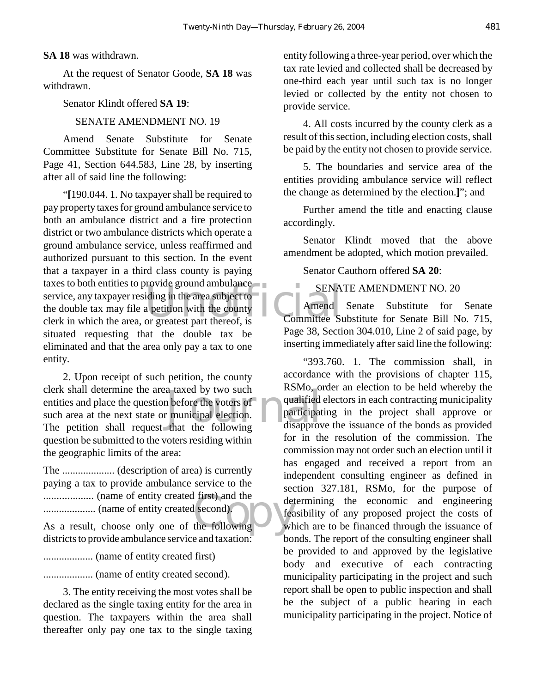#### **SA 18** was withdrawn.

At the request of Senator Goode, **SA 18** was withdrawn.

#### Senator Klindt offered **SA 19**:

## SENATE AMENDMENT NO. 19

Amend Senate Substitute for Senate Committee Substitute for Senate Bill No. 715, Page 41, Section 644.583, Line 28, by inserting after all of said line the following:

ENA<br>
service, any taxpayer residing in the area subject to<br>
the double tax may file a petition with the county<br>
clerk in which the area, or greatest part thereof, is<br>
Committee St "**[**190.044. 1. No taxpayer shall be required to pay property taxes for ground ambulance service to both an ambulance district and a fire protection district or two ambulance districts which operate a ground ambulance service, unless reaffirmed and authorized pursuant to this section. In the event that a taxpayer in a third class county is paying taxes to both entities to provide ground ambulance service, any taxpayer residing in the area subject to the double tax may file a petition with the county situated requesting that the double tax be eliminated and that the area only pay a tax to one entity.

a taxed by two such<br>
a before the voters of<br>  $\begin{array}{ccc}\n\text{number of the two times} & \text{number of the two times} \\
\text{number of the two times} & \text{number of the two times}\n\end{array}$ 2. Upon receipt of such petition, the county clerk shall determine the area taxed by two such entities and place the question before the voters of such area at the next state or municipal election. The petition shall request that the following question be submitted to the voters residing within the geographic limits of the area:

Communism.... (name of entity created first) and the<br>
communism... (name of entity created second).<br>
As a result, choose only one of the following wh The .................... (description of area) is currently paying a tax to provide ambulance service to the ................... (name of entity created first) and the .................... (name of entity created second).

districts to provide ambulance service and taxation:

................... (name of entity created first)

................... (name of entity created second).

3. The entity receiving the most votes shall be declared as the single taxing entity for the area in question. The taxpayers within the area shall thereafter only pay one tax to the single taxing entity following a three-year period, over which the tax rate levied and collected shall be decreased by one-third each year until such tax is no longer levied or collected by the entity not chosen to provide service.

4. All costs incurred by the county clerk as a result of this section, including election costs, shall be paid by the entity not chosen to provide service.

5. The boundaries and service area of the entities providing ambulance service will reflect the change as determined by the election.**]**"; and

Further amend the title and enacting clause accordingly.

Senator Klindt moved that the above amendment be adopted, which motion prevailed.

Senator Cauthorn offered **SA 20**:

## SENATE AMENDMENT NO. 20

Amend Senate Substitute for Senate Committee Substitute for Senate Bill No. 715, Page 38, Section 304.010, Line 2 of said page, by inserting immediately after said line the following:

"393.760. 1. The commission shall, in accordance with the provisions of chapter 115, RSMo, order an election to be held whereby the qualified electors in each contracting municipality participating in the project shall approve or disapprove the issuance of the bonds as provided for in the resolution of the commission. The commission may not order such an election until it has engaged and received a report from an independent consulting engineer as defined in section 327.181, RSMo, for the purpose of determining the economic and engineering feasibility of any proposed project the costs of which are to be financed through the issuance of bonds. The report of the consulting engineer shall be provided to and approved by the legislative body and executive of each contracting municipality participating in the project and such report shall be open to public inspection and shall be the subject of a public hearing in each municipality participating in the project. Notice of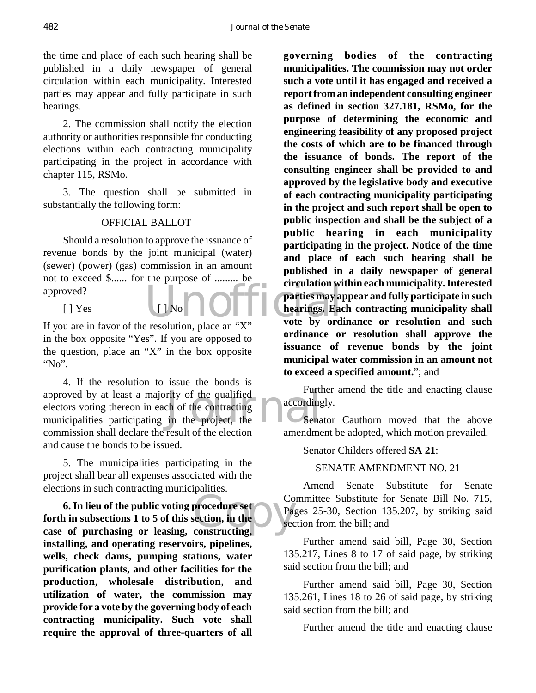the time and place of each such hearing shall be published in a daily newspaper of general circulation within each municipality. Interested parties may appear and fully participate in such hearings.

2. The commission shall notify the election authority or authorities responsible for conducting elections within each contracting municipality participating in the project in accordance with chapter 115, RSMo.

3. The question shall be submitted in substantially the following form:

## OFFICIAL BALLOT

Should a resolution to approve the issuance of revenue bonds by the joint municipal (water) (sewer) (power) (gas) commission in an amount not to exceed \$...... for the purpose of ......... be approved?

 $[ ]$  Yes  $[ ]$  No

If you are in favor of the resolution, place an "X" in the box opposite "Yes". If you are opposed to the question, place an "X" in the box opposite "No".

rity of the qualified<br>
the of the contracting<br>
in the project, the<br>
the sena 4. If the resolution to issue the bonds is approved by at least a majority of the qualified electors voting thereon in each of the contracting municipalities participating in the project, the commission shall declare the result of the election and cause the bonds to be issued.

5. The municipalities participating in the project shall bear all expenses associated with the elections in such contracting municipalities.

**6. In lieu of the public voting procedure set**<br> **forth in subsections 1 to 5 of this section, in the**<br> **case of purchasing or leasing, constructing, 6. In lieu of the public voting procedure set forth in subsections 1 to 5 of this section, in the installing, and operating reservoirs, pipelines, wells, check dams, pumping stations, water purification plants, and other facilities for the production, wholesale distribution, and utilization of water, the commission may provide for a vote by the governing body of each contracting municipality. Such vote shall require the approval of three-quarters of all**

Examples on "Y" vote by ord **governing bodies of the contracting municipalities. The commission may not order such a vote until it has engaged and received a report from an independent consulting engineer as defined in section 327.181, RSMo, for the purpose of determining the economic and engineering feasibility of any proposed project the costs of which are to be financed through the issuance of bonds. The report of the consulting engineer shall be provided to and approved by the legislative body and executive of each contracting municipality participating in the project and such report shall be open to public inspection and shall be the subject of a public hearing in each municipality participating in the project. Notice of the time and place of each such hearing shall be published in a daily newspaper of general circulation within each municipality. Interested parties may appear and fully participate in such hearings. Each contracting municipality shall vote by ordinance or resolution and such ordinance or resolution shall approve the issuance of revenue bonds by the joint municipal water commission in an amount not to exceed a specified amount.**"; and

> Further amend the title and enacting clause accordingly.

> Senator Cauthorn moved that the above amendment be adopted, which motion prevailed.

Senator Childers offered **SA 21**:

SENATE AMENDMENT NO. 21

Amend Senate Substitute for Senate Committee Substitute for Senate Bill No. 715, Pages 25-30, Section 135.207, by striking said section from the bill; and

Further amend said bill, Page 30, Section 135.217, Lines 8 to 17 of said page, by striking said section from the bill; and

Further amend said bill, Page 30, Section 135.261, Lines 18 to 26 of said page, by striking said section from the bill; and

Further amend the title and enacting clause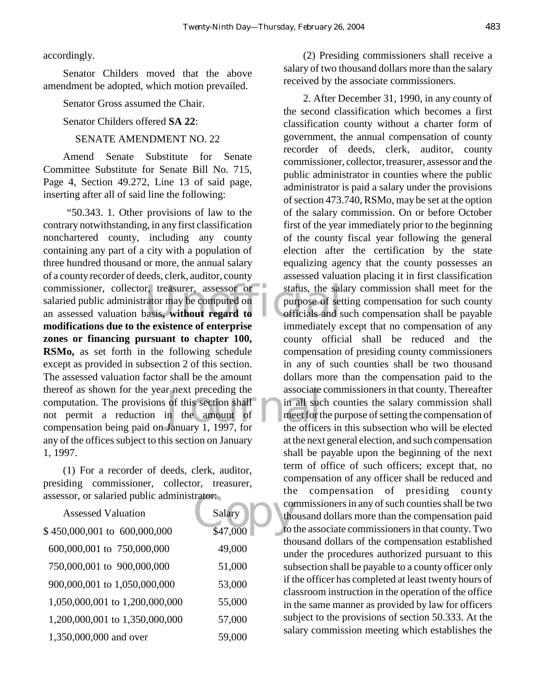accordingly.

Senator Childers moved that the above amendment be adopted, which motion prevailed.

Senator Gross assumed the Chair.

Senator Childers offered **SA 22**:

## SENATE AMENDMENT NO. 22

Amend Senate Substitute for Senate Committee Substitute for Senate Bill No. 715, Page 4, Section 49.272, Line 13 of said page, inserting after all of said line the following:

commissioner, collector, treasurer, assessor or status, the sal<br>
salaried public administrator may be computed on<br>
an assessed valuation basis, without regard to<br>
medifications due to the suistance of ortenuise r next preceding the associate<br>of this section shall in all such<br>in the amount of meet for t<br>January 1, 1997, for the office "50.343. 1. Other provisions of law to the contrary notwithstanding, in any first classification nonchartered county, including any county containing any part of a city with a population of three hundred thousand or more, the annual salary of a county recorder of deeds, clerk, auditor, county salaried public administrator may be computed on an assessed valuation basis**, without regard to modifications due to the existence of enterprise zones or financing pursuant to chapter 100, RSMo,** as set forth in the following schedule except as provided in subsection 2 of this section. The assessed valuation factor shall be the amount thereof as shown for the year next preceding the computation. The provisions of this section shall not permit a reduction in the amount of compensation being paid on January 1, 1997, for any of the offices subject to this section on January 1, 1997.

(1) For a recorder of deeds, clerk, auditor, presiding commissioner, collector, treasurer, assessor, or salaried public administrator:

| assessor, or salaried public administrator. |          |                        |
|---------------------------------------------|----------|------------------------|
| <b>Assessed Valuation</b>                   | Salary   | CO <sub>1</sub><br>thc |
| \$450,000,001 to 600,000,000                | \$47,000 | to t                   |
| 600,000,001 to 750,000,000                  | 49,000   | tho<br>un              |
| 750,000,001 to 900,000,000                  | 51,000   | suł                    |
| 900,000,001 to 1,050,000,000                | 53,000   | if t<br>cla            |
| 1,050,000,001 to 1,200,000,000              | 55,000   | in t                   |
| 1,200,000,001 to 1,350,000,000              | 57,000   | suł                    |
| 1,350,000,000 and over                      | 59,000   | sal                    |

(2) Presiding commissioners shall receive a salary of two thousand dollars more than the salary received by the associate commissioners.

2. After December 31, 1990, in any county of the second classification which becomes a first classification county without a charter form of government, the annual compensation of county recorder of deeds, clerk, auditor, county commissioner, collector, treasurer, assessor and the public administrator in counties where the public administrator is paid a salary under the provisions of section 473.740, RSMo, may be set at the option of the salary commission. On or before October first of the year immediately prior to the beginning of the county fiscal year following the general election after the certification by the state equalizing agency that the county possesses an assessed valuation placing it in first classification status, the salary commission shall meet for the purpose of setting compensation for such county officials and such compensation shall be payable immediately except that no compensation of any county official shall be reduced and the compensation of presiding county commissioners in any of such counties shall be two thousand dollars more than the compensation paid to the associate commissioners in that county. Thereafter in all such counties the salary commission shall meet for the purpose of setting the compensation of the officers in this subsection who will be elected at the next general election, and such compensation shall be payable upon the beginning of the next term of office of such officers; except that, no compensation of any officer shall be reduced and the compensation of presiding county commissioners in any of such counties shall be two thousand dollars more than the compensation paid to the associate commissioners in that county. Two thousand dollars of the compensation established under the procedures authorized pursuant to this subsection shall be payable to a county officer only if the officer has completed at least twenty hours of classroom instruction in the operation of the office in the same manner as provided by law for officers subject to the provisions of section 50.333. At the salary commission meeting which establishes the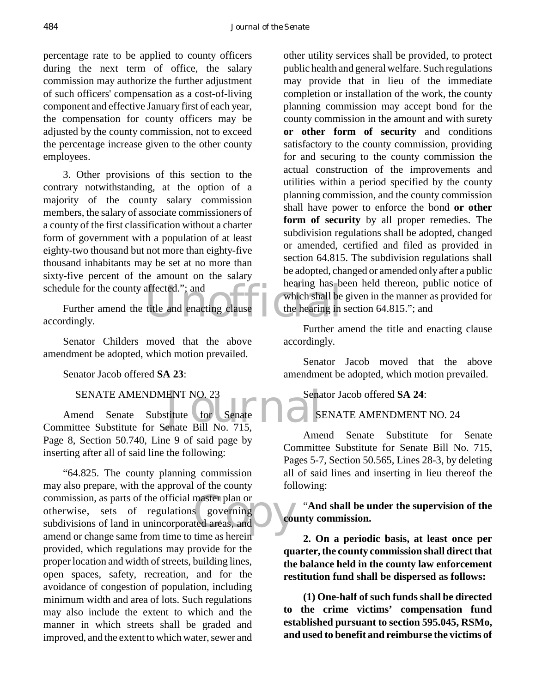percentage rate to be applied to county officers during the next term of office, the salary commission may authorize the further adjustment of such officers' compensation as a cost-of-living component and effective January first of each year, the compensation for county officers may be adjusted by the county commission, not to exceed the percentage increase given to the other county employees.

3. Other provisions of this section to the contrary notwithstanding, at the option of a majority of the county salary commission members, the salary of associate commissioners of a county of the first classification without a charter form of government with a population of at least eighty-two thousand but not more than eighty-five thousand inhabitants may be set at no more than sixty-five percent of the amount on the salary schedule for the county affected."; and

affected."; and<br>title and enacting clause<br>title and enacting clause Further amend the title and enacting clause accordingly.

Senator Childers moved that the above amendment be adopted, which motion prevailed.

Senator Jacob offered **SA 23**:

#### SENATE AMENDMENT NO. 23

ENT NO. 23<br>
titute (for Senate 1997)<br>
Senate Bill No. 715. Amend Senate Substitute for Senate Committee Substitute for Senate Bill No. 715, Page 8, Section 50.740, Line 9 of said page by inserting after all of said line the following:

master plan or<br>s governing<br>ted areas, and "64.825. The county planning commission may also prepare, with the approval of the county commission, as parts of the official master plan or otherwise, sets of regulations governing subdivisions of land in unincorporated areas, and amend or change same from time to time as herein provided, which regulations may provide for the proper location and width of streets, building lines, open spaces, safety, recreation, and for the avoidance of congestion of population, including minimum width and area of lots. Such regulations may also include the extent to which and the manner in which streets shall be graded and improved, and the extent to which water, sewer and

other utility services shall be provided, to protect public health and general welfare. Such regulations may provide that in lieu of the immediate completion or installation of the work, the county planning commission may accept bond for the county commission in the amount and with surety **or other form of security** and conditions satisfactory to the county commission, providing for and securing to the county commission the actual construction of the improvements and utilities within a period specified by the county planning commission, and the county commission shall have power to enforce the bond **or other form of security** by all proper remedies. The subdivision regulations shall be adopted, changed or amended, certified and filed as provided in section 64.815. The subdivision regulations shall be adopted, changed or amended only after a public hearing has been held thereon, public notice of which shall be given in the manner as provided for the hearing in section 64.815."; and

Further amend the title and enacting clause accordingly.

Senator Jacob moved that the above amendment be adopted, which motion prevailed.

Senator Jacob offered **SA 24**:

## SENATE AMENDMENT NO. 24

Amend Senate Substitute for Senate Committee Substitute for Senate Bill No. 715, Pages 5-7, Section 50.565, Lines 28-3, by deleting all of said lines and inserting in lieu thereof the following:

"**And shall be under the supervision of the county commission.**

**2. On a periodic basis, at least once per quarter, the county commission shall direct that the balance held in the county law enforcement restitution fund shall be dispersed as follows:**

**(1) One-half of such funds shall be directed to the crime victims' compensation fund established pursuant to section 595.045, RSMo, and used to benefit and reimburse the victims of**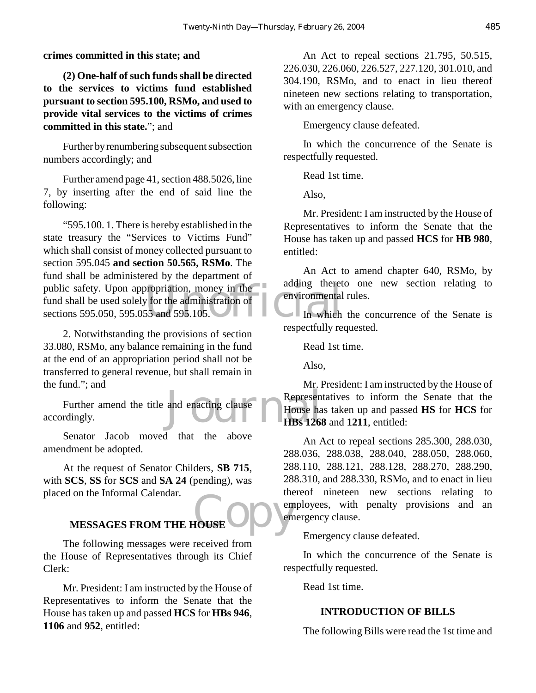**crimes committed in this state; and**

**(2) One-half of such funds shall be directed to the services to victims fund established pursuant to section 595.100, RSMo, and used to provide vital services to the victims of crimes committed in this state.**"; and

Further by renumbering subsequent subsection numbers accordingly; and

Further amend page 41, section 488.5026, line 7, by inserting after the end of said line the following:

public safety. Upon appropriation, money in the administration of<br>
sections 595.050, 595.055 and 595.105. "595.100. 1. There is hereby established in the state treasury the "Services to Victims Fund" which shall consist of money collected pursuant to section 595.045 **and section 50.565, RSMo**. The fund shall be administered by the department of fund shall be used solely for the administration of sections 595.050, 595.055 and 595.105.

2. Notwithstanding the provisions of section 33.080, RSMo, any balance remaining in the fund at the end of an appropriation period shall not be transferred to general revenue, but shall remain in the fund."; and

and enacting clause Represent<br>HBs 126 Further amend the title and enacting clause accordingly.

Senator Jacob moved that the above amendment be adopted.

At the request of Senator Childers, **SB 715**, with **SCS**, **SS** for **SCS** and **SA 24** (pending), was placed on the Informal Calendar.

# **FOUSE OF DEVELOPMENT MESSAGES FROM THE HOUSE**

The following messages were received from the House of Representatives through its Chief Clerk:

Mr. President: I am instructed by the House of Representatives to inform the Senate that the House has taken up and passed **HCS** for **HBs 946**, **1106** and **952**, entitled:

An Act to repeal sections 21.795, 50.515, 226.030, 226.060, 226.527, 227.120, 301.010, and 304.190, RSMo, and to enact in lieu thereof nineteen new sections relating to transportation, with an emergency clause.

Emergency clause defeated.

In which the concurrence of the Senate is respectfully requested.

Read 1st time.

Also,

Mr. President: I am instructed by the House of Representatives to inform the Senate that the House has taken up and passed **HCS** for **HB 980**, entitled:

An Act to amend chapter 640, RSMo, by adding thereto one new section relating to environmental rules.

In which the concurrence of the Senate is respectfully requested.

Read 1st time.

Also,

Mr. President: I am instructed by the House of Representatives to inform the Senate that the House has taken up and passed **HS** for **HCS** for **HBs 1268** and **1211**, entitled:

An Act to repeal sections 285.300, 288.030, 288.036, 288.038, 288.040, 288.050, 288.060, 288.110, 288.121, 288.128, 288.270, 288.290, 288.310, and 288.330, RSMo, and to enact in lieu thereof nineteen new sections relating to employees, with penalty provisions and an emergency clause.

Emergency clause defeated.

In which the concurrence of the Senate is respectfully requested.

Read 1st time.

## **INTRODUCTION OF BILLS**

The following Bills were read the 1st time and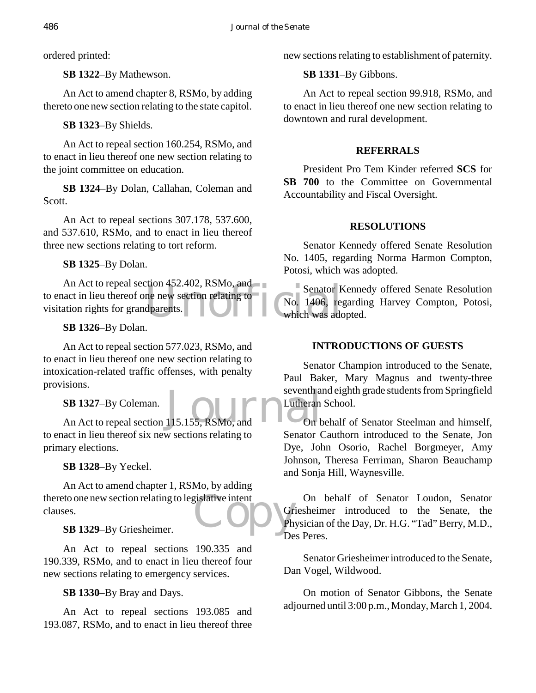ordered printed:

**SB 1322**–By Mathewson.

An Act to amend chapter 8, RSMo, by adding thereto one new section relating to the state capitol.

**SB 1323**–By Shields.

An Act to repeal section 160.254, RSMo, and to enact in lieu thereof one new section relating to the joint committee on education.

**SB 1324**–By Dolan, Callahan, Coleman and Scott.

An Act to repeal sections 307.178, 537.600, and 537.610, RSMo, and to enact in lieu thereof three new sections relating to tort reform.

**SB 1325**–By Dolan.

Christian and the new section relating to<br>the new section relating to<br>dparents. An Act to repeal section 452.402, RSMo, and to enact in lieu thereof one new section relating to visitation rights for grandparents.

# **SB 1326**–By Dolan.

An Act to repeal section 577.023, RSMo, and to enact in lieu thereof one new section relating to intoxication-related traffic offenses, with penalty provisions.

# **SB 1327**–By Coleman.

SB 1327–By Coleman.<br>An Act to repeal section 115.155, RSMo, and Contract to repeal section 115.155, RSMo, and to enact in lieu thereof six new sections relating to primary elections.

# **SB 1328**–By Yeckel.

thereto one new section relating to legislative intent<br>
Clauses.<br>
SB 1329-By Griesheimer. An Act to amend chapter 1, RSMo, by adding clauses.

# **SB 1329**–By Griesheimer.

An Act to repeal sections 190.335 and 190.339, RSMo, and to enact in lieu thereof four new sections relating to emergency services.

**SB 1330**–By Bray and Days.

An Act to repeal sections 193.085 and 193.087, RSMo, and to enact in lieu thereof three new sections relating to establishment of paternity.

## **SB 1331**–By Gibbons.

An Act to repeal section 99.918, RSMo, and to enact in lieu thereof one new section relating to downtown and rural development.

## **REFERRALS**

President Pro Tem Kinder referred **SCS** for SB 700 to the Committee on Governmental Accountability and Fiscal Oversight.

# **RESOLUTIONS**

Senator Kennedy offered Senate Resolution No. 1405, regarding Norma Harmon Compton, Potosi, which was adopted.

Senator Kennedy offered Senate Resolution No. 1406, regarding Harvey Compton, Potosi, which was adopted.

# **INTRODUCTIONS OF GUESTS**

Senator Champion introduced to the Senate, Paul Baker, Mary Magnus and twenty-three seventh and eighth grade students from Springfield Lutheran School.

On behalf of Senator Steelman and himself, Senator Cauthorn introduced to the Senate, Jon Dye, John Osorio, Rachel Borgmeyer, Amy Johnson, Theresa Ferriman, Sharon Beauchamp and Sonja Hill, Waynesville.

On behalf of Senator Loudon, Senator Griesheimer introduced to the Senate, the Physician of the Day, Dr. H.G. "Tad" Berry, M.D., Des Peres.

Senator Griesheimer introduced to the Senate, Dan Vogel, Wildwood.

On motion of Senator Gibbons, the Senate adjourned until 3:00 p.m., Monday, March 1, 2004.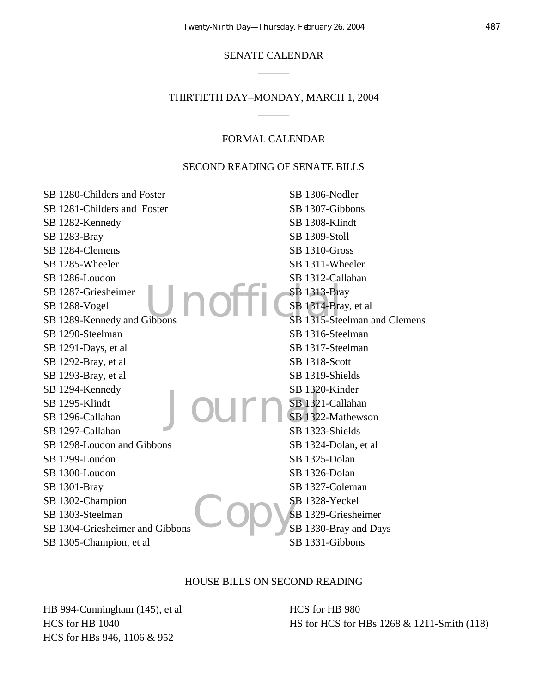## SENATE CALENDAR  $\overline{\phantom{a}}$

## THIRTIETH DAY–MONDAY, MARCH 1, 2004  $\overline{\phantom{a}}$

#### FORMAL CALENDAR

## SECOND READING OF SENATE BILLS

| SB 1306-Nodler               |
|------------------------------|
| SB 1307-Gibbons              |
| SB 1308-Klindt               |
| SB 1309-Stoll                |
| SB 1310-Gross                |
| SB 1311-Wheeler              |
| SB 1312-Callahan             |
| <b>SB</b> 1313-Bray          |
| SB 1314-Bray, et al          |
| SB 1315-Steelman and Clemens |
| SB 1316-Steelman             |
| SB 1317-Steelman             |
| SB 1318-Scott                |
| SB 1319-Shields              |
| SB 1320-Kinder               |
| SB 1321-Callahan             |
| SB 1322-Mathewson            |
| SB 1323-Shields              |
| SB 1324-Dolan, et al         |
| SB 1325-Dolan                |
| SB 1326-Dolan                |
| SB 1327-Coleman              |
| SB 1328-Yeckel               |
| SB 1329-Griesheimer          |
| SB 1330-Bray and Days        |
| SB 1331-Gibbons              |
|                              |

#### HOUSE BILLS ON SECOND READING

HB 994-Cunningham (145), et al HCS for HB 1040 HCS for HBs 946, 1106 & 952

HCS for HB 980 HS for HCS for HBs 1268 & 1211-Smith (118)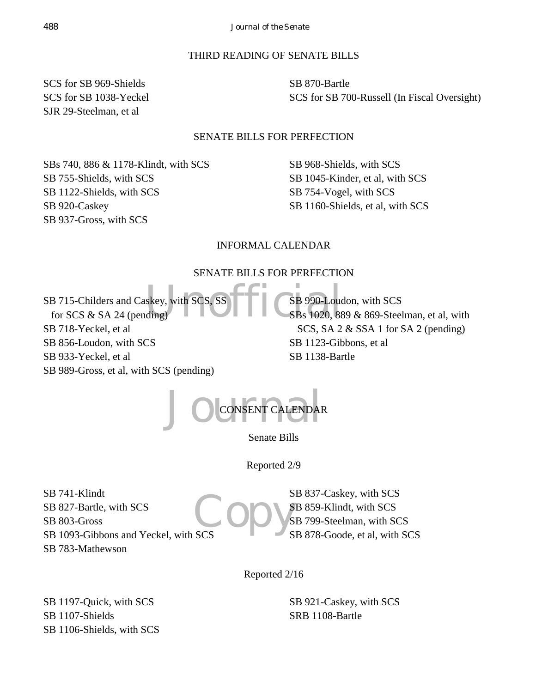## THIRD READING OF SENATE BILLS

SCS for SB 969-Shields SCS for SB 1038-Yeckel SJR 29-Steelman, et al

SB 870-Bartle SCS for SB 700-Russell (In Fiscal Oversight)

## SENATE BILLS FOR PERFECTION

SBs 740, 886 & 1178-Klindt, with SCS SB 755-Shields, with SCS SB 1122-Shields, with SCS SB 920-Caskey SB 937-Gross, with SCS

SB 968-Shields, with SCS SB 1045-Kinder, et al, with SCS SB 754-Vogel, with SCS SB 1160-Shields, et al, with SCS

## INFORMAL CALENDAR

## SENATE BILLS FOR PERFECTION

Skey, with SCS, SS CONSERVANCES 990-Loud SB 715-Childers and Caskey, with SCS, for SCS  $&$  SA 24 (pending) SB 718-Yeckel, et al SB 856-Loudon, with SCS SB 933-Yeckel, et al SB 989-Gross, et al, with SCS (pending)

SB 990-Loudon, with SCS SBs 1020, 889 & 869-Steelman, et al, with SCS, SA 2 & SSA 1 for SA 2 (pending) SB 1123-Gibbons, et al SB 1138-Bartle



Senate Bills

Reported 2/9

SB 741-Klindt SB 827-Bartle, with SCS SB 803-Gross SB 1093-Gibbons and Yeckel, with SCS SB 783-Mathewson

Copy's SB 837-Caskey, with SCS SB 859-Klindt, with SCS SB 799-Steelman, with SCS SB 878-Goode, et al, with SCS

Reported 2/16

SB 1197-Quick, with SCS SB 1107-Shields SB 1106-Shields, with SCS SB 921-Caskey, with SCS SRB 1108-Bartle